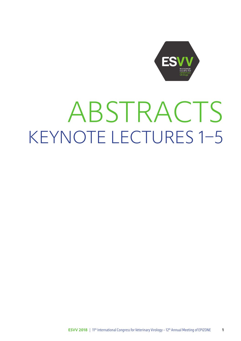

# ABSTRACTS KEYNOTE LECTURES 1–5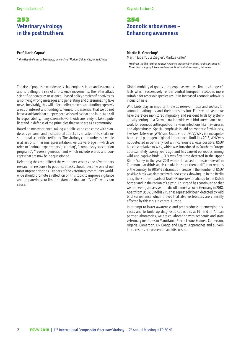## 253 **Veterinary virology in the post truth era**

#### **Prof. Ilaria Capua**<sup>1</sup>

*1 One Health Center of Excellence, University of Florida, Gainesville, United States*

The rise of populism worldwide is challenging science and its tenants and is fuelling the rise of anti-science movements. The latter attack scientific discoveries or science – based policy or scientific activity by amplifying wrong messages and generating and disseminating fake news. Inevitably, this will affect policy makers and funding agency's areas of interest and funding schemes. It is essential that we do not leave a void and that our perspective heard is clear and loud. As a call to responsibility, many scientists worldwide are ready to take a public stand in defense of the principles that we share as a community.

Based on my experience, taking a public stand can come with slanderous personal and institutional attacks as an attempt to shake institutional scientific credibility. The virology community as a whole is at risk of similar misrepresentation: we use verbiage in which we refer to "animal experiments", "cloning", "compulsory vaccination programs", "reverse genetics" and which include words and concepts that are now being questioned.

Defending the credibility of the veterinary services and of veterinary research in response to populist attacks should become one of our most urgent priorities. Leaders of the veterinary community worldwide should promote a reflection on this topic to improve vigilance and preparedness to limit the damage that such "viral" events can cause.

**Keynote Lecture 1** Keynote Lecture 2

## 254 **Zoonotic arboviruses – Enhancing awareness**

## **Martin H. Groschup**<sup>1</sup>

Martin Eiden<sup>1</sup>, Ute Ziegler<sup>1</sup>, Markus Keller<sup>1</sup>

*1 Friedrich-Loeffler-Institut, Federal Research Institute for Animal Health, Institute of Novel and Emerging Infectious Diseases, Greifswald-Insel Riems, Germany*

Global mobility of goods and people as well as climate change effects which successively render central European ecotopes more suitable for reservoir species result in increased zoonotic arbovirus incursion risks.

Wild birds play an important role as reservoir hosts and vectors for zoonotic pathogens and their transmission. For several years we have therefore monitored migratory and resident birds by systematically setting up a German nation-wide wild bird surveillance network for zoonotic arthropod-borne virus infections like flaviviruses and alphaviruses. Special emphasis is laid on zoonotic flaviviruses, like West Nile virus (WNV) and Usutu virus (USUV). WNV is a mosquitoborne viral pathogen of global importance. Until July 2018, WNV was not detected in Germany, but an incursion is always possible. USUV is a close relative to WNV, which was introduced to Southern Europe approximately twenty years ago and has caused epizootics among wild and captive birds. USUV was first time detected in the Upper Rhine Valley in the year 2011 where it caused a massive die-off in Common blackbirds and is circulating since then in different regions of the country. In 2015/16 a dramatic increase in the number of USUV positive birds was detected with new cases showing up in the Berlin area, the Northern parts of North-Rhine Westphalia up to the Dutch border and in the region of Leipzig. This trend has continued so that we are seeing a massive bird die off almost all over Germany in 2018. Apart from USUV, Sindbis virus has repeatedly been detected by wild bird surveillance which proves that also vertebrates are clinically affected by this virus in central Europe.

In attempt to foster awareness and preparedness to emerging diseases and to build up diagnostic capacities at FLI and in African partner laboratories, we are collaborating with academic and state veterinary institutes in Mauritania, Sierra Leone, Guinea, Cameroon, Nigeria, Cameroon, DR Congo and Egypt. Approaches and surveillance results are presented and discussed.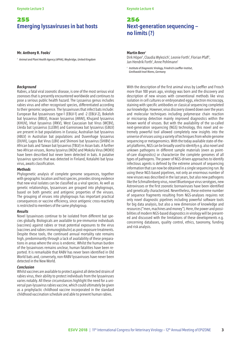# 255 **Emerging lyssaviruses in bat hosts**

#### **Mr. Anthony R. Fooks1**

*1 Animal and Plant Health Agency (APHA), Weybridge, United Kingdom*

#### *Background*

Rabies, a fatal viral zoonotic disease, is one of the most serious viral zoonoses that is presently encountered worldwide and continues to pose a serious public health hazard. The Lyssavirus genus includes rabies virus and other recognised species, differentiated according to their genomic sequence. The lyssaviruses that infect bats include: European Bat lyssaviruses type-1 (EBLV-1) and -2 (EBLV-2), Bokeloh bat lyssavirus (BBLV), Aravan lyssavirus (ARAV), Khujand lyssavirus (KHUV), Irkut lyssavirus (IRKV), West Caucasian bat Virus (WCBV), Lleida bat Lyssavirus (LLEBV) and Gannoruwa bat lyssavirus (GBLV) are present in bat populations in Eurasia; Australian bat lyssavirus (ABLV) in Australian bat populations and Duvenhage lyssavirus (DUVV), Lagos Bat Virus (LBV) and Shimoni bat lyssavirus (SHIBV) in African bats and Taiwan bat lyssavirus (TBLV) in Asian bats. A further two African viruses, Ikoma lyssvirus (IKOV) and Mokola Virus (MOKV) have been described but never been detected in bats. A putative lyssavirus species that was detected in Finland, Kotalahti bat lyssavirus, awaits classification.

#### *Methods*

Phylogenetic analysis of complete genome sequences, together with geographic location and host species, provides strong evidence that new viral isolates can be classified as a viral species. As well as genetic relationships, lyssaviruses are grouped into phylogroups, based on both genetic and antigenic properties of the viruses. The grouping of viruses into phylogroups has important practical consequences or vaccine efficiency, since antigenic cross-reactivity is restricted to members of the same phylogroup.

#### *Results*

Novel lyssaviruses continue to be isolated from different bat species globally. Biologicals are available to pre-immunise individuals (vaccines) against rabies or treat potential exposures to the virus (vaccines and rabies immunoglobulin) as post-exposure treatments. Despite these tools, the continued annual mortality rate remains high, predominantly through a lack of availability of these preparations in areas where the virus is endemic. Whilst the human burden of the lyssaviruses remains unclear, human fatalities have been reported. It is remarkable that RABV has never been identified in Old World bats and, conversely, non-RABV lyssaviruses have never been detected in the New World.

#### *Conclusion*

Whilst vaccines are available to protect against all detected strains of rabies virus, their ability to protect individuals from the lyssaviruses varies notably. All these circumstances highlight the need for a universal pan-lyssavirus rabies vaccine, which could ultimately be given as a prophylactic childhood vaccine incorporated in the standard childhood vaccination schedule and able to prevent human rabies.

Keynote Lecture 3 Keynote Lecture 4

# 256 **Next-generation sequencing – no limits (?)**

#### **Martin Beer**<sup>1</sup>

Dirk Höper<sup>1</sup>, Claudia Wylezich<sup>1</sup>, Leonie Forth<sup>1</sup>, Florian Pfaff<sup>1</sup>, Jan Hendrik Forth<sup>1</sup>, Anne Pohlmann<sup>1</sup>

*1 Institute of Diagnostic Virology, Friedrich-Loeffler-Institut, Greifswald-Insel Riems, Germany*

With the description of the first animal virus by Loeffler and Frosch more than 100 years ago, virology was born and the discovery and description of new viruses with conventional methods like virus isolation in cell cultures or embryonated eggs, electron microscopy, staining with specific antibodies or classical sequencing completed our knowledge. However, virus discovery slowed down over the years and molecular techniques including polymerase chain reaction or microarray detection mainly improved diagnostics within the known world of viruses. But with the availability of the so-called next-generation sequencing (NGS) technology, this novel and extremely powerful tool allowed completely new insights into the universe of viruses using a variety of techniques from whole genome sequencing or metagenomics. With the today available state-of-theart platforms, NGS can be broadly used to identify e.g. also novel and unkown pathogens in different sample materials (even as pointof-care diagnostics) or characterize the complete genomes of all types of pathogens. The power of NGS-driven approaches to identify infectious agents is defined by the extreme amount of sequencing information that can now be obtained in a single sequencing run. By using these NGS-based pipelines, not only an enormous number of new viruses was described in the last years, but also new pathogens like the Schmallenberg virus, novel Bluetongue virus serotypes, new Astroviruses or the first zoonotic bornaviruses have been identified and genetically characterized. Nevertheless, these extreme number of sequence fragments resulting from NGS-analyses requires not only novel diagnostic pipelines including powerful software tools for big data analysis, but also a new dimension of knowledge and resources ("men, machines and money"). Here, the power and possibilities of modern NGS-based diagnostics in virology will be presented and discussed with the limitations of these developments e.g. concerning databases, quality control, ethics, taxonomy, funding and risk analysis.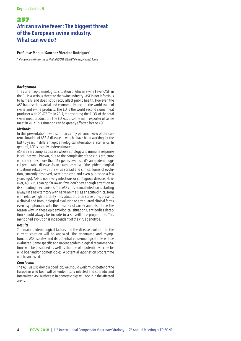# 257 **African swine fever: The biggest threat of the European swine industry. What can we do?**

#### **Prof. Jose Manuel Sanchez-Vizcaino Rodriguez**<sup>1</sup>

*1 Complutense University of Madrid (UCM), VISAVET Center, Madrid, Spain*

#### *Background*

The current epidemiological situation of African Swine Fever (ASF) in the EU is a serious threat to the swine industry. ASF is not infectious to humans and does not directly affect public health. However, the ASF has a serious social and economic impact on the world trade of swine and swine products. The EU is the world second swine meat producer with 23.675 Tm in 2017, representing the 21,3% of the total swine meat production. The EU was also the main exporter of swine meat in 2017. This situation can be greatly affected by the ASF.

#### *Methods*

In this presentation, I will summarize my personal view of the current situation of ASF. A disease in which I have been working for the last 40 years in different epidemiological international scenarios. In general, ASF is usually underestimated.

ASF is a very complex disease whose ethology and immune response is still not well known, due to the complexity of the virus structure which encodes more than 165 genes. Even so, it's an epidemiological predictable disease (As an example: most of the epidemiological situations related with the virus spread and clinical forms of evolution, currently observed, were predicted and even published a few years ago). ASF is not a very infectious or contagious disease. However, ASF virus can go far away if we don't pay enough attention to its spreading mechanisms. The ASF virus animal infection is starting always in a new territory with naive animals, as an acute clinical form with relative high mortality. This situation, after some time, presents a clinical and immunological evolution to attenuated clinical forms even asymptomatic with the presence of carrier animals. That is the reason why, in these epidemiological situations, antibodies detection should always be include in a surveillance programme. This mentioned evolution is independent of the virus genotype.

#### *Results*

The main epidemiological factors and the disease evolution to the current situation will be analyzed. The attenuated and asymptomatic ASF isolates and its potential epidemiological role will be evaluated. Some specific and urgent epidemiological recommendations will be described as well as the role of a potential vaccine for wild boar and/or domestic pigs. A potential vaccination programme will be analyzed.

#### *Conclusion*

The ASF virus is doing a good job, we should work much better or the European wild boar will be endemically infected and sporadic and intermitten ASF outbreaks in domestic pigs will occur in the affected areas.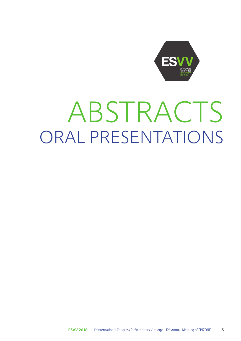

# ABSTRACTS ORAL PRESENTATIONS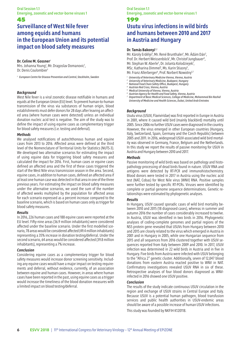# **Surveillance of West Nile fever among equids and humans in the European Union and its potential impact on blood safety measures**

#### **Dr. Celine M. Gossner**<sup>1</sup>

Mrs. Johanna Young<sup>1</sup>, Mr. Dragoslav Domanovic<sup>1</sup>, Dr. Denis Coulombier1

*<sup>1</sup> European Centre for Disease Prevention and Control, Stockholm, Sweden*

#### *Background*

West Nile fever is a viral zoonotic disease notifiable in humans and equids at the European Union (EU) level. To prevent human-to-human transmission of the virus via substances of human origin, blood establishments must defer donors for 28 days after leaving an affected area (where human cases were detected) unless an individual donation nucleic acid test is negative. The aim of the study was to define the impact of using equine cases as complementary trigger for blood safety measures (i.e. testing and deferral).

#### *Methods*

We analysed notifications of autochthonous human and equine cases from 2013 to 2016. Affected areas were defined at the third level of the Nomenclature of Territorial Units for Statistics (NUTS-3). We developed two alternative scenarios for estimating the impact of using equine data for triggering blood safety measures and calculated the impact for 2016. First, human cases or equine cases defined an affected area and the first of these cases triggered the start of the West Nile virus transmission season in the area. Second, equine cases, in addition to human cases, defined an affected area if at least one human case was detected in that area in one of the three previous years. For estimating the impact on blood safety measures under the alternative scenarios, we used the sum of the number of affected weeks multiplied by the population for affected areas for each scenario expressed as a percent increase compared to the baseline scenario, which is based on human cases only as trigger for blood safety measures.

#### *Results*

In 2016, 226 human cases and 188 equine cases were reported at the EU level. Fifty-nine areas (36.9 million inhabitants) were considered affected under the baseline scenario. Under the first modelled scenario, 78 areas would be considered affected (49.4 million inhabitants) representing a 35% increase in donation testing/deferral. Under the second scenario, 64 areas would be considered affected (39.8 million inhabitants), representing a 7% increase.

#### *Conclusion*

Considering equine cases as a complementary trigger for blood safety measures would increase donor screening sensitivity. Including any equine cases would have a major impact on testing requirements and deferral, without evidence, currently, of an association between equine and human cases. However, in areas where human cases have been reported in the past, using equine cases as a trigger would increase the timeliness of the blood donation measures with a limited impact on blood testing/deferral.

## Oral Session 1.1 Emerging, zoonotic and vector-borne viruses 1

#### 199

# **Usutu virus infections in wild birds and humans between 2010 and 2017 in Austria and Hungary**

## **Dr. Tamás Bakonyi**1,2

Mr. Károly Erdélyi<sup>3</sup>, Mr. René Brunthaler<sup>1</sup>, Mr. Adám Dán<sup>3</sup>, Prof. Dr. Herbert Weissenböck<sup>1</sup>, Mr. Christof Jungbauer<sup>4</sup>, Mr. Stephan W. Aberle<sup>5</sup>, Dr. Jolanta Kolodziejek<sup>1</sup>, MSc. Katharina Dimmel<sup>1</sup>, Ms. Karin Stiasny<sup>5</sup>, Mr. Franz Allerberger<sup>6</sup>, Prof. Norbert Nowotny<sup>1,7</sup>

- *<sup>1</sup> University of Veterinary Medicine Vienna, Vienna, Austria*
- *<sup>2</sup> University of Veterinary Medicine, Budapest, Hungary*
- *<sup>3</sup> National Food Chain Safety Office, Budapest, Hungary*
- *<sup>4</sup> Austrian Red Cross, Vienna, Austria*
- *<sup>5</sup> Medical University of Vienna, Vienna, Austria*
- *<sup>6</sup> Austrian Agency for Health and Food Safety, Vienna, Austria Department of Basic Medical Sciences, College of Medicine, Mohammed Bin Rashid 7*
- *University of Medicine and Health Sciences, Dubai, United Arab Emirates*

#### *Background*

Usutu virus (USUV, Flaviviridae) was first reported in Europe in Austria in 2001, where it caused wild bird (mainly blackbird) mortality until 2005. Since 2006 no further USUV cases were diagnosed in the country. However, the virus emerged in other European countries (Hungary, Italy, Switzerland, Spain, Germany and the Czech Republic) between 2005 and 2011. In 2016, widespread USUV-associated wild bird mortality was observed in Germany, France, Belgium and the Netherlands. In this study we report the results of passive monitoring for USUV in Austria and Hungary between 2010 and 2017.

#### *Methods*

Passive monitoring of wild birds was based on pathology and histopathology processing of dead birds found in nature. USUV RNA and antigens were detected by RT-PCR and immunohistochemistry. Blood donors were tested in 2017 in Austria using the nucleic acid test (NAT, Cobas) for West Nile virus (WNV) RNA. Positive samples were further tested by specific RT-PCRs. Viruses were identified by complete or partial genome sequence determinations. Genetic relationships were estimated by phylogenetic analyses.

#### *Results*

In Hungary, USUV caused sporadic cases of wild bird mortality between 2010 and 2015 (18 diagnosed cases), whereas in summer and autumn 2016 the number of cases considerably increased to twelve. In Austria, USUV was identified in two birds in 2016. Phylogenetic analyses of coding-complete genomes and partial regions of the NS5 protein gene revealed that USUVs from Hungary between 2010 and 2015 are closely related to the virus which emerged in Austria in 2001 and in Hungary in 2005, while one Hungarian sequence from 2015 and all sequences from 2016 clustered together with USUV sequences reported from Italy between 2009 and 2010. In 2017, USUV infection was determined in 22 wild birds in Austria and in five in Hungary. Five birds from Austria were infected with USUV belonging to the "Africa 2" genetic cluster. Additionally, seven of 12,047 blood donations from eastern Austria reacted positive to WNV in NAT. Confirmatory investigations revealed USUV RNA in six of these. Retrospective analyses of four blood donors diagnosed as WNVinfected in 2016 showed one USUV positive.

#### *Conclusion*

The results of the study indicate continuous USUV circulation in the region and exchange of USUV strains in Central Europe and Italy. Because USUV is a potential human pathogen, blood transfusion services and public health authorities in USUV-endemic areas should be aware of a possible increase of human USUV infections.

This study was founded by NKFIH K120118.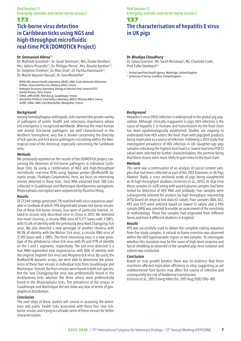## 173 **Tick-borne virus detection in Caribbean ticks using NGS and high-throughput microfluidic real-time PCR (DOMOTICK Project)**

#### **Dr. Emmanuel Albina**3,5

Dr. Mathilde Gondard<sup>1,3</sup>, Dr. Sarah Temmam<sup>2</sup>, Mrs. Elodie Devillers<sup>1</sup>, Mrs. Valérie Pinarello<sup>3,5</sup>, Dr. Philippe Perrot<sup>2</sup>, Mrs. Rosalie Aprelon<sup>3,5</sup>, Dr. Delphine Chrétien<sup>2</sup>, Dr. Marc Eloit<sup>2</sup>, Dr. Pachka Hammami<sup>3,5</sup>, Dr. Muriel Vayssier-Taussat<sup>1</sup>, Dr. Sara Moutailler<sup>1</sup>

*1 BIPAR JRU, Animal Health Laboratory, ANSES, INRA, Ecole Nationale Vétérinaire d'Alfort, Université Paris-Est, Maisons-Alfort, France*

- *2 Pathogen Discovery Laboratory, Biology of Infection Unit, Inserm U1117, Institut Pasteur, Paris, France*
- *3 CIRAD, UMR ASTRE, Petit-Bourg, Guadeloupe, France*
- *<sup>4</sup> IdentyPath Platform, Food Safety Laboratory, ANSES, Maisons-Alfort, France*
- *<sup>5</sup> ASTRE, CIRAD, INRA, Univ Montpellier, Montpellier, France*

#### *Background*

Among hematophagous arthropods, ticks transmit the greater variety of pathogens of public health and veterinary importance whose (re)-emergence is recognized worldwide. Whereas the main human and animal tick-borne pathogens are well characterized in the Northern hemisphere, very few is known concerning the diversity of tick species and tick-borne pathogens circulating within the Neotropical zone of the Americas, especially concerning the Caribbean area.

#### *Methods*

We previously reported on the results of the DOMOTICK project concerning the detection of tick-borne pathogens in individual Caribbean ticks by using a combination of NGS and high-throughput microfluidic real-time PCRs using Taqman probes (BioMarkTM dynamic arrays, Fluidigm Corporation). Here, we focus on interesting viruses detected in these ticks. Total RNA extracted from 588 ticks collected in Guadeloupe and Martinique (Amblyomma variegatum, Rhipicephalus microplus) were sequenced by Illumina HIseq.

#### *Results*

Of 27,544 contigs generated, 1% matched with virus sequences available in GenBank of which 74% aligned with known tick-borne viruses. Out of these tick-borne viruses, four were of particular interest, related to viruses only described once in China in 2015. We detected one novel chuvirus, a circular RNA virus of 11,177 bases with 3 ORFs, with 55.6% of identity with the previously described Changping Tick virus. We also detected a new genotype of another chuvirus with 94.3% of identity with the Wuhan Tick virus, a circular RNA virus of 11,395 bases with 3 ORFs. The third interesting virus is a new genotype of the phlebovirus Lihan tick virus with 95 and 97% of identify on the S and L segments, respectively. The last virus detected is a four RNA-segmented new Jingmenvirus with 80% of identity with the original Jingmen tick virus and Mogiana tick virus. By using the BioMarkTM dynamic arrays, we were able to determine the prevalence of these four viruses in individual ticks from Guadeloupe and Martinique. Overall, the fours viruses were found in both tick species, but the new Changping-like virus was preferentially found in the Amblyomma ticks whereas the three others were preferentially found in the Rhipicephalus ticks. The prevalence of the viruses in Guadeloupe and Martinique did not show any bias in terms of geographical distribution.

## *Conclusion*

The next steps of these studies will consist in assessing the veterinary and public health risks associated with these four new tickborne viruses and trying to cultivate some of these viruses for better characterization.

#### Oral Session 1.1 Emerging, zoonotic and vector-borne viruses 1

## 137

# **The characterisation of hepatitis E virus in UK pigs**

#### **Dr. Bhudipa Choudhury**<sup>1</sup>

Dr. Sylvia Grierson<sup>1</sup>, Ms. Sarah McGowan<sup>1</sup>, Ms. Charlotte Cook<sup>1</sup>, Prof. Falko Steinbach<sup>1,2</sup>

*<sup>1</sup> Animal and Plant Health Agency, Weybridge, United Kingdom <sup>2</sup> University of Surrey, Guildford, United Kingdom*

#### *Background*

Hepatitis E virus (HEV) infection is widespread in the global pig population. Although clinically inapparent in pigs, HEV infection is the cause of hepatitis E in humans and transmission via the food chain has been epidemiologically established. Studies are ongoing to understand how HEV enters the food chain with pigs/pork products being implicated as a source of infection. Following a 2013 study that investigated prevalence of HEV infection in UK slaughter-age pigs samples indicating the highest viral load (i.e. lowest real time PCR Ct value) were selected for further characterisation, the premise being that these strains were more likely to gain entry to the food chain.

#### *Methods*

This work was a continuation of an analysis of caecal content samples that had been collected as part of the 2013 Zoonoses in UK Pigs Abattoir Study, a cross sectional study of pigs being slaughtered at 14 high-throughput abattoirs (Grierson et al., 2015). At that time these samples (n=629) along with paired plasma samples had been tested for detection of HEV RNA and antibody. Five samples were subsequently selected for analysis by high throughput sequencing (HTS) based on original test data (Ct value). Four samples (006, 022, 493 and 557) were selected based on lowest Ct values and a fifth sample (090) was selected to enable an assessment of the sensitivity of methodology. These five samples had originated from different farms and from 4 different abattoirs in England.

#### *Results*

HTS was successfully used to obtain the complete coding sequence from five study samples. A natural in-frame insertion was observed within the HEV hypervariable region in two samples. To interrogate whether this mutation may be the cause of high-level viraemia and faecal shedding as observed in the sampled pigs virus isolation and culture was conducted.

#### *Conclusion*

Based on viral growth kinetics there was no evidence that these insertions affected replication efficiency in vitro, suggesting as yet undetermined host factors may affect the course of infection and consequently the risk of foodborne transmission.

Grierson et al., 2015 Emerg Infect Dis. 2015 Aug;21(8):1396–401.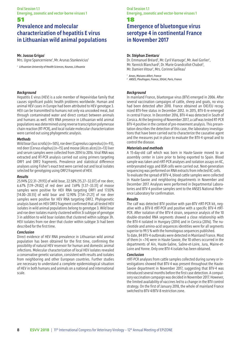# **Prevalence and molecular characterization of hepatitis E virus in Lithuanian wild animal populations**

#### **Mr. Juozas Grigas**<sup>1</sup>

51

Mrs. Ugne Spancerniene<sup>1</sup>, Mr. Arunas Stankevicius<sup>1</sup>

*<sup>1</sup> Lithuanian University of Health Sciences, Kaunas, Lithuania*

#### *Background*

Hepatitis E virus (HEV) is a sole member of Hepeviridae family that causes significant public health problems worldwide. Human and animal HEV cases in Europe had been attributed to HEV genotype 3. HEV can be transmitted to humans not only via uncooked meat, but through contaminated water and direct contact between animals and humans as well. HEV RNA presence in Lithuanian wild animal populations was determined using reverse transcription polymerase chain reaction (RT-PCR), and local isolate molecular characterization were carried out using phylogenetic analysis.

#### *Methods*

Wild boar (Sus scrofa) (n=505), roe deer (Capreolus capreolus) (n=93), red deer (Cervus elaphus) (n=15) and moose (Alces alces) (n=13) liver and serum samples were collected from 2014 to 2016. Viral RNA was extracted and RT-PCR analysis carried out using primers targeting ORF1 and ORF2 fragments. Prevalence and statistical difference analyses using Fisher's exact test were carried out and local isolates selected for genotyping using ORF2 fragment of HEV.

#### *Results*

25.94% [22.31–29.93] of wild boar, 22.58% [15.27–32.07] of roe deer, 6.67% [1.19–29.82] of red deer and 7.69% [1.37–33.31] of moose samples were positive for HEV RNA targeting ORF1 and 17.03% [14.00–20.55] of wild boar and 12.90% [7.54–21.21] of roe deer samples were positive for HEV RNA targeting ORF2. Phylogenetic analysis based on HEV ORF2 fragment confirmed that all tested HEV isolates in wild animal populations belong to genotype 3. Wild boar and roe deer isolates mainly clustered within 3i subtype of genotype 3 in addition to wild boar isolates that clustered within subtype 3h. HEV isolates from roe deer that cluster within subtype 3i had been described for the first time.

## *Conclusion*

Direct evidence of HEV RNA prevalence in Lithuanian wild animal population has been obtained for the first time, confirming the possibility of natural HEV reservoir for human and domestic animal infections. Molecular characterization of local HEV isolates revealed a conservative genetic variation, consistent with results and isolates from neighboring and other European countries. Further studies are necessary to understand a complete epidemiological situation of HEV in both humans and animals on a national and international scale.

## Oral Session 1.1 Emerging, zoonotic and vector-borne viruses 1

#### 18

# **Emergence of bluetongue virus serotype 4 in continental France in November 2017**

#### **Dr. Stéphan Zientara**<sup>1</sup>

Dr. Emmanuel Bréard<sup>1</sup>, Mr. Cyril Viarouge<sup>1</sup>, Mr. Axel Gorlier<sup>1</sup>, Mr. Yannick Blanchard<sup>2</sup>, Dr. Marie Grandcollot-Chabot<sup>3</sup> Mr. Damien Vitour<sup>1</sup>, Mrs. Corinne Sailleau

*<sup>1</sup> Anses, Maisons-Alfort, France*

*2 ANSES, Ploufragan, France, 3DGAl, Paris, France*

#### *Background*

In mainland France, bluetongue virus (BTV) emerged in 2006. After several vaccination campaigns of cattle, sheep and goats, no virus had been detected after 2010. France obtained an OIE/EU recognized BTV-free status in December 2012. In 2015, BTV-8 re-emerged in central France. In December 2016, BTV-4 was detected in South of Corsica. At the beginning of November 2017, a calf was tested RT-PCR BTV-4 positive in the context of pre-movement analysis. This presentation describes the detection of this case, the laboratory investigations that have been carried out to characterize the causative agent and the measures put in place to evaluate the BTV-4 spread and to control the disease.

## *Materials and methods*

A 15-day-old calf which was born in Haute-Savoie moved to an assembly center in Loire prior to being exported to Spain. Blood sample was taken and rtRT-PCR analyses and isolation assays on KC, embryonated eggs and BSR cells were carried out. Next-generation sequencing was performed on RNA extracts from infected KC cells. To evaluate the spread of BTV-4, blood cattle samples were collected in Haute-Savoie and neighboring departments in November and December 2017. Analyses were performed in Departmental Laboratories and BTV-4 positive samples sent to the ANSES National Reference Laboratory for confirmation.

## *Results*

The calf was detected BTV positive with pan-BTV rtRT-PCR kit, negative with a BTV-8 rtRT-PCR and positive with a specific BTV-4 rtRT-PCR. After isolation of the BTV-4 strain, sequence analysis of the 10 double-stranded RNA segments showed a close relationship with the BTV-4 isolated in Hungary (2014) and in Corsica (2016). The nucleotide and amino-acid sequences identities were for all segments superior to 99.5 % with the homologous sequences published.

To date, 84 BTV-4 outbreaks were detected in Mainland France. Most of them (n =74) were in Haute-Savoie, the 10 others occurred in the departments of Ain, Haute-Saône, Saône-et-Loire, Jura, Maine-et-Loire and Yonne. Only one BTV-4 isolate has been obtained.

#### *Conclusion*

rtRT-PCR analyses from cattle samples collected during survey or investigations showed that BTV-4 was present throughout the Haute-Savoie department in November 2017, suggesting that BTV-4 was introduced several months before the first case detection. A compulsory vaccination campaign was decided in November 2017. However, the limited availability of vaccines led to a change in the BTV control strategy. On the first of January 2018, the whole of mainland France switched to BTV-4/BTV-8 restriction zone.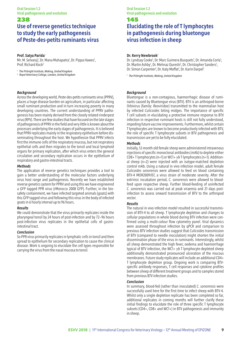# **Use of reverse genetics technique to study the early pathogenesis of Peste-des-petits ruminants virus**

#### **Prof. Satya Parida**<sup>1</sup>

Mr. M. Selvaraj<sup>1</sup>, Dr. Mana Mahapatra<sup>1</sup>, Dr. Pippa Hawes<sup>1</sup>, Prof. Richard Kock2

*<sup>1</sup> The Pirbright Institute, Woking, United Kingdom*

*<sup>2</sup> Royal Veterinary College, London, United Kingdom* 

#### *Background*

Across the developing world, Peste-des-petits ruminants virus (PPRV), places a huge disease burden on agriculture, in particular affecting small ruminant production and in turn increasing poverty in many developing countries. The current understanding of PPRV pathogenesis has been mainly derived from the closely related rinderpest virus (RPV). There are few studies that have focused on the late stages of pathogenesis of PPRV in the field and very little is known about the processes underlying the early stages of pathogenesis. It is believed that PPRV replicates mainly in the respiratory epithelium before disseminating throughout the host. We hypothesize that PPRV infects first the immune cells of the respiratory mucosa, but not respiratory epithelial cells and then migrates to the tonsil and local lymphoid organs for primary replication, after which virus enters the general circulation and secondary replication occurs in the epithelium of respiratory and gastro-intestinal tracts.

#### *Methods*

The application of reverse genetics techniques provides a tool to gain a better understanding of the molecular factors underlying virus host range and pathogenesis. Recently we have established reverse genetics system for PPRV and using this we have engineered a GFP tagged PPR virus (rMorocco 2008 GFP). Further, in the biosafety containment, we have infected targeted animals (goats) with this GFP tagged virus and following this virus in the body of infected goats in 6 hourly interval up to 96 hours.

#### *Results*

We could demonstrate that the virus primarily replicates inside the pharyngeal tonsil by 24 hours of post-infection and by 72–96 hours post-infection virus replicates in the epithelial cells of gastrointestinal tract.

#### *Conclusion*

So PPR virus primarily replicates in lymphatic cells in tonsil and then spread to epithelium for secondary replication to cause the clinical disease. Work is ongoing to elucidate the cell types responsible for carrying the virus from the nasal mucosa to tonsil.

#### Oral Session 1.2 Viral pathogenesis and evolution

#### 145

# **Elucidating the role of T lymphocytes in pathogenesis during bluetongue virus infection in sheep**

#### **Dr. Kerry Newbrook**<sup>1</sup>

Dr. Lyndsay Cooke<sup>1</sup>, Dr. Marc Guimera Busquets<sup>1</sup>, Dr. Amanda Corla<sup>1</sup> Dr. Martin Ashby<sup>1</sup>, Dr. Mehnaz Qureshi<sup>1</sup>, Dr. Christopher Sanders<sup>1</sup>, Dr. Simon Carpenter<sup>1</sup>, Dr. Katy Moffat<sup>1</sup>, Dr. Karin Darpel

*<sup>1</sup> The Pirbright Institute, Woking, United Kingdom*

#### *Background*

Bluetongue is a non-contagious, haemorrhagic disease of ruminants caused by Bluetongue virus (BTV). BTV is an arthropod-borne Orbivirus (family: *Reoviridae*) transmitted to the mammalian host by infected *Culicoides* biting midges. The importance of specific T cell subsets in elucidating a protective immune response to BTV infection in respective ruminant hosts is still not fully understood, impeding future vaccine improvements. Furthermore, whilst certain T lymphocytes are known to become productively infected with BTV, the role of specific T lymphocyte subsets in BTV pathogenesis and transmission are yet to be fully elucidated.

#### *Methods*

Initially, 12-month old female sheep were administered intravenous injections of specific monoclonal antibodies (mAb) to deplete either CD8+ T lymphocytes (n=1) or WC1+ γδ T lymphocytes (n=1). Additional sheep (n=2) were injected with an isotype-matched depletion control mAb. Using a natural in vivo infection model, adult female *Culicoides sonorensis* were allowed to feed on blood containing BTV-4 MOR2009/07, a virus strain of moderate severity. After the extrinsic incubation period, *C. sonorensis* were allowed to bloodfeed upon respective sheep. Further blood-feeding of uninfected *C. sonorensis* was carried out at peak viraemia and 21 days postinfection to assess onward transmission of BTV to the arthropod vector.

#### *Results*

The natural in vivo infection model resulted in successful transmission of BTV-4 to all sheep. T lymphocyte depletion and changes to cellular populations in whole blood during BTV infection were confirmed using a multi-colour flow cytometry panel. Viral dynamics were assessed throughout infection by qPCR and comparison to previous BTV infection studies suggest that *Culicoides* transmission of BTV (compared to needle inoculation) might shorten the initial dissemination phase of the virus in ruminants. Interestingly, whilst all sheep demonstrated the high fever, oedema and haemorrhage typical of BTV infection, the WC1+  $\gamma\delta$  T lymphocyte-depleted sheep additionally demonstrated pronounced ulceration of the mucous membranes. Future study replicates will include an additional CD4+ T lymphocyte depletion group. Ongoing work is comparing BTVspecific antibody responses, T cell responses and cytokine profiles between sheep of different treatment groups and to samples stored from previous BTV infection studies.

#### *Conclusion*

In summary, blood-fed (rather than inoculated) *C. sonorensis* were successfully used here for the first time to infect sheep with BTV-4. Whilst only a single depletion replicate has been completed so far, additional replicates in coming months will further clarify these initial findings to elucidate the role of three specific T lymphocyte subsets (CD4+, CD8+ and WC1+) in BTV pathogenesis and immunity in sheep.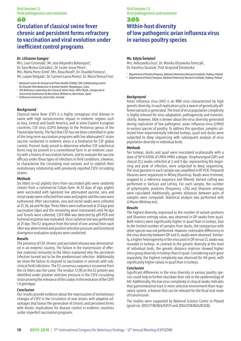# 60 **Circulation of classical swine fever chronic and persistent forms refractory to vaccination and viral evolution under inefficient control programs**

#### **Dr. Llilianne Ganges**<sup>2</sup>

Mrs. Liani Coronado<sup>1</sup>, Mr. Jose Alejandro Bohorquez<sup>2</sup>, Dr. Sara Muñoz-González<sup>2</sup>, Dr. Lester Josue Pérez<sup>3</sup>, Mrs. Marta Perez-Simó<sup>2</sup>, Mrs. Rosa Rosell<sup>2</sup>, Dr. Osvaldo Fonseca<sup>1</sup>, Ms. Laiyen Delgado<sup>1</sup>, Dr. Carmen Laura Perera<sup>1</sup>, Dr. Maria Teresa Frías<sup>1</sup>

*1 National Centre for Animal and Plant Health (CENSA), OIE Collaborating Centre for Disaster Risk Reduction in Animal Health, Mayabeque, Cuba*

- *2 OIE Reference Laboratory for Classical Swine Fever, IRTA-CReSA, Campus de la Universitat Autònoma de Barcelona, Bellaterra, Barcelona, Spain*
- *<sup>3</sup> Dalhousie University, Saint John, Canada*

## *Background*

Classical swine fever (CSF) is a highly contagious viral disease in swine with high socioeconomic impact in endemic regions such as Asia, Central and South America, and in some Eastern European countries. CSF virus (CSFV) belongs to the Pestivirus genus of the Flaviviridae family. The fact that CSF has not been controlled in spite of the long-term vaccination programs with live attenuated C-strain vaccine conducted in endemic areas is a hindrance for CSF global control. Present study aimed to determine whether CSF subclinical forms may be present in a conventional farm in an endemic country with a history of vaccination failures, and to evaluate the vaccine efficacy under these types of infections in field conditions. Likewise, to characterize the circulating viral variants and to stablish their evolutionary relationship with previously reported CSFV circulating strains.

#### *Methods*

Six litters (n=62 piglets) born from vaccinated gilts were randomly chosen from a commercial Cuban farm. At 33 days of age, piglets were vaccinated with lapinized live attenuated vaccine, sera and rectal swabs were collected from sows and piglets and the sows were euthanized. After vaccination, sera and rectal swabs were collected at 21, 36, 66 and 96 dpv. Three litters were euthanized at 21 days post vaccination (dpv) and the remaining were maintained until 96 dpv and Tonsils were collected. CSFV RNA was detected by qRT-PCR and humoral response was evaluated. Virus isolation test was performed at 21 dpv. The E2 sequence from the tonsil of one animal from each litter was determined and positive selection pressure and functional divergence evaluation analyses were conducted.

#### *Results*

The presence of CSF chronic and persistent disease was demonstrated in an endemic country. The failure in the transmission of effective maternal immunity to the litters explained why the persistent infection turned out to be the predominant infection. Additionally we show the failure to respond to vaccination in animals with subclinical field infections. The E2 consensus sequence recovered from the six litters was the same. The residue 72 (R) on the E2 protein was identified under positive selection pressure in the CSFV circulating strain proving the relevance of this codon in the evolution of the CSFV 1.4 genotype.

## *Conclusion*

Our results provide evidence about the repercussion of evolutionary changes of CSFV in the circulation of new strains with adaptive advantages that favour the generation of chronic and persistent forms with drastic implications for disease control in endemic countries under imperfect vaccination programs.

Oral Session 1.2 Viral pathogenesis and evolution

# 205 **Within-host diversity of low pathogenic avian influenza virus in various poultry species**

## **Ms. Edyta Świętoń**<sup>1</sup>

Mrs. Aleksandra Giza<sup>2</sup>, Dr. Monika Olszewska-Tomczyk<sup>1</sup>, Dr. Karolina Tarasiuk<sup>1</sup>, Prof. Krzysztof Śmietanka<sup>1</sup>

- <sup>1</sup> Department of Poultry Diseases, National Veterinary Research Institute, Puławy, Polanc
- *<sup>2</sup> Department of Omics Analyses, National Veterinary Research Institute, Puławy, Poland*

### *Background*

Avian influenza virus (AIV) is an RNA virus characterized by high genetic diversity. In each replication cycle a swarm of genetically different variants is generated. The level of virus population complexity is highly relevant for virus adaptation, pathogenicity and transmissibility. However, little is known about the virus diversity generated during replication of low pathogenic avian influenza virus (LPAIV) in various species of poultry. To address this question, samples collected from experimentally infected turkeys, quail and ducks were subjected to deep sequencing with subsequent analysis of virus population diversity in individual birds.

#### *Methods*

Ten turkeys, ducks and quail were inoculated oculonasally with a dose of 10^6 EID50 of LPAIV H9N2 subtype. Oropharyngeal (OP) and cloacal (CL) swabs collected at 2 and 4 dpi, representing the beginning and peak of infection, were subjected to deep sequencing. The viral genome in each sample was amplified in RT-PCR. Prepared libraries were sequenced in MiSeq (Illumina). Reads were trimmed, mapped to a reference sequence and filtered. Variant calling was performed in VarScan and LoFreq. For each sample, the number of polymorphic positions (frequency >2%) and Shannon entropy were calculated. Additionally, genetic distances between pairs of samples were computed. Statistical analysis was performed with U-Mann-Whitney test.

#### *Results*

The highest diversity, expressed as the number of variant positions and Shannon entropy value, was observed in OP swabs from quail. Both metrics were significantly higher in quail than in turkeys. Due to the limited number of samples from ducks, the comparison with other species was not performed. However, noticeable differences in the virus diversity between OP and CL swabs were observed. Similarly, a higher heterogeneity in the virus pool in OP versus CL swabs was revealed in turkeys. In contrast to the genetic diversity at the level of individual birds, the genetic distance matrices showed higher intra-group diversity in turkeys than in quail. Considering each gene separately, the highest complexity was observed for HA gene, with significantly higher values in quail than in turkeys.

#### *Conclusion*

Significant differences in the virus diversity in various poultry species could help to further elucidate their role in the epidemiology of AIV. Additionally, the low virus complexity in cloacal swabs indicates that gastrointestinal tract is more selective environment than respiratory system, a feature that can be relevant for the fecal-oral route of transmission.

The studies were supported by National Science Centre in Poland (grant no. 2015/17/N/NZ6/03515 and 2016/21/B/NZ6/01258).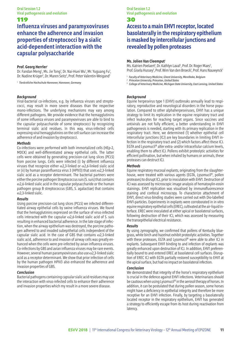# **Influenza viruses and paramyxoviruses enhance the adherence and invasion properties of streptococci by a sialic acid-dependent interaction with the capsular polysaccharide**

#### **Prof. Georg Herrler**<sup>1</sup>

Dr. Fandan Meng<sup>1</sup>, Ms. Jie Tong<sup>1</sup>, Dr. Nai-Huei Wu<sup>1</sup>, Mr. Yuguang Fu<sup>1</sup>, Dr. Nadine Krüger<sup>1</sup>, Dr. Maren Seitz<sup>1</sup>, Prof. Peter Valentin-Weigand<sup>1</sup>

*<sup>1</sup> Tierärztliche Hochschule Hannover, Hannover, Germany*

#### *Background*

Viral-bacterial co-infections, e.g. by influenza viruses and streptococci, may result in more severe diseases than the respective mono-infections. The underlying mechanisms may vary among different pathogens. We provide evidence that the hemagglutinins of some influenza viruses and paramyxoviruses are able to bind to the capsular polysaccharide of some streptococci by recognizing terminal sialic acid residues. In this way, virus-infected cells expressing viral hemagglutinins on the cell surface can increase the adherence of and invasion by streptococci.

#### *Methods*

Co-infections were performed with both immortalized cells (HEp-2, MDCK) and well-differentiated airway epithelial cells. The latter cells were obtained by generating precision-cut lung slices (PCLS) from porcine lungs. Cells were infected (i) by different influenza viruses that recognize either α2,3-linked or α2,6-linked sialic acid or (ii) by human parainfluenza virus 3 (HPIV3) that uses  $\alpha$ 2,3-linked sialic acid as a receptor determinant. The bacterial partners were either the porcine pathogen Streptococcus suis (S. suis) that contains  $\alpha$ 2,6-linked sialic acid in the capsular polysaccharide or the human pathogen group B streptococcus (GBS, S. agalactiae) that contains α2,3-linked sialic.

#### *Results*

Using porcine precision-cut lung slices (PCLS) we infected differentiated airway epithelial cells by swine influenza viruses. We found that the hemagglutinins expressed on the surface of virus-infected cells interacted with the capsular  $\alpha$ 2,6-linked sialic acid of S. suis resulting in enhanced bacterial adherence. In the late stage of infection, when the airway epithelium was destroyed, the porcine pathogen adhered to and invaded subepithelial cells independent of the capsular sialic acid. In the case of GBS that contains  $\alpha$ 2,3-linked sialic acid, adherence to and invasion of airway cells was greatly enhanced when the cells were pre-infected by avian influenza viruses. Co-infections by GBS and avian influenza viruses may be rare events. However, several human paramyxoviruses also use  $\alpha$ 2,3-linked sialic acid as a receptor determinant. We show that prior infection of cells by the human pathogen HPIV3 also enhanced the adherence and invasion properties of GBS.

#### *Conclusion*

Bacterial pathogens containing capsular sialic acid residues may use the interaction with virus-infected cells to enhance their adherence and invasion properties which my result in a more severe disease.

## Oral Session 1.2 Viral pathogenesis and evolution

#### 30

# **Access to a main EHV1 receptor, located basolaterally in the respiratory epithelium is masked by intercellular junctions and revealed by pollen proteases**

#### **Ms. Jolien Van Cleemput**<sup>1</sup>

Ms. Katrien Poelaert<sup>1</sup>, Dr. Kathlyn Laval<sup>2</sup>, Prof. Dr. Roger Maes<sup>3</sup> Prof. Gisela Hussey<sup>3</sup>, Prof. Wim Van den Broeck<sup>1</sup>, Prof. Hans Nauwynck

- *<sup>1</sup> Faculty of Veterinary Medicine, Ghent University, Merelbeke, Belgium*
- *<sup>2</sup> Princeton University, Princeton, United States*
- *<sup>3</sup> College of Veterinary Medicine, Michigan State University, East Lansing, United States*

#### *Background*

Equine herpesvirus type 1 (EHV1) outbreaks annually lead to respiratory, reproductive and neurological disorders in the horse population. Compared to other alphaherpesviruses, EHV1 has a unique strategy to limit its replication in the equine respiratory tract and infect leukocytes for reaching target organs. Since vaccines and antivirals are not fully efficient, a better understanding in EHV1 pathogenesis is needed, starting with its primary replication in the respiratory tract. Here, we determined (1) whether epithelial cell intercellular junctions (ICJ) are key boundaries in limiting EHV1 infection in the respiratory tract and (2) which factors affect these ICJ. EGTA and Lysomucil® alter extra- and/or intracellular calcium levels, enabling them to affect ICJ. Pollens exhibit proteolytic activities for efficient pollination, but when inhaled by humans or animals, these proteases can destruct ICJ.

#### *Methods*

Equine respiratory mucosal explants, originating from the slaughterhouse, were treated with various agents (EGTA, Lysomucil®, pollen proteases) to disrupt ICJ, prior to inoculation with EHV1. Destruction of ICJ was assessed by microscopic image analysis of hematoxylin-eosin stainings. EHV1 replication was visualised by immunofluorescence staining and confocal microscopy. To characterize attachment of EHV1, direct virus-binding studies were carried out with Dio-labelled EHV1-particles. Experiments in explants were corroborated in in vitro equine respiratory epithelial cells (EREC), cultivated at the air-liquid interface. EREC were inoculated at either apical or basolateral surfaces, following destruction of their ICJ, which was assessed by measuring the transepithelial electrical resistance.

#### *Results*

By using zymography, we confirmed that pollens of Kentucky bluegrass, white birch and hazelnut exhibit proteolytic activities. Together with these proteases, EGTA and Lysomucil® were able to alter ICJ in explants. Subsequent EHV1 binding to and infection of explants was greatly enhanced upon destruction of ICJ. In addition, EHV1 preferentially bound to and entered EREC at basolateral cell surfaces. Disruption of EREC ICJ with EGTA partially restored susceptibility to EHV1 at the apical surface, but had no impact on basolateral infection.

#### *Conclusion*

We demonstrated that integrity of the horse's respiratory epithelium is crucial in the defence against EHV1 infections. Veterinarians should be cautious when using Lysomucil® in the aerosol therapy of horses. In addition, it can be postulated that during pollen season, some horses might have a deficiency in epithelial integrity and therefore be more receptive for an EHV1 infection. Finally, by targeting a basolaterally located receptor in the respiratory epithelium, EHV1 has generated a strategy to efficiently escape from its host during reactivation from latency.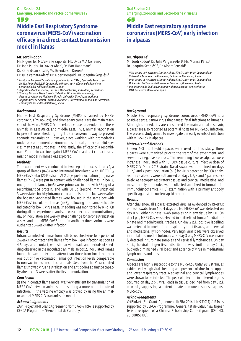# **Middle East Respiratory Syndrome coronavirus (MERS-CoV) vaccination efficacy in a direct-contact transmission model in llamas**

#### **Mr. Jordi Rodon**<sup>1</sup>

- Mr. Nigeer Te<sup>1</sup>, Ms. Viviane Saporiti<sup>1</sup>, Ms. Okba M.A Nisreen<sup>2</sup>,
- Dr. Joan Pujols<sup>1</sup>, Dr. Xavier Abad<sup>1</sup>, Dr. Bart Haagmans<sup>2</sup>,
- Dr. Berend-Jan Bosch<sup>3</sup>, Ms. Brenda van Dieren<sup>3</sup>,
- Dr. Júlia Vergara-Alert<sup>1</sup>, Dr. Albert Bensaid<sup>1</sup>, Dr. Joaquim Segalés<sup>1,4</sup>
- *1 Institut de Recerca i Tecnologia Agroalimentàries (IRTA), Centre de Recerca en Sanitat Animal (CReSA), Campus de la Universitat Autònoma de Barcelona, Cerdanyola del Vallès (Bellaterra), Spain*
- *<sup>2</sup> Department of Viroscience, Erasmus Medical Centre, Rotterdam, Netherlands*
- *Virology Division, Department of Infectious Diseases & Immunology, Faculty of Veterinary Medicine, Utrecht University, Utrecht, Netherlands*
- *4 Departament de Sanitat i Anatomia Animals, Universitat Autònoma de Barcelona, Cerdanyola del Vallès (Bellaterra), Spain*

#### *Background*

Middle East Respiratory Syndrome (MERS) is caused by MERScoronavirus (MERS-CoV), and dromedary camels are the main reservoir of the virus. MERS-CoV and related viruses are endemic in these animals in East Africa and Middle East. Thus, animal vaccination to prevent virus shedding might be a convenient way to prevent zoonotic transmission. However, since working with dromedaries under biocontainment environment is difficult, other camelid species may act as surrogates. In this study, the efficacy of a recombinant S1-protein vaccine against MERS-CoV in a direct-contact transmission model in llamas was explored.

#### *Methods*

The experiment was conducted in two separate boxes. In box 1, a group of llamas (n=3) were intranasal inoculated with  $10<sup>7</sup>$  TCID<sub>50</sub> MERS-CoV Qatar (2015) strain. At 2 days post-inoculation (dpi) naïve llamas (n=5) were put in contact with challenged llamas. In box 2, one group of llamas (n=5) were primo vaccinated with 35 μg of a recombinant S1 protein, and with 50 μg (second immunization) 3-weeks later, both by intramuscular administration. Two weeks after the booster, vaccinated llamas were housed in the same box with MERS-CoV inoculated llamas (n=3), following the same schedule indicated for box 1. Virus nasal shedding was monitored by RT-qPCR during all the experiment, and sera was collected at immunizations, day of inoculation and weekly after challenge for seroneutralization assays and anti-MERS-CoV S1 protein antibody titres. Animals were euthanized 3-weeks after infection.

#### *Results*

Intranasal infected llamas from both boxes shed virus for a period of 2-weeks. In-contact naïve llamas from box 1 got infection as soon as 4-5 days after contact, with similar viral loads and periods of shedding observed in the inoculated animals. In box 2, inoculated llamas found the same infection pattern than those from box 1, but only one out of five vaccinated llamas got infection levels comparable to non-vaccinated in-contact animals. Sera from the S1-vaccinated llamas showed virus neutralization and antibodies against S1 capacity already at 3-weeks after the first immunization.

#### *Conclusion*

(i) The in-contact llama model was very efficient for transmission of MERS-CoV between animals, representing a more natural route of infection, (ii) the vaccine efficacy was proved by using the animalto-animal MERS-CoV transmission model.

#### *Acknowledgements*

ZAPI Project (IMI Grant Agreement No.115760) / IRTA is supported by CERCA Programme / Generalitat de Catalunya.

## Oral Session 2.1 Emerging, zoonotic and vector-borne viruses 2

65

# **Middle East respiratory syndrome coronavirus (MERS-CoV) early infection in alpacas**

## **Mr. Nigeer Te**<sup>1</sup>

Mr. Jordi Rodon<sup>1</sup>, Dr. Júlia Vergara-Alert<sup>1</sup>, Ms. Mónica Pérez<sup>1</sup>, Dr. Joaquim Segalés<sup>2,3</sup>, Dr. Albert Bensaid<sup>1</sup>

- *IRTA, Centre de Recerca en Sanitat Animal (CReSA, IRTA-UAB), Campus de la Universitat Autònoma de Barcelona, Bellaterra, Barcelona, Spain*
- *2 UAB, Centre de Recerca en Sanitat Animal (CReSA, IRTA-UAB), Campus de la Universitat Autònoma de Barcelona, Bellaterra, Barcelona, Spain*
- *3 Departament de Sanitat i Anatomia Animals, Facultat de Veterinària, UAB, Bellaterra, Barcelona, Spain*

### *Background*

Middle East respiratory syndrome coronavirus (MERS-CoV) is a positive sense, ssRNA virus that causes fatal infections to humans. Although dromedaries are considered the main animal reservoir, alpacas are also reported as potential hosts for MERS-CoV infection. The present study aimed to investigate the early events of infection with MERS-CoV in alpacas.

#### *Materials and Methods*

Fifteen 6–8 month-old alpacas were used for this study. Three alpacas were euthanized prior to the start of the experiment, and served as negative controls. The remaining twelve alpacas were intranasal inoculated with  $10<sup>7</sup>$  50% tissue culture infective dose of MERS-CoV Qatar 2015 strain. Nasal swabs were obtained on days 0,1,2,3 and 4 post-inoculation (p.i.) for virus detection by PCR analysis. Three alpacas were euthanized on days 1, 2, 3 and 4 p.i., respectively. At necropsy, respiratory tissues and cervical, mediastinal and mesenteric lymph-nodes were collected and fixed in formalin for immunohistochemical (IHC) examination with a primary antibody specific against the nucleocapsid protein.

#### *Results*

After challenge, all alpacas excreted virus, as evidenced by RT-qPCR of nasal swabs from 1 to 4 days p.i. No MERS-CoV was detected on day 0 p.i. either in nasal swab samples or in any tissue by IHC. On day 1 p.i., MERS-CoV was detected in epithelia of frontal/medial turbinate and medial/caudal trachea. On day 2 p.i., positive labelling was detected in most of the respiratory tract tissues, and cervical and mediastinal lymph-nodes. Very high viral loads were observed in frontal and medial turbinates. On day 3 p.i., MERS-CoV was mainly detected in turbinate samples and cervical lymph-nodes. On day 4 p.i., the viral antigen tissue distribution was similar to day 2 p.i., but with diminished viral loads and absence of virus in mediastinal lymph-nodes and tonsil.

#### *Conclusion*

Alpacas are highly susceptible to the MERS-CoV Qatar 2015 strain, as evidenced by high viral shedding and presence of virus in the upper and lower respiratory tract. Mediastinal and cervical lymph-nodes were shown to be infected. The peak of infection in different organs occurred on day 2 p.i. Viral loads in tissues declined from day  $\overline{3}$  p.i. onwards, suggesting a potent innate immune response against MERS-CoV.

## *Acknowledgments*

VetBioNet (EU Grant Agreement INFRA-2016-1 Nº731014) / IRTA is supported by CERCA Programme / Generalitat de Catalunya / Nigeer Te is a recipient of a Chinese Scholarship Council grant (CSC NO. 201608150108).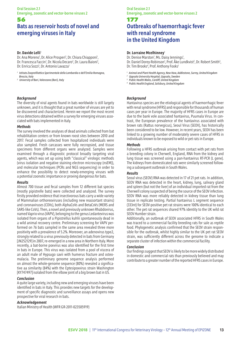# **Bats as reservoir hosts of novel and emerging viruses in Italy**

#### **Dr. Davide Lelli**<sup>1</sup>

Dr. Ana Moreno<sup>1</sup>, Dr. Alice Prosperi<sup>1</sup>, Dr. Chiara Chiapponi<sup>1</sup>, Dr. Francesca Faccin<sup>1</sup>, Dr. Nicola Decaro<sup>2</sup>, Dr. Laura Baioni<sup>1</sup>, Dr. Enrica Sozzi<sup>1</sup>, Dr. Antonio Lavazza<sup>1</sup>

*1 Istituto Zooprofilattico Sperimentale della Lombardia e dell'Emilia Romagna, Brescia, Italy*

*2 University of Bari, Valenzano (Bari), Italy*

### *Background*

The diversity of viral agents found in bats worldwide is still largely unknown, and it is thought that a great number of viruses are yet to be discovered and characterized. Herein we report the most recent virus detections obtained within a survey for emerging viruses associated with bats implemented in Italy.

#### *Methods*

The survey involved the analyses of dead animals collected from bat rehabilitation centers or from known roost sites between 2010 and 2017. Fecal samples collected from hospitalized individuals were also sampled. Fresh carcasses were fully necropsied, and tissue specimens from different organs were analyzed. Samples were examined through a diagnostic protocol broadly targeting viral agents, which was set up using both "classical" virologic methods (virus isolation and negative staining electron microscopy (nsEM)), and molecular techniques (PCRs and NGS sequencing) in order to enhance the possibility to detect newly-emerging viruses with a potential zoonotic importance or proving dangerous for bats.

#### *Results*

Almost 700 tissue and fecal samples from 12 different bat species (mostly pipistrelle bats) were collected and analyzed. The survey firstly provided evidence that insectivorous bats carry a wide variety of Mammalian orthoreoviruses (including new reassortant strains) and coronaviruses (COVs), both AlphaCoVs and BetaCoVs (MERS and SARS-like CoVs). Then, a novel and previously unknown Rhabdovirus, named Vaprio virus (VAPV), belonging to the genus Ledantevirus was isolated from organs of a Pipistrellus kuhlii spontaneously dead in a wild animal recovery centre. Preliminary screening for VAPV performed on 76 bats sampled in the same area revealed three more positivity with a prevalence of 5.2%. Moreover, an adenovirus type2, strongly related to a virus previously detected in bats from Germany [JN252129] in 2007, re-emerged in a new area in Northern Italy. More recently, a bat-borne poxvirus was also identified for the first time in bats in Europe. This virus was isolated from a pool of viscera of an adult male of Hypsugo savii with humerus fracture and osteomalacia. The preliminary genome sequence analysis performed on almost the whole-genome sequence (80%) revealed a significative aa similarity (84%) with the Eptesipoxvirus strain Washington [KY747497] isolated from the elbow joint of a big brown bat in US.

## *Conclusion*

A quite large variety, including new and emerging viruses have been identified in bats in Italy. This provides new targets for the development of specific diagnostic and surveillance assays and opens new prospective for viral research in bats.

#### *Acknowledgement*

Italian Ministry of Health (WFR GR-2011-023505919)

#### Oral Session 2.1 Emerging, zoonotic and vector-borne viruses 2

### 177

# **Outbreaks of haemorrhagic fever with renal syndrome in the United Kingdom**

## **Dr. Lorraine Mcelhinney**<sup>1</sup>

Dr. Denise Marston<sup>1</sup>, Ms. Daisy Jennings<sup>1</sup>, Dr. Daniel Dorey-Robinson<sup>1</sup>, Prof. Ake Lundkvist<sup>2</sup>, Dr. Robert Smith<sup>3</sup> Dr. Tim Brooks<sup>4</sup>, Prof. Anthony Fooks<sup>1</sup>

*<sup>1</sup> Animal and Plant Health Agency, New Haw, Addlestone, Surrey, United Kingdom*

*<sup>2</sup> Uppsala University Hospital, Uppsala, Sweden*

*<sup>3</sup> Public Health Wales, Cardiff, United Kingdom*

*<sup>4</sup> Public Health England, Salisbury, United Kingdom*

### *Background*

Hantavirus species are the etiological agents of haemorrhagic fever with renal syndrome (HFRS) and responsible for thousands of human cases per year in Europe. The majority of HFRS cases in Europe are due to the bank vole associated hantavirus, Puumala Virus. In contrast, the European prevalence of the hantavirus associated with brown rats (Rattus norvegicus), Seoul Virus (SEOV), has historically been considered to be low. However, in recent years, SEOV has been linked to a growing number of moderately severe cases of HFRS in individuals known to be exposed to wild or pet rats in Europe.

### *Methods*

Following a HFRS outbreak arising from contact with pet rats from a breeding colony in Cherwell, England, RNA from the kidney and lung tissue was screened using a pan-hantavirus RT-PCR (L gene). The kidneys from domesticated rats were similarly screened following a subsequent outbreak in South Wales.

#### *Results*

Seoul virus (SEOV) RNA was detected in 17 of 21 pet rats. In addition, SEOV RNA was detected in the heart, kidney, lung, salivary gland and spleen (but not the liver) of an individual imported rat from the Cherwell colony suspected of being the source of the SEOV infection. SEOV RNA was more reliably detected in kidney tissue than lung tissue in replicate testing. Partial hantavirus L segment sequence (333nt) for SEOV-positive pet rat strains were 100% identical to each other. The pet rat sequences shared 97% identity to the UK wild rat SEOV Humber strain.

Additionally, an outbreak of SEOV associated HFRS in South Wales was traced to a commercial facility breeding rats for sale as reptile food. Phylogenetic analysis confirmed that the SEOV strain responsible for the outbreak, whilst highly similar to the UK pet rat SEOV strain, was sufficiently different across the genome to indicate a separate cluster of infection within the commercial facility.

#### *Conclusion*

Our findings suggest that SEOV is likely to be more widely distributed in domestic and commercial rats than previously believed and may contribute to a greater number of the reported HFRS cases in Europe.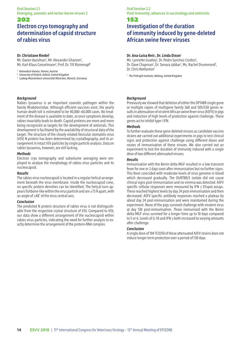# **Electron cryo tomography and determination of capsid structure of rabies virus**

#### **Dr. Christiane Riedel<sup>1</sup>**

Mr. Daven Vasishtan<sup>2</sup>, Mr. Alexander Ghanem<sup>3</sup>, Mr. Karl-Klaus Conzelmann<sup>3</sup>, Prof. Dr. Till Rümenapf<sup>1</sup>

*<sup>1</sup> Vetmeduni Vienna, Vienna, Austria*

*<sup>2</sup> University of Oxford, Oxford, United Kingdom*

*<sup>3</sup> Ludwig-Maximilians-Universität München, Munich, Germany*

#### *Background*

Rabies lyssavirus is an important zoonotic pathogen within the family Rhabdoviridae. Although efficient vaccines exist, the yearly human death toll is estimated to be 40,000–60,000 cases. No treatment of the disease is available to date, so once symptoms develop, rabies invariably leads to death. Capsid proteins are more and more being recognized as targets for the development of antivirals. This development is facilitated by the availability of structural data of the target. The structure of the closely related Vesicular stomatitis virus (VSV) N protein has been determined by crystallography, and its arrangement in intact VSV particles by single particle analysis. Data on rabies lyssavirus, however, are still lacking.

#### *Methods*

Electron cryo tomography and subvolume averaging were employed to analyse the morphology of rabies virus particles and its nucleocapsid.

#### *Results*

The rabies virus nucleocapsid is located in a regular helical arrangement beneath the virus membrane. Inside the nucleocapsid cone, no specific protein densities can be identified. The helical turn appears fishbone-like within the virus particle and are ±73 Å apart, with an angle of ±48˚ of the virus central axis.

#### *Conclusion*

The predicted N protein structure of rabies virus is not distinguishable from the respective crystal structure of VSV. Compared to VSV, our data show a different arrangement of the nucleocapsid within rabies virus particles, indicating the need for further analysis to exactly determine the arrangement of the protein-RNA complex.

#### Oral Session 2.2 Viral immunity; advances in vaccinology and antivirals

## 152

# **Investigation of the duration of immunity induced by gene-deleted African swine fever viruses**

## **Dr. Ana-Luisa Reis**<sup>1</sup> **, Dr. Linda Dixon**<sup>1</sup>

Ms. Lynnette Goatley<sup>1</sup>, Dr. Pedro Sanchez-Cordon<sup>1</sup> Dr. Dave Chapman<sup>1</sup>, Dr. Tamara Jabbar<sup>1</sup>, Ms. Rachel Drummond<sup>1</sup> Dr. Chris Netherton<sup>1</sup>

*<sup>1</sup> The Pirbright Institute, Woking, United Kingdom*

#### *Background*

Previously we showed that deletion of either the DP148R single gene or multiple copies of multigene family 360 and 505/530 genes results in attenuation of virulent African swine fever virus (ASFV) in pigs and induction of high levels of protection against challenge. These genes act to inhibit type I IFN.

#### *Methods*

To further evaluate these gene-deleted viruses as candidate vaccine strains we carried out additional experiments in pigs to test clinical signs and protection against challenge using different doses and routes of immunisation of these viruses. We also carried out an experiment to test the duration of immunity induced with a single dose of two different attenuated viruses.

#### *Results*

Immunisation with the Benin delta MGF resulted in a low transient fever for one or 2 days soon after immunisation but no further signs. This fever coincided with moderate levels of virus genome in blood which decreased gradually. The OURT88/3 isolate did not cause clinical signs post-immunisation and no viremia was detected. ASFV specific cellular responses were measured by IFN γ Elispot assays. These reached highest levels by day 24 post-immunisation and then decreased. ASFV specific antibody responses reached a plateau by about day 24 post-immunisation and were maintained during the experiment. None of the pigs survived challenge with virulent virus at day 130 post-immunisation. Those immunised with the Benin delta MGF virus survived for a longer time up to 10 days compared to 5 or 6. Levels of IL-10 and IFN  $\gamma$  both increased to varying amounts after challenge.

#### *Conclusion*

A single dose of 104 TCID50 of these attenuated ASFV strains does not induce longer term protection over a period of 130 days.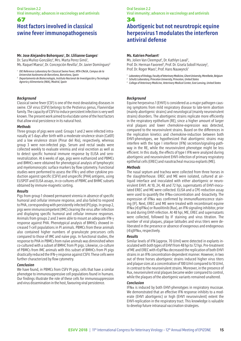## 67 **Host factors involved in classical swine fever immunopathogenesis**

#### **Mr. Jose Alejandro Bohorquez**<sup>1</sup> **, Dr. Llilianne Ganges**<sup>1</sup>

Dr. Sara Muñoz-González<sup>1</sup>, Mrs. Marta Perez-Simó<sup>1</sup>, Ms. Raquel Maeso<sup>1</sup>, Dr. Concepción Revilla<sup>2</sup>, Dr. Javier Domínguez<sup>2</sup>

- *1 OIE Reference Laboratory for Classical Swine Fever, IRTA-CReSA, Campus de la Universitat Autònoma de Barcelona, Barcelona, Spain*
- *2 Departamento de Biotecnología, Instituto Nacional de Investigación y Tecnología Agraria y Alimentaria (INIA), Madrid, Spain*

#### *Background*

Classical swine fever (CSF) is one of the most devastating diseases in swine. CSF virus (CSFV) belongs to the Pestivirus genus, Flaviviridae family. The capacity of CSFV to induce persistent infection is very well known. The present work aimed to elucidate some of the host factors that allow viral persistence in its natural host.

#### *Methods*

Three groups of pigs were used: Groups 1 and 2 were infected intranasally at 5 days after birth with a moderate virulence strain (Cat01) and a low virulence strain (Pinar del Rio), respectively, whereas group 3 were non-infected pigs. Serum and rectal swabs were collected weekly to evaluate viremia and viral excretion as well as to detect specific humoral immune response by ELISA and seroneutralization. At 6 weeks of age, pigs were euthanized and PBMCs and BMHCs were obtained for phenotypical analysis of lymphocytic and myelomonocytic surface markers by flow cytometry. Functional studies were performed to assess the IFN-γ and other cytokine production against specific (CSFV) and unspecific (PHA) antigens, using ELISPOT and ELISA assays, in co-cultures of PBMC and BHMC subsets obtained by immune-magnetic sorting.

#### *Results*

Pigs from group 1 showed permanent viremia in absence of specific humoral and cellular immune response, and also failed to respond to PHA, corresponding with persistently infected (PI) pigs. In group 2, pigs were immunocompetent (IMC) clearing the virus after infection and displaying specific humoral and cellular immune responses. Animals from groups 2 and 3 were able to mount an adequate IFN-γ response against PHA. Phenotypical analysis of BMHCs showed increased T-cell populations in PI animals. PBMCs from these animals also contained higher numbers of granulocyte precursors cells compared to those of IMC and naïve pigs. In functional studies, the response to PHA in PBMCs from naïve animals was diminished when co-cultured with a subset of BMHC from PI pigs. Likewise, co-culture of PBMCs from IMC animals with this subset of BMHCs from PI pigs drastically reduced the IFN-γ response against CSFV. These cells were further characterized by flow cytometry.

#### *Conclusion*

We have found, in PBMCs from CSFV PI pigs, cells that have a similar phenotype to immunosuppressive cell populations found in humans. Our findings illustrate the role of these cells for immunosuppression and virus dissemination in the host, favouring viral persistence.

## Oral Session 2.2 Viral immunity; advances in vaccinology and antivirals

34

# **Abortigenic but not neurotropic equine herpesvirus 1 modulates the interferon antiviral defense**

## **Ms. Katrien Poelaert<sup>1</sup>**

Ms. Jolien Van Cleemput<sup>1</sup>, Dr. Kathlyn Laval<sup>2</sup>, Prof. Dr. Herman Favoreel<sup>1</sup>, Prof. Dr. Gisela Soboll Hussey<sup>3</sup> Prof. Dr. Roger Maes<sup>3</sup>, Prof. Hans Nauwynck<sup>1</sup>

- *<sup>1</sup> Laboratory of Virology, Faculty of Veterinary Medicine, Ghent University, Merelbeke, Belgium*
- *<sup>2</sup> Schultz Laboratory, Princeton University, Princeton, United States*
- *<sup>3</sup> College of Veterinary Medicine, Veterinary Medical Center, East Lansing, United States*

#### *Background*

Equine herpesvirus 1 (EHV1) is considered as a major pathogen causing symptoms from mild respiratory disease to late-term abortion (mainly abortigenic strains) and neurological (mainly neurovirulent strains) disorders. The abortigenic strains replicate more efficiently in the respiratory epithelium (RE), since a higher amount of larger viral plaques and lower chemokine-expression was detected, compared to the neurovirulent strains. Based on the differences in the replication kinetics and chemokine-induction between both EHV1-phenotypes, we hypothesized that abortigenic strains may interfere with the type I interferon (IFN) secretion/signaling-pathway in the RE, while the neurovirulent phenotype might be less efficient. In this study, the effects of type I IFN were analyzed during abortigenic and neurovirulent EHV1-infection of primary respiratory epithelial cells (EREC) and nasotracheal mucosa explants (ME).

#### *Methods*

The nasal septum and trachea were collected from three horses in the slaughterhouse. EREC and ME were isolated, cultured at airliquid interface and inoculated with either abortigenic or neurovirulent EHV1. At 10, 24, 48 and 72 hpi, supernatants of EHV1-inoculated EREC and ME were collected. ELISA and a CPE-reduction assay were used to quantify the IFN $\alpha$ -concentration and -bioactivity. The expression of IFN $\alpha$  was confirmed by immunofluorescence staining (IF). Next, EREC and ME were treated with recombinant equine IFN $\alpha$  (rEqIFN $\alpha$ ) or Ruxolitinib (Rux), an IFN-signaling inhibitor, prior to and during EHV1-infection. At 48 hpi, ME, EREC and supernatants were collected, followed by IF staining and virus titration. The number of viral plaques, plaque latitudes and virus titers were deliberated in the presence or absence of exogenous and endogenous (rEq)IFNα, respectively.

#### *Results*

Similar levels of IFN (approx. 70 U/ml) were detected in explants inoculated with both types of EHV1 from 48 hpi to 72 hpi. Pre-treatment of ME and EREC with rEqIFN $\alpha$  decreased the replication of both EHV1 strains in an IFN concentration-dependent manner. However, in two out of three horses abortigenic strains induced higher virus titers and plaque sizes at a concentration of 100 U/ml compared to 10 U/ml, in contrast to the neurovirulent strains. Moreover, in the presence of Rux, neurovirulent viral plaques became wider compared to control, while the plaques of the abortigenic variants remained unaltered.

#### *Conclusion*

IFN $\alpha$  is induced by both EHV1-phenotypes in respiratory mucosae. We demonstrated that an effective IFN response inhibits to a moderate (EHV1 abortigenic) or high (EHV1 neurovirulent) extent the EHV1-replication in the respiratory tract. This knowledge is valuable to develop future intranasal vaccination strategies.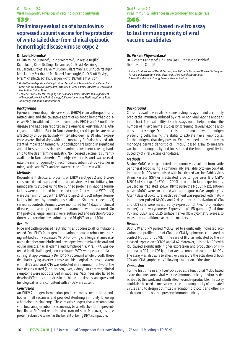# **Preliminary evaluation of a baculovirusexpressed subunit vaccine for the protection of white-tailed deer from clinical epizootic hemorrhagic disease virus serotype 2**

#### **Dr. Leela Noronha**<sup>1</sup>

Dr. Sun Young Sunwoo<sup>2</sup>, Dr. Igor Morozov<sup>2</sup>, Dr. Jessie Trujillo<sup>2</sup>, Dr. In Joong Kim<sup>2</sup>, Dr. Kinga Urbaniak<sup>2</sup>, Dr. David Meekins<sup>2</sup>, Dr. Barbara Drolet<sup>1</sup>, Dr. Velmurugan Balaraman<sup>2</sup>, Dr. Erin Schirtzinger<sup>1</sup>, Mrs. Tammy Beckham<sup>2</sup>, Mr. Russel Ransburgh<sup>2</sup>, Dr. D. Scott McVey<sup>1</sup>, Mrs. Michelle Zajac<sup>2</sup>, Dr. Juergen Richt<sup>2</sup>, Dr. William Wilson<sup>1</sup>

- *1 United States Department of Agriculture, Agricultural Research Service, Center for Grain and Animal Health Research, Arthropod-Borne Animal Diseases Research Unit, Manhattan, United States*
- *2 Center of Excellence for Emerging and Zoonotic Animal Diseases and Department of Diagnostic Medicine/Pathobiology, College of Veterinary Medicine, Kansas State University, Manhattan, United States*

#### *Background*

Epizootic hemorrhagic disease virus (EHDV) is an arthropod-transmitted virus and the causative agent of epizootic hemorrhagic disease (EHD) in wild and domestic ruminants. EHD is an OIE notifiable disease and has been reported in the Americas, Australia, Asia, Africa, and the Middle East. In North America, cervid species are most affected by EHDV- particularly white-tailed deer (WTD) which experience severe clinical signs with high mortality. EHD also has had substantial impacts on farmed WTD populations resulting in significant animal losses and restrictions on animal movement causing hardship to the deer farming industry. No licensed vaccine is currently available in North America. The objective of this work was to evaluate the immunogenicity of recombinant subunit EHDV vaccines in mice, cattle, and WTD, and evaluate vaccine efficacy in WTD.

#### *Methods*

Recombinant structural proteins of EHDV serotypes 2 and 6 were constructed and expressed in a baculovirus system. Initially, immunogenicity studies using the purified proteins in vaccine formulations were performed in mice and cattle. Captive-bred WTD (n=3) were then immunized with EHDV serotype 2 (EHDV-2) antigen formulations followed by homologous challenge. Sham-vaccinees (n=3) served as controls. Animals were monitored for 14 days for clinical disease, and serological and viral parameters were measured. On D14 post-challenge, animals were euthanized and infection/protection was determined by pathology and RT-qPCR for viral RNA.

#### *Results*

Mice and cattle produced neutralizing antibodies to all formulations tested. One EHDV-2 antigen formulation produced robust neutralizing antibodies in vaccinated WTD. Following challenge, sham-vaccinated deer became febrile and developed hyperemia of the oral and ocular mucosa, facial edema and lymphopenia. Viral RNA was detected in all challenged, non-vaccinated WTD, with peak viremia occurring at approximately D6 (10^6-9 copies/ml whole blood). These deer had varying severity of gross and histological lesions consistent with EHDV and viral RNA was detected in a minimum of two of the four tissues tested (lung, spleen, liver, kidney). In contrast, clinical symptoms were not observed in vaccinees. Vaccinees also failed to develop PCR-detectable virus in the blood and tissues, and gross and histological lesions consistent with EHDV were absent.

#### *Conclusion*

An EHDV-2 antigen formulation produced robust neutralizing antibodies in all vaccinees and provided sterilizing immunity following a homologous challenge. These results suggest that a recombinant structural antigen subunit vaccine may be an effective tool in preventing clinical EHD and reducing virus transmission. Moreover, a single protein subunit vaccine has the benefit of being DIVA compatible.

#### Oral Session 2.2 Viral immunity; advances in vaccinology and antivirals

## 246

# **Dendritic cell based in-vitro assay to test immunogenicity of viral vaccine candidates**

### **Dr. Viskam Wijewardana**<sup>1</sup>

Dr. Richard Kangethe<sup>1</sup>, Dr. Elena Sassu<sup>1</sup>, Mr. Rudolf Pichler<sup>1</sup>, Dr. Giovanni Cattoli<sup>1</sup>

*1 Animal Production and Health Section, Joint FAO/IAEA Division of Nuclear Techniques in Food and Agriculture, Dep. of Nuclear Sciences and Applications, International Atomic Energy Agency, Vienna, Austria*

#### *Background*

Currently available in-vitro vaccine testing assays do not accurately predict the immunity induced by viral or non-viral vaccine antigens in the host. The availability of such assays would help to reduce the number of in-vivo animal studies by screening several vaccine antigens at early stage. Dendritic cells are the most powerful antigen presenting cells, having the ability to activate naïve lymphocytes for the antigens that they present. We developed a bovine in-vitro monocyte derived dendritic cell (MoDC) based assay to measure vaccine immunogenicity and investigated the immunogenicity induced by of viral vaccine candidates.

#### *Methods*

Bovine MoDCs were generated from monocytes isolated from cattle peripheral blood using a commercially available cytokine cocktail. Immature MoDCs were pulsed with inactivated vaccine Rabies virus strain Pasteur (RIV) or inactivated Blue tongue virus BTV-4/SPA-1/2004 of serotype 4 (BTV) or CD40L or none. In later experiments, we used an irradiated (25KGy) RIV to pulse the MoDCs. Next, antigen pulsed MoDCs were cocultured with autologous naïve lymphocytes. After 7 days of co-culture, each treatment was repulsed with matching antigen pulsed MoDCs and 2 days later the activation of CD4 and CD8 cells were measured by expression of Ki-67 (proliferation marker) by flow cytometry. Expression of IFN-gamma (Real-time PCR and ELISA) and CD25 surface marker (flow cytometry) were also measured as additional activation markers.

#### *Results*

Both BTV and RIV pulsed MoDCs led to significantly increased activation and proliferation of CD4 and CD8 lymphocytes compared to control MoDCs (or CD40L in the case of BTV) as indicated by the increased expression of CD25 and Ki-67. Moreover, pulsing MoDCs with RIV caused significantly higher expression and production of IFNgamma by CD4 and CD8 lymphocytes as compared to control MoDCs. The assay was also able to effectively measure the activation of both CD4 and CD8 lymphocytes following irradiation of the virus.

#### *Conclusion*

For the first time in any livestock species, a functional MoDC based assay that measures viral vaccine immunogenicity in-vitro is described by this work and is both effective and reproducible. The assay could also be used to measure vaccine immunogenicity of irradiated viruses and to design optimized irradiation protocols and other inactivation protocols that preserve immunogenicity.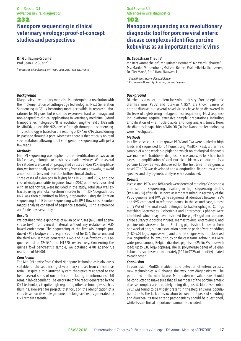# **Nanopore sequencing in clinical veterinary virology: proof-of-concept studies and perspectives**

#### **Dr. Guillaume Croville**<sup>1</sup>

Prof. Jean-Luc Guerin<sup>1</sup>

*<sup>1</sup> Université de Toulouse, ENVT, INRA, UMR 1225, Toulouse, France*

#### *Background*

Diagnostics in veterinary medicine is undergoing a revolution with the implementation of cutting-edge technologies. Next Generation Sequencing (NGS) is becoming more accessible in research laboratories for 10 years, but is still too expensive, hard to manage and non-adapted to clinical applications in veterinary medicine. Oxford Nanopore Technologies (ONT) is revolutionizing the field of NGS with its MinION, a portable NGS device for high throughput sequencing. This technology is based on the reading of DNA or RNA strand during its passage through a pore. Moreover, there is theoretically no read size limitation, allowing a full viral genome sequencing with just a few reads.

#### *Methods*

MinION sequencing was applied to the identification of two avian DNA viruses, belonging to poxviruses or adenoviruses. While several NGS studies are based on propagated viruses and/or PCR-amplification, we intentionally worked directly from tissues or swabs, to avoid amplification bias and facilitate further clinical studies.

Three cases of avian pox in laying hens in 2016 and 2017, and one case of viral pancreatitis in guinea fowl in 2017, putatively associated with an adenovirus, were included in the study. Total DNA was extracted using phenol:chloroform in order to limit DNA degradation. DNA was then submitted to library preparation using the ligation sequencing kit 1D before sequencing with R9.4 flow cells. Bioinformatics analysis consisted of sequence assembly using a reference and/or de novo assembly.

#### *Results*

We obtained whole genomes of avian poxviruses (n=3) and adenoviruse (n=1) from clinical material, without any isolation or PCRbased enrichment. The sequencing of the first APV sample produced 3 905 fowlpox virus sequences out of 163 824; the second and the third APV samples generated 3 265 and 2 234 fowlpox virus sequences out of 124 534 and 141 670, respectively. Concerning the guinea fowl pancreatitis sample, we obtained 4 781 adenovirus reads out of 764 001.

#### *Conclusion*

The MinION device from Oxford Nanopore Technologies is obviously suitable for the sequencing of veterinary viruses from clinical material. Despite a miniaturized system theoretically adapted to the field, several steps of our protocol, including bioinformatics, still remain lab-dependent. The error rate of the reads generated by the ONT technology is quite high regarding other technologies such as Illumina. However, for projects that focus on the identification of a virus based on its whole genome, the long-size reads generated by ONT remain essential.

Oral Session 3.1 Advances in viral diagnostics

### 102

# **Nanopore sequencing as a revolutionary diagnostic tool for porcine viral enteric disease complexes identifies porcine kobuvirus as an important enteric virus**

#### **Dr. Sebastiaan Theuns**<sup>1</sup>

Mr. Bert Vanmechelen<sup>2</sup>, Mr. Quinten Bernaert<sup>1</sup>, Mr. Ward Deboutte<sup>2</sup>, Ms. Marilou Vandenhole<sup>1</sup>, Ms Leen Beller<sup>2</sup>, Prof. Jelle Matthijnssens<sup>2</sup>, Dr. Piet Maes<sup>2</sup>, Prof. Hans Nauwynck<sup>1</sup>

*<sup>1</sup> Ghent University, Merelbeke, Belgium*

*<sup>2</sup> KU Leuven – University of Leuven, Leuven, Belgium*

#### *Background*

Diarrhea is a major problem for swine industry. Porcine epidemic diarrhea virus (PEDV) and rotavirus A (RVA) are known causes of enteric disease, but several novel viruses have been discovered in the feces of piglets using metagenomics sequencing. Most sequencing platforms require extensive sample preparations including amplification of viral nucleic acids and long analysis times. Here, the diagnostic capacities of MinION (Oxford Nanopore Technologies) were investigated.

#### *Methods*

In a first case, cell culture grown PEDV and RVA were pooled at high loads and sequenced for 24 hours using MinION. Next, a diarrheic sample of a one week old piglet on which no etiological diagnosis was made with traditional diagnostics, was analyzed for 3 h. In both cases, no amplification of viral nucleic acids was conducted. As a porcine kobuvirus was discovered for the first time in Belgium, a novel RT-qPCR was developed and a longitudinal field study, a retrospective and phylogenetic analysis were conducted.

#### *Results*

In case one, PEDV and RVA reads were detected rapidly (<30 seconds) after start of sequencing, resulting in high sequencing depths (19.2–103.5X) after 3h. De novo assembly resulted in recovery of the PEDV genome and RVA gene segments at identities between 95% and 99% compared to reference genes. In the second case, almost all (99%) of the viral reads belonged to bacteriophages. Contigs matching Bacteroides, Escherichia and Enterococcus phages were identified, which may have reshaped the piglet's gut microbiome. Three eukaryotic porcine viruses, mamastrovirus, enterovirus G and porcine kobuvirus were found. Suckling piglets shed kobuvirus from one week of age, but an association between peak of viral shedding (6.42–7.01 log<sub>10</sub> copies/swab) and diarrheic signs was not observed in a longitudinal follow-up study on the case farm. Kobuviruses were widespread among Belgian diarrheic piglets (n=25, 56.8% pos) with loads up to 6.83  $log_{10}$  copies/g. The 3D polymerase genes of Belgian kobuvirus isolates were moderately (90.1 to 97.2% nt identity) related to each other.

#### *Conclusion*

In conclusion, MinION enabled rapid detection of enteric viruses. New technologies will change the way how diagnostics will be performed in the near future. More extensive validations should be conducted to make sure that all members of the porcine enteric disease complex are accurately being diagnosed. Moreover, kobuvirus was found to be widely present in the Belgian swine population. Due to the lack of association between the peak of shedding and diarrhea, its true enteric pathogenicity should be questioned, while its subclinical importance cannot be excluded.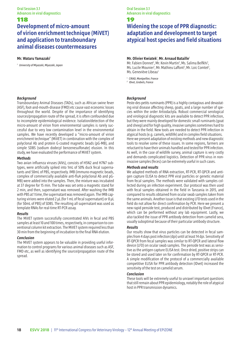## 118 **Development of micro-amount of virion enrichment technique (MiVET) and application to transboundary animal diseases countermeasures**

#### **Mr. Wataru Yamazaki**<sup>1</sup>

*<sup>1</sup> University of Miyazaki, Miyazaki, Japan*

## *Background*

Transboundary Animal Diseases (TADs), such as African swine fever (ASF), foot-and-mouth-disease (FMD) etc cause vast economic losses throughout the world. Despite of the importance of identifying sources/propagation route of the spread, it is often confounded due to incomplete epidemiological evidence. Isolation/detection of the micro-amount of virion from environmental samples is rarely successful due to very low contamination level in the environmental samples. We have recently developed a "micro-amount of virion enrichment technique" (MiVET) in combination with the complex of polyclonal Ab and protein G-coated magnetic beads (pG-MB), and simple SDBS (sodium dodecyl benzenesulfonate) elusion. In this study, we have evaluated the performance of MiVET system.

#### *Methods*

Two avian influenza viruses (AIVs), consists of H5N2 and H7N7 subtypes, were artificially spiked into 1mL of 50% duck fecal supernatants and 50mL of PBS, respectively. IMB (immuno-magnetic beads, complex of commercially available anti-fluA polyclonal Ab and pG-MB) were added into the samples. Then, the mixture was incubated at 37 degree for 15 min. The tube was set onto a magnetic stand for 2 min, and then, supernatant was removed. After washing the IMB with PBS at 1 time, the supernatant was removed again. The IMB capturing virions were eluted 2 μL (for 1 mL of fecal supernatant) or 8 μL (for 50mL of PBS) of SDBS. The resulting all supernatant was used as template RNAs for real-time RT-PCR assay.

#### *Results*

The MiVET system successfully concentrated AIVs in fecal and PBS samples at least 10 and 100 times, respectively, in comparison to conventional column kit extraction. The MiVET system required less than 30 min from the beginning of incubation to the final RNA elution.

## *Conclusion*

The MiVET system appears to be valuable in providing useful information to control programs for various animal diseases such as ASF, FMD etc, as well as identifying the source/propagation route of the spread.

## Oral Session 3.1 Advances in viral diagnostics

## 19

# **Widening the scope of PPR diagnostic: adaptation and development to target atypical host species and field situations**

## **Mr. Olivier Kwiatek**<sup>1</sup> , **Mr. Arnaud Bataille**<sup>1</sup>

Mr. Fabien Donnet<sup>2</sup>, Mr. Kevin Martin<sup>2</sup>, Ms. Salima Belfkhi<sup>1</sup>, Ms. Lucile Mounier<sup>1</sup>, Mr. Mathieu Laffont<sup>2</sup>, Mr. Loic Comtet<sup>2</sup>, Ms. Geneviève Libeau<sup>1</sup>

*<sup>1</sup> CIRAD, Montpellier, France*

*2 IDvet, Grabels, France*

#### *Background*

Peste-des-petits ruminants (PPR) is a highly contagious and devastating viral disease affecting sheep, goats, and a large number of species within the order Artiodactyla. Robust commercial serological and virological diagnostic kits are available to detect PPR infection, but they were mainly developed for domestic small ruminants (goat and sheep) and for high quality, invasive samples sometimes hard to obtain in the field. New tools are needed to detect PPR infection in atypical hosts (e.g. camels, wildlife) and in complex field situations. Here we present adaptation of existing methods and new diagnostic tools to resolve some of these issues. In some regions, farmers are reluctant to have their animals handled and tested for PPR infection. As well, in the case of wildlife survey, animal capture is very costly and demands complicated logistics. Detection of PPR virus in noninvasive samples (feces) can be extremely useful in such cases.

#### *Methods and results*

We adapted methods of RNA extraction, RT-PCR, RT-QPCR and antigen capture ELISA to detect PPR viral particles or genetic material from fecal samples. The methods were validated with samples collected during an infection experiment. Our protocol was then used with fecal samples obtained in the field in Tanzania in 2015, and compared to results obtained from ocular swab samples taken from the same animals. Another issue is that existing LFD tests used in the field do not allow for direct confirmation by PCR. Here we present a new rapid penside test, produced and distributed by IDvet (France), which can be performed without any lab equipment. Lastly, we also tackled the issue of PPR antibody detection from camelid sera, usually suboptimal because of their particular antibody structure.

#### *Results*

Our results show that virus particles can be detected in fecal samples from 4 days post infection (dpi) until at least 14 dpi. Sensitivity of RT-QPCR from fecal samples was similar to RT-QPCR and lateral flow device (LFD) on ocular swab samples. The penside test was as sensitive as the antigen capture ELISA test. Once dried, positive strips can be stored and used later on for confirmation by RT-QPCR or RT-PCR. A simple modification of the protocol of a commercially available competitive ELISA for PPR antibody detection (IDvet) increased the sensitivity of the test on camelid serum.

#### *Conclusion*

These tools will be extremely useful to unravel important questions that still remain about PPR epidemiology, notably the role of atypical host in PPR transmission dynamics.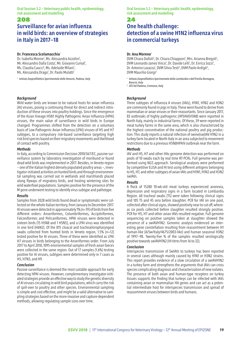Oral Session 3.2 – Veterinary public health, epidemiology, risk assessment and modelling

### 208

# **Surveillance for avian influenza in wild birds: an overview of strategies in Italy in 2017–18**

### **Dr. Francesca Scolamacchia**<sup>1</sup>

Dr. Isabella Monne<sup>1</sup>, Ms. Alessandra Azzolini<sup>1</sup>, Mr. Alessandro Dalla Costa<sup>1</sup>, Mr. Giovanni Cunial<sup>1</sup>, Ms. Claudia Caucci<sup>1</sup>, Ms. Adelaide Milani<sup>1</sup>, Ms. Alessandra Drago<sup>1</sup>, Dr. Paolo Mulatti<sup>1</sup>

*<sup>1</sup> Istituto Zooprofilattico Sperimentale delle Venezie, Padova, Italy*

#### *Background*

Wild water birds are known to be natural hosts for avian influenza (AI) viruses, posing a continuing threat for direct and indirect introduction of these viruses into poultry holdings. Since the emergence of the Asian lineage H5N1 Highly Pathogenic Avian Influenza (HPAI) viruses, the main value of surveillance in wild birds in Europe changed. Programmes shifted from the detection on a voluntary basis of Low Pathogenic Avian Influenza (LPAI) viruses of H5 and H7 subtypes, to a compulsory risk-based surveillance targeting high risk bird species based on their migratory movements and likelihood of contact with poultry.

#### *Methods*

In Italy, according to Commission Decision 2010/367/EC, passive surveillance system by laboratory investigation of moribund or found dead wild birds was implemented in 2017. Besides, in Veneto region – one of the Italian highest densely populated poultry areas –, investigator-initiated activities on hunted birds and through environmental sampling was carried out in wetlands and marshlands placed along flyways of migratory birds, and hosting wintering sites for wild waterfowl populations. Samples positive for the presence of the M gene underwent testing to identify virus subtype and pathotype.

#### *Results*

Samples from 2028 wild birds found dead or symptomatic were collected on the whole Italian territory, from January to December 2017. AI viruses were detected in approximately 1% (n=19) of birds from five different orders: Anseriformes, Columbriformes, Accipitriformes, Falconiformes and Pelicaniformes. HPAI viruses were detected in sixteen birds (15 H5N8 and 1 H5N5), and a LPAI virus was identified in one bird (H6N2). Of the 815 cloacal and tracheal/oropharyngeal swabs collected from hunted birds in Veneto region, 1.5% (n=12) tested positive for AI viruses. Three of these were identified as LPAI H7 viruses in birds belonging to the Anseriformes order. From July 2017 to April 2018, 1095 environmental samples of fresh avian faeces were collected in the same region. Out of 17 samples (1.6%) testing positive for AI viruses, subtypes were determined only in 7 cases as H5, H7N3, and H9.

#### *Conclusion*

Passive surveillance is deemed the most suitable approach for early detecting HPAI viruses. However, complementary investigator-initiated strategies provide an effective way to study the genetic diversity of AI viruses circulating in wild bird populations, which carry the risk of spill-over to poultry and other species. Environmental sampling is simple and cost effective, and might be a valid alternative to sampling strategies based on the more-invasive and capture-dependent methods, allowing regulating sample sizes over time.

Oral Session 3.2 – Veterinary public health, epidemiology, risk assessment and modelling

#### 24

# **One health challenge: detection of a swine H1N2 influenza virus in commercial turkeys**

#### **Dr. Ana Moreno**<sup>1</sup>

DVM Chiara Dalloli<sup>2</sup>, Dr. Chiara Chiapponi<sup>1</sup>, Mrs. Arianna Bregoli<sup>1</sup>, DVM Leonardo James Vinco<sup>1</sup>, Dr. Davide Lelli<sup>1</sup>, Dr. Enrica Sozzi<sup>1</sup>, Dr. Antonio Lavazza<sup>1</sup>, DVM Silvia Testi<sup>2</sup>, DVM Paolo Ardigò<sup>2</sup>, DVM Maurilio Giorgi2

*1 Istituto Zooprofilattico Sperimentale della Lombardia e dell'Emilia Romagna, Brescia, Italy*

*<sup>2</sup> ATS Val Padana, Cremona, Italy*

#### *Background*

Three subtypes of influenza A viruses (IAVs), H1N1, H1N2 and H3N2 are commonly found in pigs in Italy. These were found to derive from mammalian or avian viruses or their reassortants. Since January 2017, 83 outbreaks of highly pathogenic (HP)IAV(H5N8) were reported in North Italy, mainly in industrial farms. Of these, 39 were reported in meat turkey farms in the same area, which is also characterized by the highest concentration of the national poultry and pig production. This study reports a natural infection of swine(sw)IAV H1N2 in a turkey farm located in North Italy in an area subjected to movement restrictions due to a previous H5N8HPAIV outbreak near the farm.

#### *Methods*

IAV and H5, H7 and other HAs genome detection was performed on pools of 10 swabs each by real time RT-PCRs. Full genome was performed using NGS approach. Serological analyses were performed by competitive ELISA and HI test using different antigens belonging to H5, H7, and other subtypes of avian IAVs and H1N1, H1N2 and H3N2 swIAVs.

#### *Results*

A flock of 15280 10-wk-old meat turkeys experienced anorexia, depression and respiratory signs in a farm located in Lombardia Region. 60 tracheal swabs (TS) were taken following clinical signs and 105 TS and 45 sera before slaughter. PCR for IAV on one pool, collected after clinical signs, showed positivity near to cut off, whereas six pools collected before slaughter resulted strongly positive. PCR for H5, H7 and other avian IAVs resulted negative. Full genome sequencing on positive samples taken at slaughter showed the presence of a swIAVH1N2. Genomic analysis evidenced an interesting gene constellation resulting from reassortment between H1 human-like (A/Sw/Italy/4675/2003-like) and human seasonal H3N2 of 1997–98. Twenty-five % of the samples resulted serologically positive towards swIAVH1N2 (HI titres from 16 to 32).

#### *Conclusion*

Interspecies transmission of SwIAVs to turkeys has been reported in several cases although mainly caused by H1N1 or H3N2 strains. This report provides evidence of a slow circulation of a swIAVH1N2 in a turkey farm and strengthens the arguments that IAVs can cross species complicating diagnosis and characterization of new isolates. The presence of both avian and human-type receptors on turkey tissues supports the finding that turkeys can be infected with IAVs containing avian or mammalian HA genes and can act as a potential intermediate host for interspecies transmission and spread of reassortment viruses between birds and humans.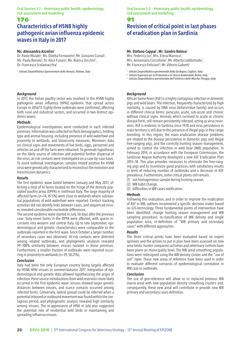Oral Session 3.2 – Veterinary public health, epidemiology, risk assessment and modelling

## 176 **Characteristics of H5N8 highly pathogenic avian influenza epidemic waves in Italy in 2017**

#### **Ms. Alessandra Azzolini**<sup>1</sup>

Dr. Paolo Mulatti<sup>1</sup>, Ms. Diletta Fornasiero<sup>1</sup>, Mr. Giovanni Cunial<sup>1</sup>, Ms. Paola Bonato<sup>1</sup>, Dr. Alice Fusaro<sup>1</sup>, Ms. Bianca Zecchin<sup>1</sup>, Dr. Francesca Scolamacchia1

*<sup>1</sup> Istituto Zooprofilattico Sperimentale delle Venezie, Padova, Italy*

#### *Background*

In 2017, the Italian poultry sector was involved in the H5N8 highly pathogenic avian influenza (HPAI) epidemic that spread across Europe in 2016/17. Eighty-three outbreaks were confirmed, affecting both rural and industrial sectors, and occurred in two distinct epidemic waves.

#### *Methods*

Epidemiological investigations were conducted in each infected premises. Information was collected on flock demographics, holding type and animal housing, including presence of wild waterfowl and proximity to wetlands, and biosecurity measures. Moreover, data on clinical signs and movements of live birds, eggs, personnel and vehicles on and off the farm were obtained. To generate hypotheses on the likely source of infection and potential further dispersal of the virus, at-risk contacts were investigated on a case-by-case basis. To assist outbreak investigation, samples tested positive for H5N8 virus were genetically characterized to reconstruct the evolution and transmission dynamics.

#### *Results*

The first epidemic wave lasted between January and May 2017, affecting a total of 16 farms located on the fringe of the densely populated poultry areas (DPPA) in northeast Italy. The large majority of affected farms (n=14, 87.5%) were close to wetlands where substantial populations of wild waterfowl were reported. Contact tracking activities did not identify links between cases, and sequenced viruses revealed considerable nucleotide differences.

The second epidemic wave started in July, 50 days after the previous case. Sixty-seven farms in the DPPA were affected, with sparse incursions into western and central Italy. Up to late September, epidemiological and genetic characteristics were comparable to the outbreaks reported in the first wave. Since October a larger number of secondary cases was observed. At-risk contacts were detected among related outbreaks, and phylogenetic analyses revealed 99–100% similarity between viruses isolated in those premises. Furthermore, a smaller fraction of outbreaks were reported occurring in proximity to wetlands (n=39, 58.21%).

#### *Conclusion*

Italy had been the only European country being largely affected by H5N8 HPAI viruses in summer/autumn 2017. Integration of epidemiological and genetic data allowed hypothesizing the origin of infection. Point source introductions from wild reservoirs more likely occurred in the first epidemic wave: viruses showed larger genetic distances between viruses, and scarce contacts occurred among infected farms. Conversely, lateral spread could be inferred when a potential inbound or outbound movement was found within the contagious period, and phylogenetic analysis revealed high similarity among viruses. The re-appearance of HPAI in July also suggested the potential role of residential wild birds in maintaining and spreading influenza viruses.

Oral Session 3.2 – Veterinary public health, epidemiology, risk assessment and modelling

#### 91

# **Revision of critical point in last phases of eradication plan in Sardinia**

#### Mr. Stefano Cappai<sup>1</sup>, Mr. Sandro Rolesu<sup>1</sup>

Mrs. Federica Loi<sup>1</sup>, Mrs. Elena Marrocu<sup>1</sup>, Mrs. Annamaria Coccollone<sup>1</sup>, Mr. Alberto Laddomada<sup>1</sup>, Mr. Francesco Feliziani<sup>3</sup>, Mr. Vittorio Guberti<sup>2</sup>

- *<sup>1</sup> Istituto Zooprofilattico sperimentale della Sardegna, Cagliari, Italy*
- *<sup>2</sup> Istituto Superiore per la Protezione e la ricerca Ambientale, Roma, Italy*
- *<sup>3</sup> Istituto Zooprofilattico sperimentale dell'Umbria e delle Marche, Perugia, Italy*

#### *Background*

African Swine fever (ASF) is a highly contagious infection in domestic pigs and wild boars. The infection, frequently characterized by high mortality, is caused by DNA virus (Asfarviridae family) and occurs in different clinical forms: peracute, acute, sub-acute and chronic without clinical signs. Animals which survived to acute or chronic disease form, still remain persistently infected, acting as virus reservoirs. ASF is endemic in Sardinia since 1978 and virus persistence in main territory is still due to the presence of illegal pigs in free range breeding. In this region, the main eradication disease problems are related to the disease persistence in domestic pigs and illegal free-ranging pigs, and the correctly hunting season management, aimed to control the infection in wild boar (WB) population. In February 2014, in accordance with the European Commission, the Sardinian Region Authority developed a new ASF Eradication Plan 2015–18. This plan provides measures to eliminate the free-ranging pigs and to incentivize good practices, with satisfactory results in term of reducing number of outbreaks and a decrease in ASF prevalence. Furthermore, some critical points still remain:

- (1) not homogeneous sample during hunting season,
- (2) WB habit change,
- (3) difficulties in WB cases notification.

#### *Methods*

Following this evaluation, and in order to improve the eradication of ASF in WB, authors recommend a specific decision maker based on GIS-technology. Three fundamental points of intervention have been identified: change hunting season management and WB sampling procedure; re-classification of WB density and single population area; re-definition of "WB primary and secondary cases" with different approaches.

#### *Results*

The three critical points have been evaluated based on expert opinions and the actions to put in plan have been assessed on new area limits: hunter companies activities and veterinary controls have been plane on municipality level. The WB areal smoothing populations were redesigned using the WB density cluster and the "use of soil" layer. These new areas of reference have been used in order to evaluate different scenarios of epidemiological correlation in WB case or outbreaks.

#### *Conclusion*

The use of geo-reference will allow us to replaced previous WB macro-areal with new population density smoothing clusters and, consequently, these new areal will contribute in provide new WB primary and secondary cases definition.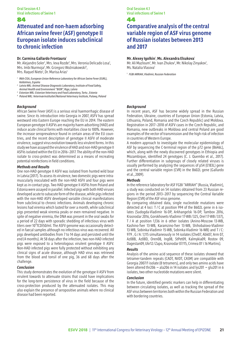# **Attenuated and non-haem adsorbing African swine fever (ASF) genotype II European isolate induces subclinical to chronic infection**

## **Dr. Carmina Gallardo Frontaura**<sup>1</sup>

Mr. Alejandro Soler<sup>1</sup>, Mrs. Ieva Rozde<sup>2</sup>, Mrs. Veronia Delicado Losa<sup>1</sup>, Mrs. Imbi Nurmoja<sup>3</sup>, Mr. Grzegorz Woźniakowski<sup>4</sup>, Mrs. Raquel Nieto<sup>1</sup>, Dr. Marisa Arias<sup>1</sup>

- <sup>1</sup> INIA-CISA, European Union Reference Laboratory for African Swine Fever (EURL), *Valdolmos, España*
- *2 Latvia NRL: Animal Disease Diagnostic Laboratory, Institute of Food Safety, Animal Health and Environment "BIOR", Riga, Latvia*
- *3 Estonian NRL: Estonian Veterinary and Food Laboratory, Tartu , Estonia*
- *<sup>4</sup> Poland NRL: Veterinærinstituttet/National Veterinary Institute, Pulawy, Poland*

#### *Background*

African Swine Fever (ASF) is a serious viral haemorrhagic disease of swine. Since its introduction into Georgia in 2007, ASFV has spread westward into Eastern Europe reaching the EU in 2014. The eastern European genotype II ASFVs are majority haem adsorbing (HAD) and induce acute clinical forms with mortalities close to 100%. However, the increase seroprevalence found in certain areas of the EU countries, and the recent description of genotype II ASFV of moderate virulence, suggest virus evolution towards less virulent forms. In this study we have assayed the virulence of HAD and non-HAD genotype II ASFVs isolated within the EU in 2016–2017. The ability of the non-HAD isolate to cross-protect was determined as a means of recreating potential reinfections in field conditions.

#### *Methods and Results*

One non-HAD genotype II ASFV was isolated from hunted wild boar in Latvia (2017). To assess its virulence, two domestic pigs were intramuscularly inoculated with the non-HAD ASFV and four pigs were kept as in-contact pigs. Two HAD genotype II ASFVs from Poland and Estonia were assayed in parallel. Infected pigs with both HAD viruses developed acute to subacute form of the disease, while pigs infected with the non-HAD ASFV developed variable clinical manifestations from subclinical to chronic infections. Animals developing chronic lesions had viremia which lasted for over a month, while subclinical pigs presented weak viremia peaks or even remained negative. In spite of negative viremia, the DNA was present in the oral swabs for a period of 22 days with sporadic shedding of infectious virus with titers over 10²TCDI50/ml. The ASFV genome was occasionally detected in faecal samples although no infectious virus was recovered. All pigs developed antibodies from 7 to 14 days and persisted until the end (4 months). At 58 days after the infection, two non-HAD infected pigs were exposed to a heterologous virulent genotype II ASFV. Non-HAD infected pigs were fully protected without exhibiting any clinical signs of acute disease, although HAD virus was retrieved from the blood and tonsil of one pig, 36 and 68 days after the challenge.

#### *Conclusion*

This study demonstrates the evolution of the genotype II ASFV from virulent towards to attenuate strains that could have implications for the long-term persistence of virus in the field because of the cross-protection produced by the attenuated isolates. This may also explain the presence of seropositive animals where no clinical disease had been reported.

Oral Session 4.1 Viral infections of Swine 1

### 44

# **Comparative analysis of the central variable region of ASF virus genome of Russian isolates between 2013 and 2017**

#### **Mr. Alexey Igolkin**<sup>1</sup> , **Ms. Alexandra Elsukova**<sup>1</sup>

Mr. Ali Mazloum<sup>1</sup>, Mr. Ivan Zhukov<sup>1</sup>, Mr. Nikolay Zinyakov<sup>1</sup>, Ms. Natalia Vlasova<sup>1</sup>

*<sup>1</sup> FGBI ARRIAH, Vladimir, Russian Federation*

#### *Background*

In recent years, ASF has become widely spread in the Russian Federation, Ukraine, countries of European Union (Estonia, Latvia, Lithuania, Poland, Romania and the Czech Republic) and Moldova. Registration in 2017–2018 of ASFV cases in the Czech Republic, and Romania, new outbreaks in Moldova and central Poland are good examples of the vector of transmission and the high risk of infection in countries of Western Europe.

A modern approach to investigate the molecular epidemiology of ASF by sequencing the C-terminal region of the p72 gene (B646L), which, along with the newly discovered genotypes in Ethiopia and Mozambique, identified 24 genotypes (C. J. Quembo et al., 2017). Further differentiation in subgroups of closely related viruses is usually performed by analyzing the sequences of p54 (E183L) gene and the central variable region (CVR) in the B602L gene (Gallardo et al., 2009).

#### *Methods*

In the reference laboratory for ASF FGBI "ARRIAH" (Russia, Vladimir), a study was conducted on 54 isolates obtained from 23 Russian regions in the period 2013–2017 by sequencing the Central Variable Region (CVR) of the ASF virus genome.

By comparing obtained data, single nucleotide mutations were detected at 4 loci: T / C at position 994 of the B602L gene in 6 isolates (Sudogda-Vladimir 16-DP, Arkhangelsk 16-DP, Tambov 2016, Krasnodar 2016, Gorokhovets-Vladimir 17-WB / 325, Orel 17-WB / 337), T / A at position 1,136 in 6 other isolates (Anino-Moscow 13-WB, Kashino-Tver 13-WB, Karamzino-Tver 13-WB, Shihobalovo-Vladimir 13-WB, Sobinka-Vladimir 15-WB, Sobinka-Vladimir 16-WB) and T / C: 979 , G / A: 1,115 simultaneously in 14 isolates (Che07, Abk07, Arm 07, Az08B, Az08D, Oren08, Ing08, StPet09, Kalmykia09, Rostov 09, Dagestan09, Ukr12 / Zapo, Krasnodar 07/15, Crimea 01 \ 16 Martins).

#### *Results*

Analysis of the amino acid sequence of these isolates showed that tetramer-tandem repeats (CADT, NVDT, CASM) are compatible with Georgia 2007/1 isolate (8 tetramers), and only two amino acids have been altered thr206 → ala206 in 14 isolates and lys201 → glu201 in 6 isolates, two other nucleotide mutations were silent.

#### *Conclusion*

In the future, identified genetic markers can help in differentiating between circulating isolates, as well as tracking the spread of the ASF virus between territories both within the Russian Federation and with bordering countries.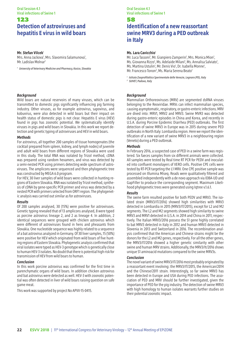# 123 **Detection of astroviruses and hepatitis E virus in wild boars**

#### **Mr. Stefan Vilcek**<sup>1</sup>

Mrs. Anna Jackova<sup>1</sup>, Mrs. Slavomira Salamunova<sup>1</sup>, Mr. Ladislav Molnar<sup>1</sup>

*1 University of Veterinary Medicine and Pharmacy, Kosice, Slovakia*

#### *Background*

Wild boars are natural reservoirs of many viruses, which can be transmitted to domestic pigs significantly influencing pig farming industry. Other viruses, as for example astrovirus, sapovirus, and kobuvirus, were also detected in wild boars but their impact on health status of domestic pigs is not clear. Hepatitis E virus (HEV) found in pigs has zoonotic potential. We systematically identify viruses in pigs and wild boars in Slovakia. In this work we report detection and genetic typing of astroviruses and HEV in wild boars.

#### *Methods*

For astrovirus, all together 200 samples of tissue homogenates (the cocktail prepared from spleen, kidney, and lymph nodes) of juvenile and adult wild boars from different regions of Slovakia were used in this study. The total RNA was isolated by Trizol method, cDNA was prepared using random hexamers, and virus was detected by a semi-nested PCR using primers detecting wide spectrum of astroviruses. The amplicons were sequenced and then phylogenetic tree was constructed by MEGA 6.0 program.

For HEV, 30 liver samples of wild boars were collected in hunting regions of Eastern Slovakia. RNA was isolated by Trizol method, synthesis of cDNA by gene-specific PCR primer and virus was detected by a nested PCR with primers selected from ORF1 region. The phylogenetic analysis was carried out similar as for astroviruses.

#### *Results*

Of 200 samples analysed, 30 (15%) were positive for astroviruses. Genetic typing revealed that of 13 amplicons analysed, 8 were typed as porcine astrovirus lineage 2, and 2 as lineage 4. In addition, 2 identical sequences were grouped with chicken astrovirus which were different of astroviruses found in hens and pheasants from Slovakia. One nucleotide sequence was highly related to a sequence of a bat astrovirus analyzed in Germany. Of 30 liver samples, 15 (50%) were positive for HEV which originated from wild boars of five hunting regions of Eastern Slovakia. Phylogenetic analysis confirmed that viral isolates were typed as HEV-3 genotype which is genetically close to human HEV-3 isolates. No doubt that there is potential high risk for transmission of HEV from wild boars to human.

#### *Conclusion*

In this work porcine astrovirus was confirmed for the first time in parenchymatic organs of wild boars. In addition chicken astrovirus and bat astrovirus were detected as well. HEV-3 with zoonotic potential was often detected in liver of wild boars raising question on safe game meat.

This work was supported by project No APVV-15-0415.

#### Oral Session 4.1 Viral infections of Swine 1

## 58

# **Identification of a new reassortant swine MRV3 during a PED outbreak in Italy**

## **Ms. Lara Cavicchio**<sup>1</sup>

Mr. Luca Tassoni<sup>1</sup>, Mr. Gianpiero Zamperin<sup>1</sup>, Mrs. Monica Mion<sup>1</sup>, Ms. Giovanna Rizzo<sup>1</sup>, Ms. Adelaide Milani<sup>1</sup>, Ms. Annalisa Salviato<sup>1</sup>, Ms. Martina Ustulin<sup>1</sup>, Mr. Denis Vio<sup>1</sup>, Dr. Isabella Monne<sup>1</sup>, Mr. Francesco Tonon<sup>2</sup>, Ms. Maria Serena Beato<sup>1</sup>

*<sup>1</sup> Istituto Zooprofilattico Sperimentale delle Venezie, Legnaro (PD), Italy*

*<sup>2</sup> SUIVET, Padova, Italy*

#### *Background*

Mammalian Orthoreoviruses (MRV) are segmented dsRNA viruses belonging to the Reoviridae. MRVs can infect mammalian species, causing asymptomatic, respiratory, or gastro-enteric infections. MRV are dived into: MRV1, MRV2 and MRV3. Swine MVR3 was detected during gastro-enteric episodes in China and Korea, and recently in U.S.A. during Porcine Epidemic Diarrhea (PED) outbreaks. The first detection of swine MRV3 in Europe was in 2015 during severe PED outbreaks in North Italy: Lombardia region. Here we report the identification of a new variant of swine MRV3 in a neighbouring region (Veneto) during a PED outbreak.

#### *Methods*

In February 2016, a suspected case of PED in a swine farm was registered. Six faeces samples from six different animals were collected. All samples were tested by Real time RT PCR for PEDV and inoculated into confluent monolayers of VERO cells. Positive CPE cells were tested by RT-PCR targeting the L1 MRV. One CPE positive sample was processed on Illumina Miseq. Reads were qualitatively filtered and assembled independently with a de novo approach via IDBA-UD and GapFiller to produce the corresponding segment. Maximum Likelihood phylogenetic trees were generated using Iqtree v.1.6.1.

#### *Results*

The swine farm resulted positive for both PEDV and MRV3. The isolated strain (MRV3/IT/2016) showed high similarities with MRV3 detected in Lombardia in 2015 (MRV3/IT/2015), except for L2 and M2 segments. The L2 and M2 segments showed high similarity to swine MRV3 and MRV1 detected in U.S.A. in 2014 and China in 2011, respectively. The Italian MRV3/2016 possess the S1 gene highly correlated to bat MRV3 detected in Italy in 2012 and human MRV3 detected in Slovenia in 2013 and Switzerland in 2016. The recombination analysis confirmed that the American and Chinese strains might be the donors for the L2 and M2 genes, respectively. For all the other genes, the MRV3/IT/2016 showed a higher genetic similarity with other swine and human MRV strains. Additionally, the MRV3/It/2016 shows unique S1 aminoacid mutations compared to the swine MRV3s.

#### *Conclusion*

The novel variant of swine MRV3/IT/2016 most probably originated by a reassortant event involving: the MRV3/IT/2015, the American/2014 and the Chinese/2011 strain. Interestingly, so far swine MRV3 has been detected in Europe and USA during PED infections. The association of PED and MRV should be further investigated, given the importance of PED for the pig industry. The detection of swine MRV3 with high homology to human isolates warrants further studies on their potential zoonotic impact.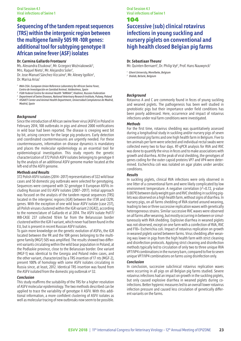# **Sequencing of the tandem repeat sequences (TRS) within the intergenic region between the multigene family 505 9R -10R genes: additional tool for subtyping genotype II African swine fever (ASF) isolates**

#### **Dr. Carmina Gallardo Frontaura**<sup>1</sup>

Ms. Alexandra Elsukova<sup>2</sup>, Mr. Grzegorz Woźniakowski<sup>3</sup>, Mrs. Raquel Nieto<sup>1</sup>, Mr. Alejandro Soler<sup>1</sup>, Dr. Jose-Manuel Sánchez-Vizcaíno<sup>4</sup>, Mr. Alexey Igolkin<sup>2</sup>,

Dr. Marisa Arias<sup>1</sup>

- *1 INIA-CISA. European Union Reference Laboratory for African Swine Fever,*
- *Centro de Investigación en Sanidad Animal, Valdeolmos, Spain*
- *2 FGBI Federal Centre for Animal Health "ARRIAH", Vladimir, Russian Federation*
- *3 Department of Swine Diseases, National Veterinary Research Institute, Pulawy, Poland*
- *4 VISAVET Center and Animal Health Department, Universidad Complutense de Madrid, Madrid, Spain*

#### *Background*

Since the introduction of African swine fever virus (ASFV) in Poland in February 2014, 108 outbreaks in pigs and almost 2000 notifications in wild boar had been reported. The disease is creeping west bit by bit, arising concern for the large pig producers. Early detection and coordinated countermeasures are urgently needed. For these countermeasures, information on disease dynamics is mandatory and places the molecular epidemiology as an essential tool for epidemiological investigation. This study reports the genetic characterization of 372 Polish ASFV isolates belonging to genotype II by the analysis of an additional ASFV genome marker located at the left-end of the ASFV genome.

#### *Methods and Results*

372 Polish ASFV isolates (2014–2017) representatives of 322 wild boar cases and 50 domestic pig outbreaks were selected for genotyping. Sequences were compared with 32 genotype II European ASFVs including Russian and EU ASFV isolates (2007–2017). Initial approach was focused on the analysis of the tandem repeat sequences (TRS) located in the intergenic regions (IGR) between the I73R and I329L genes. With the exception of one wild boar ASFV isolate (case 237), all Polish viruses clustered within the IGR variant 2 (IGR2), according to the nomenclature of Gallardo et al 2014. The ASFV isolate Pol17/ WB-CASE 237 collected 10 km far from the Belarussian border clustered within the IGR-1 variant, which never had been found in the EU, but is present in recent Russian ASFV isolates.

To gain more knowledge on the genetic evolution of ASFVs, the IGR located between the 9R and the 10R genes belonging to the multigene family (MGF) 505 was amplified. The results showed two different variants circulating within the wild boar population in Poland, at the Podlaskie province, close to the Belarusian border. One variant (MGF-1) was identical to the Georgia and Poland index cases, and the other variant, characterized by a TRS insertion of 17 nts (MGF-2), present 100% of homology with some ASFV isolates circulating in Russia since, at least, 2012. Identical TRS insertion was found from the ASFV isolated from the domestic pig outbreak nº 32.

#### *Conclusion*

This study reaffirms the suitability of the TRS for a higher resolution of ASFV molecular epidemiology. The two methods described can be applied to trace the variability of genotype II ASFV. With this additional information, a more confident clustering of ASFV isolates as well as molecular tracing of new outbreaks now seem to be possible.

Oral Session 4.1 Viral infections of Swine 1

## 104

# **Successive (sub) clinical rotavirus infections in young suckling and nursery piglets on conventional and high health closed Belgian pig farms**

#### **Dr. Sebastiaan Theuns**<sup>1</sup>

Mr. Quinten Bernaert<sup>1</sup>, Dr. Philip Vyt<sup>2</sup>, Prof. Hans Nauwynck

*<sup>1</sup> Ghent University, Merelbeke, Belgium*

*<sup>2</sup> Dialab, Belsele, Belgium*

### *Background*

Rotavirus A and C are commonly found in feces of young suckling and weaned piglets. The pathogenesis has been well studied in gnotobiotic pigs but their importance under field conditions has been poorly addressed. Here, occurrence and impact of rotavirus infections under real farm conditions were investigated.

#### *Methods*

For the first time, rotavirus shedding was quantitatively assessed during a longitudinal study in suckling and/or nursery pigs of seven conventional pig farms and one high health farm in Belgium. Five to ten animals per farm were selected and individual rectal swabs were collected every two to four days. RT-qPCR analysis for RVA and RVC was done to quantify the virus in feces and to make associations with growth and diarrhea. At the peak of viral shedding, the genotypes of genes coding for the outer capsid proteins VP7 and VP4 were determined. Escherichia coli was isolated on agar plates under aerobic conditions.

## *Results*

In suckling piglets, clinical RVA infections were only observed in one litter of a conventional farm and were likely complicated by low environment temperature. A negative correlation  $(r^2=0.72, p-value)$ 0.0079) between daily weight gain and RVC shedding in suckling piglets was observed on a high health farm, without signs of diarrhea. In nursery pigs, on all farms shedding of RVA started around weaning, leading to two or three successive replication waves with genetically heterogeneous strains. Similar successive RVC waves were observed on all farms after weaning, but mostly occurring in between or simultaneously with RVA shedding. Explosive diarrhea in weaned piglets was not observed, except on one farm with a coinfection of RVA, RVC and F18+ Escherichia coli. Impact of rotavirus replication on growth in weaned piglets varied between farms. Virus shedding after weaning was lower in pigs from the high health farm with strict cleaning and disinfection protocols. Applying strict cleaning and disinfection methods typically led to circulation of only two to three unique RVA VP7/VP4 combinations in the nursery barn, compared to five to seven unique VP7/VP4 combinations on farms using disinfection only.

#### *Conclusion*

In conclusion, successive subclinical rotavirus replication waves were occurring in all pigs on all Belgian pig farms studied. Severe rotavirus infections had an impact on growth in the suckling piglets, but only caused explosive diarrhea in weaned piglets during coinfections. Better hygienic measures led to an overall lower rotavirus infection pressure and caused less circulation of genetically different variants on the farms.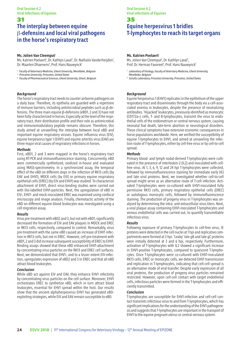## 31 **The interplay between equine** β**-defensins and local viral pathogens in the horse's respiratory tract**

#### **Ms. Jolien Van Cleemput**

Ms. Katrien Poelaert<sup>1</sup>, Dr. Kathlyn Laval<sup>2</sup>, Dr. Nathalie Vanderheijden<sup>1</sup>, Dr. Maarten Dhaenens<sup>3</sup>, Prof. Hans Nauwynck<sup>1</sup>

- *<sup>1</sup> Faculty of Veterinary Medicine, Ghent University, Merelbeke, Belgium*
- *<sup>2</sup> Princeton University, Princeton, United States*
- *<sup>3</sup> Faculty of Pharmaceutical Sciences, Ghent University, Ghent, Belgium*

#### *Background*

The horse's respiratory tract needs to counter airborne pathogens on a daily base. Therefore, its epithelia are guarded with a repertoire of immune barriers, including antimicrobial peptides such as β-defensins. The three main equine β-defensins (eBD1, 2 and 3) have not been fully characterized in horses. Especially at the level of the respiratory tract, their distribution profile and their role as antimicrobial and immunomodulatory peptide remains obscure. Therefore, this study aimed at unravelling the interplay between local eBD and important equine respiratory viruses. Equine influenza virus (EIV), equine herpesvirus type 1 (EHV1) and equine arteritis virus (EAV) are three major viral causes of respiratory infections in horses.

#### *Methods*

First, eBD1, 2 and 3 were mapped in the horse's respiratory tract using RT-PCR and immunofluorescence staining. Concurrently, eBD were commercially synthetized, oxidized in-house and evaluated using MASS-spectrometry. In a synchronized assay, the temporal effect of the eBD on different steps in the infection of RK13 cells (by EAV and EHV1), MDCK cells (by EIV) or primary equine respiratory epithelial cells (EREC) (by EIV and EHV1) was studied. To characterize attachment of EHV1, direct virus-binding studies were carried out with Dio-labelled EHV1-particles. Next, the upregulation of eBD in EIV-, EHV1- and mock-inoculated EREC was examined using confocal microscopy and image analysis. Finally, chemotactic activity of the eBD on different equine blood leukocytes was investigated using a cell migration assay.

#### *Results*

Virus pre-treatment with eBD2 and 3, but not with eBD1, significantly decreased the formation of EIV and EAV plaques in MDCK and EREC or RK13 cells, respectively, compared to control. Remarkably, virus pre-treatment with the same eBD caused an increase of EHV1 infection in RK13 cells, but not in EREC. However, cell pre-treatment with eBD1, 2 and 3 did increase subsequent susceptibility of EREC to EHV1. Binding assays showed that these eBD enhanced EHV1-attachment by concentrating virus particles on the RK13 and EREC cell surfaces. Next, we demonstrated that EHV1-, and to a lesser extent EIV-infection, upregulates expression of eBD2 and 3 in EREC and that all eBD attract blood leukocytes.

#### *Conclusion*

While eBD act against EIV and EAV, they enhance EHV1 infectivity by concentrating virus particles on the cell surface. Moreover, EHV1 orchestrates EREC to synthetize eBD, which in turn attract blood leukocytes, essential for EHV1 spread within the host. Our results show that the ancient alphaherpesvirus EHV1 has generated eBDexploiting strategies, while EIV and EAV remain susceptible to eBD.

#### Oral Session 4.2 Viral infections of Equines

# 35 **Equine herpesvirus 1 bridles T-lymphocytes to reach its target organs**

#### **Ms. Katrien Poelaert<sup>1</sup>**

Ms. Jolien Van Cleemput<sup>1</sup>, Dr. Kathlyn Laval<sup>2</sup>, Prof. Dr. Herman Favoreel<sup>1</sup>, Prof. Hans Nauwynck<sup>1</sup>

- *1 Laboratory of Virology, Faculty of Veterinary Medicine, Ghent University, Merelbeke, Belgium*
- *2 Schultz Laboratory, Princeton University, Princeton, United States*

#### *Background*

Equine herpesvirus 1 (EHV1) replicates in the epithelium of the upper respiratory tract and disseminates through the body via a cell-associated viremia in leukocytes, despite the presence of neutralizing antibodies. 'Hijacked' leukocytes, previously identified as monocytic (CD172a+) cells, T- and B-lymphocytes, transmit the virus to endothelial cells of the endometrium or central nervous system, causing neonatal foal death, late-term abortion or neurological disorders. These clinical symptoms have extensive economic consequences in horse populations worldwide. Here, we verified the susceptibility of equine T-lymphocytes to EHV1, and aimed at unraveling the infection route of T-lymphocytes, either by cell-free virus or by cell-to-cell spread.

#### *Methods*

Primary blood- and lymph nodal-derived T-lymphocytes were cultivated in the presence of interleukin-2 (IL2) and inoculated with cellfree virus. At 1, 3, 6, 9, 12 and 24 hpi T-lymphocytes were collected, followed by immunofluorescence staining for immediate early (IE) and late viral proteins. Next, we investigated whether cell-to-cell spread might serve as an alternative route of T-cell infection. Activated T-lymphocytes were co-cultured with EHV1-inoculated fully permissive RK13 cells, primary respiratory epithelial cells (EREC) or autologous monocytic cells, followed by immunofluorescence staining. The production of progeny virus in T-lymphocytes was analyzed by determining the intra- and extracellular virus titers. Next, a viral plaque assay containing EHV1-inoculated T-lymphocytes and venous endothelial cells was carried out, to quantify transmittable infectious virus.

#### *Results*

Following exposure of primary T-lymphocytes to cell-free virus, IE proteins were detected in the cell nuclei at 1 hpi and replicative compartments were formed at 3 hpi. 'Leaky' late gB and late gC proteins were initially detected at 3 and 6 hpi, respectively. Furthermore, activation of T-lymphocytes with IL2 showed a significant increase in EHV1-positive T-lymphocytes, compared to quiescent T-lymphocytes. Once T-lymphocytes were co-cultured with EHV1-inoculated RK13 cells, EREC or monocytic cells, we detected EHV1 transmission and replication in T-lymphocytes, indicating that cell-cell spread is an alternative mode of viral transfer. Despite early expression of all viral proteins, the production of progeny virus particles remained restricted. However, upon cell-cell contact with target endothelial cells, infectious particles were formed in the T-lymphocytes and efficiently transmitted.

#### *Conclusion*

T-lymphocytes are susceptible for EHV1-infection and cell-cell contact transmits infectious virus to and from T-lymphocytes, which has significant implications for the understanding of the EHV1 pathogenesis and suggests that T-lymphocytes are important in the transport of EHV1 to the equine pregnant uterus or central nervous system.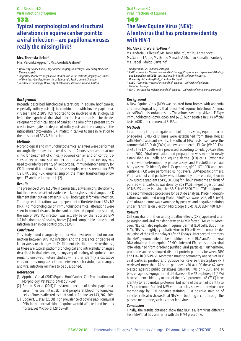# **Typical morphological and structural alterations in equine canker point to a viral infection – are papilloma viruses really the missing link?**

#### **Mrs. Theresia Licka**1,2

Mrs. Veronika Apprich<sup>1</sup>, Mrs. Cordula Gabriel<sup>3</sup>

- *1 University Equine Clinic, Large Animal Surgery, University of Veterinary Medicine, Vienna, Austria*
- *2 Department of Veterinary Clinical Studies, The Roslin Institute, Royal (Dick) School of Veterinary Studies, University of Edinburgh, Roslin, United Kingdom*
- *<sup>3</sup> Institute of Pathology, University of Veterinary Medicine, Vienna, Austria*

### *Background*

Recently described histological alterations in equine hoof canker, especially koilocytosis [1], in combination with bovine papillomaviruses 1 and 2 (BPV 1/2) reported to be involved in its etiology [2] led to the hypothesis that viral infection is a prerequisite for the development of clinical signs of canker. The aim of the present study was to investigate the degree of koilocytosis and the changes in the intracellular cytokeratin (CK) matrix in canker tissues in relation to the presence of BPV 1/2 infection.

#### *Methods*

Morphological and immunohistochemical analyses were performed on surgically removed canker tissues of 19 horses presented at our clinic for treatment of clinically obvious canker and on control tissues of seven hooves of unaffected horses. Light microscopy was used to grade for severity of koilocytosis, immunohistochemistry for CK filament distribution. All tissue samples were screened for BPV 1/2 DNA using PCR, emphasizing on the major transforming oncogene E5 and the late gene L1 [2].

#### *Results*

The presence of BPV 1/2 DNA in canker tissues was inconsistent (5/19), but there was consistent evidence of koilocytosis and changes in CK filament distribution patterns (19/19), both typical for viral infection. The degree of alterations was independent of the detection of BPV 1/2 DNA. No morphological or immunohistochemical alterations were seen in control tissues. In the canker affected population studied, the rate of BPV 1/2 infection was actually below the reported BPV 1/2 infection rate of healthy horses [3] and comparable to the rate of infection seen in our control group (3/7).

#### *Conclusion*

This study found changes typical for viral involvement, but no connection between BPV 1/2 infection and the presence or degree of koilocytosis or changes in CK filament distribution. Nevertheless, as these are typical pathomorphological and intracellular changes described in viral infection, the mystery of etiology of equine canker remains unsolved. Future studies will either identify a causative virus or the strong association between such cytological changes and viral infection will have to be questioned.

#### *References*

- [1] Apprich, V. et al. (2017) Equine Hoof Canker: Cell Proliferation and Morphology. Vet Pathol 54(4) 661–668
- [2] Brandt, S. et al. (2011) Consistent detection of bovine papillomavirus in lesions, intact skin and peripheral blood mononuclear cells of horses affected by hoof canker. Equine Vet J 43, 202–209
- [3] Bogaert, L. et al. (2008) High prevalence of bovine papillomaviral DNA in the normal skin of equine sarcoid-affected and healthy horses. Vet Microbiol 129, 58–68

#### Oral Session 4.2 Viral infections of Equines

## 149

# **The New Equine Virus (NEV): A lentivirus that has proteome identity with HIV-1**

#### **Mr. Alexandre Vieira-Pires**1,2

Ms. Andreia J. Oliveira<sup>1</sup>, Ms. Tania Ribeiro<sup>1</sup>, Mr. Rui Fernandes<sup>4</sup> Ms. Sandra I Anjo<sup>3</sup>, Ms. Bruno Manadas<sup>3</sup>, Mr. Joao Ramalho-Santos<sup>3</sup>, Ms. Isabel Fidalgo-Carvalho<sup>1</sup>

- 
- <sup>1</sup> Equigerminal SA, Coimbra, Portugal<br><sup>2</sup> CNBC Center for Neuroscience and Cell Biology, Programme in Experimental Biology *and Biomedicine (PDBEB) and Institute for Interdisciplinary Research, University of Coimbra (IIIUC), Coimbra, Portugal*
- *3 CNBC Center for Neuroscience and Cell Biology University of Coimbra, Coimbra, Portugal*
- *<sup>4</sup> IBMC Institute for Molecular and Cell Biology University of Porto, Porto, Portugal*

### *Background*

A New Equine Virus (NEV) was isolated from horses with anaemia and neurological signs that presented Equine Infectious Anemia virus (EIAV) – discordant results. These horses were positive in EIAVpv immunoblotting (gp90, gp45 and p26), but negative in EIAV official tests, AGID and commercial ELISAs.

#### *Methods*

In an attempt to propagate and isolate this virus, equine macrophage-like (EML) cells lines were established from three horses with EIAV-discordant results. The official EIAV tests used were the commercial AGID kit (IDVet) and two commercial ELISAs (VMRD, Eradikit). The EML cells were processed according to Fidalgo-Carvalho, et al (2009). Viral replication and propagation was made in newly established EML cells and equine dermal (ED) cells. Cytophatic effects were determined by plaque assays and PrestoBlue cell viability assays. To identify the EIAV genome, qPCR, RT-qPCR and conventional PCR were performed using several EIAV-specific primers. Purification of viral particles was obtained by ultracentrifugation in 20% sucrose gradient at 4ºC, 50.000g for 1 hour. Proteome analysis of purified viral particles was done by SDS PAGE, in-gel digestion and LC-MS/MS analysis using the AB Sciex® 5600 TripleTOF equipment and recommended procedure for peptide analysis. Protein identification was obtained using ProteinPilot™ software (v4.5, AB Sciex®). Viral ultrastructure was examined by positive and negative staining under Transmission Electron Microscopy (TEM) (JEOL JEM 1400 TEM).

#### *Results*

Cell syncytia formation and cytopathic effects (CPE) appeared after passaging and viral transfer between NEV-infected EML cells. Moreover, NEV can also replicate in Equine Dermal (ED) cells. But unlike EIAV, NEV is a highly cytophatic virus in ED cells with complete destruction of the cell monolayer after 7-12 days. After several attempts the EIAV genome failed to be amplified in viral RNA and/or proviral DNA obtained from equine PBMCs, infected EML cells and/or viral RNA obtained from gradient purified viral particles. Furthermore, proteome analysis showed distinct protein patterns between NEV and EIAV in SDS-PAGE. Moreover, mass spectrometry analysis of NEV viral particles purified and positive for Reverse transcriptase (RT) retrieved more than 76 short peptides (<30 aa). Of these 62 were blasted against public databases (UNIPROT KB or NCBI), and 14 blasted against Equigerminal database. Of the 62 peptides, 26 (42%) have sequence identity to part of the HIV-1 proteome, 45 (73%) have identity to retroviridae proteome, but none of these had identity to EIAV proteome. Purified NEV viral particles show a lentivirus core morphology by TEM negative staining. TEM positive staining of infected cells also showed that NEV viral budding occurs through the plasma membrane, such as other lentivirus.

#### *Conclusion*

Finally, the results obtained show that NEV is a lentivirus different from EIAV that has similarity with the HIV-1 proteome.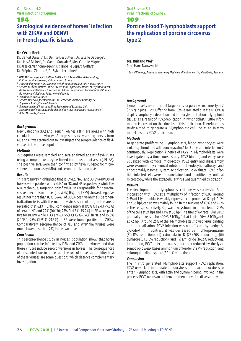# **Serological evidence of horses' infection with ZIKAV and DENV1 in French pacific islands**

## **Dr. Cécile Beck**<sup>1</sup>

- Dr. Benoit Durant<sup>2</sup>, Dr. Denise Desoutter<sup>3</sup>, Dr. Estelle Debergé<sup>4</sup>,
- Dr. Hervé Bichet<sup>s</sup>, Dr. Gaelle Gonzalez<sup>1</sup>, Mrs. Camille Migné<sup>1</sup>,
- Dr. Jessica Vanhomwegen<sup>6</sup>, Dr. Isabelle Leparc Goffart<sup>7</sup>,
- Dr. Stéphan Zientara<sup>1</sup>, Dr. Sylvie Lecollinet<sup>1</sup>

*1 UMR 1161 Virology, ANSES, INRA, ENVA, ANSES Animal Health Laboratory, EURL on equine diseases, Maisons Alfort, France*

- *2 Epidemiology unit, ANSES Animal Health Laboratory, Maisons Alfort, France 3 Service des Laboratoires Officiels Vétérinaires Agroalimentaires et Phytosanitaires de Nouvelle-Calédonie – Direction des Affaires Vétérinaires Alimentaires et Rurales de Nouvelle-Calédonie, Païta, New Caledonia*
- *4 Véterinaire, Lyon, France*
- *5 Service du développement rural, Présidence de la Polynésie française, Papeete – Tahiti, French Polynesia*
- *6 Environment and Infectious Risks Research and Expertise Unit,*
- *Department of Infections and Epidemiology, Institut Pasteur, Paris, France*
- *7 IRBA, Marseille, France*

#### *Background*

New Caledonia (NC) and French Polynesia (FP) are areas with high circulation of arboviruses. A large serosurvey among horses from NC and FP was carried out to investigate the seroprevalence of flaviviruses in the horse population.

#### *Methods*

293 equines were sampled and sera analyzed against flaviviruses using a competitive enzyme-linked immunosorbent assay (cELISA). The positive sera were then confirmed by flavivirus-specific microsphere immunoassay (MIA) and seroneutralization tests.

#### *Results*

This serosurvey highlighted that 16.6% (27/163) and 30.8% (40/130) of horses were positive with cELISA in NC and FP respectively while the MIA technique, targeting only flaviviruses responsible for neuroinvasive infections in horses (i.e. WNV, JEV, and TBEV) showed negative results for more than 83% (56/67) of ELISA-positive animals. Seroneutralization tests with the main flaviviruses circulating in the areas revealed that 6.1% (10/163; confidence interval [95% CI] 2.4%–9.8%) of sera in NC and 7.7% (10/130; 95% CI 4.8%–15.2%) in FP were positive for DENV1 while 4.3% (7/163; 95% CI 1.2%–7.4%) in NC and 15.3% (20/130; 95% CI 9.1%–21.5%) in FP were found positive for ZIKAV. Comparatively, seroprevalence of JEV and WNV flaviviruses were much lower (less than 2%) in the two areas.

#### *Conclusion*

This seroprevalence study in horses' population shows that horse population can be infected by DEN and ZIKA arboviruses and that these viruses induce seroconversions in horses. The consequences of these infections in horses and the role of horses as amplifier host of these viruses are some questions which deserve complementary investigation.

Oral Session 5.1 Viral infections of Swine 2

#### 109

# **Porcine blood T-lymphoblasts support the replication of porcine circovirus type 2**

## **Ms. Ruifang Wei**<sup>1</sup>

Prof. Hans Nauwynck<sup>1</sup>

*<sup>1</sup> Lab of Virology, Faculty of Veterinary Medicine, Ghent University, Merelbeke, Belgium*

#### *Background*

Lymphoblasts are important target cells for porcine circovirus type 2 (PCV2) in pigs. Pigs suffering from PCV2-associated diseases (PCVAD) display lymphocyte depletion and monocyte infiltration in lymphoid tissues as a result of PCV2-replication in lymphoblasts. Little information is present on the kinetics of this replication. Therefore, this study aimed to generate a T-lymphoblast cell line as an in vitro model to study PCV2 replication.

#### *Methods*

To generate proliferating T-lymphoblasts, blood lymphocytes were isolated, stimulated with concanavalin A for 3 days and interleukin-2 continuously. Replication kinetics of PCV2 in T-lymphoblasts were investigated by a time-course study. PCV2 binding and entry were visualized with confocal microscopy. PCV2 entry and disassembly were examined by chemical inhibition of endocytic pathways and endosomal-lysosomal system acidification. To evaluate PCV2 infection, infected cells were immunostained and quantified by confocal microscopy, while the extracellular virus was quantified by titration.

#### *Results*

The development of a lymphoblast cell line was successful. After inoculation with PCV2 at a multiplicity of infection of 0.05, around 0.5% of T-lymphoblasts weakly expressed cap protein at 12 hpi. At 24 and 36 hpi, capsid was mainly found in the nucleus of 3.3% and 2.6% of the cells, respectively. Rep was always found in the nucleus of 2.7% of the cells at 24 hpi and 1.4% at 36 hpi. The titer of extracellular virus gradually increased from 10^3.6 TCID<sub>50</sub>/mL at 1 hpi to 10^4.6 TCID<sub>50</sub>/mL at 72 hpi. Around 26% of the T-lymphoblasts showed virus binding and internalisation. PCV2 infection was not affected by methyl-βcyclodextrin. In contrast, it was decreased by (i) chlorpromazine (31±11% reduction), (ii) cytochalasin D (26±20% reduction), (iii) dynasore (34±18% reduction), and (iv) amiloride (16±6% reduction). In addition, PCV2 infection was significantly reduced by the lysosomotropic weak bases ammonium chloride (81±7% reduction) and chloroquine diphosphate (80±1% reduction).

#### *Conclusion*

The in vitro generated T-lymphoblasts support PCV2 replication. PCV2 uses clathrin-mediated endocytosis and macropinocytosis to enter T-lymphoblasts, with actin and dynamin being involved in the process. PCV2 needs an acid environment for virion disassembly.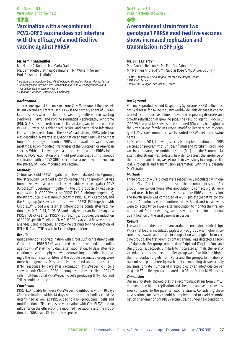# **Vaccination with a recombinant PCV2-ORF2 vaccine does not interfere with the efficacy of a modified live vaccine against PRRSV**

#### **Mr. Armin Saalmüller**<sup>1</sup>

Ms. Hanna C. Koinig<sup>2</sup>, Ms. Maria Stadler<sup>1</sup>, Ms. Bernadette Glatthaar-Saalmüller<sup>3</sup>, Mr. Wilhelm Gerner<sup>1</sup>, Prof. Dr. Andrea Ladinig2

*<sup>1</sup> Institute of Immunology, Dep. of Pathobiology, Vetmeduni Vienna, Vienna, Austria 2 University Clinic for Swine, Dep. for Farm Animals and Veterinary Public Health,*

*Vetmeduni Vienna, Vienna, Austria*

*<sup>3</sup> Labor Dr. Glatthaar, Ochsenhausen, Germany*

#### *Background*

The vaccine against Porcine Circovirus 2 (PCV2) is one of the most efficient vaccines currently used. PCV2 is the primary agent of PCV-related diseases which include post-weaning multisystemic wasting syndrome (PMWS) and Porcine Dermatitis Nephropathy Syndrome (PDNS). Besides the reduction of clinical signs, vaccination with the PCV2-ORF2 vaccine is able to reduce viral and bacterial co-infections. For example, a reduction of the PRRSV loads during PRRSV infection was described. Nevertheless, vaccination against PRRSV is the most important strategy to combat PRRSV and available vaccines are mostly based on modified live viruses of the European or American species. With the knowledge of a reduced viremia after PRRSV infection by PCV2 vaccination one might postulate that a simultaneous vaccination with a PCV2-ORF2 vaccine has a negative influence on the efficacy of PRRSV-modified live vaccine.

#### *Methods*

24 four week-old PRRSV-negative piglets were divided into 5 groups, the 1st group (n=3) served as control group, the 2nd group (n=3) was immunized with a commercially available vaccine against PCV2 (CircoFLEX®, Boehringer Ingelheim), the 3rd group (n=6) was vaccinated with a MLV-PRRSV vaccine (PRRSFLEX®, Boehringer Ingelheim), the 4th group (n=6) was immunized with PRRSFLEX® + Carbopol, and the 5th group (n=6) was immunized with PRRSFLEX® together with CircoFLEX®. Blood was taken at different time points after vaccination (days 0, 7, 10, 14, 21, 28, 35) and analyzed for antibodies against PRRSV (IDEXX X3 Elisa), PRRSV neutralizing antibodies, the induction of PRRSV-specific T-cells in IFN-γ ELISPOT assays and flow cytometric analyses using intracellular cytokine staining for the detection of IFN-γ, IL-2 and TNF-α within T-cell subpopulations.

#### *Results*

Independent of a co-vaccination with CircoFLEX® or treatment with Carbopol all PRRSFLEX® vaccinated swine developed antibodies against PRRSV starting 10 days after vaccination. 14 days after vaccination most of the pigs showed neutralizing antibodies. Interestingly the neutralization titers of the double vaccinated group were more homogeneous. Most animals developed an antigen-specific IFN-γ response 14 days after vaccination. PRRSV-specific T cells showed both CD4 and CD8β phenotypes and especially in CD4+ T cells multifunctional PRRSV-specific cells producing IFN-γ, IL-2 and TNF-α could be detected.

## *Conclusion*

PRRSFLEX® is able to induce PRRSV-specific antibodies within 10 days after vaccination, within 14 days neutralizing antibodies could be determined as well as PRRSV-specific IFN-γ producing T cells and multifunctional TH1 cells. A co-vaccination with CircoFLEX® had no influence on the efficacy of the modified live vaccine and the induction of a PRRSV-specific immune response.

Oral Session 5.1 Viral infections of Swine 2

## 69

# **A recombinant strain from two genotype 1 PRRSV modified live vaccines shows increased replication and transmission in SPF pigs**

#### **Ms. Julie Eclercy**1,3

Mrs. Patricia Renson<sup>1,2,3</sup>, Mr. Frédéric Paboeuf<sup>1,3</sup>, Mr. Mathieu Andraud<sup>1,3</sup>, Mr. Nicolas Rose<sup>1,3</sup>, Mr. Olivier Bourry<sup>1,3</sup>

*<sup>1</sup> Anses, Laboratoire de Ploufragan-Plouzané, Ploufragan, France*

*<sup>2</sup> IFIP, Paris, France*

*<sup>3</sup> Université Bretagne Loire, Rennes, France*

#### *Background*

Porcine Reproductive and Respiratory Syndrome (PRRS) is the most costly disease for swine industry worldwide. This disease is characterized by reproductive failure in sows and respiratory disorders and growth retardation in growing pigs. The causing agent, PRRS virus (PRRSV) is a positive-sense single-stranded RNA virus belonging to the Arteriviridae family. In Europe, modified live vaccines of genotype 1 (MLV1) are commonly used to control PRRSV infection in swine herds.

In December 2014, following successive implementation of a PRRS vaccination program with Unistrain® (Uni) and Porcilis® (Porci) PRRS vaccines in a farm, a recombinant strain (Rec) from the 2 commercial attenuated strains was isolated. In order to assess the virulence of the recombinant strain, we set-up an in vivo study to compare clinical, virological and transmission parameters with the 2 parental MLV1 strains.

#### *Methods*

Three groups of 6 SPF piglets were respectively inoculated with one of the MLV1 (Porci and Uni groups) or the recombinant strain (Rec group). Twenty-four hours after inoculation, 6 contact piglets were added to each inoculated groups to evaluate PRRSV transmission. The fourth group was composed of 6 SPF piglets (negative control group). All animals were monitored daily. Blood and nasal swabs were collected twice a week after inoculation to monitor the viral genomic load. During necropsy, samples were collected for additional quantification of the viral genome in tissues.

#### *Results*

The vaccine and the recombinant strains did not induce clinical sign. PRRS viral load in inoculated piglets of Rec group was higher in serum, nasal swabs and tonsils in comparison with piglets from vaccine groups. The first viremic contact animal was detected as soon as 2 dpi in the Rec group compared to 10 dpi and 17 dpi for Porci and Uni groups respectively. Similarly to inoculated animals, the level of viremia of contact piglets from Rec group was 10 to 100 fold higher than for contact piglets from Porci and Uni groups. Estimation of transmission parameters by mathematical modeling showed a daily transmission rate (number of infected pigs by an infectious pig per day) of 0.57 for Rec group compared to 0.08 and 0.11 for MLV1 groups.

#### *Conclusion*

Our in vivo study showed that the recombinant strain from 2 MLV1 demonstrated higher replication and shedding and faster transmission compared to the parental vaccine strains. Considering these observations, measures should be implemented to avoid recombination phenomenon of PRRSV vaccine strains under field conditions.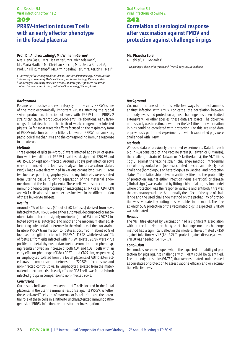# 209 **PRRSV-infection induces T cells with an early effector phenotype in the foetal placenta**

## **Prof. Dr. Andrea Ladinig**<sup>1</sup> **, Mr. Wilhelm Gerner**<sup>1</sup>

Mrs. Elena Sassu<sup>1</sup>, Mrs. Lisa Reiter<sup>1</sup>, Mrs. Michaela Koch<sup>1</sup>, Ms. Maria Stadler<sup>1</sup>, Mr. Christian Knecht<sup>1</sup>, Mrs. Ursula Ruczizka<sup>1</sup>, Prof. Dr. Till Rümenapf<sup>2</sup>, Mr. Armin Saalmüller<sup>1</sup>, Mrs. Kerstin H. Mair<sup>3</sup>

*1 University of Veterinary Medicine Vienna, Institute of Immunology, Vienna, Austria <sup>2</sup> University of Veterinary Medicine Vienna, Institute of Virology, Vienna, Austria*

*3 University of Veterinary Medicine Vienna, Laboratory for Optimized prediction of vaccination success in pigs, Institute of Immunology, Vienna, Austria*

#### *Background*

Porcine reproductive and respiratory syndrome virus (PRRSV) is one of the most economically important viruses affecting the global swine production. Infection of sows with PRRSV-1 and PRRSV-2 strains can cause reproductive problems like abortions, early farrowings, foetal death, and the birth of weak, congenitally infected piglets. So far, most research efforts focused on the respiratory form of PRRSV-infection but only little is known on PRRSV transmission, pathological mechanisms and the corresponding immune response in the uterus.

#### *Methods*

Three groups of gilts (n=4/group) were infected at day 84 of gestation with two different PRRSV-1 isolates, designated 720789 and AUT15-33, or kept non-infected. Around 21 days post infection sows were euthanized and foetuses analysed for preservation status. PRRSV loads were determined in various organs by qRT-PCR. From two foetuses per litter, lymphocytes and myeloid cells were isolated from uterine tissue following separation of the maternal endometrium and the foetal placenta. These cells were subjected to an immuno-phenotyping focusing on macrophages, NK cells, CD4, CD8 and  $\gamma\delta$  T cells alongside to molecules involved in the differentiation of these leukocyte subsets.

#### *Results*

Around 44% of foetuses (30 out of 68 foetuses) derived from sows infected with AUT15-33 were either autolysed, decomposed or meconium-stained. In contrast, only one foetus (out of 53) from 720789-infected sows was autolysed and another one meconium-stained, illustrating substantial differences in the virulence of the two strains. In utero PRRSV transmission to foetuses occurred in about 60% of foetuses from gilts infected with PRRSV AUT15-33, while less than 10% of foetuses from gilts infected with PRRSV isolate 720789 were virus positive in foetal thymus and/or foetal serum. Immuno-phenotyping results showed an increase of both CD4 and CD8 T cells with an early effector phenotype (CD8 $\alpha$ +CD27+ and CD27dim, respectively) in lymphocytes isolated from the foetal placenta of AUT15-33-infected sows in comparison to foetuses from 720789-infected sows and non-infected control sows. In lymphocytes isolated from the maternal endometrium a rise in early effector CD8 T cells was found in both infected groups in comparison to non-infected sows.

#### *Conclusion*

Our results indicate an involvement of T cells located in the foetal placenta, in the uterine immune response against PRRSV. Whether these activated T cells are of maternal or foetal origin and the potential role of these cells in a hitherto uncharacterized immunopathogenesis of PRRSV infections requires further investigation.

#### Oral Session 5.1 Viral infections of Swine 2

#### 242

# **Correlation of serological response after vaccination against FMDV and protection against challenge in pigs**

### **Ms. Phaedra Eble**<sup>1</sup>

A. Dekker<sup>1</sup>, J.L. Gonzales<sup>1</sup>

*<sup>1</sup> Wageningen Bioveterinary Research (WBVR), Lelystad, Netherlands*

#### *Background*

Vaccination is one of the most effective ways to protect animals against infection with FMDV. For cattle, the correlation between antibody levels and protection against challenge has been studied extensively. For other species, these data are scarce. The objective of this study was to estimate whether the VNT titre after vaccination in pigs could be correlated with protection. For this, we used data of previously performed experiments in which vaccinated pigs were challenged with FMDV.

#### *Methods*

We used data of previously performed experiments. Data for each pig (n=63) consisted of: the vaccine strain (O Taiwan or O Manisa), the challenge strain (O Taiwan or O Netherlands), the VNT titres (log10) against the vaccine strain, challenge method (intradermal inoculation, contact with (non-)vaccinated infected animals), type of challenge (homologous or heterologous to vaccine) and protection status. The relationship between antibody titre and the probability of protection against either infection (virus excretion) or disease (clinical signs) was evaluated by fitting a binomial regression model where protection was the response variable and antibody titre was the explanatory variable. Additionally the effect of the type of challenge and the used challenge method on the probability of protection was evaluated by adding these variables in the model. The titre at which 50% protection of the vaccinated pigs is expected (VNT50) was calculated.

#### *Results*

The VNT titre elicited by vaccination had a significant association with protection. Neither the type of challenge nor the challenge method had a significant effect in the models. The estimated VNT50 against infection was 1.8 (1.4–2.2). To protect against disease, a lower VNT50 was needed, 1.4 (1.0–1.7).

#### *Conclusion*

Two models were developed where the expected probability of protection for pigs against challenge with FMDV could be quantified. The antibody thresholds (VNT50) that were estimated could be used as correlates of protection to assess vaccine efficacy and or vaccination effectiveness.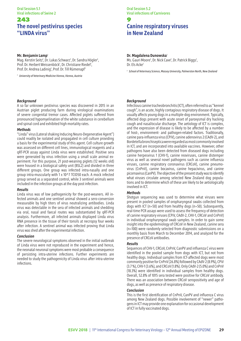#### Oral Session 5.1 Viral infections of Swine 2

## 243 **The novel pestivirus species "LINDA virus"**

#### **Mr. Benjamin Lamp**<sup>1</sup>

Mag. Kerstin Seitz<sup>1</sup>, Dr. Lukas Schwarz<sup>1</sup>, Dr. Sandra Högler<sup>1</sup>, Prof. Dr. Herbert Weissenböck<sup>1</sup>, Dr. Christiane Riedel<sup>1</sup>, Prof. Dr. Andrea Ladinig<sup>1</sup>, Prof. Dr. Till Rümenapf<sup>1</sup>

*<sup>1</sup> University of Veterinary Medicine Vienna, Vienna, Austria*

### Oral Session 5.2 Viral infections of Carnivores

## 0 **Canine respiratory viruses in New Zealand**

#### **Dr. Magdalena Dunowska**<sup>1</sup>

Ms. Gauri Moore<sup>1</sup>, Dr. Nick Cave<sup>1</sup>, Dr. Patrick Biggs<sup>1</sup> Dr. Els Acke1

*<sup>1</sup> School of Veterinary Science, Massey University, Palmerston North, New Zealand*

#### *Background*

A so far unknown pestivirus species was discovered in 2015 in an Austrian piglet producing farm during virological examinations of severe congenital tremor cases. Affected piglets suffered from pronounced hypomyelination of the white substance in cerebellum and spinal cord and exhibited high mortality rates.

#### *Methods*

"Linda" virus (Lateral shaking Inducing Neuro-Degenerative Agent") could readily be isolated and propagated in cell culture providing a basis for the experimental study of this agent. Cell culture growth was assessed on different cell lines, immunological reagents and a qRT-PCR assay against Linda virus were established. Positive sera were generated by virus infection using a small scale animal experiment. For this purpose, 21 post-weaning piglets (12 weeks old) were housed in a biological safety unit (BSL2) and divided in three different groups. One group was infected intra-nasally and one group intra-muscularly with 1 x 10^7 TCID50 each. A mock infected group served as a separated control, while 3 sentinel animals were included in the infection groups at the day post infection.

#### *Results*

Linda virus was of low pathogenicity for the post-weaners. All infected animals and one sentinel animal showed a sero-conversion measurable by high titers of virus neutralizing antibodies. Linda virus was detectable in the sera of infected animals and shedding via oral, nasal and faecal routes was substantiated by qRT-PCR analysis. Furthermore, all infected animals displayed Linda virus RNA presence in the tissue of their tonsils at necropsy four weeks after infection. A sentinel animal was infected proving that Linda virus was shed after the experimental infection.

#### *Conclusion*

The severe neurological symptoms observed in the initial outbreak of Linda virus were not reproduced in the experiment and hence, the neonatal neuronal symptoms were most probable a consequence of persisting intra-uterine infections. Further experiments are needed to study the pathogenicity of Linda virus after intra-uterine infections.

#### *Background*

Infectious canine tracheobronchitis (ICT), often referred to as "kennel cough", is an acute, highly contagious respiratory disease of dogs. It usually affects young dogs in a multiple-dog environment. Typically, affected dogs present with acute onset of paroxysmal dry hacking cough and nasal/ocular discharge. The aetiology of ICT is complex, and the expression of disease is likely to be affected by a number of host-, environment- and pathogen-related factors. Traditionally, canine para-influenza virus (CPiV), canine adenovirus 2 (CAdV-2), and Bordetella bronchiseptica were regarded as most commonly involved in ICT, and are incorporated into available vaccines. However, other pathogens have also been detected from diseased dogs including canine herpesvirus 1 (CHV-1), canine reoviruses, canine distemper virus as well as several novel pathogens such as canine influenza viruses, canine respiratory coronavirus (CRCoV), canine pneumovirus (CnPnV), canine bocavirus, canine hepacivirus, and canine picornavirus (CanPV). The objective of the present study was to identify what viruses circulate among selected New Zealand dog populations and to determine which of these are likely to be aetiologically involved in ICT.

#### *Methods*

Shotgun sequencing was used to determine what viruses were present in pooled samples of oropharyngeal swabs collected from dogs with ICT (n=50) and from healthy dogs (n=50). Subsequently, real-time PCR assays were used to assess the frequency of detection of canine respiratory viruses (CPiV, CAdV-2, CHV-1, CRCoV and CnPnV) in individual oropharyngeal swab samples. In order to gain some insight into the epidemiology of CRCoV in New Zealand, canine sera (n=100) were randomly selected from diagnostic submissions on a monthly basis from March to December 2014, and analyzed for the presence of CRCoV antibodies.

#### *Results*

Sequences of CHV-1, CRCoV, CnPnV, CanPV and influenza C virus were identified in the pooled sample from dogs with ICT, but not from healthy dogs. Individual samples from ICT-affected dogs were most commonly positive for CnPnV (26.8%) followed by CAdV-2 (8.9%), CPiV (3.7 %), CHV-1 (3.6%), and CRCoV (1.8%). Only CAdV-2 (5.0%) and CnPnV (18.3%) were identified in individual samples from healthy dogs. Overall, 52.8% of 1015 sera tested were positive for CRCoV antibody. There was an association between CRCoV seropositivity and age of dogs, as well as presence of respiratory disease.

#### *Conclusion*

This is the first identification of CnPnV, CanPV and influenza C virus among New Zealand dogs. Possible involvement of "newer" pathogens in ICT may provide one explanation for occasional development of ICT in fully vaccinated dogs.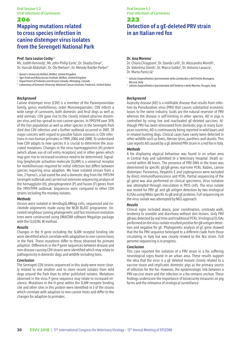# **Mapping mutations related to cross species infection in canine distemper virus isolates from the Serengeti National Park**

#### **Prof. Sara Louise Cosby**1,2

Ms. Judith Kennedy<sup>1</sup>, Mr. John Philip Earle<sup>1</sup>, Dr. Shadia Omar<sup>1</sup>, Dr. Haniah Abdullah<sup>1</sup>, Dr. Ole Nielsen<sup>3</sup>, Dr. Melody Roelke-Parker<sup>4</sup>

*<sup>1</sup> Queen's University Belfast, Belfast, United Kingdom*

- *<sup>2</sup> Agri-Food and Biosciences Institute, Belfast, United Kingdom*
- *<sup>3</sup> Department of Fisheries and Oceans Canada, Winnipeg, Canada*
- *<sup>4</sup> Laboratory of Genomic Diversity, National Cancer Institute, Frederick, United States*

#### *Background*

Canine distemper virus (CDV) is a member of the Paramyxoviridae family, genus morbillivirus, order Mononegavirales. CDV infects a wide range of carnivores, both domestic and feral dogs as well as wild animals. CDV gave rise to the closely related phocine distemper virus and has spread to non-canine species. In 1993/94 over 35% of the lion population as well as other species in the Serengeti Park died due CDV infection and a further outbreak occurred in 2001. Of major concern with regard to possible future zoonosis is CDV infections in non-human primates in 1989, 2006 and 2008. To understand how CDV adapts to new species it is crucial to determine the associated mutations. Changes in the virus haemagglutinin (H) protein (which allows use of cell entry receptors) and in other genes which may give rise to increased virulence need to be determined. Signalling lymphocyte activation molecule (SLAM) is a universal receptor for morbilliviruses required for initial infection but differs between species requiring virus adaption. We have isolated viruses from a lion, 2 hyena's, a bat eared fox and a domestic dog from the 1993/94 Serengeti outbreak and carried out extensive sequencing analysis of the hemagglutin (H), phosphoprotein (P) and fusion (F) genes from the 1993/1994 outbreak. Sequences were compared to other CDV strains including the monkey isolates.

#### *Methods*

Viruses were isolated in VeroDogSLAMtag cells, sequenced and nucleotide alignments made using the NCBI BLAST programme. Unrooted neighbour joining phylogenetic and fast minimum evolution trees were constructed using DNASTAR software Megalign package with the CLUSTAL W method.

#### *Results*

Changes in the H gene including the SLAM receptor binding site were identified which correlate with adaptation to non-canine hosts in the Park. These mutations differ to those observed for primate adaption. Differences in the P gene sequences between disease and non-disease causing CDV strains were identified which may relate to pathogenicity in domestic dogs and wildlife including lions.

#### *Conclusion*

The Serengeti CDV strains sequenced in this study were more closely related to one another and to more recent isolates from wild dogs around the Park than to other published isolates. Mutations observed in the virus P gene sequence may relate to increased virulence. Mutations in the H gene within the SLAM receptor binding site and other sites in this protein were identified in 3 of the strains which correlate with adaption to non-canine hosts and differ to the changes for adaption to primates.

Oral Session 5.2 Viral infections of Carnivores

# 223

# **Detection of a gE-deleted PRV strain in an Italian red fox**

#### **Dr. Ana Moreno**<sup>1</sup>

Dr. Chiara Chiapponi<sup>1</sup>, Dr. Davide Lelli<sup>1</sup>, Dr. Alessandra Morelli<sup>2</sup> Dr. Valentina Silenti<sup>2</sup>, Dr. Marco Gobbi<sup>2</sup>, Dr. Antonio Lavazza<sup>1</sup>, Dr. Marta Paniccià2

- *1 Istituto Zooprofilattico Sperimentale della Lombardia e dell'Emilia Romagna, Brescia, Italy*
- *2 Istituto Zooprofilattico Sperimentale dell'Umbria e delle Marche, Perugia, Italy*

#### *Background*

Aujeszky disease (AD) is a notifiable disease that results from infection by Pseudorabies virus (PRV) that causes substantial economic losses to the swine industry. Suids are the natural reservoir of PRV whereas the disease is self-limiting in other species. AD in pigs is controlled by using live and inactivated gE-deleted vaccines. Although PRV has been eliminated from domestic pigs in many European countries, AD is continuously being reported in wild boars and in related hunting dogs. Clinical cases have rarely been detected in other wildlife such as foxes, Iberian lynxs, panthers and skunks. This case reports AD caused by a gE deleted PRV strain in a red fox in Italy.

#### *Methods*

A fox displaying atypical behaviour was found in an urban area in Central Italy and submitted to a Veterinary Hospital. Death occurred within 48 hours. The presence of PRV DNA in the brain was determined by specific gE/gB genes real-time PCRs. Rabies, canine distemper, Parvovirus, Hepatitis E and Leptospirosis were excluded by direct immunofluorescence and PCRs. Partial sequencing of the gC gene was also performed on clinical specimens. Virus isolation was attempted through inoculation in PK15 cells. The virus isolate was tested for PRV gE and gB antigen detection by two virological ELISAs using MAbs specific to gB and gE proteins. Full sequencing on the virus isolate was attempted by NGS approach.

#### *Results*

Clinical signs included ataxia, poor coordination, unsteady walk, tendency to stumble and diarrhoea without skin lesions. Only PRV gB was detected by real time and traditional PCRs. Virological ELISAs performed on the virus isolate resulted positive for gB antigen detection and negative for gE. Phylogenetic analysis of gC gene showed that the fox PRV sequence belonged to a different clade from those circulating in Italy but was closely related to the Nia strain. Full genome sequencing is in progress.

#### *Conclusion*

This case reported the isolation of a PRV strain in a fox suffering neurological signs found in an urban area. These results support the idea that the virus is a gE deleted mutant closely related to a vaccine strain and implicates domestic pigs as the primary source of infection for the fox. However, the epidemiologic link between a PRV vaccine strain and the infection in a fox remains unclear. These findings underscore the importance of biosecurity measures on pig farms and the relevance of virological surveillance.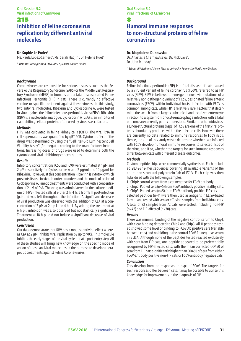Oral Session 5.2 Viral infections of Carnivores

# 215 **Inhibition of feline coronavirus replication by different antiviral molecules**

#### **Dr. Sophie Le Poder**<sup>1</sup>

Ms. Paula Lopez-Carnero<sup>1</sup>, Ms. Sarah Hadjih<sup>1</sup>, Dr. Hélène Huet<sup>1</sup>

*<sup>1</sup> UMR 1161 Virologie INRA-ENVA-ANSES, Maisons-Alfort, France*

#### *Background*

Coronaviruses are responsible for serious diseases such as the Severe Acute Respiratory Syndrome (SARS) or the Middle East Respiratory Syndrome (MERS) in humans and a fatal disease called Feline Infectious Peritonitis (FIP) in cats. There is currently no effective vaccine or specific treatment against these viruses. In this study, two antiviral molecules, Ribavirin and Cyclosporine A, were tested in vitro against the feline infectious peritonitis virus (FIPV). Ribavirin (RBV) is a nucleoside analogue. Cyclosporin A (CsA) is an inhibitor of cyclophilins, cellular proteins often used by viruses as cofactors.

#### *Methods*

FIPV was cultivated in feline kidney cells (CrFK). The viral RNA in cell supernatants was quantified by qRT-PCR. Cytotoxic effect of the drugs was determined by using the "CellTiter-Glo Luminescent Cell Viability Assay" (Promega) according to the manufacturer instructions. Increasing doses of drugs were used to determine both the cytotoxic and viral inhibithory concentrations.

#### *Results*

Inhibitory concentrations IC50 and IC90 were estimated at 1 μM and 2 μM respectively for Cyclosporine A and 2 μg/ml and 10 μg/ml for Ribavirin. However, at this concentration Ribavirin is cytotoxic which prevents its use in vivo. In order to understand the mode of action of Cyclosporine A, kinetic treatments were conducted with a concentration of 2 μM of CsA. The drug was administered in the culture medium of FIPV-infected cells at either 2 h, 4 h, 6 h or 18 h post-infection (p.i) and was left throughout the infection. A significant decrease of viral production was observed with the addition of CsA at a concentration of 2 μM at 2 h p.i and 4 h p.i. By adding the treatment at 6 h p.i, inhibition was also observed but not stastically significant. Treatment at 18 h p.i did not induce a significant decrease of viral production.

#### *Conclusion*

Our data demonstrate that RBV has a modest antiviral effect whereas CsA at 2 μM inhibits viral replication by up to 90%. This molecule inhibits the early stages of the viral cycle but at a post-entry step. All of these studies will bring new knowledge on the specific mode of action of these antiviral molecules in the purpose to develop therapeutic treatments against Feline Coronaviruses.

#### Oral Session 5.2 Viral infections of Carnivores

## 8

# **Humoral immune responses to non-structural proteins of feline coronavirus**

#### **Dr. Magdalena Dunowska**<sup>1</sup>

Dr. Anastasia Chernyavtseva<sup>1</sup>, Dr. Nick Cave<sup>1</sup>, Dr. John Munday<sup>1</sup>

*<sup>1</sup> School of Veterinary Science, Massey University, Palmerston North, New Zealand*

#### *Background*

Feline infectious peritonitis (FIP) is a fatal disease of cats caused by a virulent variant of feline coronavirus (FCoV), referred to as FIP virus (FIPV). FIPV is believed to emerge de novo via mutations of a relatively non-pathogenic variant of FCoV, designated feline enteric coronavirus (FECV), within individual hosts. Infection with FECV is common among cats, while FIP is relatively rare. Factors that determine the switch from a largely subclinical and localized enterocyte infection to a systemic monocyte/macrophage infection with a fatal outcome are currently poorly understood. Similar to other nidoviruses, non-structural proteins (nsps) of FCoV are one of the first viral proteins abundantly produced within the infected cells. However, there are currently no data related to immune responses to FCoV nsps. Hence, the aim of this study was to determine whether cats infected with FCoV develop humoral immune responses to selected nsps of the virus, and if so, whether the targets for such immune responses differ between cats with different disease outcomes.

#### *Methods*

Custom peptide chips were commercially synthesised. Each included 28,426 12-mer sequences covering all available variants of the entire non-structural polyprotein 1ab of FCoV. Each chip was then hybridised with the following samples:

- 1. Chip1: control serum from a cat negative for FCoV antibody.
- 2. Chip2: Pooled sera (n=5) from FCoV antibody positive healthy cats.

3. Chip3: Pooled sera (n=5) from FCoV antibody positive FIP cats. Selected peptides (n=11) were then used as antigens in ELISA-based format and tested with sera or effusion samples from individual cats. A total of 92 samples from 72 cats were tested, including non-FIP (n=42) and FIP-affected (n=30) cats.

#### *Results*

There was minimal binding of the negative control serum to Chip1, with clear binding detected to Chip2 and Chip3. All 11 peptides tested showed some level of binding to FCoV Ab positive sera (variable between cats) and no biding to the control FCoV Ab negative serum in ELISA. Although none of the peptides tested reacted exclusively with sera from FIP cats, one peptide appeared to be preferentially recognized by FIP-affected cats, with the mean corrected OD450 of sera from FIP cats significantly higher than OD450 of sera from either FCoV-antibody positive non-FIP cats or FCoV-antibody negative cats.

#### *Conclusion*

Cats develop immune responses to nsps of FCoV. The targets for such responses differ between cats. It may be possible to utilise this knowledge for improvements in the diagnosis of FIP.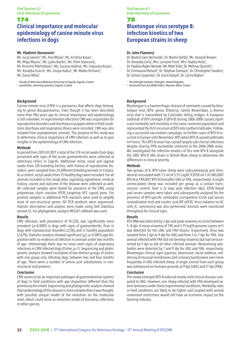# 174 **Clinical importance and molecular epidemiology of canine minute virus infections in dogs**

#### **Mr. Vladimir Stevanovic**<sup>1</sup>

Mr. Juraj Savoric<sup>1</sup>, Ms. Ana Miljan<sup>1</sup>, Ms. Kristina Kovac<sup>1</sup>, Ms. Maja Mauric<sup>1</sup>, Mr. Ljubo Barbic<sup>1</sup>, Mr. Vilim Staresina<sup>1</sup>, Mr. Kresimir Martinkovic<sup>1</sup>, Ms. Suzana Hadina<sup>1</sup>, Ms. Snjezana Kovac<sup>1</sup>, Ms. Koraljka Gracin<sup>2</sup>, Ms. Josipa Habus<sup>1</sup>, Mr. Matko Perharic<sup>1</sup>, Mr. Zoran Milas<sup>1</sup>

*<sup>1</sup> Faculty of Veterinary Medicine University of Zagreb, Zagreb, Croatia*

*<sup>2</sup> LunimirVet, veterinary practice, Zagreb, Croatia*

#### *Background*

Canine minute virus (CMV) is a parvovirus that affects dogs belonging to genus Bocaparvovirus. Even though it has been described more than fifty years ago its clinical importance and epidemiology is still unknown. In experimental infections CMV was responsible for reproductive disorders and diarrhoea in puppies while in field conditions diarrhoea and respiratory illness were recorded. CMV was also isolated from asymptomatic animals. The purpose of this study was to determine clinical importance of CMV infection as well as to give insights in the epidemiology of CMV infection.

#### *Methods*

In period from 2015 till 2017 a total of the 274 rectal swabs from dogs presented with signs of the acute gastroenteritis were collected at veterinary clinics in Zagreb. Additional rectal, nasal and vaginal swabs from 120 breeding bitches, with history of reproductive disorders, were sampled from 24 different breeding kennels in Croatia. As a control, rectal swabs from 75 healthy dogs were included. For all animals included in this study data, regarding signalment, medical history, course and outcome of the disease were collected as well. All collected samples were tested for presence of the CMV, using polymerase chain reaction (PCR) targeting VP2 capsid gene. For positive samples in additional PCR reactions were used to amplify most of non-structural genes. All PCR products were sequenced. Statistic description and analysis were made using Dell Statistica version 12. For phylogenetic analysis MEGA7 software was used.

#### *Results*

CMV infection, with prevalence of 10.22%, was significantly more prevalent (p<0.0001) in dogs with signs of gastroenteritis, than in dogs with reproduction disorders (2.5%) and in healthy population (2.67%). Statistics analysis showed significant ( $\chi$ 2, p=0.0013) age disposition with no evidence of infection in animals under two months of age. Interestingly there was no more overt signs of respiratory infections in CMV infected dogs (Fisher, p=1). Sequencing and phylogenetic analysis showed circulation of two distinct groups of strains with one group only infecting dogs between two and four months of age. There were a number of amino acid substitutions in nonstructural viral proteins.

#### *Conclusion*

CMV seems to be an important pathogen of gastrointestinal systems of dogs in field conditions with age disposition different than the previously described. Sequencing and phylogenetic analysis showed that epidemiology of this disease is more complex than it was thought, with possible unique model of the evolution on the molecular level, which could serve as evolution model of bocavirus infections in other species.

#### Oral Session 6.1 Viral infections of Carnivores

## 78

# **Bluetongue virus serotype 8: infection kinetics of two European strains in sheep**

#### **Dr. John Flannery**<sup>1</sup>

Dr. Beatriz Sanz-Bernardo<sup>1</sup>, Dr. Martin Ashby<sup>1</sup>, Ms. Hannah Brown<sup>1</sup>, Dr. Amanda Corla<sup>1</sup>, Mrs. Lorraine Frost<sup>1</sup>, Mrs. Hayley Hicks<sup>1</sup>, Dr. Paulina Rajko-Nenow<sup>1</sup>, Mr. Matt Tully<sup>1</sup>, Dr. Mehnaz Qureshi<sup>1</sup>, Dr. Emmanuel Bréard<sup>2</sup>, Dr. Stéphan Zientara<sup>2</sup>, Dr. Christopher Sanders<sup>1</sup>, Dr. Simon Carpenter<sup>1</sup>, Dr. Karin Darpel<sup>1</sup>, Dr. Carrie Batten<sup>1</sup>

*<sup>1</sup> The Pirbright Institute, Pirbright, United Kingdom*

*<sup>2</sup> Université Paris-Est ANSES Alfort, Maisons-Alfort, France*

#### *Background*

Bluetongue is a haemorrhagic disease of ruminants caused by bluetongue virus (BTV: genus Orbivirus, family Reoviridae), a diverse virus that is transmitted by Culicoides biting midges. A European outbreak of BTV serotype 8 (BTV-8) during 2006-2008 caused significant morbidity and mortality in the naive ruminant population and represented the first incursion of BTV into northern latitudes. Following a successful vaccination campaign, no further cases of BTV-8 occurred in Europe until November 2015 when BTV-8 caused outbreaks in France. This BTV-8 strain has caused largely sub-clinical infections despite sharing 99% nucleotide similarity to the 2006-2008 strain. We investigated the infection kinetics of this new BTV-8 alongside the 2007 BTV-8 UKG strain in British Mule sheep to determine the differences in clinical severity.

#### *Methods*

Two groups of 8, BTV-naïve sheep were subcutaneously and intradermal inoculated with 1.5 ml of 5.75 Log10 TCID50 ml-1 of UKG2007 BTV-8 or FRA2017 BTV-8 (hereafter UKG or FRA, respectively). A single uninoculated sheep was included per group as a contact transmission control. Over a 22 days post infection (dpi), EDTA blood and serum samples were taken and subsequently analysed for the presence of BTV-specific antibodies (competitive ELISA and serum neutralisation test) and nucleic acid (RT-qPCR). Virus isolation on KC cells (C. sonorensis) was also performed. Animals were monitored throughout for clinical signs.

#### *Results*

BTV RNA was detected by 2 dpi and peak viraemia occurred between 5–8 dpi. A mean viraemia of 7.05 and 5.75 log10 genome copies ml-1 was detected for the UKG and FRA strains, respectively. Virus was isolated from 2 dpi to 9 dpi for UKG and from 5 to 7 dpi for FRA. One animal infected with FRA did not develop viraemia but had seroconverted by 9 dpi as did all other infected animals. Neutralising antibodies were detected by 7 and 9 dpi for UKG and FRA, respectively. Bluetongue clinical signs (pyrexia, depression, facial oedema, reddening of mucosal membranes and coronary bands) were seen more frequently in UKG infected sheep. A single animal from each group was euthanized on humane grounds at 9 dpi (UKG) and 17 dpi (FRA).

#### *Conclusion*

The newly emerged BTV-8 induced mostly mild clinical disease compared to UKG. However, one sheep infected with FRA developed severe lameness under these experimental conditions. Morbidity rates in field conditions are likely to be higher and coupled with animal movement restrictions would still have an economic impact on the farming industry.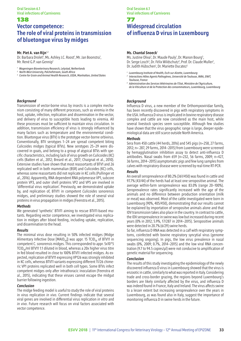# **Vector competence: The role of viral proteins in transmission of bluetongue virus by midges**

#### **Mr. Piet A. van Rijn**<sup>1,2</sup>

Dr. Barbara Drolet<sup>3</sup>, Ms. Ashley J.C. Roost<sup>1</sup>, Mr. Jan Boonstra<sup>1</sup>, Mr. René G.P. van Gennip<sup>1</sup>

*<sup>1</sup> Wageningen Bioveterinary Research, Lelystad, Netherlands*

- *<sup>2</sup> North-West University, Potchefstroom, South Africa*
- *<sup>3</sup> Centre for Grain and Animal Health Research, USDA, Manhattan, United States*

#### *Background*

Transmission of vector-borne virus by insects is a complex mechanism consisting of many different processes, such as viremia in the host, uptake, infection, replication and dissemination in the vector, and delivery of virus to susceptible hosts leading to viremia. All these processes must be sufficient to maintain virus circulation. In addition, transmission efficiency of virus is strongly influenced by many factors such as temperature and the environmental condition. Bluetongue virus (BTV) is the prototype vector-borne orbivirus. Conventionally, BTV serotypes 1–24 are spread competent biting Culicoides midges (typical BTVs). New serotypes 25–29 were discovered in goats, and belong to a group of atypical BTVs with specific characteristics, including lack of virus growth on Culicoides (KC) cells (Batten et al., 2012; Breard et al., 2017; Chaignat et al., 2010). Extensive studies have shown that most reassortants of BTV1 and 26 replicated well in both mammalian (BSR) and Culicoides (KC) cells, whereas some reassortants did not replicate in KC cells (Pullinger et al., 2016). Apparently, RNA dependent RNA polymerase VP1, subcore protein VP3, and outer shell proteins VP2 and VP5 are involved in 'differential virus replication'. Previously, we demonstrated uptake by, and replication of, BTV11 in competent *Culicoides* sonorensis midges, and preliminary studies showed the role of several viral proteins in virus propagation in midges (Feenstra et al., 2015).

#### *Methods*

We generated 'synthetic' BTV11 aiming to rescue BTV11-based mutants. Regarding vector competence, we investigated virus replication in midges after blood feeding, including uptake, replication, and dissemination to the head.

#### *Results*

The minimal virus dose resulting in 50% infected midges (Midge Alimentary Infective Dose [MAID $_{50}$ ]) was appr. 15 TCID $_{50}$  of BTV11 in competent C. sonorensis midges. This corresponded to appr. 5x10\*5 TCID50/ml BTV11 1:1 diluted in blood, whereas a 20x higher virus titre in fed blood resulted in close to 100% BTV11 infected midges. As expected, replication of BTV11 expressing VP126 was strongly inhibited in KC cells, whereas BTV11 variants expressing different 11/26 chimeric VP1 proteins replicated well in both cell types. Some BTVs infect competent midges only after intrathoracic inoculation (Feenstra et al., 2015), indicating that these viruses cannot escape the midgut barrier following ingestion.

#### *Conclusion*

The midge feeding model is useful to study the role of viral proteins in virus replication *in vivo*. Current findings indicate that several viral genes are involved in differential virus replication *in vitro* and *in vivo*. Future research will focus on viral factors associated with vector competence.

#### Oral Session 6.1 Viral infections of Carnivores

## 77 **Widespread circulation of influenza D virus in Luxembourg**

#### **Ms. Chantal Snoeck**<sup>1</sup>

Ms. Justine Oliva<sup>2</sup>, Dr. Maude Pauly<sup>1</sup>, Dr. Manon Bourg<sup>3</sup>, Dr. Serge Losch<sup>3</sup>, Dr. Félix Wildschutz<sup>3</sup>, Prof. Dr. Claude Muller<sup>1</sup> Dr. Judith Hübschen<sup>1</sup>, Dr. Mariette Ducatez<sup>2</sup>

- *<sup>1</sup> Luxembourg Institute of Health, Esch-sur-Alzette, Luxembourg*
- *2 Interactions Hôtes Agents Pathogènes, Université de Toulouse, INRA, ENVT, Toulouse, France*
- *3 Administration des Services Vétérinaires de l'Etat, Ministère de l'Agriculture, de la Viticulture et de la Protection des consommateurs, Luxembourg, Luxembourg*

#### *Background*

Influenza D virus, a new member of the Orthomyxoviridae family, has been recently discovered in pigs with respiratory symptoms in the USA. Influenza D virus is implicated in bovine respiratory disease complex and cattle are now considered as the main host, while several livestock species seem susceptible. Although few studies have shown that the virus geographic range is large, deeper epidemiological data are still scarce outside North America.

#### *Methods*

Sera from 450 cattle (44 herds, 2016) and 545 pigs (n=258, 27 farms, 2012; n= 287, 29 farms, 2014–2015) from Luxembourg were screened by hemagglutination inhibition assay to detect anti-influenza D antibodies. Nasal swabs from 659 (n=232, 56 farms, 2009; n=427, 36 farms, 2014–2015) asymptomatic pigs and few lung samples from calves with respiratory disease were screened by real-time RT-PCR.

#### *Results*

An overall seroprevalence of 80.2% (361/450) was found in cattle and 97.7% (43/44) of the herds had at least one seropositive animal. The average within-farm seroprevalence was 83.0% (range 20–100%). Seroprevalence rates significantly increased with the age of the animals and no difference between production orientation (milk or meat) was observed. Most of the cattle investigated were born in Luxembourg (90%, 405/450), demonstrating that our results cannot be explained by importation of seropositve animals alone and that IDV transmission takes also place in the country. In contrast to cattle, the IDV seroprevalence in swine was low but increased during recent years (0% in 2012; 5.9%, 17/287 in 2014–2015). Seropositive animals were detected in 20.7% (6/29) swine herds.

So far, influenza D RNA was detected in a calf with respiratory symptoms, coinfected with bovine respiratory syncytial virus (genome sequencing ongoing). In pigs, the low virus prevalence in nasal swabs (0%, 2009; 0.7%, 2014–2015) and the low viral RNA concentration (9.7 to 94.5 copies/μl) were not conducive to amplification of genetic material for sequencing.

#### *Conclusion*

The results of this study investigating the epidemiology of the newly discovered influenza D virus in Luxembourg showed that the virus is enzootic in cattle, similarly to what was reported in Italy. Considering trade and cross-border grazing, the regions beyond Luxembourg's borders are likely similarly affected by the virus, and influenza D was indeed found in France, Italy and Ireland. The virus affects swine to a lesser extent but increasing seroprevalence over the years in Luxembourg, as was found also in Italy, suggest the importance of monitoring influenza D in swine herds in the future.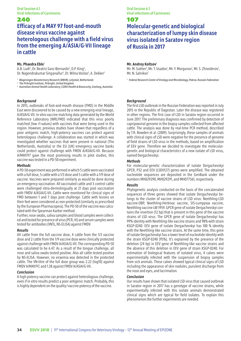# 240 **Efficacy of a MAY 97 foot-and-mouth disease virus vaccine against**

**heterologous challenge with a field virus from the emerging A/ASIA/G-VII lineage in cattle**

## **Ms. Phaedra Eble**<sup>1</sup>

A.B. Ludi<sup>2</sup>, Dr. Beatriz Sanz-Bernardo<sup>2</sup>, D.P. King<sup>2</sup>, Dr. Nagendrakumar Singanallur<sup>3</sup>, Dr. Wilna Vosloo<sup>3</sup>, A. Dekker<sup>1</sup>

*<sup>1</sup> Wageningen Bioveterinary Research (WBVR), Lelystad, Netherlands*

*<sup>2</sup> The Pirbright Institute, Pirbright, United Kingdom*

*<sup>3</sup> Australian Animal Health Laboratory, CSIRO-Health & Biosecurity, Geelong, Australia*

## *Background*

In 2015, outbreaks of foot-and-mouth disease (FMD) in the Middle East were discovered to be caused by a new emerging viral lineage, A/ASIA/G-VII. In vitro vaccine matching data generated by the World Reference Laboratory (WRLFMD) indicated that this virus poorly matched (low r1-values) with vaccines that were being used in the region. However, previous studies have shown that regardless of a poor antigenic match, high-potency vaccines can protect against heterologous challenge. A collaboration was started in which was investigated whether vaccines that were present in national (The Netherlands, Australia) or the EU (UK) emergency vaccine banks could protect against challenge with FMDV A/ASIA/G-VII. Because A/MAY/97 gave the most promising results in pilot studies, this vaccine was tested in a PD-50 experiment.

#### *Methods*

A PD-50 experiment was performed in which 5 cattle were vaccinated with a full dose, 5 cattle with a 1/3 dose and 5 cattle with a 1/9 dose of vaccine. Vaccines were prepared similarly as would be done during an emergency vaccination. All vaccinated cattle and 3 control cattle were challenged intra-dermolingually at 21 days post vaccination with FMDV A/ASIA/G-VII. Cattle were monitored for clinical signs of FMD between 1 and 7 days post challenge. Cattle with lesions on their feet were considered as non-protected (similarly as prescribed by the European Pharmacopeia). The PD-50 of the vaccine was calculated with the Spearman Karber method.

Further, nose swabs, saliva samples and blood samples were collected and tested for presence of virus (PCR, VI) and serum samples were tested for antibodies (VNTs, NS-ELISA) against FMDV.

#### *Results*

All cattle from the full vaccine dose, 4 cattle from the 1/3 vaccine dose and 2 cattle from the 1/9 vaccine dose were clinically protected against challenge with FMDV A/ASIA/G-VII. The corresponding PD-50 was calculated to be 6.47. As a result of the tongue challenge, all nose and saliva swabs tested positive. Also all cattle tested positive by NS-ELISA. However, no viraemia was detected in the protected cattle. The VN-titre of the full dose group was 2.22 (log10) against FMDV A/MAY/97, and 1.38 against FMDV A/ASIA/G-VII.

#### *Conclusion*

A high potency vaccine can protect against heterologous challenge, even if in vitro results predict a poor antigenic match. Probably, this is highly dependent on the quality / vaccine potency of the vaccine.

Oral Session 6.1 Viral infections of Carnivores

## 107

# **Molecular-genetic and biological characterization of lumpy skin disease virus isolated in Saratov region of Russia in 2017**

## **Mr. Andrey Koltsov**<sup>1</sup>

Mr. M. Sukher<sup>1</sup>, Mr. T. Usadov<sup>1</sup>, Mr. Y. Morgunov<sup>1</sup>, Mr. S. Zhivoderov<sup>1</sup>, Mr. N. Salnikov<sup>1</sup>

*<sup>1</sup> Federal Research Center of Virology and Microbiology, Pokrov, Russian Federation*

## *Background*

The first LSD outbreak in the Russian Federation was reported in July 2015 in the Republic of Dagestan. Later the disease was registered in other regions. The first case of LSD in Saratov region occurred in June 2017. The preliminary diagnosis was confirmed by detection of capripoxviral genome in the biopsy samples collected from affected cattle. The analysis was done by real-time PCR method, described by T.R. Bowden et al. (2009). Surprisingly, these samples of animals with clinical signs of LSD were negative for the presence of genome of field strains of LSD virus in the methods, based on amplification of EEV gene. Therefore we decided to investigate the moleculargenetic and biological characteristics of a new isolate of LSD virus, named Dergachevskyi.

#### *Methods*

For molecular-genetic characterization of isolate Dergachevskyi GPCR, P32 and EEV (LSDV127) genes were amplified. The obtained nucleotide sequences are deposited in the GenBank under the numbers MH029290, MH029291, and MH077561, respectively.

#### *Results*

Phylogenetic analysis conducted on the basis of the concatenated sequences of three genes showed that isolate Dergachevskyi belongs to the cluster of vaccine strains of LSD virus: Neethling-LSD vaccine-OBP, Neethling-Herbivac vaccine, SIS-Lumpyvax vaccine, Neethling vaccine LW 1959. GPCR gene of isolate Dergachevskyi contains the insertion (12 bp) that is present in this gene of the vaccine strains of LSD virus. The GPCR gene of isolate Dergachevskyi has 99% identity with Neethling-like vaccine strains and 98% with strain KSGP-0240. EEV gene of isolate Dergachevskyi has 100 % identity with the Neethling-like vaccine strains. At the same time, this gene of isolate Dergachevskyi has a lower level of nucleotide identity with the strain KSGP-0240 (95%). It's explained by the presence of the deletion (24 bp) in EEV gene of Neethling-like vaccine strains and the absence of this deletion in EEV gene of strain KSGP-0240. For estimation of biological features of isolated virus, 4 calves were experimentally infected with the suspension of biopsy samples from sick animals. These calves showed typical clinical signs of LSD including the appearance of skin nodules, purulent discharge from the nose and eyes, and lacrimation.

### *Conclusion*

Our results have shown that isolated LSD virus that caused outbreak in Saratov region in 2017 has a genotype of vaccine strains, while experimentally infected with this isolate animals demonstrated clinical signs which are typical for field isolates. To explain this phenomenon the further experiments are needed.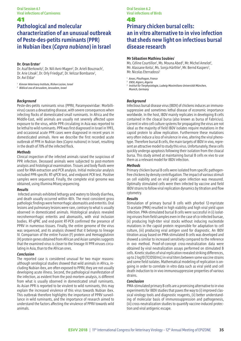## 41 **Pathological and molecular characterization of an unusual outbreak of Peste-des-petits ruminants (PPR) in Nubian ibex (***Capra nubiana***) in Israel**

#### **Dr. Oran Erster**<sup>1</sup>

Dr. Asaf Berkowitz', Dr. Nili Avni-Magen<sup>2</sup>, Dr. Arieli Bouznach', Dr. Arie Litvak<sup>2</sup>, Dr. Orly Friedgut<sup>1</sup>, Dr. Velizar Bombarov<sup>1</sup>, Dr. Avi Eldar1

*<sup>1</sup> Kimron Veterinary Institute, Rishon Lezion, Israel*

*<sup>2</sup> Biblical zoo of Jerusalem, Jerusalem, Israel*

#### *Background*

Peste-des-petits ruminants virus (PPRV, Paramyxoviridae: Morbillivirus) causes a devastating disease, with severe consequences when infecting flocks of domesticated small ruminants. In Africa and the Middle-East, wild animals are usually not severely affected upon exposure to the virus, while PPR circulating in Asia was reported to be lethal to wild ruminants. PPR was first diagnosed in Israel in 1993, and occasional acute PPR cases were diagnosed in recent years in domesticated animals. Here we describe the first recorded acute outbreak of PPR in Nubian ibex (*Capra nubiana*) in Israel, resulting in the death of 70% of the infected flock.

#### *Methods*

Clinical inspection of the infected animals raised the suspicious of PPR infection. Deceased animals were subjected to post-mortem analysis and histological examination. Tissues and body fluids were used for RNA extraction and PCR analysis. Initial molecular analysis included PPR-specific RT-qPCR test, and endpoint PCR test. Positive samples were sequenced. Finally, the complete viral genome was obtained, using Illumina Miseq sequencing.

#### *Results*

 Infected animals exhibited lethargy and watery to bloody diarrhea, and death usually occurred within 48 h. The most consistent gross pathologic findings were hemorrhagic abomasitis and enteritis. Oral lesions and pulmonary lesions were rare, contrary to what is usually observed in domesticated animals. Histological analysis revealed necrohemorrhagic enteritis and abomasitis, with viral inclusion bodies. RT-qPRC and end-point RT-PCR confirmed the presence of PPRV in numerous tissues. Finally, the entire genome of the virus was sequenced, and its analysis showed that it belongs to lineage IV. Comparison of the entire Fusion (F) protein and Hemagglutinin (H) protein genes obtained from African and Asian samples suggests that the examined virus is closer to the lineage IV PPR viruses circulating in Asia, than to the African ones.

#### *Conclusion*

The reported case is considered unusual for two major reasons: although serological studies showed that wild animals in Africa, including Nubian ibex, are often exposed to PPRV, they are not usually developing acute illness. Second, the pathological manifestation of the infection, as evident from the post-mortem analysis, is different from what is usually observed in domesticated small ruminants. As Asian PPR is reported to be virulent to wild ruminants, this may explain the increased virulence of this virus towards Nubian ibex. This outbreak therefore highlights the importance of PPRV surveillance in wild ruminants, and the importance of research aimed to understand the factors affecting the virulence of PPRV towards wild animals.

Oral Session 6.2 Viral infections of Birds

## 48

# **Primary chicken bursal cells: an in vitro alternative to in vivo infection that sheds new light on infectious bursal disease research**

#### **Mr Sébastien Mathieu Soubies**<sup>1</sup>

Ms. Céline Courtillon<sup>1</sup>, Ms. Mouna Abed<sup>2</sup>, Mr. Michel Amelot<sup>1</sup> Mr. Alassane Keita<sup>1</sup>, Ms. Sonja Härthle<sup>3</sup>, Mr. Bernd Kaspers<sup>3</sup>, Mr. Nicolas Eterradossi<sup>1</sup>

*<sup>1</sup> Anses, Ploufragan, France*

- *<sup>2</sup> ENSV, Algiers, Algeria*
- *3 Institut für Tierphysiologie, Ludwig-Maximilians-Universität München, Munich, Germany*

#### *Background*

Infectious bursal disease virus (IBDV) of chickens induces an immunosuppressive and sometimes lethal disease of economic importance worldwide. In the host, IBDV mainly replicates in developing B cells contained in the cloacal bursa (also known as bursa of Fabricius). Current in vitro cell culture systems for propagating the virus are not ideal as the majority of field IBDV isolates require mutations in the capsid protein to allow replication. Furthermore these mutations very often induce a loss of virulence in vivo, altering the viral phenotype. Therefore bursal B cells, the main targets of IBDV in vivo, represent an attractive model to study this virus. Unfortunately, these cells quickly undergo apoptosis following their isolation from the cloacal bursa. This study aimed at maintaining bursal B cells ex vivo to use them as a relevant model for IBDV infection.

#### *Methods*

Primary chicken bursal B cells were isolated from specific pathogenfree chickens by density centrifugation. The impact of various stimuli on cell viability and on viral yield upon infection was measured. Optimally stimulated cells were then infected by vaccine and field IBDV strains to follow viral replication dynamics by titration and flow cytometry.

#### *Results*

Stimulation of primary bursal B cells with phorbol 12-myristate 13-acetate (PMA) resulted in high viability and high viral yield upon infection. PMA-stimulated bursal B cells were successful in (i) isolating viruses from field samples even in the case of co-infected bursae, (ii) producing high-titer viral stocks without inducing nucleotide mutations in the capsid protein responsible for adaptation to cell culture, (iii) producing viral antigen used for diagnostic. An IBDV titration assay based on PMA-stimulated B cells was developed and showed a similar to increased sensitivity compared to the reference in ovo method. Proof-of-concept cross-neutralization data were obtained by viral neutralization assays performed on stimulated B cells. Kinetic studies of viral replication revealed striking differences, up to 2 log10 (TCID50/mL) in viral titers between some vaccine strains and some field isolates. Mathematical modeling of replication is ongoing in order to correlate in vitro data such as viral yield and cell death induction to in vivo immunosuppressive properties of various strains.

#### *Conclusion*

PMA-stimulated primary B cells are a promising alternative to in vivo experiments for IBDV studies that paves the way to (i) improved classical virology tools and diagnostic reagents, (ii) better understanding of molecular basis of immunosuppression and pathogenesis, (iii) cross-neutralization studies to quantify vaccine-induced protection and viral antigenic escape.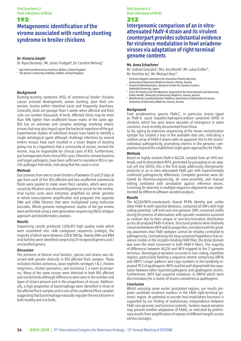# **Metagenomic identification of the virome associated with runting stunting syndrome in broiler chickens**

#### **Dr. Victoria Smyth<sup>1</sup>**

Dr. Ryan Devaney<sup>2</sup>, Mr. James Trudgett<sup>1</sup>, Dr. Caroline Meharg<sup>2</sup>

*<sup>1</sup> Agri-food and Biosciences Institute, Belfast, United Kingdom*

*<sup>2</sup> The Queen's University of Belfast, Belfast, United Kingdom*

#### *Background*

Runting-stunting syndrome (RSS) of commercial broiler chickens causes arrested development, severe stunting, poor feed conversion, lesions within intestinal tracts and frequently diarrhoea. Generally, birds are younger than 3 weeks when affected and flock culls can number thousands of birds. Affected chicks may be more than 50% lighter than unaffected house mates of the same age. RSS has an unknown and complex aetiology involving enteric viruses that may also impact upon the bacterial repertoire of the gut. Experimental studies of individual viruses have failed to identify a single aetiological agent although challenge infections by several enteric viruses have each resulted in a lesser degree of stunting giving rise to a hypothesis that a community of viruses, termed the virome, may be responsible for clinical cases of RSS. Furthermore, gut homogenates from clinical RSS cases, filtered to remove bacteria and larger pathogens, have been sufficient to reproduce RSS in specific pathogen free birds, indicating that the cause is viral.

#### *Methods*

Gut contents from two to seven broilers of between 13 and 21 days of age from each of five RSS-affected and two unaffected commercial flocks were pooled to make seven flock samples, which were processed by filtration and ultracentrifugation to enrich for the virome. Viral nucleic acids were extracted, amplified via whole genome or whole transcriptome amplification and prepared into separate DNA and cDNA libraries that were multiplexed using molecular barcodes. Whole genome metagenomic studies of the gut virome were performed using a next-generation sequencing (NGS) shotgun approach and bioinformatics analysis.

#### *Results*

Sequencing results produced 2,036,415 high quality reads which were assembled into >64k contiguous sequences (contigs), the majority of which were between 250 & 500 bp. Twenty DNA and RNA viral families were identified comprising 31 recognised genera and 7 unclassified genera.

#### *Discussion*

The presence of diverse viral families, species and strains was observed with greater diversity in RSS-affected flock samples. These included chicken astrovirus, avian nephritis serotypes 1 & 2, chicken megrivirus, chicken parvovirus, and sicinivirus 1, a novel picornavirus. Many of the same viruses were detected in both RSS affected and normal birds although differences were seen in the number and types of strains present and in the proportions of viruses. Additionally, a high proportion of bacteriophage were identified in three of the affected flock samples and in one of the unaffected flock samples suggesting that bacteriophage naturally regulate the microbiome in both healthy and sick birds.

Oral Session 6.2 Viral infections of Birds

#### 212

**Intergenomic comparison of an in vitroattenuated FAdV-4 strain and its virulent counterpart provides substantial evidence for virulence modulation in fowl aviadenoviruses via adaptation of right-terminal genome contents**

#### **Ms. Anna Schachner**<sup>1</sup>

Mr. Gabriel Gonzalez<sup>2</sup>, Mrs. Ana Marek<sup>3</sup>, Mr. Lukas Endler<sup>4</sup> Mr. Kimihito Ito<sup>2</sup>, Mr. Michael Hess<sup>1,5</sup>

- *1 Christian Doppler Laboratory for Innovative Poultry Vaccines,*
- *University of Veterinary Medicine Vienna, Vienna, Austria 2 Division of Bioinformatics, Research Center for Zoonosis Control,*
- *Hokkaido University, Japan*
- *Clinic for Poultry and Fish Medicine, Department for Farm Animals and Veterinary Public Health, University of Veterinary Medicine, Vienna, Austria*
- 
- *4 Bioinformatics and Biostatistics Platform, Department of Biomedical Sciences, University of Veterinary Medicine, Vienna, Austria*

#### *Background*

*3*

Fowl aviadenovirus species FAdV-C, in particular strains typed as FAdV-4, cause hepatitis-hydropericardium syndrome (HHS) in chickens, which has seen severe episodes of emergence in some countries, most recently documented from China.

So far, typing by extensive sequencing of the hexon neutralization epitope has created a bias in the available data sets, indicating a uniform array of FAdV-4 strains with no apparent link to the strains' individual pathogenicity, promoting interest in the genomic composition beyond the established single-gene approaches for FAdVs.

#### *Methods*

Based on highly virulent FAdV-4 AG234, isolated from an HHS-outbreak, and its descendant INT4, generated by passaging on an atypical cell line (QT35), this is the first study addressing intergenomic plasticity in an in vitro-attenuated FAdV pair with experimentally confirmed pathogenicity differences. Complete genomes were obtained by Illumina-sequencing, de novo-assembly, and manual editing combined with annotation against reference strains. Screening for diversity in multiple-sequence alignments was implemented by different software-assisted analyses.

## *Results*

The AG234/INT4-counterparts shared 99.9% identity and, unlike other FAdV-4s with reported deletions, contained all ORFs with high coding potential. Left-end and core-genomic ORFs remained stable during the process of attenuation, with sporadic mutations assumed as random due to their unique or non-discriminatory distribution across all analyzed FAdV-4 strains. Structural proteins were relatively conserved between INT4 and its progenitor, consistent with the growing awareness that FAdV epitopes cannot be reliably correlated to pathogenicity. Contradicting the long-sustained hypothesis that virulence resides in the receptor-binding FAdV fiber, the distal domain was even the most conserved in both FAdV-4 fibers. The majority of differences between AG234 and INT4 mapped to the 3'-genome terminus. Stereotypical variation occurred in non-coding, repetitive regions, particularly flanking a sequence stretch comprising ORF16 and ORF17. Longer patterns and copy numbers in the tandemly repeated TR-E of apathogenic INT4 could be well aligned with the separation between other reported pathogenic and apathogenic strains. Furthermore, INT4 had acquired mutations in ORF16 which were discriminatory for a cluster of strains considered as apathogenic.

#### *Conclusion*

Whilst outruling some earlier postulated regions, our results pinpoint candidate virulence markers in the FAdV right-terminal genomic region. Its potential to encode host-modulatory functions is supported by our finding of evolutionary independence between FAdV core-genomic and terminal contents. Tandem repeat-variation may present another adaptation of FAdVs, as indicated by preliminary results from amplification of repeats of different lengths across various passages.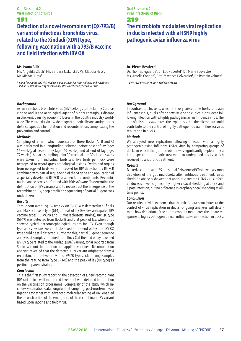Oral Session 6.2 Viral infections of Birds

# 151

# **Detection of a novel recombinant (QX-793/B) variant of infectious bronchitis virus, related to the Xindadi (XDN) type, following vaccination with a 793/B vaccine and field infection with IBV QX**

### **Ms. Ivana Bilic**<sup>1</sup>

Ms. Angelika Zloch<sup>1</sup>, Ms. Barbara Jaskulska<sup>1</sup>, Ms. Claudia Hess<sup>1</sup>, Mr. Michael Hess<sup>1</sup>

<sup>1</sup> Clinic for Poultry and Fish Medicine, Department for Farm Animals and Veterinary *Public Health, University of Veterinary Medicine Vienna, Vienna, Austria*

#### *Background*

Avian infectious bronchitis virus (IBV) belongs to the family Coronaviridae and is the aetiological agent of highly contagious disease in chickens, causing economic losses in the poultry industry worldwide. The virus exists in a wide range of genetically and antigenically distinct types due to mutation and recombination, complicating the prevention and control.

### *Methods*

Sampling of a farm which consisted of three flocks (A, B and C) was performed in a longitudinal scheme: before onset of lay (age: 17 weeks), at peak of lay (age: 40 weeks) and at end of lay (age: 72 weeks). At each sampling point 30 tracheal and 30 cloacal swabs were taken from individual birds and five birds per flock were necropsied to record gross pathological lesions. Swabs and organs from necropsied birds were processed for IBV detection by RT-PCR combined with partial sequencing of the S1 gene and application of a specially developed RT-PCR to screen for recombinants. Recombination analysis was performed with RDP software. To determine the distribution of IBV variants and to reconstruct the emergence of the recombinant IBV, deep amplicon sequencing of partial S1 gene was undertaken.

# *Results*

Throughout sampling IBV type 793/B (GI-13) was detected in all flocks and Massachusetts type (GI-1) at peak of lay. Besides anticipated IBV vaccine types (IB 793/B and IB Massachusetts strains), IBV QX type (GI-19) was detected from flocks B and C at peak of lay, when birds showed typical pathomorphological lesions for IBV. Even though typical IBV lesions were not observed at the end of lay, the IBV QX type could be still detected. Further to this, partial S1 gene sequence analysis of samples obtained from flock C at the end of lay revealed an IBV type related to the Xindadi (XDN) variant, so far reported from Spain without information on applied vaccines. Recombination analysis revealed that the detected XDN variant originated from a recombination between QX and 793/B types, identifying samples from the rearing farm (type 793/B) and the peak of lay (QX type) as pertinent parent strains.

# *Conclusion*

This is the first study reporting the detection of a new recombinant IBV variant in a well monitored layer flock with detailed information on the vaccination programme. Complexity of the study which includes vaccination data, longitudinal sampling, post-mortem investigations together with advanced molecular typing of IBV, enabled the reconstruction of the emergence of the recombinant IBV variant based upon vaccine and field virus.

# Oral Session 6.2 Viral infections of Birds

# 219

# **The microbiota modulates viral replication in ducks infected with a H5N9 highly pathogenic avian influenza virus**

### **Dr. Pierre Bessière**<sup>1</sup>

Dr. Thomas Figueroa<sup>1</sup>, Dr. Luc Robertet<sup>1</sup>, Dr. Marie Souvestre<sup>1</sup>, Ms. Amelia Coggon<sup>1</sup>, Prof. Maxence Delverdier<sup>1</sup>, Dr. Romain Volmer<sup>3</sup>

*<sup>1</sup> UMR 1225 INRA-ENVT IHAP, Toulouse, France*

### *Background*

In contrast to chickens, which are very susceptible hosts for avian influenza virus, ducks often show little or no clinical signs, even following infection with a highly pathogenic avian Influenza virus. The aim of this study was to test the hypothesis that the microbiota could contribute to the control of highly pathogenic avian Influenza virus replication in ducks.

# *Methods*

We analysed virus replication following infection with a highly pathogenic avian influenza H5N9 virus by comparing groups of ducks in which the gut microbiota was significantly depleted by a large spectrum antibiotic treatment to undepleted ducks, which received no antibiotic treatment.

### *Results*

Bacterial culture and 16S ribosomal RNA gene qPCR showed a strong depletion of the gut microbiota after antibiotic treatment. Virus shedding analysis showed that antibiotic-treated H5N9 virus infected ducks showed significantly higher cloacal shedding at day 3 and 5 post-infection, but no difference in oropharyngeal shedding at alltime points.

### *Conclusion*

Our results provide evidence that the microbiota contributes to the control of virus replication in ducks. Ongoing analyses will determine how depletion of the gut microbiota modulates the innate response to highly pathogenic avian influenza virus infection in ducks.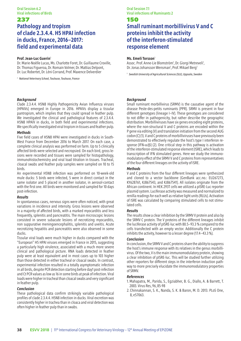Oral Session 6.2 Viral infections of Birds

# 237 **Pathology and tropism of clade 2.3.4.4. H5 HPAI infection in ducks, France, 2016–2017: field and experimental data**

# **Prof. Jean-Luc Guerin**<sup>1</sup>

Dr. Marie-Noëlle Lucas, Ms. Charlotte Foret, Dr. Guillaume Croville, Dr. Thomas Figueroa, Dr. Romain Volmer, Dr. Mattias Delpont, Dr. Luc Robertet, Dr. Léni Corrand, Prof. Maxence Delverdier

*<sup>1</sup> National Veterinary School, Toulouse, Toulouse, France*

# *Background*

Clade 2.3.4.4. H5N8 Highly Pathogenicity Avian Influenza viruses (HPAIVs) emerged in Europe in 2016. HPAIVs display a tissular pantropism, which implies that they could spread in feather pulp. We investigated the clinical and pathological features of 2.3.4.4. H5N8 HPAIV in ducks, in both field and experimental infections. We specifically investigated viral tropism in tissues and feather pulp.

### *Methods*

Five field cases of H5N8 HPAI were investigated in ducks in South-West France from December 2016 to March 2017. On each case, a complete clinical analysis was performed on farm. Up to 5 clinically affected birds were selected and necropsied. On each bird, gross lesions were recorded and tissues were sampled for histopathology, immunohistochemistry and viral load titration in tissues. Tracheal, cloacal swabs and feather pulp samples were sampled on 10 to 15 birds.

An experimental H5N8 infection was performed on 10-week-old mule ducks: 5 birds were infected, 5 were in direct contact in the same isolator and 5 placed in another isolator, in aerosol-contact with the first one. All birds were monitored and sampled for 10 days post-infection.

# *Results*

In spontaneous cases, nervous signs were often noticed, with great variations in incidence and intensity. Gross lesions were observed in a majority of affected birds, with a marked myocarditis and less frequently, splenitis and pancreatitis. The main microscopic lesions consisted in severe subacute lesions of necrotizing myocarditis, non suppurative meningoencephalitis, splenitis and uveitis. Acute necrotizing hepatitis and pancreatitis were also observed in some ducks.

Tissular viral loads were much higher in ducks compared with the "European" H5 HPAI viruses emerged in France in 2015, suggesting a particularly high virulence, associated with a much more severe clinical and pathological picture. RNA loads detected in feather pulp were at least equivalent and in most cases up to 103 higher than those detected in either tracheal or cloacal swabs. In contrast, experimental infection resulted in a totally asymptomatic infection in all birds, despite PCR detection starting before day1 post-infection and Ct PCR values as low as 16 in some birds at peak of infection. Viral loads were higher in tracheal than cloacal swabs and very significant in feather pulp.

# *Conclusion*

These pathological data confirm strikingly variable pathological profiles of clade 2.3.4.4. H5N8 infection in ducks. Viral excretion was consistently higher in trachea than in cloaca and viral detection was often higher in feather pulp than in swabs.

Oral Session 7.1 Viral infections of Ruminants 2

# 150

# **Small ruminant morbillivirus V and C proteins inhibit the activity of the interferon-stimulated response element**

# **Ms. Emeli Torsson**<sup>1</sup>

Assoc. Prof. Anne-Lie Blomström<sup>1</sup>, Dr. Giorgi Metreveli<sup>1</sup> Dr. Jonas Johansson Wensman<sup>1</sup>, Prof. Mikael Berg<sup>1</sup>

*<sup>1</sup> Swedish University of Agricultural Sciences (SLU), Uppsala, Sweden*

# *Background*

Small ruminant morbillivirus (SRMV) is the causative agent of the disease Peste-des-petits ruminants (PPR). SRMV is present in four different genotypes (lineage I–IV). These genotypes are considered to not differ in pathogenicity, but rather describe the geographic distribution. Morbilliviruses have six genes encoding eight proteins, where the non-structural V and C proteins are encoded within the P gene via editing (V) and translation initiation from the second AUG codon (C) (1). V and C proteins of morbilliviruses have previously been demonstrated to effectively regulate the host's type I interferon response (IFN- $α/β$ ) (2). One critical step in this pathway is activation of the interferon-stimulated response element (ISRE), which leads to transcription of IFN stimulated genes. Here we study the immunomodulatory effect of the SRMV V and C proteins from representatives of the four different lineages on the activity of ISRE.

# *Methods*

V and C proteins from the four different lineages were synthesized and cloned to a vector backbone (GenBank acc.no.: EU267273, KY628761, KJ867543, and KJ867541). All isolates originate from the African continent. In HEK 293T cells we utilized a pISRE-Luc reporter plasmid system. Luciferase activity was measured and normalized to renilla readings for each well as relative light units (RLUs). Activation of ISRE was calculated by comparing stimulated cells to not stimulated cells.

# *Results*

The results show a clear inhibition by the SRMV V protein and also by the SRMV C protein. The V proteins of the different lineages inhibit the luciferase activity of pISRE-luc with 80.5–93.3 % compared to the cells transfected with an empty vector. Additionally the C protein inhibits the activity, however to a lesser degree (17.4–43.3 %).

# *Conclusion*

In conclusion, the SRMV V and C proteins share the ability to suppress the host's immune response with its relatives in the genus morbillivirus. Of the two, V is the main immunomodulatory protein, showing a clear inhibition of pISRE-luc. This will be studied further utilizing other reporters for different steps in the interferon induction pathway to more precisely elucidate the immunomodulatory properties of SRMV.

# *References*

- 1. Mahapatra, M., Parida, S., Egziabher, B. G., Diallo, A. & Barrett, T. 2003. Virus Res, 96, 85-98
- 2. Chinnakannan, S. K., Nanda, S. K. & Baron, M. D. 2013. PLoS One, 8, e57063.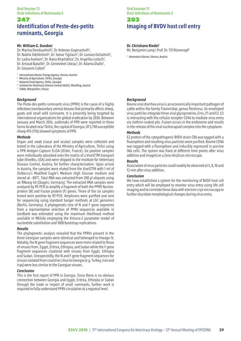# Oral Session 7.1 Viral infections of Ruminants 2

# 247 **Identification of Peste-des-petits ruminants, Georgia**

# **Mr. William G. Dundon**<sup>1</sup>

Dr. Marina Donduashvili<sup>2</sup>, Dr. Ketevan Goginashvili<sup>2</sup>, Dr. Natela Toklikishvili<sup>2</sup>, Dr. Tamar Tigilauri<sup>2</sup>, Dr. Lamara Gelashvili<sup>2</sup>, Dr. Lasha Avaliani<sup>3</sup>, Dr. Natia Khartskhia<sup>3</sup>, Dr. Angelika Loitsch<sup>4</sup>, Dr. Arnaud Bataille<sup>5</sup>, Dr. Geneviève Libeau<sup>5</sup>, Dr. Adama Diallo<sup>5</sup>, Dr. Giovanni Cattoli<sup>1</sup>

- *<sup>1</sup> International Atomic Energy Agency, Vienna, Austria*
- *<sup>2</sup> Ministry of Agriculture, Tbilisi, Georgia*
- *<sup>3</sup> National Food Agency, Tbilisi, Georgia*
- *<sup>4</sup> Institute for Veterinary Disease Control (AGES), Moedling, Austria*
- *<sup>5</sup> CIRAD, Montpellier, France*

# *Background*

The Peste-des-petits ruminants virus (PPRV) is the cause of a highly infectious transboundary animal disease that primarily affects sheep, goats and small wild ruminants. It is presently being targeted by international organizations for global eradication by 2030. Between January and March 2016, outbreaks of PPR were reported in three farms located near Tbilisi, the capital of Georgia. Of 3,740 susceptible sheep 415 (11%) showed symptoms of PPR.

### *Methods*

Organ and swab (nasal and ocular) samples were collected and tested in the Laboratory of the Ministry of Agriculture, Tbilisi using a PPR Antigen Capture ELISA (ID.Vet, France). Six positive samples were individually adsorbed onto the matrix of a ViveSTTM transport tube (ViveBio, USA) and were shipped to the Institute for Veterinary Disease Control, Austria, for further characterization. Upon arrival in Austria, the samples were eluted from the ViveSTTM with 1 ml of Dulbecco's Modified Eagle's Medium High Glucose medium and stored at –80°C. Total RNA was extracted from 200 µl aliquots using an RNeasy kit (Qiagen, Germany). The extracted RNA samples were analysed by RT-PCR to amplify a fragment of both the PPRV Nucleoprotein (N) and Fusion protein (F) genes. Three of the six samples tested were positive by RT-PCR. Amplicons were purified and sent for sequencing using standard Sanger methods at LGC genomics (Berlin, Germany). A phylogenetic tree of N and F gene segments from a representative selection of PPRV sequences available in GenBank was estimated using the maximum likelihood method available in MEGA6 employing the Kimura-2 parameter model of nucleotide substitution and 1000 bootstrap replications.

# *Results*

The phylogenetic analysis revealed that the PPRVs present in the three Georgian samples were identical and belonged to lineage IV. Notably, the N gene fragment sequences were more related to those of viruses from, Egypt, Eritrea, Ethiopia, and Sudan while the F gene fragment sequences clustered with viruses from Egypt, Ethiopia and Sudan. Unexpectedly, the N and F gene fragment sequences for viruses isolated from countries close to Georgia (e.g. Turkey, Iran and Iraq) were less similar to the Georgian viruses.

# *Conclusion*

This is the first report of PPR in Georgia. Since there is no obvious connection between Georgia and Egypt, Eritrea, Ethiopia or Sudan through the trade or import of small ruminants, further work is required to fully understand PPRV circulation at a regional level.

# Oral Session 7.1 Viral infections of Ruminants 2

# 203 **Imaging of BVDV host cell entry**

# **Dr. Christiane Riedel**<sup>1</sup>

Mr. Benjamin Lamp<sup>1</sup>, Prof. Dr. Till Rümenapf

*<sup>1</sup> Vetmeduni Vienna, Vienna, Austria*

# *Background*

Bovine viral diarrhea virus is an economically important pathogen of cattle within the family Flaviviridae, genus Pestivirus. Its enveloped virus particles integrate three viral glycoproteins, Erns, E1 and E2. E2 is interacting with the cellular receptor CD46 to mediate virus entry via clathrin-coated pits. Fusion occurs in the endosome and results in the release of the viral nucleocapsid complex into the cytoplasm.

# *Methods*

E2 protein of the cytopathogenic BVDV strain C86 was tagged with a fluorophore and resulting virus particles were purified. Bovine CD46 was tagged with a fluorophore and inducibly expressed in porcine SK6 cells. The system was fixed at different time points after virus addition and imaged on a Zeiss AiryScan microscope.

#### *Results*

Association of virus particles could readily be observed at 5, 8, 10 and 12 min after virus addition.

### *Conclusion*

We have established a system for the monitoring of BVDV host cell entry which will be employed to monitor virus entry using life cell imaging and to correlate these data with electron cryo microscopy to further elucidate morphological changes during virus entry.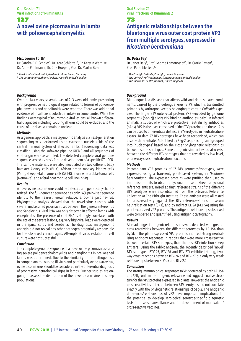# **A novel ovine picornavirus in lambs with polioencephalomyelitis**

#### **Mrs. Leonie Forth**<sup>1</sup>

Dr. Sandra F. E. Scholes<sup>2</sup>, Dr. Kore Schlottau<sup>1</sup>, Dr. Kerstin Wernike<sup>1</sup>, Dr. Anne Pohlmann<sup>1</sup>, Dr. Dirk Hoeper<sup>1</sup>, Prof. Dr. Martin Beer<sup>1</sup>

*<sup>1</sup> Friedrich-Loeffler-Institut, Greifswald - Insel Riems, Germany*

*<sup>2</sup> SAC Consulting Veterinary Services, Penicuik, United Kingdom*

# *Background*

Over the last years, several cases of 2–3 week old lambs presenting with progressive neurological signs related to lesions of polioencephalomyelitis and ganglionitis were reported. There was additional evidence of insufficient colostrum intake in some lambs. While the findings were typical of neurotropic viral lesions, all known differential diagnoses including Louping ill virus could be excluded and the cause of the disease remained unclear.

### *Methods*

As a generic approach, a metagenomic analysis via next-generation sequencing was performed using extracted nucleic acids of the central nervous system of affected lambs. Sequencing data was classified using the software pipeline RIEMS and all sequences of viral origin were assembled. The detected complete viral genome sequence served as basis for the development of a specific RT-qPCR. The sample materials were also inoculated on two different baby hamster kidney cells (BHK), African green monkey kidney cells (Vero), sheep fetal thymus cells (SFT-R), murine neuroblastoma cells (Neuro-2a), and a fetal goat tongue cell line (ZZ-R).

# *Results*

A novel ovine picornavirus could be detected and genetically characterized. The full-genome sequence has only 56% pairwise sequence identity to the nearest known relative, a bovine picornavirus. Phylogenetic analysis showed that the novel virus clusters with several unclassified picornaviruses between the genera Enterovirus and Sapelovirus. Viral RNA was only detected in affected lambs with encephalitis. The presence of viral RNA is strongly correlated with the site of the severe lesions, e.g. very high viral loads were detected in the spinal cords and cerebella. The diagnostic metagenomic analysis did not reveal any other pathogen potentially responsible for the observed clinical signs. Attempts at virus isolation in cell culture were not successful.

# *Conclusion*

The complete genome sequence of a novel ovine picornavirus causing severe polioencephalomyelitis and ganglionitis in pre-weaned lambs was determined. Due to the similarity of the pathogenesis in comparison to Louping ill virus and particularly ovine astrovirus, ovine picornavirus should be considered in the differential diagnosis of progressive neurological signs in lambs. Further studies are ongoing to assess the distribution of the novel picornavirus in sheep populations.

Oral Session 7.1 Viral infections of Ruminants 2

# 73

# **Antigenic relationships between the bluetongue virus outer coat protein VP2 from multiple serotypes, expressed in** *Nicotiana benthamiana*

### **Dr. Petra Fay**<sup>1</sup>

Dr. Janet Daly<sup>2</sup>, Prof. George Lomonossoff<sup>3</sup>, Dr. Carrie Batten<sup>1</sup>, Prof. Peter Mertens1,2

*<sup>1</sup> The Pirbright Institute, Pirbright, United Kingdom*

- *<sup>2</sup> The University of Nottingham, Sutton Bonington, United Kingdom*
- *<sup>3</sup> The John Innes Centre, Norwich, United Kingdom*

# *Background*

Bluetongue is a disease that affects wild and domesticated ruminants, caused by the bluetongue virus (BTV), which is transmitted primarily by arthropod-vectors belonging to certain *Culicoides* species. The larger BTV outer-coat protein, VP2 (encoded by genome segment-2 (Seg-2)) elicits VP2 binding antibodies (bAbs) in infected animals, a subset of which are protective neutralising antibodies (nAbs). VP2 is the least conserved of the BTV proteins and these nAbs can be used to differentiate distinct BTV 'serotypes' in neutralisationassays. To-date 27 BTV serotypes have been recognised, which can also be differentiated/identified by Seg-2 sequencing, and grouped into 'nucleotypes' based on the closer phylogenetic relationships between some serotypes. Some antigenic similarities do also exist between the different BTV serotypes that are revealed by low-level, or one-way cross-neutralisation reactions.

### *Methods*

Recombinant VP2 proteins of 17 BTV serotypes/topotypes, were expressed using a transient, plant-based system, in *Nicotiana benthamiana*. The expressed proteins were purified then used to immunise rabbits to obtain polyclonal antisera. Sheep polyclonal reference antisera, raised against reference strains of the different BTV serotypes were also obtained from the Orbivirus Reference Collection at The Pirbright Institute. These antisera were all tested for cross-reactivity against the BTV reference-strains in serum neutralisation tests (SNT), and by Indirect ELISA (I-ELISA) using the plant-expressed VP2 proteins. The antigenic relationships observed were compared and quantified using antigenic cartography.

#### *Results*

A broad range of antigenic relationships were detected, with greater cross-reactivities between the different serotypes by I-ELISA than by SNT. The plant-expressed VP2 proteins induced strong neutralising antibody responses in rabbits that were more cross-reactive between certain BTV serotypes, than the post-BTV-infection sheep antisera. Using the rabbit antisera, the recently described 'novel' BTV serotypes (BTV-25, BTV-26 and BTV-27) exhibited strong, twoway cross-reactions between BTV-26 and BTV-27 but only very weak relationships between BTV-25 and BTV-27.

#### *Conclusion*

The strong immunological responses to VP2 detected by both I-ELISA and SNT, confirm the antigenic relevance and suggest a native structure for the VP2 proteins expressed in plants. However, the antigenic cross-reactivities detected between BTV serotypes did not correlate exactly with the phylogenetic relationships of Seg-2. The antigenic differences/relationships of VP2 have important implications for the potential to develop serological serotype-specific diagnostic tests for disease surveillance and for development of multivalent/ cross-reactive vaccines.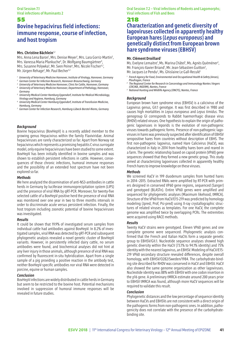# **Bovine hepacivirus field infections: immune response, course of infection, and host tropism**

### **Mrs. Christine Bächlein**1,2

Mrs. Anna Lena Baron<sup>1</sup>, Mrs. Denise Meyer<sup>1</sup>, Mrs. Lara Gorriz-Martin<sup>3</sup>, Mrs. Vanessa Maria Pfankuche4 , Dr. Wolfgang Baumgärtner4 , Mrs. Susanne Polywka<sup>5</sup>, Mr. Sven Peine<sup>6</sup>, Mrs. Nicole Fischer<sup>5,7</sup>, Mr. Jürgen Rehage<sup>3</sup>, Mr. Paul Becher<sup>1,2</sup>

- *<sup>1</sup> University of Veterinary Medicine Hannover, Institute of Virology, Hannover, Germany*
- *2 German Center for Infection Research, Hannover-Braunschweig, Germany*
- *<sup>3</sup> University of Veterinary Medicine Hannover, Clinic for Cattle, Hannover, Germany*
- *4 University of Veterinary Medicine Hannover, Department of Pathology, Hannover, Germany*
- *5 University Medical Center Hamburg Eppendorf, Institute for Medical Microbiology, Virology and Hygiene, Hamburg, Germany*
- *6 University Medical Center Hamburg Eppendorf, Institute of Transfusion Medicine, Hamburg, Germany*
- *<sup>7</sup> German Center for Infection Research, Hamburg-Lübeck-Borstel-Riems, Germany*

### *Background*

Bovine hepacivirus (BovHepV) is a recently added member to the growing genus Hepacivirus within the family Flaviviridae. Animal hepaciviruses are rarely characterized so far. Apart from Norway rat hepacivirus which represents a promising hepatitis C virus surrogate model, only equine hepaciviruses have been studied to some extent. BovHepV has been initially identified in bovine samples and was shown to establish persistent infections in cattle. However, consequences of those chronic infections, humoral immune responses and the possibility of an extended host spectrum have not been explored so far.

# *Methods*

We here analyzed the dissemination of anti-NS3-antibodies in cattle herds in Germany by luciferase immunoprecipitation system (LIPS) and the presence of viral RNA by qRT-PCR. Moreover, for twenty-five selected cattle of a BovHepV positive herd the presence of viral RNA was monitored over one year in two to three months intervals in order to discriminate acute versus persistent infection. Finally, the host tropism including zoonotic potential of bovine hepaciviruses was investigated.

#### *Results*

It could be shown that 19.9% of investigated serum samples from individual cattle had antibodies against BovHepV. In 8.2% of investigated samples, viral RNA was detected by qRT-PCR and subsequent phylogenetic analysis revealed a novel genetic cluster of BovHepV variants. However, in persistently infected dairy cattle, no serum antibodies were found, and biochemical analyses did not hint at any liver injury in those animals, although presence of viral RNA was confirmed by fluorescent in-situ hybridization. Apart from a single sample of a pig providing a positive reaction in the antibody test, neither BovHepV-specific antibodies nor viral RNA were detected in porcine, equine or human samples.

# *Conclusion*

BovHepV infections are widely distributed in cattle herds in Germany but seem to be restricted to the bovine host. Potential mechanisms involved in suppression of humoral immune responses will be revealed in future studies.

Oral Session 7.2 – Viral infections of Rodents and Lagomorphs; Viral infections of Fish and Bees

# 218

# **Characterization and genetic diversity of lagoviruses collected in apparently healthy European hares (***Lepus europaeus***) and genetically distinct from European brown hare syndrome viruses (EBHSV)**

# **Mr. Clément Droillard**<sup>1</sup>

Ms. Evelyne Lemaitre<sup>1</sup>, Ms. Marina Châtel<sup>1</sup>, Ms. Agnès Quéméner<sup>2</sup>, Mr. François-Xavier Briand<sup>1</sup>, Mr. Jean-Sébastien Guitton<sup>3</sup>

- Mr. Jacques Le Pendu<sup>2</sup>, Ms. Ghislaine Le Gall-Reculé
- <sup>1</sup> French Agency for Food, Environmental and Occupational Health & Safety (Anses),
- *Ploufragan, France The Regional Center for Research in Cancerology and Immunology Nantes / Angers 2 (CRCINA, INSERM), Nantes, France*
- *<sup>3</sup> National Hunting and Wildlife Agency (ONCFS), Nantes, France*

### *Background*

European brown hare syndrome virus (EBHSV) is a calicivirus of the Lagovirus genus, GII.1 genotype. It was first described in 1980 and causes high mortalities in *Lepus europaeus* and *Lepus timidus*. The genogroup GI corresponds to Rabbit haemorrhagic disease virus (RHDV)-related viruses. One hypothesis to explain the origin of pathogenic lagoviruses in leporids is the evolution of non-pathogenic viruses towards pathogenic forms. Presence of non-pathogenic lagoviruses in hares was previously suspected after identification of EBHSV seropositive hares from countries without description of EBHS. The first non-pathogenic lagovirus, named Hare Calicivirus (HaCV), was characterized in Italy in 2014 from healthy hares born and reared in a farm. The genetic relationship based on capsid protein (VP60) gene sequences showed that they formed a new genetic group. This study aimed at characterizing lagoviruses collected in apparently healthy French hares to improve knowledge on these viruses.

### *Methods*

We screened HaCV in 199 duodenum samples from hunted hares in 2014–2015. Extracted RNAs were amplified by RT-PCR with primers designed in conserved VP60 gene regions, sequenced (Sanger) and genotyped (BLASTn). Entire VP60 genes were amplified and sequenced for phylogenetic analyses (Maximum likehood, tMRCA). Structure of the VP60 from HaCV/E15-219 was predicted by homology modeling (Jpred, Prof, Psi-pred) using X-ray crystallographic structures of related viruses as templates. For one HaCV, the complete genome was amplified twice by overlapping PCRs. The extremities were acquired using RACE methods.

#### *Results*

Twenty HaCV strains were genotyped. Eleven VP60 genes and one complete genome were sequenced. Phylogenetic analysis confirmed that the French and Italian HaCVs form a separate genetic group to EBHSV/GII.1. Nucleotide sequence analyses showed high genetic diversity within the HaCV (73.1% to 94.1% identity) and 75% identity with the nearest lagovirus, an EBHSV. Modeling of HaCV/E15- 219 VP60 secondary structure revealed differences, despite overall homology, with EBHSV/O282/Sweden/1984. The carbohydrate-binding site described for RHDV was conserved in HaCV and EBHSV. HaCV also showed the same genome organization as other lagoviruses. Nucleotide identity was 88% with EBHSV with one codon insertion in the p16 gene. A preliminary tMRCA estimate around 200 years prior to EBHSV tMRCA was found, although more HaCV sequences will be required to validate this result.

#### *Conclusion*

Phylogenetic distances and the low percentage of sequence identity between HaCVs and EBHSVs are not consistent with a direct origin of the pathogenic forms from non-pathogenic ones. In addition, pathogenicity does not correlate with the presence of the carbohydratebinding site.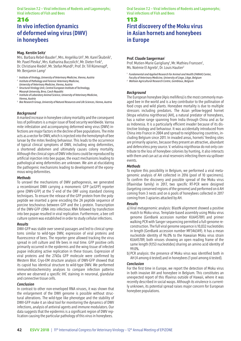Oral Session 7.2 – Viral infections of Rodents and Lagomorphs; Viral infections of Fish and Bees

# 216 **In vivo infection dynamics of deformed wing virus (DWV) in honeybees**

# **Mag. Kerstin Seitz**<sup>1</sup>

Mrs. Barbara Rebel-Bauder<sup>2</sup>, Mrs. Angelika Url<sup>2</sup>, Mr. Karel Skubník<sup>3</sup>, Mr. Pavel Plevka<sup>3</sup>, Mrs. Katharina Buczolich<sup>1</sup>, Mr. Dieter Fink<sup>4</sup>, Dr. Christiane Riedel<sup>1</sup>, Mr. Stefan Mandl<sup>5</sup>, Prof. Dr. Till Rümenapf<sup>1</sup>, Mr. Benjamin Lamp<sup>1</sup>

- *1 Institute of Virology, University of Veterinary Medicine, Vienna, Austria*
- *2 Institute of Pathology and Forensic Veterinary Medicine,*
- *University of Veterinary Medicine, Vienna, Austria*
- *3 Structural Virology Unit, Central European Institute of Technology, Masaryk University, Brno, Czech Republic*
- *4 Institute of Laboratory Animal Science, University of Veterinary Medicine, Vienna, Austria*
- *<sup>5</sup> Bee Research Group, University of Natural Resources and Life Sciences, Vienna, Austria*

#### *Background*

A marked increase in honeybee colony mortality and the consequent loss of pollinators is a major issue of food security worldwide. Varroa mite infestation and accompanying deformed wing virus (DWV) infections are major factors in the decline of bee populations. The mite acts as a vector for DWV, which is injected into the hemolymph of bee larvae by the mites feeding behaviour. This leads to the occurrence of typical clinical symptoms of DWV, including wing deformities, a shortened abdomen and ultimately causes colony mortality. Although the clinical signs of DWV infections could be reproduced by artificial injection into bee pupae, the exact mechanisms leading to pathological wing deformities are unknown. We aim at elucidating the pathogenic mechanisms leading to development of the eponymous wing deformities.

#### *Methods*

To unravel the mechanisms of DWV pathogenesis, we generated a recombinant DWV carrying a monomeric GFP (acGFP) reporter gene (DWV-GFP) at the 5'-end of the ORF using standard cloning techniques. To ensure the release of the GFP protein from the polypeptide we inserted a gene encoding the 2A peptide sequence of porcine teschovirus between GFP and the L-protein. Transcription of the DWV-GFP cDNA into infectious RNA followed by transfection into bee pupae resulted in viral replication. Furthermore, a bee cell culture system was established in order to study cellular infections.

#### *Results*

DWV-GFP was stable over several passages and led to clinical symptoms similar to wild-type DWV, expression of viral proteins and fluorescence of bees. The reporter gene allowed tracking the virus spread in cell culture and life bees in real time. GFP positive cells primarily occurred in the epidermis and the wing tissue of infected pupae indicating active replication in these tissues. Expression of viral proteins and the 27kDa GFP molecule were confirmed by Western Blot. Cryo-EM structure analysis of DWV-GFP showed that its capsid has identical structure to wild-type DWV. We performed immunohistochemistry analyses to compare infection patterns where we observed a specific IHC staining in neuronal, glandular and connective tissue cells.

# *Conclusion*

In contrast to other non-enveloped RNA viruses, it was shown that the enlargement of the DWV genome is possible without structural alterations. The wild-type like phenotype and the stability of DWV-GFP make it an ideal tool for monitoring the dynamics of DWV infections, analysis of antiviral agents and immune modulators. Our data suggests that the epidermis is a significant region of DWV replication causing the particular pathology of this virus in honeybees.

Oral Session 7.2 – Viral infections of Rodents and Lagomorphs; Viral infections of Fish and Bees

# 113

# **First discovery of the Moku virus in Asian hornets and honeybees in Europe**

#### **Prof. Claude Saegerman**<sup>1</sup>

Prof. Mutien-Marie Garigliany<sup>1</sup>, Mr. Mathieu Franssen<sup>1</sup>, Ms. Noëmie El Agrebi<sup>1</sup>, Dr. Louis Hautier<sup>2</sup>

- *1 Fundamental and Applied Research for Animal and Health (FARAH) Center,*
- *Faculty of Veterinary Medicine, University of Liege, Liège, Belgium*
- *<sup>2</sup> Walloon Agricultural Research Centre, Gembloux, Belgium*

#### *Background*

The European honeybee (Apis mellifera) is the most commonly managed bee in the world and is a key contributor to the pollination of food crops and wild plants. Honeybee mortality is due to multiple stressors including predators. The Asian yellow-legged hornet (Vespa velutina nigrithorax) (AH), a natural predator of honeybees, has a native range spanning from India through China and as far as Indonesia. It is a particularly efficient invader because of its distinctive biology and behaviour. It was accidentally introduced from China into France in 2004 and spread to neighbouring countries, including Belgium since 2011. In invaded areas, hornets' feeding sites are primarily apiaries, because they present an attractive, abundant and defenceless prey source. V. velutina nigrithorax do not only contribute to the loss of honeybee colonies by hunting, it also interacts with them and can act as viral reservoirs infecting them via spillover events.

### *Methods*

To explore this possibility in Belgium, we performed a viral metagenomic analysis of AH collected in 2016 (pool of 10 specimens). To confirm the discovery and possible spread of the Moku virus (Iflaviridae family) in 2017, two specific RT-PCR were designed (targeting conserved regions of the genome) and performed on 6 AH coming from 3 nests and on 6 pools of honeybees collected in 2017 coming from 3 apiaries attacked by AH.

#### *Results*

- a) Viral metagenomic analysis: BlastN alignment showed a positive match to Moku virus. Template-based assembly using Moku virus genome (GenBank accession number KU645789) and primer walking PCR with Sanger sequencing permitted a full-genome reconstruction. The full viral genome sequence is 10,032 nucleotides in length (GenBank accession number MF346349). It has a mean nucleotide identity of 96.0% to the Hawaiian Moku virus strain KU645789, both viruses showing an open reading frame of the same length (9,153 nucleotides) sharing an amino acid identity of 99.0%.
- b) PCR analysis: the presence of Moku virus was identified both in AH (4 among 6 tested) and in honeybees (1 pool among 6 tested).

#### *Conclusion*

For the first time in Europe, we report the detection of Moku virus in both invasive AH and honeybee in Belgium. This constitutes an unexpected report of this Iflavirus outside of Hawaii, where it was recently described in social wasps. Although its virulence is currently unknown, its potential spread raises major concern for European honeybee populations.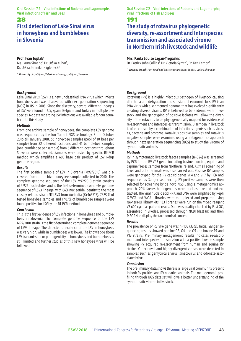Oral Session 7.2 – Viral infections of Rodents and Lagomorphs; Viral infections of Fish and Bees

# 28

# **First detection of Lake Sinai virus in honeybees and bumblebees in Slovenia**

### **Prof. Ivan Toplak**<sup>1</sup>

Ms. Laura Šimenc<sup>ı</sup>, Dr. Urška Kuhar<sup>ı</sup>, Dr. Urška Jamnikar Ciglenečki<sup>1</sup>

*<sup>1</sup> University of Ljubljana, Veterinary Faculty, Ljubljana, Slovenia*

### *Background*

Lake Sinai virus (LSV) is a new unclassified RNA virus which infects honeybees and was discovered with next generation sequencing (NGS) in US in 2008. Since the discovery, several different lineages of LSV were found in US, Spain, Belgium and Turkey in multiple bee species. No data regarding LSV infections was available for our country until this study.

### *Methods*

From one archive sample of honeybees, the complete LSV genome was sequenced by the Ion Torrent NGS technology. From October 2016 till January 2018, 56 honeybee samples (pool of 10 bees per sample) from 32 different locations and 41 bumblebee samples (one bumblebee per sample) from 5 different locations throughout Slovenia were collected. Samples were tested by specific RT-PCR method which amplifies a 603 base pair product of LSV RdRp genome region.

### *Results*

The first positive sample of LSV in Slovenia (M92/2010) was discovered from an archive honeybee sample collected in 2010. The complete genome sequence of the LSV M92/2010 strain consists of 5.926 nucleotides and is the first determined complete genome sequence of LSV3 lineage, with 86% nucleotide identity to the most closely related strain NT-LSV3 from Australia (KY465717). 75.92% of tested honeybee samples and 17.07% of bumblebee samples were found positive for LSV by the RT-PCR method.

# *Conclusion*

This is the first evidence of LSV infections in honeybees and bumblebees in Slovenia. The complete genome sequence of the LSV M92/2010 strain is the first determined complete genome sequence of LSV3 lineage. The detected prevalence of the LSV in honeybees was very high, while in bumblebees was lower. The knowledge about LSV transmission or pathogenicity in honeybees and bumblebees is still limited and further studies of this new honeybee virus will be followed.

Oral Session 7.2 – Viral infections of Rodents and Lagomorphs; Viral infections of Fish and Bees

# 191

# **The study of rotavirus phylogenetic diversity, re-assortment and Interspecies transmission and associated virome in Northern Irish livestock and wildlife**

### **Mrs. Paula Louise Lagan-Tregaskis**<sup>1</sup>

Dr. Patrick John Collins<sup>1</sup>, Dr. Victoria Symth<sup>1</sup>, Dr. Ken Lemon<sup>1</sup>

*<sup>1</sup> Virology Branch, Agri-Food and Biosciences Institute, Belfast, United Kingdom*

#### *Background*

Rotavirus (RV) is a highly infectious pathogen of livestock causing diarrhoea and dehydration and substantial economic loss. RV is an RNA virus with a segmented genome that has evolved significantly creating diverse strains. RV is believed to be endemic within livestock and the genotyping of positive isolates will allow the diversity of the rotavirus to be phylogenetically mapped for evidence of re-assortment and interspecies transmission. Diarrhoea in livestock is often caused by a combination of infectious agents such as viruses, bacteria and protozoa. Rotavirus positive samples and rotavirus negative samples were examined using a metagenomics approach through next generation sequencing (NGS) to study the virome of symptomatic animals.

# *Methods*

RV in symptomatic livestock faeces samples (n=326) was screened by PCR for the RV VP6 gene including bovine, porcine, equine and caprine faeces samples from Northern Ireland. A small screening of foxes and other animals was also carried out. Positive RV samples were genotyped for the RV capsid genes VP4 and VP7 by PCR and sequenced by Sanger sequencing. RV positive samples were then selected for screening by de novo NGS using a metagenomics approach. 20% faeces homogenates were nuclease treated and extracted. The viral nucleic acid RNA and DNA were amplified by Repli G WTA and WGA. Libraries were multiplexed and prepared using Nextera-XT library kits. 133 libraries were run on the MiSeq reagent V3 600 cycle as pairend reads. Data was quality checked by Fast QC, assembled in SPAdes, processed through NCBI blast (n) and then MEGAN to display the taxonomical content.

### *Results*

The prevalence of RV VP6 gene was n=108 (33%). Initial Sanger sequencing results showed porcine G3, G4 and G5 and bovine P7 and P13 strains. Preliminary metagenomic results indicates re-assortment and interspecies transmission with a positive bovine sample showing RV acquired re-assortment from human and equine RV strains. Other novel and highly divergent viruses were detected in samples such as gemycircularvirus, smacovirus and odonata-associated virus.

#### *Conclusion*

The preliminary data shows there is a large viral community present in both RV positive and RV negative animals. The metagenomic profiling through NGS data set will give a better understanding of the symptomatic virome in livestock.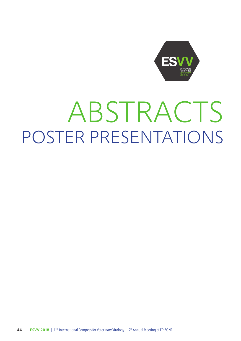

# ABSTRACTS POSTER PRESENTATIONS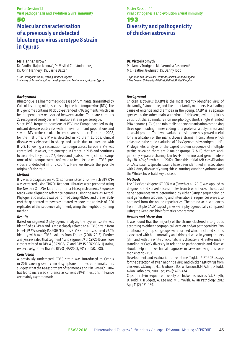# 50 **Molecular characterisation of a previously undetected bluetongue virus serotype 8 strain in Cyprus**

### **Ms. Hannah Brown**<sup>1</sup>

Dr. Paulina Rajko-Nenow<sup>1</sup>, Dr. Vasiliki Christodoulou<sup>2</sup>, Dr. John Flannery<sup>1</sup>, Dr. Carrie Batten<sup>1</sup>

*<sup>1</sup> The Pirbright Institute, Woking, United Kingdom*

*<sup>2</sup> Ministry of Agriculture, Rural development and Environment, Nicosia, Cyprus*

# *Background*

Bluetongue is a haemorrhagic disease of ruminants, transmitted by Culicoides biting midges, caused by the bluetongue virus (BTV). The BTV genome contains 10 double-stranded RNA segments which can be independently re-assorted between strains. There are currently 27 recognised serotypes, with multiple strains per serotype.

Since 1998, frequent incursions of BTV into Europe have led to significant disease outbreaks within naïve ruminant populations and several BTV strains circulate in central and southern Europe. In 2006, for the first time, BTV was detected in Northern Europe. Clinical disease was observed in sheep and cattle due to infection with BTV-8. Following a vaccination campaign across Europe BTV-8 was controlled. However, it re-emerged in France in 2015 and continues to circulate. In Cyprus 2016, sheep and goats showing clinical symptoms of bluetongue were confirmed to be infected with BTV-8, previously undetected in this country. Here we discuss the possible origins of this strain.

### *Method*

BTV was propagated on KC (C. sonorensis) cells from which BTV RNA was extracted using TRIZOL Reagent. Libraries were prepared using the Nextera XT DNA kit and run on a Mised instrument. Sequence reads were aligned to reference genomes using the BWA-MEM tool. Phylogenetic analysis was performed using MEGA7 and the reliability of the generated trees was estimated by bootstrap analysis of 1000 replicates of the sequence alignment, using the neighbour-joining method.

#### *Results*

Based on segment 2 phylogenic analysis, the Cyprus isolate was identified as BTV-8 and is most closely related to a BTV-8 strain from Israel (99.6% identity ISR2008/13). This BTV-8 strain also shared 99.4% identity with two BTV-8 isolates from France (2008, 2015). Further analysis revealed that segment 4 and segment 9 of CYP2016 are more closely related to BTV-4 (ISR2006/12) and BTV-15 (ISR2006/11) stains, respectively, rather than to BTV-8 (FRA2008, 2015 or ISR2008).

# *Conclusion*

A previously undetected BTV-8 strain was introduced to Cyprus in 2016 causing overt clinical symptoms in infected animals. This suggests that the re-assortment of segment 4 and 9 in BTV-8 CYP2016 has led to increased virulence as current BTV-8 infections in France are mainly asymptomatic.

### Poster Session 1.1 Viral pathogenesis and evolution & viral immunity

# 193 **Diversity and pathogenicity of chicken astrovirus**

# **Dr. Victoria Smyth**<sup>1</sup>

Mr. James Trudgett<sup>1</sup>, Ms. Veronica Casement<sup>1</sup>, Ms. Heather Jewhurst<sup>2</sup>, Dr. Danny Todd<sup>1</sup>

*<sup>1</sup> Agri-food and Biosciences Institute, Belfast, United Kingdom <sup>2</sup> The Queen's University of Belfast, Belfast, United Kingdom*

# *Background*

Chicken astrovirus (CAstV) is the most recently identified virus of the family, Astroviridae, and like other family members, is a leading cause of enteritis and diarrhoea in the young. CAstV is a separate species to the other main astrovirus of chickens, avian nephritis virus, but shares similar virion morphology; short, single stranded RNA genome (~7kb) and minimalistic gene organisation comprising three open reading frames coding for a protease, a polymerase and a capsid protein. The hypervariable capsid gene has proved useful for classification of the many, diverse strains in circulation which arise due to the rapid evolution of CAstV genomes by antigenic drift. Phylogenetic analysis of the capsid protein sequence of multiple strains revealed there are 2 major groups (A & B) that are antigenically separate sharing low levels of amino acid genetic identity (38–40%; Smyth et al, 2012). Since this initial A/B classification of CAstV strains, specific strains have been identified in association with kidney disease of young chicks, runting stunting syndrome and the White Chicks hatchery disease.

#### *Methods*

The CAstV capsid gene RT-PCR test (Smyth et al., 2010) was applied to diagnostic and surveillance samples from broiler flocks. The capsid gene sequences were determined by either Sanger sequencing or next generation sequencing and international sequences were also obtained from the online repositories. The amino acid sequences from multiple CAstV capsid genes were phylogenetically compared using the Geneious bioinformatics programme.

### *Results and Discussion*

It was found that the majority of the strains clustered into groups according to either geographical location and/or pathogenicity. Two additional B group subgroups were formed which included strains associated with high mortality and kidney disease in young broilers (Biii) and with the white chicks hatchery disease (Biv). Better understanding of CAstV diversity in relation to pathogenesis and disease should help improve clinical diagnoses in cases involving this common enteric virus.

Development and evaluation of real-time TaqMan® RT-PCR assays for the detection of avian nephritis virus and chicken astrovirus from chickens. V.J. Smyth, H.L. Jewhurst, D.S. Wilkinson, B.M. Adair, D. Todd. Avian Pathology, 2010 Dec; 39 (6): 467–474.

Capsid protein sequence diversity of chicken astrovirus. V.J. Smyth, D. Todd, J. Trudgett, A. Lee and M.D. Welsh. Avian Pathology, 2012 Apr; 41 (2): 151–159.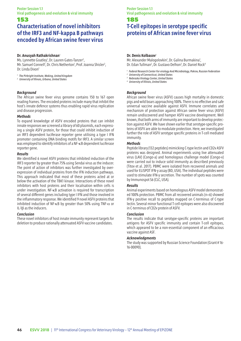# **Characterisation of novel inhibitors of the IRF3 and NF-kappa B pathways encoded by African swine fever virus**

# **Dr. Anusyah Rathakrishnan**<sup>1</sup>

Ms. Lynnette Goatley<sup>1</sup>, Dr. Lauren Gates-Tanzer<sup>2</sup>, Mr. Samuel Connell<sup>1</sup>, Dr. Chris Netherton<sup>1</sup>, Prof. Joanna Shisler<sup>2</sup>, Dr. Linda Dixon<sup>1</sup>

*<sup>1</sup> The Pirbright Institute, Woking, United Kingdom*

*<sup>2</sup> University of Illinois, Urbana, United States*

# *Background*

The African swine fever virus genome contains 150 to 167 open reading frames. The encoded proteins include many that inhibit the host's innate defence systems thus enabling rapid virus replication and disease progression.

# *Methods*

To expand knowledge of ASFV encoded proteins that can inhibit innate responses we screened a library of 60 plasmids, each expressing a single ASFV protein, for those that could inhibit induction of an IRF3 dependent luciferase reporter gene utilising a type I IFN promoter containing DNA binding motifs for IRF3. A similar screen was employed to identify inhibitors of a NF-κB dependent luciferase reporter gene.

### *Results*

We identified 6 novel ASFV proteins that inhibited induction of the IRF3 reporter by greater than 75% using Sendai virus as the inducer. The point of action of inhibitors was further investigated by overexpression of individual proteins from the IFN induction pathways. This approach indicated that most of these proteins acted at or below the activation of the TBK1 kinase. Interactions of these novel inhibitors with host proteins and their localisation within cells is under investigation. NF-κB activation is required for transcription of several different genes including type I IFN and those involved in the inflammatory response. We identified 9 novel ASFV proteins that inhibited induction of NF-κB by greater than 50% using TNF- $α$  or IL-1β as the inducers.

# *Conclusion*

These novel inhibitors of host innate immunity represent targets for deletion to produce rationally attenuated ASFV vaccine candidates.

#### Poster Session 1.1 Viral pathogenesis and evolution & viral immunity

# 185 **T-Cell epitopes in serotype specific proteins of African swine fever virus**

# **Dr. Denis Kolbasov**<sup>1</sup>

Mr. Alexander Malogolovkin<sup>1</sup>, Dr. Galina Burmakina<sup>1</sup>, Dr. Edan Tullman<sup>2</sup>, Dr. Gustavo Delhon<sup>3</sup>, Dr. Daniel Rock<sup>4</sup>

*<sup>1</sup> Federal Research Center For virology And Microbiology, Pokrov, Russian Federation*

- *<sup>2</sup> University of Connecticut, United States*
- *<sup>3</sup> Nebraska Virology Center, United States*
- *<sup>4</sup> University of Illinois, United States*

# *Background*

African swine fever virus (ASFV) causes high mortality in domestic pigs and wild boars approaching 100%. There is no effective and safe universal vaccine available against ASFV. Immune correlates and mechanism of protection against African swine fever virus (ASFV) remain undiscovered and hamper ASFV vaccine development. Well known, that both arms of immunity are important to develop protection against ASFV. We have shown earlier that serotype-specific proteins of ASFV are able to modulate protection. Here, we investigated further the role of ASFV serotype specific proteins in T-cell mediated immunity.

### *Methods*

Peptide library (132 peptides) mimicking C-type lectin and CD2v ASFV proteins was designed. Animal experiments using live attenuated virus (LAV) (Congo-a) and homologous challenge model (Congo-v) were carried out to induce solid immunity as described previously (Titov et al. 2017). PBMC were isolated from recovered animals and used for ELISPOT IFN-y assay (BD, USA). The individual peptides were used to stimulate IFN-y secretion. The number of spots was counted by Immunospot S6 (CLC, USA).

# *Results*

Animal experiments based on homologous ASFV model demonstrated 100% protection. PBMC from all recovered animals (n=6) showed IFN-y positive recall to peptides mapped on C-terminus of C-type lectin. Several minor functional T-cell epitopes were also discovered in C-terminus of CD2v protein of ASFV.

# *Conclusion*

The results indicate that serotype-specific proteins are important antigens for ASFV specific immunity and contain T-cell epitopes, which appeared to be a non-essential component of an efficacious vaccine against ASF.

#### *Acknowledgments*

The study was supported by Russian Science Foundation (Grant # 16- 16-00090).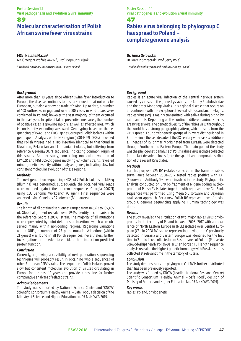# 89 **Molecular characterisation of Polish African swine fever virus strains**

# **MSc. Natalia Mazur**<sup>1</sup>

Mr. Grzegorz Woźniakowski<sup>1</sup>, Prof. Zygmunt Pejsak<sup>1</sup>

*1 National Veterinary Research Institute, Puławy, Poland*

### *Background*

After more than 10 years since African swine fever introduction to Europe, the disease continues to pose a serious threat not only for European, but also worldwide trade of swine. Up to date, a number of 108 outbreaks in pigs and over 2000 cases in wild boars were confirmed in Poland; however the vast majority of them occurred in the past year. In spite of taken preventive measures, the number of positive cases is growing rapidly, as well as affected area, which is consistently extending westward. Genotyping based on the sequencing of B646L and E183L genes, grouped Polish isolates within genotype II. Analyses of the IGR region (I73R-I329L ORFs), revealed that Polish viruses had a TRS insertion identical to that found in Ukrainian, Belarusian and Lithuanian isolates, but differing from reference Georgia2007/1 sequence, indicating common origin of this strains. Another study, concerning molecular evolution of EP402R and MGF505-2R genes involving 67 Polish strains, revealed minor genetic diversity within analysed genes, indicating slow but consistent molecular evolution of these regions.

#### *Methods*

The next generation sequencing (NGS) of 7 Polish isolates on MiSeq (Illumina) was performed; subsequently the obtained viral reads were mapped against the reference sequence (Georgia 2007/1) using CLC Genomic Workbench (Qiagen). Final sequences were analysed using Geneious R9 software (Biomatters).

# *Results*

The length of all obtained sequences ranged from 189,393 to 189,405 nt. Global alignment revealed over 99.9% identity in comparison to the reference Georgia 2007/1 strain. The majority of all mutations were represented by point deletions or insertions which were observed mainly within non-coding regions. Regarding variations within ORFs, a number of 25 point mutations/deletions (within 21 genes) was found in all Polish sequences; nevertheless further investigations are needed to elucidate their impact on predicted protein function.

# *Conclusion*

Currently, a growing accessibility of next generation sequencing techniques will probably result in obtaining whole sequences of other European ASFV strains. The sequenced Polish isolates proved slow but consistent molecular evolution of viruses circulating in Europe for the past 10 years and provide a baseline for further comparative analyses of related strains.

# *Acknowledgements*

The study was supported by National Science Centre and 'KNOW' Scientific Consortium 'Healthy Animal – Safe Food', a decision of the Ministry of Science and Higher Education no. 05-1/KNOW2/2015.

# Poster Session 1.1 Viral pathogenesis and evolution & viral immunity

# 47 **Rabies virus belonging to phylogroup C has spread to Poland – complete genome analysis**

**Dr. Anna Orłowska**<sup>1</sup>

Dr. Marcin Smreczak<sup>1</sup>, Prof. Jerzy Rola<sup>1</sup>

*<sup>1</sup> National Veterinary Research Institute, Puławy, Poland*

# *Background*

Rabies is an acute viral infection of the central nervous system caused by viruses of the genus Lyssavirus, the family Rhabdoviridae and the order Mononegavirales. It is a global disease that occurs on all continents with the exception of several islands and archipelagos. Rabies virus (RV) is mainly transmitted with saliva during biting by rabid animals. Depending on the continent different animal species are RV reservoirs. The genetic diversity of the rabies virus throughout the world has a strong geographic pattern, which results from the virus spread. Four phylogenetic groups of RV were distinguished in Europe since the last decade of the XX century whereas six additional lineages of RV primarily originated from Eurasia were detected through Southern and Eastern Europe. The main goal of the study was the phylogenetic analysis of Polish rabies virus isolates collected for the last decade to investigate the spatial and temporal distribution of the recent RV isolates.

# *Methods*

For this purpose 925 RV isolates collected in the frame of rabies surveillance between 2008–2017 tested rabies positive with FAT (Fluorescent Antibody Test) were involved in the study. Phylogenetic analysis conducted on 570 bp fragment of N gene coding nucleoprotein of Polish RV isolates together with representative GenBank sequences was performed using Mega 5.0 software and Bayesian coalescent approach. For a new Polish RV representative of phylogroup C genome sequencing applying Illumina technology was done.

# *Results*

The study revealed the circulation of two major rabies virus phylogroups in the territory of Poland between 2008–2017 with a prevalence of North Eastern European (NEE) isolates over Central European (CE). In 2008 RV isolate representing phylogroup C previously detected in Eurasia and Eastern Europe was identified for the first time in 2 rabid foxes collected from Eastern area of Poland (Podlaskie voievodeship) nearly Polish-Belarusian border. Full length sequence analysis revealed the highest genetic homology with Russian strains collected at relevant time in the territory of Russia.

#### *Conclusion*

The study demonstrates the phylogroup C of RV is further distributed than has been previously reported.

The study was funded by KNOW (Leading National Research Centre) Scientific Consortium "Healthy Animal – Safe Food", decision of Ministry of Science and Higher Education No. 05-1/KNOW2/2015).

# *Key words*

rabies, Poland, phylogenetic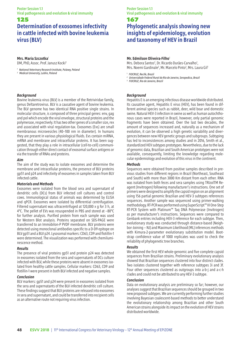# **Determination of exosomes infectivity in cattle infected with bovine leukemia virus (BLV)**

# **Mrs. Maria Szczotka**<sup>1</sup>

DM, PhD, Assoc. Prof. Janusz Kocki2

*<sup>1</sup> National Veterinary Research Institute, Pulawy, Poland*

*<sup>2</sup> Medical University, Lublin, Poland*

# *Background*

Bovine leukemia virus (BLV) is a member of the Retriviridae family, genus Deltaretrovirus. BLV is a causative agent of bovine leukemia. The BLV genome has two identical RNA positive single strains. In molecular structure, is composed of three principal genes: env, gag and pol which encode the viral envelope, structural proteins and the polymerase, respectively. It has two other genes of a smaller size, rex and associated with viral regulation-tax. Exosomes (Evs) are small membranous microvesicles (40–100 nm in diameter). In humans they are present in various physiological fluids. Evs contain miRNA, mRNA and membrane and intracellular proteins. It has been suggested, that they play a role in intracellular (cell-to-cell) communication through either direct contact of exosomal surface antigens or via the transfer of RNAs and proteins.

#### *Aim*

The aim of the study was to isolate exosomes and determine the membrane and intracellular proteins, the presence of BLV proteins gp51 and p24 and infectivity of exosomes in samples taken from BLV infected cattle.

# *Materials and Methods*

Exosomes were isolated from the blood sera and supernatant of dendritic cells (DCs) from BLV infected cell cultures and control cows. Immunological status of animals was determined by ELISA and qPCR. Exosomes were isolated by differential centrifugation. Filtered supernatant was ultracentrifuged at 120,000 x g for 3 h, at 4°C. The pellet of EVs was resuspended in PBS and stored at –80°C for further analysis. Purified protein from each sample was used for Western Blot analysis. Proteins separated on SDS-PAGE were transferred to an Immobilon-P PVDF membrane. BLV proteins were detected using monoclonal antibodies specific to a D-D9 epitope on BLV gp51 and a BLV p24. Lysosomal markers: CD63, CD9 and flotillin-1 were determined. The visualization was performed with chemiluminescence method.

# *Results*

The presence of viral proteins gp51 and protein p24 was detected in exosomes isolated from the sera and supernatants of DCs culture infected with BLV, while these proteins were absent in exosomes isolated from healthy cattle samples. Cellular markers: CD63, CD9 and flotillin-1 were present in both BLV infected and negative samples.

#### *Conclusion*

BLV markers: gp51 and p24 were present in exosomes isolated from the sera and supernatants of the BLV infected dendritic cell culture. These findings suggest that BLV proteins are released into exosomes in sera and supernatant, and could be transferred into recipient cells as an alternative route not requiring virus infection.

# Poster Session 1.1 Viral pathogenesis and evolution & viral immunity

# 167

# **Phylogenetic analysis showing new insights of epidemiology, evolution and taxonomy of HEV in Brazil**

# **Mr. Edmilson Oliveira-Filho**<sup>1</sup>

Mrs. Debora Santos<sup>2</sup>, Dr. Ricardo Durães-Carvalho<sup>1</sup>, Mrs. Noemi Gardinale<sup>3</sup>, Mr. Marcelo Pinto<sup>3</sup>, Mrs. Laura Gil

*<sup>1</sup> FIOCRUZ, Recife, Brazil*

*<sup>2</sup> Universidade Federal Rural do Rio de Janeiro, Seropedica, Brazil <sup>3</sup> FIOCRUZ, Rio de Janeiro, Brazil*

# *Background*

Hepatitis E is an emerging infectious disease worldwide distributed. Its causative agent, Hepatitis E virus (HEV), has been found in different animal species such as rabbit, deer, wild boar and domestic swine. Natural HEV-3 infection in swine as well as human autochthonous cases were reported in Brazil, however, only partial genomic fragments have been obtained. Over the last two decades, the amount of sequences increased and, naturally as a mechanism of evolution, it can be observed a high genetic variability and divergences between new HEV genetic groups and subgroups. Subtyping has led to inconsistences among studies and in 2016, Smith et al., standardized HEV subtypes prototypes. Nevertheless, due to the lack of genomic data, Brazilian and South American prototypes were not available, consequently, limiting the knowledge regarding molecular epidemiology and evolution of this virus in the continent.

### *Methods*

Sequences were obtained from positive samples described in previous studies from different regions in Brazil (Northeast, Southeast and South) with more than 3000 Km distant from each other. RNA was isolated from both feces and sera samples using TRIzolTM Reagent (Invitrogen) following manufacturer's instructions. One set of primers were designed to amplify the capsid region on an alignment using 156 partial genomic Brazilian and HEV-3 subtypes references sequences. Another sample was sequenced using primer-walking methodology. RT-PCR was performed using SuperScript™ III One-Step RT-PCR System with Platinum™ Taq DNA Polymerase (Invitrogen) as per manufacturer's instructions. Sequences were compared to Genbank entries including HEV-3 reference for each subtype. Then, evolutionary study was conducted through distance-based (Neighbor-Joining – NJ) and Maximum Likelihood (ML) inferences methods with Kimura-2-parameter evolutionary substitution model. Bootstrap confidence value of 1000 replicates was used to check the reliability of phylogenetic tree branches.

# *Results*

We obtained the first HEV whole-genomic and five complete capsid sequences from Brazilian strains. Preliminary evolutionary analysis showed that Brazilian sequences clustered into four distinct clades. Two isolates clustered together with reference subtypes 3i and 3f. Four other sequences clustered as outgroups into a-b-j and a-c-h clades and could not be attributed to any HEV-3 subtype.

#### *Conclusion*

Data on evolutionary analysis are preliminary so far; however, our analyses suggest that Brazilian sequences should be grouped in two new proposed subtypes. We are currently performing further studies involving Bayesian coalescent-based methods to better understand the evolutionary relationship among Brazilian and other South American strains alongside its impact on the evolution of HEV strains distributed worldwide.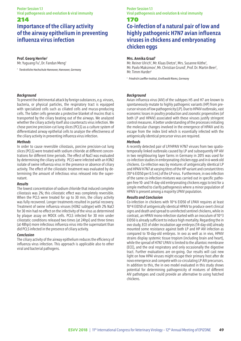Poster Session 1.1 Viral pathogenesis and evolution & viral immunity

# 214

# **Importance of the ciliary activity of the airway epithelium in preventing influenza virus infection**

# **Prof. Georg Herrler**<sup>1</sup>

Mr. Yuguang Fu<sup>1</sup>, Dr. Fandan Meng<sup>1</sup>

*<sup>1</sup> Tierärztliche Hochschule Hannover, Hannover, Germany*

# *Background*

To prevent the detrimental attack by foreign substances, e.g. viruses, bacteria, or physical particles, the respiratory tract is equipped with specialized cells such as ciliated cells and mucus-producing cells. The latter cells generate a protective blanket of mucins that is transported by the ciliary beating out of the airways. We analyzed whether the ciliary activity itself also counteracts virus infection. We chose porcine precision-cut lung slices (PCLS) as a culture system of differentiated airway epithelial cells to analyze the effectiveness of the ciliary activity in preventing influenza virus infection.

# *Methods*

In order to cause reversible ciliostasis, porcine precision-cut lung slices (PCLS) were treated with sodium chloride at different concentrations for different time periods. The effect of NaCl was evaluated by determining the ciliary activity. PCLS were infected with an H3N2 isolate of swine influenza virus in the presence or absence of ciliary activity. The effect of the ciliostatic treatment was evaluated by determining the amount of infectious virus released into the supernatant.

# *Results*

The lowest concentration of sodium chloride that induced complete ciliostasis was 2%; this ciliostatic effect was completely reversible. When the PCLS were treated for up to 30 min, the ciliary activity was fully recovered. Longer treatments resulted in partial recovery. Treatment of swine influenza viruses (H3N2 subtype) with 2% NaCl for 30 min had no effect on the infectivity of the virus as determined by plaque assay on MDCK cells. PCLS infected for 30 min under ciliostatic conditions released two times (at 24hpi) and three times (at 48hpi) more infectious influenza virus into the supernatant than did PCLS infected in the presence of ciliary activity.

# *Conclusion*

The ciliary activity of the airway epithelium reduces the efficiency of influenza virus infection. This approach is applicable also to other viral and bacterial pathogens.

Poster Session 1.1 Viral pathogenesis and evolution & viral immunity

# 170

# **Co-infection of a natural pair of low and highly pathogenic H7N7 avian influenza viruses in chickens and embryonating chicken eggs**

# **Mrs. Annika Graaf**<sup>1</sup>

Mr. Reiner Ulrich<sup>1</sup>, Mr. Klaas Dietze<sup>1</sup>, Mrs. Susanne Köthe<sup>1</sup> Mr. Pavlo Maksimov<sup>1</sup>, Mr. Christian Grund<sup>1</sup>, Prof. Dr. Martin Beer<sup>1</sup>, Mr. Timm Harder1

*<sup>1</sup> Friedrich-Loeffler-Institut, Greifswald-Riems, Germany*

# *Background*

Avian influenza virus (AIV) of the subtypes H5 and H7 are known to spontaneously mutate to highly pathogenic variants (HP) from precursor viruses of low pathogenicity (LP). Due to HPAIV outbreaks, vast economic losses in poultry production and zoonotic propensities (of both LP and HPAIV) associated with these viruses justify stringent control measures. A better understanding of the processes initiating the molecular changes involved in the emergence of HPAIV and its escape from the index bird which is essentially infected with the antigenically identical precursor virus are required.

# *Methods*

A recently detected pair of LP/HPAIV H7N7 viruses from two spatiotemporally linked outbreaks caused by LP and subsequently HP AIV in two neighbouring layer farms in Germany in 2015 was used for co-infection studies in embryonating chicken eggs and in 6-week old chickens. Co-infection was by mixtures of antigenically identical LP and HPAIV H7N7 at varying titres of the HP variant and constant titres (10^6 EID50 per 0.5 mL) of the LP virus. Furthermore, in ovo infection of the same co-infection mixtures was carried out in specific pathogen free 10- and 14-day-old embryonating chickens eggs to test for a simple method to clarify pathogenesis where a minor population of HPAIV is present among a majority LPAIV population.

# *Results and Conclusion*

Co-infection in chickens with 10^6 EID50 of LPAIV requires at least 10^4 EID50 of antigenically identical HPAIV to produce overt clinical signs and death and spread to uninfected sentinel chickens, while in contrast, an HPAIV mono-infection started with an inoculum of 10^3 EID50 is already sufficient to induce high mortality. Regarding the in ovo study, ECE of older incubation age embryos (14-day-old) already mounted some resistance against both LP and HP AIV infection as compared to 10-day-old embryos. In ovo as well as in vivo, HPAIV strains display systemic tissue tropism (including brain and heart), while the spread of H7N7 LPAIV is limited to the allantoic membrane (ECE), and the oral respiratory and only occasionally the digestive tract. Further evaluations are on-going. Our results will cast new light on how HPAI viruses might escape their primary host after de novo emergence and compete with co-circulating LP AIV precursors. In addition to this, the in ovo model evaluated in this study shows potential for determining pathogenicity of mixtures of different AIV pathotypes and could provide an alternative to using hatched chickens.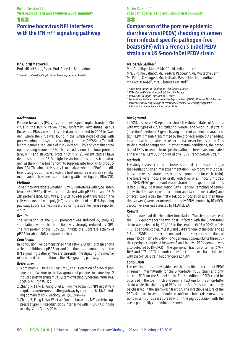# 163 **Porcine bocavirus NP1 interferes with the IFN** α**/**β **signaling pathway**

# **Dr. Giorgi Metreveli<sup>1</sup>**

Prof. Mikael Berg<sup>1</sup>, Assoc. Prof. Anne-Lie Blomström<sup>1</sup>

*<sup>1</sup> Swedish University of Agricultural Sciences, Uppsala, Sweden*

# *Background*

Porcine bocavirus (PBoV) is a non-enveloped single stranded DNA virus in the family Parvoviridae, subfamily Parvovirinae, genus Bocavirus. PBoVs was first isolated and identified in 2009 in Sweden, where the virus was found in the lymph nodes of pigs with post-weaning multisystemic wasting syndrome (PMWS) (1). The fulllength genome sequence of PBoV exceeds 5 kb and contains three open reading frames (ORFs) that encodes non-structural proteins (NS1, NP1) and structural proteins (VP1, VP2). Recent studies have demonstrated that PBoV might be an immunosuppressive pathogen, as the NP1 has been shown to suppress interferon (IFN) production (2,3). The aim of this study is to analyse whether PBoV from different subgroups interact with the host immune system in a similar manor and to the same extend, starting with investigating PBoV ZJD.

#### *Methods*

To begin to investigate whether PBoV ZJD interferes with type I interferon, HEK 293T cells were co-transfected with pISRE-Luc and PBoV ZJD proteins (NS1, NP1, VP1 and VP2). At 24-h post transfection, the cells were treated with poly (I: C) as an activator of the IFN signalling pathway. Luciferase was measured using a dual luciferase reporter assay.

# *Results*

The activation of the ISRE promoter was induced by poly(I:C) stimulation, while this induction was strongly reduced by NP1. The NP1 protein of the PBoV ZJD inhibits the luciferase activity of pISRE-luc about 80% compared to the control.

# *Conclusion*

In conclusion, we demonstrated that PBoV ZJD NP1 protein shows a clear inhibition of pISRE-luc and functions as an antagonist of the IFN signalling pathway. We are currently investigating the mechanism behind this inhibition of the IFN signalling pathway.

# *References*

- 1. Blomstrom AL, Belak S, Fossum C, et al. Detection of a novel porcine boca-like virus in the background of porcine circovirus type 2 induced postweaning multisystemic wasting syndrome. Virus Res. 2009;146(1–2):125–129.
- 2. Zhang R, Fang L, Wang D, et al. Porcine bocavirus NP1 negatively regulates interferon signaling pathway by targeting the DNA-binding domain of IRF9. Virology. 2015;485:414–421.
- 3. Zhang R, Fang L, Wu W, et al. Porcine bocavirus NP1 protein suppresses type I IFN production by interfering with IRF3 DNA-binding activity. Virus Genes. 2016.

# Poster Session 1.1 Viral pathogenesis and evolution & viral immunity 38

# **Comparison of the porcine epidemic diarrhea virus (PEDV) shedding in semen from infected specific pathogen-free boars (SPF) with a French S-InDel PEDV strain or a US S-non-InDel PEDV strain**

# **Ms. Sarah Gallien**<sup>1,2,3</sup>

Mrs. Angélique Moro<sup>1,3</sup>, Mr. Gérald Lediguerher<sup>1,3</sup>, Mrs. Virginie Catinot<sup>4</sup>, Mr. Frédéric Paboeuf<sup>1,3</sup>, Mr. Mustapha Berri<sup>2</sup>, Mr. Phillip C. Gauger<sup>5</sup>, Mrs. Nathalie Pozzi<sup>4</sup>, Mrs. Edith Authié<sup>4</sup>, Mr. Nicolas Rose<sup>1,3</sup>, Mrs. Béatrice Grasland<sup>1,3</sup>

- 
- *<sup>1</sup> Anses-Laboratoire de Ploufragan, Ploufragan, France <sup>2</sup> INRA-Centre Val de Loire-UMR ISP, Nouzilly, France*
- *<sup>3</sup> Université Bretagne Loire, Rennes, France*
- *<sup>4</sup> Laboratoire National de Contrôle des Reproducteurs (LNCR), Maisons-Alfort, France 5 Iowa State University College of Veterinary Medicine, Veterinary Diagnostic*
- *& Production Animal Medicine, United States*

### *Background*

In 2013, a severe PED epidemic struck the United States of America with two types of virus circulating: S-InDel and S-non-InDel strains (Insertion/deletion in S gene) having different virulence characteristics. PEDV is mainly transmitted by the oro-fecal route but shedding in semen although already suspected has never been studied. This study aimed at comparing, in experimental conditions, the detection of PEDV in semen from specific pathogen free boars inoculated either with a PEDV US S-non-InDel or a PEDV French S-InDel strain.

### *Methods*

The study has been carried out in Anses' animal facilities according to the regulations on animal experimentation. Two rooms with 2 boars housed in two separate pens were used (one room for each strain). The boars were inoculated orally with 5 ml of an inoculum titrating 10^8 PEDV genome/ml (each strain). The experimental trials lasted 51 days post inoculation (DPI). Regular sampling of semen (daily the first week post-inoculation and twice a week after) and of feces (twice a day the first week post-inoculation and then three times a week) were performed to quantify PEDV genome by RT-qPCR. Seroconversion was assessed by PEDV ELISA.

#### *Results*

All the boars had diarrhea after inoculation. Transient presence of the PEDV genome for the two boars infected with the S-non-InDel strain was detected by RT-qPCR in the seminal (5.06  $\times$  10^2 to 2.44 × 10^3 genomic copies/mL) at 2 and 35DPI for one of the boar and at 0.5 and 28DPI for the second one and in the sperm-rich fractions of semen (5.64  $\times$  10^2 to 3.40  $\times$  10^4 genomic copies/mL) for three distinct periods comprised between 3 and 16 days. PEDV genome was also detected by RT-qPCR in the sperm-rich fraction of semen (6.94× 10^3 and 4.73× 10^3 genomic copies/mL) for the two boars infected with the S-InDel strain but only once at 7 DPI.

#### *Conclusion*

The results of this study evidenced the possible detection of PEDV in semen, intermittently for the S-non-InDel PEDV strain and only once at 7DPI for the S-Indel strain. The shedding of PEDV could be observed in the sperm-rich and seminal fractions for the S-non-InDel strain while the shedding of PEDV for the S-InDel strain could only be observed in the sperm-rich fraction. The infectious nature of the PEDV detected in semen should be confirmed but it raises new questions in term of disease spread within the pig population with the use of potentially contaminated semen.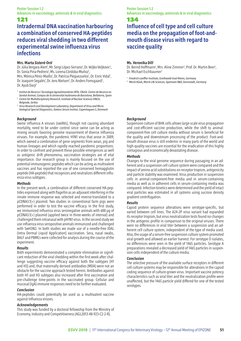# **Intradermal DNA vaccination harbouring a combination of conserved HA-peptides reduces viral shedding in two different experimental swine influenza virus infections**

# **Mrs. Marta Sisteré-Oró**<sup>1</sup>

Dr. Júlia Vergara-Alert<sup>1</sup>, Mr. Sergi López-Serrano<sup>1</sup>, Dr. Veljko Veljkovic<sup>2</sup>, Dr. Sonia Pina-Pedrero<sup>1</sup>, Ms. Lorena Córdoba-Muñoz<sup>1</sup>,

Mrs. Mónica Pérez-Maillo<sup>1</sup>, Dr. Patrícia Pleguezuelos<sup>1</sup>, Dr. Enric Vidal<sup>1</sup>, Dr. Joaquim Segalés<sup>1</sup>, Dr. Jens Nielsen<sup>3</sup>, Dr. Anders Fomsgaard<sup>3</sup>, Dr. Ayub Darji<sup>1</sup>

*1 Institut de Recerca i Tecnologia Agroalimentàries IRTA, CReSA- Centre de Recerca en Sanitat Animal, Campus de la Universitat Autònoma de Barcelona, Bellaterra, Spain*

*2 Centre for Multidisciplinary Research, Institute of Nuclear Sciences VINCA, Belgrade, Serbia*

*3 Virus Research and Development Laboratory, Department of Virus and Microbiological Special Diagnostics, Statens Serum Institut, Copenhaguen S, Denmark*

# *Background*

Swine influenza A viruses (swIAVs), though not causing abundant mortality, need to be under control since swine can be acting as mixing vessels favoring genome reassorment of diverse Influenza viruses. For example, the pandemic H1N1 virus that arose in 2009, which owned a combination of gene segments from avian, pig and human lineages and which rapidly reached pandemic proportions. In order to confront and prevent these possible emergences as well as antigenic drift phenomena, vaccination strategies are of vital importance. Our research group is mainly focused on the use of potential immunogenic peptides which can be acting as multivalent vaccines and has reported the use of one conserved hemagglutin peptide (HA-peptide) that recognizes and neutralizes different influenza virus subtypes.

# *Methods*

In the present work, a combination of different conserved HA-peptides expressed along with flagellin as an adjuvant interfering in the innate immune response was selected and reverse-translated to a pCDNA3.1(+) plasmid. Two studies in conventional farm pigs were performed in order to test the vaccine efficacy. In the first study, we immunized influenza virus seronegative animals with 600 µg of pCDNA3.1(+) plasmid (applied twice in three-weeks of interval) and challenged them intranasal with pH1N1 virus. In the second study we use influenza virus seropositive animals immunized and challenged with SwH3N2. In both studies we made use of a needle-free IDAL (Intra Dermal Liquid Application) vaccination. Sera, nasal swabs, BALF and PBMCs were collected for analysis during the course of the experiment.

# *Results*

Both experiments demonstrated a complete elimination or significant reduction of the viral shedding within the first week after challenge suggesting vaccine efficacy against both the subtypes (H1 and H3) and, that maternally derived antibodies (MDA) were not an obstacle for the vaccine approach tested herein. Antibodies against both H1 and H3 subtypes also increased after first vaccination and pre-challenge time-points in the vaccinated group. Cellular and mucosal (IgA) immune responses need to be further evaluated.

# *Conclusion*

HA-peptides could potentially be used as a multivalent vaccine against Influenza viruses.

# *Acknowledgements*

This study was funded by a doctoral fellowship from the Ministry of Economy, Industry and Competitiveness (AGL2013-48-923-C2-2-R).

Poster Session 1.2 Advances in vaccinology, antivirals & in viral diagnostics

# 134

# **Influence of cell type and cell culture media on the propagation of foot-andmouth disease virus with regard to vaccine quality**

# **Ms. Veronika Dill**<sup>1</sup>

Dr. Bernd Hoffmann<sup>1</sup>, Mrs. Aline Zimmer<sup>2</sup>, Prof. Dr. Martin Beer<sup>1</sup>, Dr. Michael Eschbaumer<sup>1</sup>

*<sup>1</sup> Friedrich-Loeffler-Institute, Greifswald-Insel Riems, Germany*

*<sup>2</sup> Merck KGaA, Merck Life Sciences, Upstream R&D, Darmstadt, Germany*

# *Background*

Suspension culture of BHK cells allows large-scale virus propagation and cost-efficient vaccine production, while the shift to animalcomponent-free cell culture media without serum is beneficial for the quality and downstream processing of the product. Foot-andmouth disease virus is still endemic in many parts of the world and high-quality vaccines are essential for the eradication of this highly contagious and economically devastating disease.

# *Methods*

Changes to the viral genome sequence during passaging in an adherent and a suspension cell culture system were compared and the impact of amino acid substitutions on receptor tropism, antigenicity and particle stability was examined. Virus production in suspension cells in animal-component-free media and in serum-containing media as well as in adherent cells in serum-containing media was compared. Infection kinetics were determined and the yield of intact viral particles was estimated in all systems using sucrose density gradient centrifugation.

# *Results*

Capsid protein sequence alterations were serotype-specific, but varied between cell lines. The A24-2P virus variant had expanded its receptor tropism, but virus neutralization tests found no changes in the antigenic profile in comparison to the original viruses. There were no differences in viral titer between a suspension and an adherent cell culture system, independent of the type of media used. Also, the usage of a serum-free suspension culture system promoted viral growth and allowed an earlier harvest. For serotype O isolates, no differences were seen in the yield of 146S particles. Serotype A preparations revealed a decreased yield of 146S particles in suspension cells independent of the culture media.

# *Conclusion*

The selective pressure of the available surface receptors in different cell culture systems may be responsible for alterations in the capsid coding sequence of culture-grown virus. Important vaccine potency characteristics such as viral titer and the neutralization profile were unaffected, but the 146S particle yield differed for one of the tested serotypes.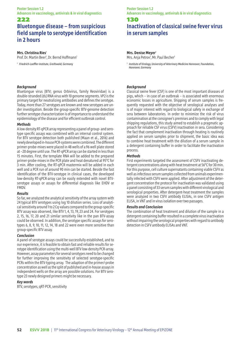Poster Session 1.2 Advances in vaccinology, antivirals & in viral diagnostics

# 222

# **Bluetongue disease – from suspicious field sample to serotype identification in 2 hours**

# **Mrs. Christina Ries**<sup>1</sup>

Prof. Dr. Martin Beer<sup>1</sup>, Dr. Bernd Hoffmann<sup>1</sup>

*1 Friedrich-Loeffler-Institute, Greifswald, Germany*

# *Background*

Bluetongue virus (BTV; genus Orbivirus, family Reoviridae) is a double-stranded (ds) RNA virus with 10 genome segments. VP2 is the primary target for neutralizing antibodies and defines the serotype. Today, more than 27 serotypes are known and new serotypes are under investigation. Beside the group-specific BTV-genome detection further serotype characterization is of importance to understand the epidemiology of the disease and for efficient outbreak control.

# *Methods*

A low-density RT-qPCR array representing a panel of group- and serotype specific assays was combined with an internal control system. For BTV serotype detection both published (Maan et al., 2016) and newly developed in-house PCR-systems were combined. The different primer-probe-mixes were placed in 48 wells of a 96 well plate stored at –20 degree until use. The RT-qPCR array can be started in less than 15 minutes. First, the template RNA will be added to the prepared primer-probe-mixes in the PCR plate and heat denatured at 95°C for 3 min. After cooling, the RT-qPCR mastermix will be added in each well and a PCR run of around 90 min can be started. Beside the fast identification of the BTV-serotype in clinical cases, the developed low-density RT-qPCR-array can be easily extended with novel BTVserotype assays or assays for differential diagnosis like EHDV or FMDV.

# *Results*

So far, we analyzed the analytical sensitivity of the array system with 24 typical BTV serotypes using log 10 dilution series. Loss of analytical sensitivity around 1 to 2 Cq-values compared to the group-specific BTV assay was observed, like BTV 1, 4, 13, 19, 23 and 24. For serotypes 2, 15, 16, 17, 20 and 21 similar sensitivity like in the pan BTV-assay could be observed. In addition, the serotype specific assays for serotypes 6, 8, 9, 10, 11, 12, 14, 18 and 22 were even more sensitive than group-specific BTV assay.

# *Conclusion*

A panel of serotype assays could be successfully established, and to our experience, it is feasible to obtain fast and reliable results for serotype identification using the multi-well BTV low-density PCR-array. However, assay parameters for several serotypes need to be changed for further improving the sensitivity of selected serotype-specific PCRs within the BTV-typing array. The adaption of the primer/-probe concentration as well as the split of published and in-house assays in independent wells on the array are possible solutions. For BTV serotype 23 newly designed primers might be necessary.

# *Key words*

BTV, serotypes, qRT-PCR, sensitivity

# Poster Session 1.2 Advances in vaccinology, antivirals & in viral diagnostics

# 130 **Inactivation of classical swine fever virus in serum samples**

# **Mrs. Denise Meyer**<sup>1</sup>

Mrs. Anja Petrov<sup>1</sup>, Mr. Paul Becher<sup>1</sup>

*1 Institute of Virology, University of Veterinary Medicine Hannover, Foundation, Hannover, Germany*

# *Background*

Classical swine fever (CSF) is one of the most important diseases of pigs, which – in case of an outbreak – is associated with enormous economic losses in agriculture. Shipping of serum samples is frequently requested with the objective of serological analyses and is of major interest with regard to biological safety in exchange of sera between laboratories. In order to minimize the risk of virus contamination at the consignee's premises and to comply with legal shipping regulations, this study aimed to establish a pragmatic approach for reliable CSF virus (CSFV) inactivation in sera. Considering the fact that complement inactivation through heating is routinely applied on serum samples prior to shipment, the basic idea was to combine heat treatment with the dilution of a serum sample in a detergent containing buffer in order to facilitate the inactivation process.

# *Methods*

First experiments targeted the assessment of CSFV inactivating detergent concentrations along with heat treatment at 56°C for 30 min. For this purpose, cell culture supernatants containing viable CSFV as well as infectious serum samples collected from animals experimentally infected with CSFV were applied. After adjustment of the detergent concentration the protocol for inactivation was validated using a panel consisting of 33 serum samples with different virological and serological properties. After detergent-heat treatment the samples were analyzed in two CSFV antibody ELISAs, in one CSFV antigen ELISA, in VNT and in virus isolation over two passages.

# *Results and Conclusion*

The combination of heat treatment and dilution of the sample in a detergent containing buffer resulted in a complete virus inactivation without impairing the serological properties with regard to antibody detection in CSFV antibody ELISAs and VNT.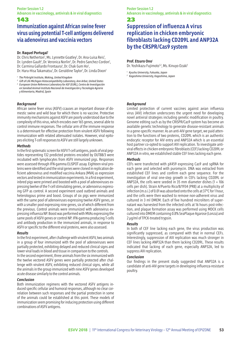# **Immunization against African swine fever virus using potential T-cell antigens delivered via adenovirus and vaccinia vectors**

# **Dr. Raquel Portugal<sup>1</sup>**

- Dr. Chris Netherton<sup>1</sup>, Ms. Lynnette Goatley<sup>1</sup>, Dr. Ana-Luisa Reis<sup>1</sup>,
- Dr. Lynden Gault<sup>2</sup>, Dr. Veronica Norlin<sup>2</sup>, Dr. Pedro Sanchez-Cordon<sup>1</sup>,
- Dr. Carmina Gallardo Frontaura<sup>3</sup>, Dr. Chak-Sum Ho<sup>2</sup>,
- Dr. Haru-Hisa Takamatsu<sup>1</sup>, Dr. Geraldine Taylor<sup>1</sup>, Dr. Linda Dixon<sup>1</sup>

*<sup>1</sup> The Pirbright Institute, Woking, United Kingdom*

*<sup>2</sup> Gift of Life Michigan Histocompatibility Laboratory, Ann Arbor, United States*

*3 European Union Reference Laboratory for ASF (EURL), Centro de Investigación en Sanidad Animal-Instituto Nacional de Investigación y Tecnología Agraria y Alimentaria, Madrid, Spain*

# *Background*

African swine fever virus (ASFV) ccauses an important disease of domestic swine and wild boar for which there is no vaccine. Protective immunity mechanisms against ASFV are poorly understood due to the complexity of this virus, which encodes over 165 genes, several able to control immune responses. The cellular arm of the immune response is a determinant for effective protection from virulent ASFV following immunization with related attenuated isolates. However, viral epitopes eliciting T-cell responses to ASFV are still largely unknown.

# *Methods*

In the first systematic screen for ASFV T-cell antigens, pools of viral peptides representing 132 predicted proteins encoded by OUT88/3 were incubated with lymphocytes from ASFV immunized pigs. Responses were assessed through IFN-gamma ELISPOT assay. Eighteen viral proteins were identified and the viral genes were cloned in replication deficient adenovirus and modified vaccinia Ankara (MVA) as expression vectors and tested in immunization experiments. In a first experiment, inbred pigs were primed and boosted with a pool of adenoviruses expressing twelve of the T-cell stimulating genes, or adenovirus expressing GFP as control. A second experiment used outbred animals and heterologous prime and boost. Groups of six pigs were immunized with the same pool of adenoviruses expressing twelve ASFV genes, or with a smaller pool expressing nine genes, six of which different from the previous. Control animals were immunized with adenovirus expressing influenza NP. Boost was performed with MVAs expressing the same pools of ASFV genes or control NP. IFN-gamma producing T-cells and antibody production in the immunized animals, in response to ASFV or specific to the different viral proteins, were also assessed.

# *Results*

In the first experiment, after challenge with virulent ASFV, two animals in a group of four immunized with the pool of adenoviruses were partially protected, exhibiting delayed and reduced clinical signs and lower viral loads in blood and tissue in comparison to the controls.

In the second experiment, three animals from the six immunized with the twelve vectored ASFV genes were partially protected after challenge with virulent ASFV, exhibiting reduced clinical signs, while all the animals in the group immunized with nine ASFV genes developed acute disease similarly to the control animals.

# *Conclusion*

Both immunization regimens with the vectored ASFV antigens induced specific cellular and humoral responses, although no clear correlation between such responses and the partial protection in some of the animals could be established at this point. These models of immunization seem promising for inducing protection using different combinations of ASFV antigens.

# Poster Session 1.2 Advances in vaccinology, antivirals & in viral diagnostics

# 23

# **Suppression of influenza A virus replication in chicken embryonic fibroblasts lacking CD209L and ANP32A by the CRSPR/Cas9 system**

# **Prof. Etsuro Ono**<sup>1</sup>

Dr. Yoshikazu Fujimoto<sup>1,2</sup>, Ms. Kinuyo Ozaki<sup>1</sup>

*<sup>1</sup> Kyushu University, Fukuoka, Japan*

*<sup>2</sup> Kagoshima University, Kagoshima, Japan*

# *Background*

Limited protection of current vaccines against avian influenza virus (AIV) infection underscores the urgent need for developing novel antiviral strategies including genetic modification in poultry. Genome editing such as by the CRISPR/Cas9 system has become an available genetic technology to generate disease-resistant animals in a gene-specific manner. As an anti-AIV gene target, we paid attention to the functions of two proteins, CD209L which is an authentic endocytic receptor for AIV entry and ANP32A which is an essential host partner co-opted to support AIV replication. To investigate antiviral effects in chicken embryonic fibroblasts (CEF) lacking CD209L or ANP32A in vitro, we established stable CEF lines lacking each gene.

# *Methods*

CEFs were transfected with pX459 expressing Cas9 and sgRNA for each gene and selected with puromycin. DNA was extracted from established CEF lines and confirm each gene sequence. For the investigation of viral one-step growth in CEFs lacking CD209L or ANP32A, the cells were seeded in 35 mm diameter dishes (1  $\times$  106 cells per dish). Strain A/Puerto Rico/8/1934 (PR8) at a multiplicity of infection (m.o.i.) of 0.01 was absorbed onto the cells at 37°C for 1 hour, and the cells were then washed to remove non-adherent virus and cultured in 3 ml DMEM. Each of five hundred microliters of supernatant was harvested from the infected cells at 16 hours post-infection, and plaque formation assay was performed using MDCK cells cultured into DMEM containing 0.8% SeaPlaque Agarose (Lonza) and 2 µg/ml of TPCK-treated trypsin.

# *Results*

In both of CEF line lacking each gene, the virus production was significantly suppressed, as compared with that in normal CEFs. Interestingly, suppression of AIV replication was much stronger in CEF lines lacking ANP32A than them lacking CD209L. These results indicated that lacking of each gene, especially ANP32A, led to suppress AIV replication.

# *Conclusion*

Our findings in the present study suggested that ANP32A is a candidate of anti-AIV gene targets in developing influenza-resistant poultry.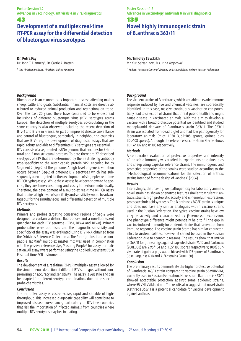Poster Session 1.2 Advances in vaccinology, antivirals & in viral diagnostics

# **Development of a multiplex real-time RT-PCR assay for the differential detection of bluetongue virus serotypes**

### **Dr. Petra Fay**<sup>1</sup>

43

Dr. John T. Flannery<sup>1</sup>, Dr. Carrie A. Batten<sup>1</sup>

*<sup>1</sup> The Pirbright Institute, Pirbright, United Kingdom*

#### Poster Session 1.2 Advances in vaccinology, antivirals & in viral diagnostics

# 135 **Novel highly immunogenic strain of B.anthracis 363/11**

### **Mr. Timofey Sevskikh**<sup>1</sup>

Mr. Yuri Selyaninov<sup>1</sup>, Ms. Irina Yegorova<sup>1</sup>

*<sup>1</sup> Federal Research Center of Virology and Microbiology, Pokrov, Russian Federation*

# *Background*

Bluetongue is an economically-important disease affecting mainly sheep, cattle and goats. Substantial financial costs are directly attributed to reduced animal production and restrictions on trade. Over the past 20 years, there have continued to be widespread incursions of different bluetongue virus (BTV) serotypes across Europe. The detection of multiple serotypes co-circulating in the same country is also observed, including the recent detection of BTV-4 and BTV-8 in France. As part of improved disease surveillance and control of bluetongue, particularly in neighbouring countries that are BTV-free, the development of diagnostic assays that are rapid, robust and able to differentiate BTV serotypes are essential.

BTV consists of a segmented dsRNA genome that encodes for 7 structural and 5 non-structural proteins. To-date there are 27 described serotypes of BTV that are determined by the neutralising antibody type-specificity to the outer capsid protein VP2, encoded for by Segment 2 (Seg-2) of the genome. A high level of genetic variation occurs between Seg-2 of different BTV serotypes which has subsequently been targeted for the development of singleplex real-time RT-PCR typing assays. While these assays have been shown to be specific, they are time-consuming and costly to perform individually. Therefore, the development of a multiplex real-time RT-PCR assay that retains a high level of specificity and sensitivity would be advantageous for the simultaneous and differential detection of multiple BTV serotypes.

# *Methods*

Primers and probes targeting conserved regions of Seg-2 were designed to contain a distinct fluorophore and a non-fluorescent quencher for each BTV serotype (BTV-1, BTV-4 and BTV-8). Primer/ probe ratios were optimised and the diagnostic sensitivity and specificity of the assay was evaluated using BTV RNA obtained from the Orbivirus Reference Collection at The Pirbright Institute. A compatible TaqMan® multiplex master mix was used in combination with the passive reference dye, Mustang Purple® for assay normalisation. All assays were performed using the Applied Biosystems 7500 Fast real-time PCR instrument.

#### *Results*

The development of a real-time RT-PCR multiplex assay allowed for the simultaneous detection of different BTV serotypes without compromising on accuracy and sensitivity. The assay is versatile and can be adapted for different serotype combinations due to the specific probe chemistries.

#### *Conclusion*

The multiplex assay is cost-effective, rapid and capable of highthroughput. This increased diagnostic capability will contribute to improved disease surveillance, particularly to BTV-free countries that risk the importation of infected animals from countries where multiple BTV serotypes may be circulating.

#### *Background*

The virulent strains of B.anthracis, which are able to evade immune response induced by live and chemical vaccines, are sporadically identified. In this case, massive continuous vaccination can potentially lead to selection of strains that threat public health and might cause disease in vaccinated animals. With the aim to develop a vaccine with a broad protective potential we identified and studied monoplasmid derivate of B.anthracis strain 363/11. The 363/11 strain was isolated from dead piglet and had low pathogenicity for laboratory animals (mice LD50 3,162\*105 spores, guinea pigs LD >108 spores). Although the reference vaccine strain Sterne shows LD 1,6\*102 and 8\*105 respectively.

#### *Methods*

A comparative evaluation of protective properties and intensity of inducible immunity was studied in experiments on guinea pigs and sheep using capsular reference strains. The immunogenic and protective properties of the strains were studied according to the "Methodological recommendations for the selection of anthrax strains intended for the design of vaccines" (2006).

#### *Results*

Interestingly, that having low pathogenicity for laboratory animals novel strain has shown phenotype features similar to virulent B.antracis strains: high proteolytic activity and  $\alpha$ -hemolysin expression, protocatechuic acid synthesis. The B.anthracis 363/11 strain is unique and does not have any similar analogues within vaccine strains used in the Russian Federation. The typical vaccine strains have low enzyme activity and characterized by β-hemolysin expression. The phenotype difference might potentially help to fill the gap in vaccine induced immunity for epidemic strains that can escape from immune response. The vaccine strain Sterne has similar characteristics to virulent isolates; however, it cannot be used in the Russian Federation due to economic reasons. The results show that ImD50 of 363/11 for guinea pigs against capsuled strain 71/12 and Carbovax (200LD50) are 2,95\*104 and 1,55\*105 spores respectively; 100% survival rate of guinea pigs was achieved with 107 spores of B.anthracis 363/11 against 17JB and 71/12 strains (200LD50).

#### *Conclusion*

The preliminary results demonstrate the higher protective potential of B.anthracis 363/11 strain compared to vaccine strain 55-VNIIVViM, currently used in Russian Federation. Novel strain B.anthracis 363/11 showed acceptable protection against some epidemic strains, where 55-VNIIVViM did not. The results also suggest that novel strain B.athracis 363/11 is a potential candidate for vaccine development against anthrax.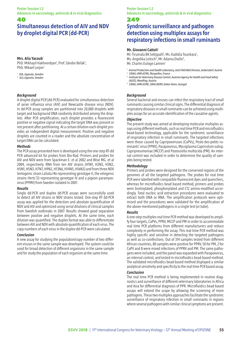# **Simultaneous detection of AIV and NDV by droplet digital PCR (dd-PCR)**

# **Mrs. Alia Yacoub**<sup>1</sup>

PhD. Mikhayil Hakhverdyan<sup>1</sup>, Prof. Sándor Belák<sup>2</sup>, PhD. Mikael Leijon<sup>1</sup>

*<sup>1</sup> SVA, Uppsala, Sweden*

*<sup>2</sup> SLU, Uppsala, Sweden*

# *Background*

A droplet digital PCR (dd-PCR) evaluated for simultaneous detection of avian influenza virus (AIV) and Newcastle disease virus (NDV). In dd-PCR assay samples are partitioned into 20,000 droplets with target and background DNA randomly distributed among the droplets. After PCR amplification, each droplet provides a fluorescent positive or negative signal indicating the target DNA was present or not present after partitioning. At a certain dilution each droplet provides an independent digital measurement. Positive and negative droplets are counted in a reader and the absolute concentration of target DNA can be calculated.

# *Methods*

The PCR assay presented here is developed using the one-step RT-dd PCR advanced kit for probes from Bio-Rad. Primers and probes for AIV and NDV were from Spackman E. et al 2002 and Wise MG. et al 2004, respectively. RNA from ten AIV strains (H1N1, H2N3, H3N2, H5N1, H5N3, H7N7, H9N2, H13N6, H14N5, H16N3) and from three NDV lentogenic strain LaSota /46 representing genotype II, the velogenic strains Herts´33 representing genotype IV and a pigeon paramyxovirus (PPMV) from Sweden isolated in 2007.

# *Results*

Single dd-PCR and duplex dd-PCR assays were successfully used to detect all AIV strains or NDV strains tested. One-step RT dd-PCR assay was applied for the detection and absolute quantification of NDV and AIV and optimized using serial dilutions of clinical samples from Swedish outbreaks in 2007. Results showed good separation between positive and negative droplets. At the same time, each dilution was quantified. The duplex format was able to differentiate between AIV and NDV with absolute quantification of each virus. The copy numbers of each virus in the duplex dd-PCR were calculated.

# *Conclusion*

A new assay for studying the population/copy number of two different viruses in the same sample was developed. The system could be used for broad detection of different organisms in the same sample and for study the population of each organism at the same time.

# Poster Session 1.2 Advances in vaccinology, antivirals & in viral diagnostics

# 249

# **Syndromic surveillance and pathogen detection using multiplex assays for respiratory infections in small ruminants**

# **Mr. Giovanni Cattoli<sup>1</sup>**

Mr. Tirumala BK Settypalli<sup>1</sup>, Ms. Kadidia Tounkara<sup>2</sup>, Ms. Angelika Loitsch<sup>3</sup>, Mr. Adama Diallo<sup>4</sup>, Mr. Charles Euloge Lamien<sup>1</sup>

- *<sup>1</sup> Animal Production and Health Laboratory, Joint FAO/IAEA Division, Seibersdorf, Austria*
- *<sup>2</sup> CIRAD, UMR ASTRE, Monpellier, France*
- *3 Institute for Veterinary Disease Control, Austrian Agency for Health and Food Safety (AGES), Moedling, Austria*
- *<sup>4</sup> CIRAD, UMR ASTRE, ISRA/LNERV, Dakar-Hann, Senegal*

# *Background*

Several bacterial and viruses can infect the respiratory tract of small ruminants causing similar clinical signs. The differential diagnosis of respiratory diseases in small ruminants can be achieved using multiplex assays for an accurate identification of the causative agents.

# *Objective*

The present study was aimed at developing molecular multiplex assays using different methods, such as real time PCR and microfluidics bead-based technology, applicable for the syndromic surveillance of respiratory infection in small ruminants. The targeted infections were those caused by Capripoxviruses (CaPVs), Peste-des-petits ruminants' virus (PPRV), Parapoxvirus, Mycoplasma Capricolum subsp. Capripneumoniae (MCCP) and Pasteurella multocida (PM). An internal control was included in order to determine the quality of samples being tested.

# *Methodology*

Primers and probes were designed for the conserved regions of the genomes of all the targeted pathogens. The probes for real time PCR were labelled with compatible fluorescent dyes and quenchers, whereas for microfluidics bead based method, primers and probes were biotinylated, phosphorylated and C12 amino-modified accordingly. Total nucleic acid extraction procedures were evaluated to extract both DNA or RNA. The amplification protocols were optimized and the procedures were validated for the amplification of the above-mentioned pathogens in a single test (or tube).

# *Results*

A one-step multiplex real time PCR method was developed to amplify four targets, CaPVs, PPRV, MCCP and PM in order to accommodate real time PCR platforms from different manufacturers and reduce complexity in performing the assay. This real time PCR method was highly specific and sensitive in detecting the targeted pathogens as well as co-coinfections. Out of 314 samples tested from different African countries, 80 samples were positive for PPRV, 50 for PM, 2 for CaPV and 8 were mixed infections of PPRV and PM. The same pathogens were included, and the panel was expanded with Parapoxvirus, an internal control, and tested in microfluidics bead-based method. The validated microfluidics bead-based method displayed a similar analytical sensitivity and specificity to the real time PCR based assay.

# *Conclusion*

The real time PCR method is being implemented in routine diagnostics and surveillance of different veterinary laboratories in Africa and Asia for differential diagnosis of PPR. Microfluidics bead-based assays will extend the scope by allowing the screening of more pathogens. These two multiplex approaches facilitate the syndromic surveillance of respiratory infection in small ruminants in regions where several pathogens with similar clinical symptoms are present.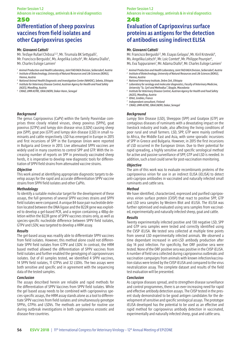# 250 **Differentiation of sheep poxvirus vaccines from field isolates and other Capripoxvirus species**

# **Mr. Giovanni Cattoli**<sup>1</sup>

Mr. Tesfaye Rufael Chibssa<sup>1,2,3</sup>, Mr. Tirumala BK Settypalli<sup>1</sup>, Mr. Francisco Berguido<sup>1</sup>, Ms. Angelika Loitsch<sup>4</sup>, Mr. Adama Diallo<sup>5</sup>, Mr. Charles Euloge Lamien<sup>1</sup>

- *<sup>1</sup> Animal Production and Health Laboratory, Joint FAO/IAEA Division, Seibersdorf, Austria 2 Institute of Biotechnology, University of Natural Resources and Life Sciences (BOKU), Vienna, Austria*
- *<sup>3</sup> National Animal Health Diagnostic and Investigation Center (NAHDIC), Sebeta, Ethiopia 4 Institute for Veterinary Disease Control, Austrian Agency for Health and Food Safety*
- *(AGES), Moedling, Austria <sup>5</sup> CIRAD, UMR ASTRE, ISRA/LNERV, Dakar-Hann, Senegal*

# *Background*

The genus Capripoxvirus (CaPV) within the family Poxviridae comprises three closely related viruses, sheep poxvirus (SPPV), goat poxvirus (GTPV) and lumpy skin disease virus (LSDV) causing sheep pox (SPP), goat pox (GTP) and lumpy skin disease (LSD) in small ruminants and cattle respectively. LSD has emerged in Europe in 2015 and first incursions of SPP in the European Union were reported in Bulgaria and Greece in 2013. Live attenuated SPPV vaccines are widely used in many countries to control SPP and GTP. With the increasing number of reports on SPP in previously vaccinated sheep herds, it is imperative to develop new diagnostic tools for differentiation of SPPV field strains from attenuated vaccine strains.

### *Objective*

This work aimed at identifying appropriate diagnostic targets to develop assays for the rapid and accurate differentiation SPPV vaccine strains from SPPV field isolates and other CaPVs.

#### *Methodology*

To identify a suitable molecular target for the development of these assays, the full genomes of several SPPV vaccines strains and SPPV field isolates were compared. A unique 84-base pair nucleotide deletion located between the DNA ligase and the B22R gene was exploited to develop a gel-based PCR, and a region containing a 48bp deletion within the B22R gene of SPPV vaccines strains only, as well as species-specific nucleotide difference between SPPV field isolates, GTPV and LSDV, was targeted to develop a HRM assay.

#### *Results*

The gel-based assay was readily able to differentiate SPPV vaccines from field isolates. However, this method alone could not differentiate SPPV field isolates from GTPV and LSDV. In contrast, the HRM based method allowed the differentiation of SPPV vaccines from field isolates and further enabled the genotyping of capripoxviruses isolates. Out of 61 samples tested, we identified 4 SPPV vaccines, 14 SPPV field isolates, 11 GTPVs and 32 LSDVs. The two assays were both sensitive and specific and in agreement with the sequencing data of the tested samples.

# *Conclusion*

The assays described herein are reliable and rapid methods for the differentiation of SPPV Vaccines from SPPV field isolates. While the gel based assay needs to be combined with capripoxvirus species-specific assays, the HRM assay stands alone as a tool to differentiate SPPV vaccines from field isolates and simultaneously genotype SPPVs, GTPVs and LSDVs. The methods are suited for routine use during outbreak investigations in both capripoxvirus enzootic and disease-free countries.

# Poster Session 1.2

Advances in vaccinology, antivirals & in viral diagnostics

# 248

# **Evaluation of Capripoxvirus surface proteins as antigens for the detection of antibodies using indirect ELISA**

# **Mr. Giovanni Cattoli**<sup>1</sup>

Mr. Francisco Berguido<sup>1,2</sup>, Mr. Esayas Gelayas<sup>3</sup>, Mr. Kiril Krstevski<sup>4</sup>, Ms. Angelika Loitsch<sup>5</sup>, Mr. Loic Comtet<sup>6</sup>, Mr. Philippe Pourqier<sup>6</sup>, Ms. Eva Tuppurainen<sup>7</sup>, Mr. Adama Diallo<sup>8</sup>, Mr. Charles Euloge Lamien<sup>1</sup>

- *<sup>1</sup> Animal Production and Health Laboratory, Joint FAO/IAEA Division, Seibersdorf, Austria 2 Institute of Biotechnology, University of Natural Resources and Life Sciences (BOKU), Vienna, Austria*
- *3 National Veterinary Institute, Debre Zeit, Ethiopia*
- *4 Laboratory for serology and molecular diagnostics, Faculty of Veterinary Medicine, University "Ss. Cyril and Methodius", Skopjie, Macedonia*
- *5 Institute for Veterinary Disease Control, Austrian Agency for Health and Food Safety (AGES), Moedling, Austria*
- *6 IDVet, Grables, France*
- *<sup>7</sup> Independant consultant, Finland <sup>8</sup> CIRAD, UMR ASTRE, ISRA/LNERV, Dakar, Senegal*
- 

# *Background*

Lumpy Skin Disease (LSD), Sheeppox (SPP) and Goatpox (GTP) are contagious diseases of ruminants with a devastating impact on the livestock industry and trade, also affecting the living conditions of poor rural and small farmers. LSD, SPP, GTP were mainly confined to Africa, the Middle East and Asia, with some sporadic incursions of SPP in Greece and Bulgaria. However, in 2015 the first incursions of LSD occurred in the European Union. Due to their potential for rapid spreading, a highly sensitive and specific serological method for active and passive surveillance of SPP, GTP and LSD is needed. In addition, such a tool could serve for post-vaccination monitoring.

### *Objective*

The aim of this work was to evaluate recombinants proteins of the capripoxvirus virion for use in an indirect ELISA (iELISA) to detect anti-capripox antibodies in vaccinated and naturally infected small ruminants and cattle sera.

#### *Method*

We have identified, characterized, expressed and purified capripoxvirus virion surface protein (CVSP) that react to positive SPP, GTP and LSD sera samples by Western Blot and iELISA. The iELISA was further optimised and evaluated using sera samples from vaccinated, experimentally and naturally infected sheep, goat and cattle.

#### *Results*

Twenty experimentally infected positive and 130 negative LSD, SPP and GTP sera samples were tested and correctly identified using the CVSP iELISA. We tested sera collected at multiple time points from several LSD experimentally infected animals. We observed a time dependant increased in anti-LSD antibody production after day 14 post infection. For specificity, five ORF positive sera were tested. None of the ORF positive sera was positive in the CVSP iELISA. A number of field sera collected during capripoxvirus outbreaks and vaccination campaigns from animals with known infection/vaccination status were tested by the CVSP iELISA and compared to the virus neutralization assay. The complete dataset and results of the field test evaluation will be presented.

### *Conclusion*

As capripox diseases spread, and to strengthen disease surveillance and control programmes, there is an ever-increasing need for rapid and effective antibody detection assays. The CVSP tested in the present study demonstrated to be good antigen candidates for the development of sensitive and specific serological assays. The prototype iELISA developed has the potential to be used as an effective and rapid method for capripoxvirus antibody detection in vaccinated, experimentally and naturally infected sheep, goat and cattle sera.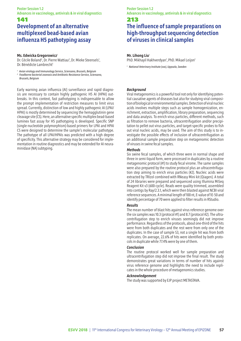# **Development of an alternative multiplexed bead-based avian influenza H5 pathotyping assay**

# **Ms. Edwicka Gregorowicz**<sup>1</sup>

Dr. Cécile Boland<sup>2</sup>, Dr. Pierre Wattiau<sup>2</sup>, Dr. Mieke Steensels<sup>1</sup>, Dr. Bénédicte Lambrecht<sup>1</sup>

*<sup>1</sup> Avian virology and Immunology Service, Sciensano, Brussels, Belgium*

*2 Foodborne bacterial zoonosis and Antibiotic Resistance Service, Sciensano, Brussels, Belgium*

Early warning avian influenza (AI) surveillance and rapid diagnosis are necessary to contain highly pathogenic H5 AI (HPAI) outbreaks. In this context, fast pathotyping is indispensable to allow the prompt implementation of restriction measures to limit virus spread. Currently, distinction of low and highly pathogenic AI (LPAI/ HPAI) is mostly determined by sequencing the hemagglutinin gene cleavage site (CS). Here, an alternative specific multiplex bead-based luminex fast assay for H5 pathotyping is developed. Specific SNP (single-nucleotide polymorphism)-based primers for LPAI and HPAI CS were designed to determine the sample's molecular pathotype. The pathotype of all LPAI/HPAIs was predicted with a high degree of specificity. This alternative strategy may be considered for implementation in routine diagnostics and may be extended for AI neuraminidase (NA) subtyping.

### Poster Session 1.2 Advances in vaccinology, antivirals & in viral diagnostics

# 213

# **The influence of sample preparations on high-throughput sequencing detection of viruses in clinical samples**

# **Mr. Lihong Liu**<sup>1</sup>

PhD. Mikhayil Hakhverdyan<sup>1</sup>, PhD. Mikael Leijon<sup>1</sup>

*<sup>1</sup> National Veterinary Institute (sva), Uppsala, Sweden*

# *Background*

Viral metagenomics is a powerful tool not only for identifying potential causative agents of diseases but also for studying viral composition of biological or environmental samples. Detection of viral nucleic acids involves multiple steps such as sample homogenization, enrichment, extraction, amplification, library preparation, sequencing and data analysis. To enrich virus particles, different methods, such as filtration to remove bacteria, ultracentrifugation and/or precipitation to pellet out virus particles, and target-specific probes to fish out viral nucleic acids, may be used. The aim of this study is to investigate the possible effects of inclusion of ultracentrifugation as an additional sample preparation step on metagenomic detection of viruses in swine fecal samples.

# *Methods*

Six swine fecal samples, of which three were in normal shape and three in semi-liquid form, were processed in duplicates by a routine metagenomic protocol (#1) to study fecal virome. The same samples were also prepared by the routine protocol plus an ultracentrifugation step aiming to enrich virus particles (#2). Nucleic acids were extracted by TRIzol combined with RNeasy Mini kit (Qiagen). A total of 24 libraries were prepared and sequenced using Illumina MiSeq Reagent Kit v3 (600-cycle). Reads were quality trimmed, assembled into contigs by Ray/2.3.1, which were then blasted against NCBI viral reference sequences. A minimal length of 100 nt, E-value of 1E-50 and identify percentage of 70 were applied to filter results in RStudio.

# *Results*

The mean number of blast hits against virus reference genome over the six samples was 10.3 (protocol #1) and 8.7 (protocol #2). The ultracentrifugation step to enrich viruses seemingly did not improve performance. Regardless of the protocols, about one-third of the hits were from both duplicates and the rest were from only one of the duplicates. In the case of sample S3, not a single hit was from both replicates. On average, 22.6% of hits were identified by both protocols in duplicate while 77.4% were by one of them.

# *Conclusion*

The routine protocol worked well for sample preparation and ultracentrifugation step did not improve the final result. The study demonstrates great variations in terms of number of hits against virus reference genome and highlights the need to include replicates in the whole procedure of metagenomics studies.

# *Acknowledgement*

The study was supported by EJP project METASTAVA.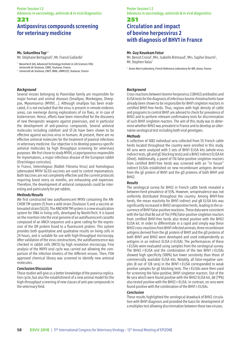Poster Session 1.2 Advances in vaccinology, antivirals & in viral diagnostics

# 221 **Antipoxvirus compounds screening for veterinary medicine**

#### **Ms. Sokunthea Top**1,2

Mr. Stéphane Bertagnoli<sup>2</sup>, Mr. Franck Gallardo<sup>1</sup>

- *1 Neovirtech SAS, Advanced Technology Institute in Life Sciences ITAV, Université de Toulouse, CNRS, Toulouse, France*
- *<sup>2</sup> Université de Toulouse, ENVT, INRA, UMR1225, Toulouse, France*

#### *Background*

Several viruses belonging to Poxviridae family are responsible for major human and animal diseases (Smallpox, Monkeypox, Sheeppox, Myxomavirus (MYXV)…). Although smallpox has been eradicated, it is not excluded that the virus is present in remote endemic areas, can reemerge during explorations of ice floes, or in case of bioterrorism. Hence, efforts have been intensified for the discovery of new therapeutic weapons against poxviruses, and in particular the development of anti-poxvirus compounds. Several antiviral molecules including cidofovir and ST-26 have been shown to be effective against vaccinia virus in humans. At present, there are no effective antiviral molecules for the treatment of poxviral infections in veterinary medicine. Our objective is to develop poxvirus-specific antiviral molecules by high throughput screening for veterinary purposes. We first chose to study MYXV, a Leporipoxvirus responsible for myxomatosis, a major infectious disease of the European rabbit (Oryctolagus cuniculus).

In France, heterologous (Rabbit Fibroma Virus) and homologous (attenuated MYXV SG33) vaccines are used to control myxomatosis. Both Vaccines are not completely effective and the current protocols requiring boost every six months, are exhausting and expensive. Therefore, the development of antiviral compounds could be interesting and particularly for pet rabbits.

### *Methods/Results*

We first constructed two autofluorescent MYXV containing the AN-CHOR TM system (1) from a wild strain (Toulouse 1) and a vaccine attenuated strain (SG33). The ANCHOR TM system is a new visualization system for DNA in living cells, developed by NeoVirTech. It is based on the insertion into the viral genome of an autofluorescent cassette composed of an ANCH sequence and a gene coding for the expression of the OR protein fused to a fluorescent protein. This system provides both quantitative and qualitative results on living cells in 24 hours, and is suitable for use with high-throughput microscopy. After validation of the virus constructions, the autofluorescence was checked in rabbit cells (RK13) by high resolution microscopy. Fine analysis of the MXYV viral cycle was carried out allowing the comparison of the infection kinetics of the different viruses. Then, FDA approved chemical library was screened to identify new antiviral molecules.

### *Conclusion/Discussion*

These studies will give us a better knowledge of the poxvirus replication cycle, but also the establishment of a new animal model for the high-throughput screening of new classes of anti-pox compounds in the veterinary field.

#### Poster Session 1.2 Advances in vaccinology, antivirals & in viral diagnostics

# 251 **Circulation and impact of bovine herpesvirus 2**

# **with diagnosis of BHV1 in France**

### **Mr. Guy Kouokam Fotso**<sup>1</sup>

Mr. Benoit Croisé<sup>1</sup>, Mrs. Isabelle Brémaud<sup>1</sup>, Mrs. Sophie Stourm<sup>1</sup>, Mr. Stephen Valas<sup>1</sup>

*<sup>1</sup> Anses Niort Laboratory, French Reference Laboratory for IBR, Anses, France*

### *Background*

Cross-reactions between bovine herpesvirus 2 (BHV2) antibodies and ELISA tests for the diagnosis of infectious bovine rhinotracheitis have already been shown to be responsible for BHV1 singleton reactors in certified BHV1-free herds. Thus, regions with high density of cattle and programs to control BHV1 are advised to check for prevalence of BHV2 and to perform relevant confirmatory tests for discrimination of such BHV1 singleton reactors. The aim of this study was to determine whether BHV2 was prevalent in France and to develop an alternative serological test including both viral genotypes.

### *Methods*

A collection of 1083 individual sera collected from 55 French cattle herds located throughout the country were enrolled in this study. All sera were analyzed with 3 sets of BHV1 ELISA kits (whole-virus indirect tests, gB and gE blocking tests) and a BHV2 indirect ELISA kit (IDvet). Additionally, a panel of 116 false-positive singleton reactors from certified BHV1-free herds was screened with an "in house" indirect ELISAs established on new recombinant antigens derived from the gE protein of BHV1 and the gD proteins of both BHV1 and BHV2.

# *Results*

The serological survey for BHV2 in French cattle herds revealed a between-herd prevalence of 55%. However, seroprevalence was not uniformly distributed throughout the country. Among BHV1-free herds, the mean reactivity for BHV1 indirect and gB ELISA kits was significantly increased in BHV2 seropositive herds, leading to the occurrence of BHV1 false-positive reactions. These data were consistent with the fact that 86 out of 116 (74%) false-positive singleton reactors from certified BHV1-free herds also tested positive with the BHV2 ELISA kit. In order to differentiate in a rapid and simply way these BHV2 cross-reactions from BHV1 infected animals, three recombinant antigens derived from the gE protein of BHV1 and the gD proteins of both BHV1 and BHV2 were developed and used independently as antigens in an indirect ELISA (r-ELISA). The performances of these r-ELISAs were evaluated using samples from the serological survey. The BHV2 r-ELISA and the combination of the two BHV1 r-ELISAs showed high specificity (100%) but lower sensitivity than those of commercially available ELISA kits. Notably, all false-negative samples (8 out of 128 sera) in the BHV1 r-ELISA corresponded to weak positive samples for gE blocking tests. The r-ELISAs were then used for screening the false-positive, BHV1 singleton reactors. Out of the 86 sera which were found positive with the BHV2 ELISA kit, 68 (79%) also tested positive with the BHV2 r-ELISA. In contrast, no sera were found positive with the combination of the BHV1 r-ELISAs.

# *Conclusion*

These results highlighted the serological drawback of BHV2 circulation with BHV1 diagnosis and provided the basis for development of a multiplex test allowing discrimination between these two viruses.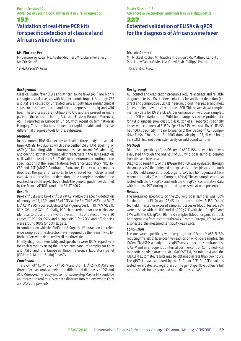# 157 **Validation of real-time PCR kits for specific detection of classical and African swine fever virus**

### **Ms. Floriane Pez**<sup>1</sup>

Mr. Jérôme Ventosa<sup>1</sup>, Ms. Adélie Meunier<sup>1</sup>, Mrs. Claire Pelletier<sup>1</sup>, Mr. Eric Sellal1

*<sup>1</sup> BioSellal, Dardilly, France*

# *Background*

Classical swine fever (CSF) and African swine fever (ASF) are highly contagious viral diseases with high economic impact. Although CSF and ASF are caused by unrelated viruses, both have similar clinical signs such as fever, ataxia, and severe depression in pig and wild boar. These diseases are notifiable to OIE and are present in many parts of the world including Asia and Eastern Europe. Moreover, ASF is reported in European Union, with recent dissemination in Hungary. This emphasizes the need for rapid, reliable and effective differential diagnosis tools for these diseases.

### *Methods*

In this context, BioSellal decides to develop three ready-to-use realtime PCR kits: two duplex which detect either CSFV (FAM labelling) or ASFV (VIC labelling) with an internal positive control (Cy5 labelling), and one triplex that combined all three targets in the same reaction well. Validations of each Bio-T kit® were performed according to the specifications of the French National Reference Laboratory (NRL) for CSF and ASF (ANSES Ploufragan-Plouzané, France) which notably describes the panel of samples to be checked for inclusivity and exclusivity and the limit of detection of the complete method to be reached for each target. They include the general guidelines defined by the French AFNOR standard NF-U47-600-2.

# *Results*

Bio-T kit® CSFV and Bio-T kit® CSFV & ASFV allow the specific detection of genotypes 1.1, 1.2,2.1 and 2.3 of CSFV while Bio-T kit® ASFV and Bio-T kit® CSFV & ASFV correctly detect ASFV genotypes I, II, III, IV, V, VI, VIII, IX, X, XVII and XXIII. Globally, PCR characteristics for the triplex are identical to those of the two duplexes: limits of detection were 20 copies/RT-PCR for CSFV and 5 copies/PCR for ASFV, and efficiencies were around 100% for both targets.

In combination with the BioExtract® Superball® extraction kit, reference samples at the detection level required by the French NRL for both targets were detected by all the three kits.

Finally, diagnostic sensibility and specificity were 100% respectively for each target by using the French NRL panel of samples for CSFV and ASFV and the European Union reference laboratory panel (CISA-INIA, Madrid, Spain) for ASFV.

# *Conclusion*

The Bio-T kit® CSFV, Bio-T kit® ASFV and Bio-T kit® CSFV & ASFV are three effectives tools allowing the differential diagnosis of CSF and ASF. Moreover, the ready-to-use triplex one-step Master Mix could be an interesting tool to survey both diseases into regions where CSFV and ASFV are presents.

#### Poster Session 1.2 Advances in vaccinology, antivirals & in viral diagnostics

# 227

# **Extented validation of ELISAs & qPCR for the diagnosis of African swine fever**

# **Mr. Loic Comtet**<sup>1</sup>

Mr. Mickaël Roche<sup>1</sup>, Mr. Gauthier Hourdoir<sup>1</sup>, Mr. Mathieu Laffont<sup>1</sup>, Mrs. Joany Castera<sup>1</sup>, Mrs. Lise Grewis<sup>1</sup>, Mr. Philippe Pourquier

*1 IDvet, Grabels, France*

# *Background*

ASF control and eradication programs require accurate and reliable diagnostic tests. IDvet offers solutions for antibody detection (indirect and competitive ELISAs) in serum, blood filter paper and meat juice samples, as well as a real-time qPCR. This poster shows complementary data for IDvet's ELISAs performance on wild boar samples, and qPCR validation data. Wild boar samples can be problematic for ASF diagnosis; previous studies (Dixon et al.) reported specificity issues with commercial ELISAs (Sp: 63 to 84%) whereas IDvet's iELISA had 100% specificity. The performance of the IDScreen® ASF competitive ELISA (P30 based – Sp: 100% domestic pigs – 97, 1% wild boar; Se: 95.8%) had not been extensively on wild board samples.

# *Methods*

Diagnostic specificity of the IDScreen® ASF ELISAs on wild board was evaluated through the analysis of 255 wild boar samples coming from disease-free areas.

Diagnostic sensitivity of the IDGeneTM qPCR was evaluated through the analysis 162 field infected or exposed samples (tissues or blood) and 303 field samples (blood, organs, soft tick homogenates) from recent outbreaks (Eastern Europea, Africa). Theses sample were also tested with the UPL-qPCR and with the OIE qPCR. Comparative data with in-house PCR during routine diagnosis will also be presented.

# *Results*

The measured specificity on the 255 wild boar samples was 100% for the Indirect ELISA and 98,4% for the competitive ELISA. Out of 162 field infected or exposed samples (tissues or blood) tested, 95% were positive with the IDGeneTM qPCR ; 91% with the UPL-qPCR and 67% with the OIE qPCR. 303 field samples (blood, organs, soft tick homogenates) from recent outbreaks (Eastern Europa, Africa) were also tested; the measured sensitivity was 98.6%.

# *Conclusion*

The measured specificity were very high for IDScreen® ASF ELISAs reducing the risk of false positive reaction on wild boar samples. The IDGeneTM ASF is a ready-to-use qPCR assay detecting simultaneously ASFV and an endogenous internal positive control. Combined with magnetic beads extraction kit (MAGFASTTM, 20 minutes) and the IDEALTM automate, results may be obtained in less than two hours. The qPCR kit was validated by the EURL for ASF. All ASFV isolates tested were detected, regardless of the genotype. IDvet offers a full range of tools for accurate and rapid diagnosis of ASF.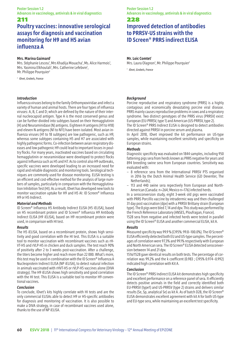# **Poultry vaccines: innovative serological assays for diagnosis and vaccination monitoring for H9 and H5 avian influenza A**

# **Mrs. Marina Gaimard**<sup>1</sup>

Mrs. Stéphanie Lesceu<sup>1</sup>, Mrs Khadija Mouacha<sup>1</sup>, Ms. Alice Harmois<sup>1</sup>, Mrs. Yasmina Elkhoulali<sup>1</sup>, Mrs. Catherine Lefebvre<sup>1</sup>, Mr. Philippe Pourquier<sup>1</sup>

*<sup>1</sup> IDvet, Grabels, France*

# *Introduction*

Influenza viruses belong to the family Orthomyxoviridae and infect a variety of human and animal hosts. There are four types of influenza viruses: A, B, C and D; which are defined by the nature of their internal nucleocapsid antigen. Type A is the most conserved genus and can be further divided into subtypes based on their Hemagglutinin (H) and Neuraminidase (N) antigens. Eighteen H antigens (H1 to H18) and eleven N antigens (N1 to N11) have been isolated. Most avian influenza viruses (H1 to 18 subtypes) are low pathogenic, such as H9. whereas some subtypes containing H5 and H7 are associated with highly pathogenic forms. Co-infection between avian respiratory diseases and low pathogenic H9 could lead to important losses in poultry flocks. For many years, inactivated vaccines based on circulating hemagglutinin or neuraminidase were developed to protect flocks against Influenza such as H5 and H7. As to control also H9 outbreaks, specific vaccines were developed leading to an increased need for rapid and reliable diagnostic and monitoring tools. Serological techniques are commonly used for disease monitoring. ELISA testing is an efficient and cost-effective method for the analysis of large numbers of samples, particularly in comparison with the Hemagglutination Inhibition Test (HI). As a result, IDvet has developed new tools to monitor vaccination uptake for H9 and H5 AI: ID Screen® Influenza H9 or H5 Indirect.

# *Material and Methods*

ID Screen® Influenza H5 Antibody Indirect ELISA (H5 iELISA), based on H5 recombinant protein and ID Screen® Influenza H9 Antibody Indirect ELISA (H9 iELISA), based on H9 recombinant protein were used, in comparison with HI test.

# *Results*

The H5 iELISA, based on a recombinant protein, shows high sensitivity and good correlation with the HI test. This ELISA is a suitable tool to monitor vaccination with recombinant vaccines such as rH-VT-H5 and rVLP-H5 in chicken and duck samples. The test reach 90% of positivity after 2 to 3 weeks post-vaccination. After a challenge, the titers become higher and reach more than 22 000. What's more, this test may be used in combination with the ID Screen® Influenza A Nucleoprotein Indirect ELISA (NP iELISA), to detect natural infection in animals vaccinated with rHVT-H5 or rVLP-H5 vaccines alone (DIVA strategy). The H9 iELISA shows high sensitivity and good correlation with the HI test. This ELISA is a suitable tool to monitor H9 conventional vaccines.

# *Conclusion*

To conclude, IDvet's kits highly correlate with HI tests and are the only commercial ELISAs able to detect H9 or H5-specific antibodies for diagnosis and monitoring of vaccination. It is also possible to make a DIVA strategy, in case of recombinant vaccines used alone, thanks to the use of NP iELISA.

# Poster Session 1.2 Advances in vaccinology, antivirals & in viral diagnostics

# 228

# **Improved detection of antibodies to PRRSV-US strains with the ID Screen® PRRS indirect ELISA**

# **Mr. Loic Comtet**<sup>1</sup>

Mrs. Laura Olagnon<sup>1</sup>, Mr. Philippe Pourquier<sup>1</sup>

*1 IDvet, Grabels, France*

# *Background*

Porcine reproductive and respiratory syndrome (PRRS) is a highly contagious and economically devastating porcine viral disease. PRRS mainly causes reproductive problems in sows and a respiratory syndrome. Two distinct genotypes of the PRRS virus (PRRSV) exist: European (EU-PRRSV, type 1) and American (US-PRRSV, type 2).

The ID Screen® PRRS Indirect ELISA is designed to detect antibodies directed against PRRSV in porcine serum and plasma.

In April 2018, IDvet improved the kit performance on US-type samples, while maintaining excellent sensitivity and specificity on European strains.

# *Methods*

Diagnostic specificity was evaluated on 1844 samples, including 950 fattening pigs sera from herds known as PRRS negative for years and 894 breeding swine sera from European countries. Sensitivity was evaluated with:

- 8 reference sera from the International PRRSV PTS organised in 2016 by the Dutch Animal Health Service (GD Deventer, The Netherlands);
- 113 and 440 swine sera repectively from European and North-American (Canada: n=264; Mexico n=176) infected herds.

In a seroconversion study, eight 3-week old pigs were vaccinated with PRRS Porcillis vaccine by intradermic way and then challenged 31 day post vaccination (dpv) with a PRRSV Brittany strain (European type). The 8 pigs were bled 7, 14 and dpv. This study was performed by the French Reference Laboratory (ANSES, Ploufragan, France). 1528 sera from negative and infected herds were tested in parallel using the ID Screen<sup>®</sup> ELISA and another commercial ELISA, kit A.

# *Results*

Measured specificity was 99.9 % (CI95%: 99.8–100.0%). The ID Screen® ELISA efficiently detected both EU and US-type samples. The percentages of correlation were 97.3% and 99.1% respectively with European and North American sera. The ID Screen® ELISA detected seroconversion between 14 and 21 dpv.

1516/1528 gave identical results on both tests. The percentage of correlation was 99.2% and the k coefficent (0.983 ; CI95% 0.974–0.992) indicated high correlation with Kit A.

# *Conclusion*

The ID Screen® PRRS Indirect ELISA kit demonstrates high specificity and excellent performance on a reference panel of sera. It efficiently detects positive animals in the field and correctly identified both EU-PRRSV (type1) and US-PRRSV (type 2) strains and delivers similar results (Se, Sp, analytical Se) as kit A. As of batch D28, the ID Screen® ELISA demonstrates excellent agreement with kit A for both US-type and EU-type sera, while maintaining an excellent test specificity.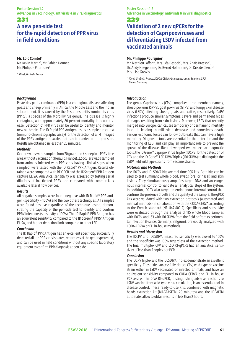# Poster Session 1.2 Advances in vaccinology, antivirals & in viral diagnostics

# 231

# **A new pen-side test for the rapid detection of PPR virus in field conditions**

# **Mr. Loic Comtet**<sup>1</sup>

Mr. Kevin Martin<sup>1</sup>, Mr. Fabien Donnet<sup>1</sup>, Mr. Philippe Pourquier<sup>1</sup>

*<sup>1</sup> IDvet, Grabels, France*

# *Background*

Peste-des-petits ruminants (PPR) is a contagious disease affecting goats and sheep primarily in Africa, the Middle East and the Indian subcontinent. It is caused by the Peste-des-petits ruminants virus (PPRV), a species of the Morbillivirus genus. The disease is highly contagious, with approximately 80 percent mortality in acute disease. Detection of PPR virus can be useful to identify and monitor new outbreaks. The ID Rapid PPR Antigen test is a simple direct test (immuno-chromatographic assay) for the detection of all 4 lineages of the PPRV antigen in swabs that can be carried out at pen-side. Results are obtained in less than 20 minutes.

### *Methods*

Ocular swabs were sampled from 70 goats and 6 sheep in a PPRV-free area without vaccination (Hérault, France). 22 ocular swabs sampled from animals infected with PPR virus having clinical signs when sampled, were tested with the ID Rapid® PPR Antigen. Results obtained were compared with RT-QPCR and the IDScreen® PPR Antigen capture ELISA. Analytical sensitivity was assessed by testing serial dilutions of inactivated PPRV and compared with commercially available lateral flow devices.

# *Results*

All negative samples were found negative with ID Rapid® PPR antigen (specificity = 100%) and the two others techniques. All samples were found positive regardless of the technique tested, demonstrating the capacity of the pen-side test to identify and confirm PPRV infections (sensitivity = 100%). The ID Rapid® PPR Antigen has an equivalent sensitivity compared to the ID Screen® PPRV Antigen ELISA, and higher detection limit compared to other LFD.

# *Conclusion*

The ID Rapid® PPR Antigen has an excellent specificity, successfully detected all the PPR virus isolates, regardless of the genotype tested, and can be used in field conditions without any specific laboratory equipment to confirm PPR diagnosis at pen-side.

# Poster Session 1.2 Advances in vaccinology, antivirals & in viral diagnostics

# 229

# **Validation of 2 new qPCRs for the detection of Capripoxviruses and differentiating LSDV infected from vaccinated animals**

# **Mr. Philippe Pourquier**<sup>1</sup>

Mr. Mathieu Laffont<sup>1</sup>, Mrs. Léa Despois<sup>1</sup>, Mrs. Anaïs Bresson<sup>1</sup>, Dr. Andy Haegeman<sup>2</sup>, Dr. Bernd Hoffmann<sup>3</sup>, Dr. Kris de Clercq<sup>2</sup>, Mrs. Lise Grewis<sup>1</sup>

*1 IDvet, Grabels, France, 2CODA-CERVA / Sciensano, Uccle, Belgium, 3FLI, Riems, Germany*

### *Introduction*

The genus Capripoxvirus (CPV) comprises three members namely, sheep poxvirus (SPPV), goat poxvirus (GTPV) and lumpy skin disease virus (LSDV) affecting sheep, goats and cattle, respectively. CaPV infections produce similar symptoms: severe and permanent hides damages resulting from skin lesions. Moreover, LSDV that recently merged into Europe, can causes temporary or permanent infertility in cattle leading to milk yield decrease and sometimes death. Serious economic losses can follow outbreaks that can have a high morbidity. Diagnostic tools are essential for the detection and the monitoring of LSD, and can play an important role to prevent the spread of the disease. IDvet developed two molecular diagnostic tools, the ID Gene™ Capripox Virus Triplex (IDCPV) for the detection of CPV and the ID Gene™ LSD DIVA Triplex (IDLSDIVA) to distinguish the LSDV field wild type strains from vaccine strains.

# *Material and Methods*

The IDCPV and IDLSDIVA kits are real-time PCR kits. Both kits can be used to test ruminant whole blood, swabs (oral or nasal) and skin lesions. They simultaneously amplifies target DNA and an exogenous internal control to validate all analytical steps of the system. In addition, IDCPV also target an endogenous internal control that confirms the presence of cells and the quality of the sample. The qPCR kits were validated with two extraction protocols (automated and manual methods) in collaboration with the CODA-CERVA according to the French standard (NF U47-600-2). Specificity and sensitivity were evaluated through the analysis of 115 whole blood samples with IDCPV and 153 with IDLSDIVA from the field or from experimental infection (France, Germany, Belgium), previously analyzed with CODA-CERVA or FLI in-house methods.

# *Results and Discussion*

The IDCPV and IDLSDIVA measured sensitivity was closed to 100% and the specificity was 100% regardless of the extraction method. The final multiplex CPV and LSD RT-qPCRs had an analytical sensitivity of less than 5 copies per PCR.

# *Conclusion*

The IDCPV Triplex and the IDLSDIVA Triplex demonstrate an excellent specificity. These kits successfully detect CPV, wild type or vaccine strain either in LSDV vaccinated or infected animals, and have an equivalent sensitivity compared to CODA CERVA and FLI in house PCR assays. The DIVA RT-qPCR, distinguishing adverse reactions to LSDV vaccine from wild type virus circulation, is an essential tool in disease control. These ready-to-use kits, combined with magnetic beads extraction kit (MAGFASTTM, 20 minutes) and the IDEALTM automate, allow to obtain results in less than 2 hours.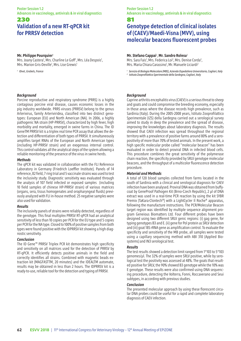Poster Session 1.2 Advances in vaccinology, antivirals & in viral diagnostics

# 230 **Validation of a new RT-qPCR kit for PRRSV detection**

### **Mr. Philippe Pourquier**<sup>1</sup>

Mrs. Joany Castera<sup>1</sup>, Mrs. Charline Le Goff<sup>1</sup>, Mrs. Léa Despois<sup>1</sup>, Mrs. Marion Gris-Deville<sup>1</sup>, Mrs. Lise Grewis<sup>1</sup>

*<sup>1</sup> IDvet, Grabels, France*

# *Background*

Porcine reproductive and respiratory syndrome (PRRS) is a highly contagious porcine viral disease, causes economic losses in the pig industry worldwide. PRRS viruses (PRRSV) belong to the genus Arterivirus, family Arteriviridea, classified into two distinct genotypes: European (EU) and North American (NA). In 2006, a highly pathogenic NA strain (HP-PRRSV), characterized by high fever, high morbidity and mortality, emerged in swine farms in China. The ID GeneTM PRRSV kit is a triplex real time PCR assay that allows the detection and differentiation of both types of PRRSV. It simultaneously amplifies target RNAs of the European and North American types (including HP-PRRSV strain) and an exogenous internal control. This control validates all the analytical steps of the system allowing a reliable monitoring of the presence of the virus in swine herds.

#### *Methods*

The qPCR kit was validated in collaboration with the FLI Reference Laboratory in Germany (Friedrich Loeffler Institute). Panels of 14 reference, 82 field, 7 ring trial and 5 vaccinale strains was used to test the inclusivity study. Diagnostic sensitivity was evaluated through the analysis of 107 field infected or exposed samples (including 10 field samples of chinese HP-PRRSV strain) of various matrices (organs, sera, tissus homogenates and oropharyngeal fluids) previously analyzed with FLI in-house method. 25 negative samples were also used for validation.

#### *Results*

The inclusivity panels of strains were reliably detected, regardless of the genotype. This final multiplex PRRSV RT-qPCR had an analytical sensitivity of less than 10 copies per PCR for the EU type and 5 copies per PCR for the NA type. Closed to 100% of positive samples from both types were found positive with the IDPRRSV kit showing a high diagnostic sensitivity.

#### *Conclusion*

The ID Gene™ PRRSV Triplex PCR kit demonstrates high specificity and sensitivity on all matrices used for the detection of PRRSV by RT-qPCR. It efficiently detects positive animals in the field and correctly identifies all strains. Combined with magnetic beads extraction kit (MAGFASTTM, 20 minutes) and the IDEALTM automate, results may be obtained in less than 2 hours. The IDPRRSV kit is a ready-to-use, reliable tool for the detection and typing of PRRSV.

# Poster Session 1.2 Advances in vaccinology, antivirals & in viral diagnostics

#### 81

# **Genotype detection of clinical isolates of (CAEV)/Maedi-Visna (MVV), using molecular beacons fluorescent probes**

### **Mr. Stefano Cappai**<sup>2</sup> , **Mr. Sandro Rolesu**<sup>2</sup>

Mrs. Sara Fais<sup>1</sup>, Mrs. Federica Loi<sup>2</sup>, Mrs. Denise Corda<sup>2</sup>, Mrs. Maria Chiara Carassino<sup>1</sup>, Mr. Manuele Liciardi<sup>2</sup>

*<sup>1</sup> Servizio di Biologia Molecolare (MBS), Azienda Ospedaliera Universitaria, Cagliari, Italy*

*<sup>2</sup> Istituto Zooprofilattico Sperimentale della Sardegna, Cagliari, Italy*

# *Background*

Caprine arthritis encephalitis virus (CAEV) is a serious threat to sheep and goats and could compromise the breeding economy, especially in those areas where the disease records high prevalence, such as Sardinia (Italy). During the 2005-2008 years, Istituto Zooprofilattico Sperimentale (IZS) della Sardegna carried out a serological survey aimed to study in deep the prevalence and the spread of disease, improving the knowledges about laboratory diagnosis. The results showed that CAEV infection was spread throughout the regional territory with a prevalence of positive farms around 80% and a seropositivity of more than 70% of tested animals. In the present work, a high specific molecular probe called "molecular beacon" has been evaluated in order to detect proviral DNA in infected blood cells. This procedure combines the great sensitivity of the polymerase chain reaction, the specificity provided by SRLV genotype molecular beacons, and the throughput of a multicolor fluorescence detection procedure.

### *Material and Methods*

A total of 120 blood samples collected from farms located in the south of Sardinia with a clinical and serological diagnosis for CAEV infection have been analysed. Proviral DNA was obtained from buffycoat by GeneProof Pathogen Kit (Brno-Czech Republic), 2 µl of DNA extract was used in a real-time PCR reaction by using the kit SYBR Premix (TaKara-Clontech®) with a LightCycler II Roche® apparatus, following the manufacture instructions. The PCR/Molecular Beacon target region was identified by multiple sequence alignment program Geneious Biomatters Ltd. Four different probes have been designed using two different SRLV genic regions: (i) gag gene, for typing genotypes B3 and E. (ii) gene for Pol protein as SRLV detection and (iii) goat 18S rRNA gene as amplification control. To evaluate the specificity and sensitivity of the MB probe, all samples were tested using a capillary sequencing method with ABI 310 (Applied Biosystems) and IN3 serological test.

#### *Results*

The test results showed a detection limit ranged from 1\*103 to 5\*103 genomes/µl. The 32% of samples were SRLV positive, while by serological test the positivity was assessed at 48%. The goats that resulted positive for SRLV, the 90% showed B3 genotype while the 10% was E genotype. These results were also confirmed using DNA sequencing procedure, detecting the Volterra, Fonni, Roccaverano and Seui subtypes, in according with previous studies.

# *Conclusion*

The presented molecular approach by using these florescent circular DNA probes could be useful for a rapid and complete laboratory diagnosis of CAEV infection.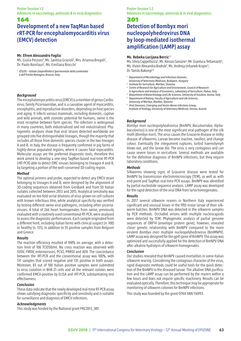Advances in vaccinology, antivirals & in viral diagnostics

# 164

# **Development of a new TaqMan based rRT-PCR for encephalomyocarditis virus (EMCV) detection**

# **Mr. Efrem Alessandro Foglia**<sup>1</sup>

Ms. Giulia Pezzoni<sup>1</sup>, Ms. Santina Grazioli<sup>1</sup>, Mrs. Arianna Bregoli<sup>1</sup>, Dr. Paolo Bonilauri<sup>1</sup>, Ms. Emiliana Brocchi<sup>1</sup>

*1 IZSLER – Istituto Zooprofilattico Sperimentale della Lombradia e dell'Emilia Romagna, Brescia, Italy*

# *Background*

The encephalomyocarditis virus (EMCV) is a member of genus Cardiovirus, family Picornaviridae, and is a causative agent of myocarditis, encephalitis, and reproductive disorders, depending on host species and aging. It infects various mammals, including domestic, captive and wild animals, with zoonotic potential for humans; swine is the most receptive between farm species. The infection is widespread in many countries, both industrialized and not industrialized. Phylogenetic analyses show that viral strains detected worldwide are grouped into five distinguishable lineages, though the majority that includes all those from domestic species cluster in the two lineages A and B. In Italy, the disease is frequently confirmed in pig farms of highly-dense populated regions, where it causes fatal myocarditis. Molecular assays are the preferred diagnostic tools, therefore this work aimed to develop a one-step TaqMan-based real-time RT-PCR (rRT-PCR) able to detect EMC viruses belonging to lineages A and B, by targeting a portion of the well-conserved 3D-coding region.

# *Method*

The optimal primers and probe, expected to detect any EMCV strain belonging to lineages A and B, were designed by the alignment of 3D-coding sequences obtained from GenBank and from 50 Italian isolates collected between 2013 and 2015. Analytical sensitivity was evaluated on ten-fold serial dilutions of virus grown on cell cultures with known infectious titre, while analytical specificity was verified by testing different swine viral pathogens, including other picornaviruses. A total of 266 heart homogenates from swine, previously evaluated with a routinely used conventional RT-PCR, were analysed to assess the diagnostic performances. Each sample originated from a different herd, including Italian farms with clinical suspect (n. 100) or healthy (n. 131), in addition to 35 positive samples from Belgium and Greece.

# *Results*

The reaction efficiency resulted of 100% on average, with a detection limit of 100 TCID50/ml. No cross reaction was observed with SVDV, FMDV, enteroviruses, PCV2, PRRSV and ADV. The concordance between the rRT-PCR and the conventional assay was 100%, with 131 samples that scored negative and 135 positive in both assays. Moreover, 83 out of 100 Italian positive samples were submitted to virus isolation in BHK-21 cells and all the relevant isolates were confirmed EMCV-positive by ELISA and rRT-PCR, substantiating test effectiveness.

# *Conclusion*

These data indicate that the newly developed real-time RT-PCR assay shows satisfying diagnostic specificity and sensitivity and is suitable for surveillance and diagnosis of EMCV-infections.

# *Acknowledgments*

This study was funded by the National grant PRC2013\_001.

# Poster Session 1.2 Advances in vaccinology, antivirals & in viral diagnostics

# 201

# **Detection of Bombyx mori nucleopolyhedrovirus DNA by loop-mediated isothermal amplification (LAMP) assay**

### **Ms. Rebeka Lucijana Bercic**1,2

Ms. Silvia Cappellozza<sup>3</sup>, Mr. Alessio Saviane<sup>3</sup>, Mr. Gianluca Tettamanti<sup>4</sup> Ms. Vivien Alexandra Bodnár<sup>1</sup>, Ms. Andreja Urbanek-Krajnc<sup>5</sup>, Dr. Tamás Bakonvi<sup>1,6</sup>

- *Department of Microbiology and Infectious Diseases,*
- *University of Veterinary Medicine, Budapest, Hungary*
- *<sup>2</sup> Institute for Sericulture, Maribor, Slovenia*
- *3 Centre of Research for Agriculture and Environment, Council of Research*
- *in Agriculture and Analysis of Economics, Laboratory of Sericulture, Padua, Italy*
- *4 Department of Biotechnology and Life Sciences, University of Insubria, Varese, Italy 5 Department of Botany, Faculty of Agriculture and Life Sciences,*
- *University of Maribor, Maribor, Slovenia*
- *6 Viral Zoonoses, Emerging and Vector-Borne Infections Group, Institute of Virology, University of Veterinary Medicine, Vienna, Austria*

# *Background*

*Bombyx mori nucleopolyhedrovirus* (BmNPV, *Baculoviridae, Alphabaculovirus*) is one of the most significant viral pathogen of the silk moth (*Bombyx mori*). The virus causes the Grasserie disease or milky disease of silkworms. Larvae become inactive, swollen, and change colour. Eventually the integument ruptures, turbid haemolymph blows out, and the larvae die. The virus is very contagious and can cause severe losses in sericulture. Several methods are available for the definitive diagnosis of BmNPV infections, but they require laboratory conditions.

# *Methods*

Silkworms showing signs of Grasserie disease were tested for BmNPV by transmission electronmicroscopy (TEM), as well as with end-point and TaqMan real-time PCR assays. BmNPV was identified by partial nucleotide sequence analysis. LAMP assay was developed for the rapid detection of the viral DNA from larva homogenates.

#### *Results*

In 2017 several silkworm rearers in Northern Italy experienced significant and unusual losses in the fifth instar larvae of their silkworm batches. BmNPV DNA was detected in the silkworm samples by PCR methods. Occluded virions with multiple nucleocapsids were detected by TEM. Phylogenetic analysis of partial genome sequences of ORF14 (envelope protein gene), however, revealed closer genetic relationship with BmNPV compared to the more virulent *Bombyx mori* multiple nucleopolyhedrovirus (BmMNPV). LAMP assay was designed for the gp41 gene of BmNPV. The assay was optimized and successfully applied for the detection of BmNPV DNA after alkaline hydrolysis of silkworm homogenates.

### *Conclusion*

Our studies revealed that BmNPV caused mortalities in some Italian silkworm rearing. Considering the contagious character of the virus, rapid diagnostic methods could be useful tools for the quick detection of the BmNPV in the diseased larvae. The alkaline DNA purification and the LAMP assay can be performed by the rearers within a few hours and does not require specific machinery. Results can be evaluated optically. Therefore, this technique may be appropriate for monitoring of silkworm colonies for BmNPV infections.

This study was founded by the grant OTKA SNN 116993.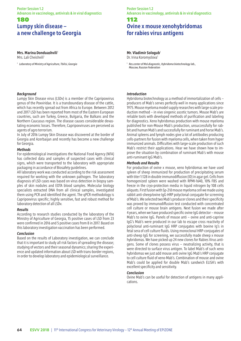# Poster Session 1.2 Advances in vaccinology, antivirals & in viral diagnostics

# 180 **Lumpy skin disease – a new challenge to Georgia**

# **Mrs. Marina Donduashvili**<sup>1</sup>

Mrs. Lali Cheishvili<sup>1</sup>

*<sup>1</sup> Laboratory of Ministry of Agriculture, Tbilisi, Georgia*

### Poster Session 1.2 Advances in vaccinology, antivirals & in viral diagnostics

# 112 **Ovine x mouse xenohybridomas for rabies virus antigens**

# **Mr. Vladimir Sologub**<sup>1</sup>

Dr. Irina Koromyslova<sup>1</sup>

*1 Res.center of Mol.diagnostic, Hybridoma biotechnology lab., Moscow, Russian Federation*

# *Background*

Lumpy Skin Disease virus (LSDv) is a member of the Capripoxvirus genus of the Poxviridae. It is a transboundary disease of the cattle, which has recently spread out from Africa to Europe. Between 2012 and 2017 LSD has been reported from most of the Eastern European countries, such are Turkey, Greece, Bulgaria, the Balkans and the Northern Caucasus region. The disease causes considerable devastating economic losses. Therefore, Capripoxviruses are perceived as agents of agro terrorism.

In July of 2016 Lumpy Skin Disease was discovered at the border of Georgia and Azerbaijan and recently has become a new challenge for Georgia.

# *Methods*

For epidemiological investigations the National Food Agency (NFA) has collected data and samples of suspected cases with clinical signs, which were transported to the laboratory with appropriate packaging in accordance of Biosafety guidelines.

All laboratory work was conducted according to the risk assessment required for working with the unknown pathogen. The laboratory diagnosis of LSD cases was based on virus detection in biopsy samples of skin nodules and EDTA blood samples. Molecular biology specialists extracted DNA from all clinical samples, investigated them using PCR and identified the agent. The qPCR methodology is Capripoxvirus specific; highly sensitive, fast and robust method for laboratory detection of all LSDv.

# *Results*

According to research studies conducted by the laboratory of the Ministry of Agriculture of Georgia, 15 positive cases of LSD from 23 were confirmed in 2016 and 5 positive cases from 8 in 2017. Based on this laboratory investigation vaccination has been performed.

# *Conclusion*

Based on the results of Laboratory investigation, we can conclude that it is important to study all risk factors of spreading the disease; studying of vectors and their seasonal dynamics; sharing the experience and updated information about LSD with trans-border regions, in order to develop laboratory and epidemiological surveillance.

# *Introduction*

Hybridoma biotechnology as a method of immortalization of cells – producers of Mab's serves perfectly well in many applications since 1975. Mouse myeloma model supply researches with large-scale production method – in vivo singenic ascetic tumors. Mouse Mab's are reliable tools with developed methods of purification and labeling for diagnostics. Xeno hybridomas production with mouse myeloma published for non-Mouse Mab's production, unsuccessfully for rabbit and human Mab's and successfully for ruminant and horse Mab's. Animal spleens and lymph nodes give a lot of antibodies producing cells-partners for fusion with myeloma cells, when taken from hyper immunized animals. Difficulties with large-scale production of such Mab's restrict their applications. Hear we have shown how to improve the situation by combination of ruminant Mab's with mouse anti-ruminant IgG Mab's.

### *Methods and Results*

For production of ovine x mouse, xeno hybridomas we have used spleen of sheep immunized for production of precipitating serum with titer 1:128 in double immunodiffusion (ID) in agar gel. Cells from homogenized spleen were washed with RPMI-1640, 10% FBS and freeze in the cryo-protection media in liquid nitrogen by 108 cells aliquots. First fusion with Sp-2\0 mouse myeloma cell we made using rabbit anti-sheep/ovine IgG-HRP polyclonal conjugate for screening of Mab's. We selected two Mab's producer clones and their specificity was proved by immunodiffusion test conducted with concentrated cell culture or mouse brain antigens. Next fusion we made after 4 years, when we have produced specific ovine IgG detector – mouse Mab's to ovine IgG. Panels of mouse anti – ovine and anti-caprine IgG's Mab's were produced in our lab to escape cross reactivity of polyclonal anti-ruminant IgG HRP conjugates with bovine Ig's in fetal sera of cell culture fluids. Using monoclonal HRP-conjugates of anti-sheep IgG for screening, we successfully made sheep x mouse hybridomas. We have picked up 24 new clones for Rabies Virus antigens. Some of clones possess virus – neutralizing activity, that is were directed to surface virus antigen. To label Mab's of such xeno hybridomas we just add mouse anti ovine IgG Mab's HRP conjugate to cell culture fluid of xeno-Mab's. Combination of mouse and ovine Mab's could be applied for double Mab's sandwich ELISA's with excellent specificity and sensitivity.

### *Conclusion*

Ovine Mab's can be useful for detection of antigens in many applications.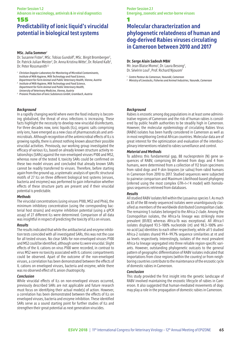Advances in vaccinology, antivirals & in viral diagnostics

# 155

# **Predictability of ionic liquid's virucidal potential in biological test systems**

# **MSc. Julia Sommer**<sup>1</sup>

Dr. Susanne Fister<sup>1</sup>, MSc. Tobias Gundolf<sup>1</sup>, MSc. Birgit Bromberger<sup>2</sup>, Dr. Patrick-Julian Mester<sup>1</sup>, Dr. Anna Kristina Witte<sup>1</sup>, Dr. Roland Kalb<sup>3</sup>, Dr. Peter Rossmanith<sup>1,2</sup>

- *1 Christian Doppler-Laboratory for Monitoring of Microbial Contaminants, Institute of Milk Hygiene, Milk Technology and Food Science, Department for Farm Animal and Public Veterinary Health, Vienna, Austria*
- *2 Institute of Milk Hygiene, Milk Technology and Food Science, Department for Farm Animal and Public Veterinary Health, University of Veterinary Medicine, Vienna, Austria*
- *3 Proionic Production of Ionic Substances GmbH, Grambach, Austria*

# *Background*

In a rapidly changing world where even the food industry is becoming globalised, the threat of virus infections is increasing. These facts highlight the necessity to develop new virucidal disinfectants. For three decades now, ionic liquids (ILs), organic salts comprising only ions, have emerged as a new class of pharmaceuticals and antimicrobials. Although recognition of the antimicrobial effects of ILs is growing rapidly, there is almost nothing known about their possible virucidal activities. Previously, our working group investigated the efficacy of various ILs, based on already known structure activity relationships (SARs) against the non-enveloped viruses P100 and MS2, whereas none of the tested IL toxicity SARs could be confirmed on these two model viruses and concluded that already known SARs cannot be readily transferred to viruses. Therefore, before starting again from the ground up, a systematic analysis of specific structural motifs of 27 ILs on three different biological test systems (viruses, bacteria and enzymes) was performed to gain information whether effects of these structure parts are present and if their virucidal potential is predictable.

# *Methods*

The virucidal concentrations (using viruses P100, MS2 and Phi6), the minimum inhibitory concentration (using the corresponding bacterial host strains) and enzyme inhibition potential (using a qPCR assay) of 27 different ILs were determined. Comparison of all data was insightful in respect of predicting the toxicity of ILs on viruses.

# *Results*

The results indicated that while the antibacterial and enzyme inhibition tests coincided with all investigated SARs, this was not the case for all tested viruses. No clear SARs for non-enveloped viruses P100 and MS2 could be identified, although some ILs were virucidal. Slight effects of the IL cations on virus P100 were recorded, in contrast to virus MS2 were no toxicity associated with IL cationic compartments could be observed. Apart of the outcome of the non-enveloped viruses, a correlation has been demonstrated between the effects of IL cations on enveloped viruses, bacteria and enzyme, while there was no observed effect of IL anion chaotropicity.

# *Conclusion*

While virucidal effects of ILs on non-enveloped viruses occurred, previously described SARs are not applicable and future research must focus on identifying their actual mode(s) of action. However, a correlation has been demonstrated between the effects of ILs on enveloped viruses, bacteria and enzyme inhibition. These identified SARs serve as a sound starting point for further studies of ILs and strengthen their great potential as next generation virucides.

Poster Session 2.1 Emerging, zoonotic and vector-borne viruses

1

# **Molecular characterization and phylogenetic relatedness of human and dog-derived Rabies viruses circulating in Cameroon between 2010 and 2017**

# **Dr. Serge Alain Sadeuh MBA**<sup>1</sup>

Mr. Jean Blaise Momo<sup>1</sup>, Dr. Laura Besong<sup>2</sup>, Dr. Sévérin Loul<sup>2</sup>, Prof. Richard Njouom

*<sup>1</sup> Centre Pasteur du Cameroun, Yaoundé, Cameroon*

*<sup>2</sup> Ministry of Livestocks, Fisheries and Animal Industries, Yaounde, Cameroon*

# *Background*

Rabies is enzootic among dog populations in at least some administrative regions of Cameroon and the risk of human rabies is considered by public health authorities to be steadily high in Cameroon. However, the molecular epidemiology of circulating Rabies Virus (RABV) isolates has been hardly considered in Cameroon as well as in most neighboring Central African countries. Molecular data are of great interest for the optimization and evaluation of the interdisciplinary interventions related to rabies surveillance and control.

# *Material and Methods*

To address this fundamental gap, 88 nucleoprotein (N) gene sequences of RABV, comprising 84 derived from dogs and 4 from humans, were determined from a collection of 112 brain specimens from rabid dogs and 9 skin biopsies (or saliva) from rabid humans in Cameroon from 2010 to 2017. Studied sequences were subjected to pairwise comparison and Maximum Likelihood-based phylogeny (inferred using the most complex GTR+I+Γ4 model) with homologous sequences retrieved from databases.

# *Results*

All studied RABV isolates fell within the Lyssavirus species 1. As much as 83 of the 88 newly sequenced isolates were unambiguously classified as members of the worldwide distributed Cosmopolitan clade. The remaining 5 isolates belonged to the Africa-2 clade. Among the Cosmopolitan isolates, the Africa-1a lineage was strikingly more prevalent (81/83) whereas Africa-1b was exceptional. All Africa-1 isolates displayed 93.5–100% nucleotide (nt) and 98.3–100% amino-acid (aa) identities to each other respectively; while all 5 studied Africa-2 isolates shared 99.4–99.7% sequence similarities at nt and aa levels respectively. Interestingly, isolates of the most prevalent Africa-1a lineage segregated into three reliable region-specific variants. However, outstanding phylogenetic outcasts to the general pattern of geographic differentiation of RABV isolates indicated that importations from close regions (within the country) or from neighboring countries contribute to the maintenance of the enzootic cycle of domestic rabies in Cameroon.

# *Conclusion*

This study provided the first insight into the genetic landscape of RABV involved maintaining the enzootic lifecycle of rabies in Cameroon. It also suggested that human-mediated movements of dogs may play a role in the propagation of domestic rabies in Cameroon.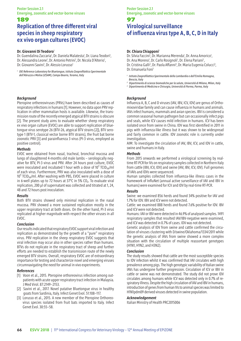# 189 **Replication of three different viral species in sheep respiratory ex vivo organ cultures (EVOC)**

### **Dr. Giovanni Di Teodoro**<sup>1</sup>

Dr. Guendalina Zaccaria<sup>1</sup>, Dr. Daniela Malatesta<sup>1</sup>, Dr. Liana Teodori<sup>1</sup>, Dr. Alessandra Leone<sup>1</sup>, Dr. Antonio Petrini<sup>1</sup>, Dr. Nicola D'Alterio<sup>1</sup>,

Dr. Giovanni Savini<sup>1</sup>, Dr. Alessio Lorusso<sup>1</sup>

<sup>1</sup> OIE Reference Laboratory for Bluetongue, Istituto Zooprofilattico Sperimentale *dell'Abruzzo e Molise (IZSAM), Campo Boario, Teramo, Italy*

### *Background*

Pteropine orthereoviruses (PRVs) have been described as causes of respiratory infections in humans [1]. However, no data upon PRV replication in other mammalian hosts is available. Likewise, the transmission route of the recently emerged atypical BTV strains is obscure [2]. The present study aims to evaluate whether sheep respiratory ex vivo organ culture (EVOC) are able to support replication of bluetongue virus serotype 26 (BTV-26, atypical BTV strains [2]), BTV serotype 1 (BTV-1, classical vector borne BTV strains), the fruit bat borne zoonotic PRV [3] and parainfluenza 3 virus (PI-3 virus, employed as positive control).

### *Methods*

EVOC were obtained from nasal, tracheal, bronchial mucosa and lungs of slaughtered 4-months old male lambs – serologically negative for BTV, PI-3 virus and PRV. After 24 hours post culture, EVOC were inoculated and incubated 1 hour with a dose of  $10<sup>3</sup>$  TCID<sub>50</sub>/ml of each virus. Furthermore, PRV was also inoculated with a dose of  $10<sup>5</sup>$  TCID<sub>50</sub>/ml. After washing with PBS, EVOC were placed in culture in 6-well plates up to 72 hours at  $37^{\circ}$ C in 5% CO<sub>2</sub>. To evaluate viral replication, 200 µl of supernatant was collected and titrated at 1, 24, 48 and 72 hours post inoculation.

# *Results*

Both BTV strains showed only minimal replication in the nasal mucosa. PRV showed a more sustained replication mostly in the upper respiratory tract at both doses. On the other hand, PI-3 virus replicated at higher magnitude with respect the other viruses in all EVOC.

# *Conclusion*

Our results indicated that respiratory EVOC support viral infection and replication as demonstrated by the growth of a "pure" respiratory virus. PRV replication in the sheep respiratory EVOC suggests that viral infection may occur also in other species rather than humans. BTVs do not replicate in the respiratory tract of sheep and further efforts are needed to establish the transmission route of the newly emerged BTV strains. Overall, respiratory EVOC are of extraordinary importance for testing and characterize novel and emerging viruses circumnavigating the need for animal in vivo experiments.

#### *References*

- [1] Voon et al., 2015. Pteropine orthoreovirus infection among outpatients with acute upper respiratory tract infection in Malaysia. J Med Virol. 87:2149–2153.
- [2] Savini et al., 2017. Novel putative Bluetongue virus in healthy goats from Sardinia, Italy. Infect Genet Evol. 51:108–117.
- [3] Lorusso et al., 2015. A new member of the Pteropine Orthoreovirus species isolated from fruit bats imported to Italy. Infect Genet Evol. 30:55–58.

#### Poster Session 2.1 Emerging, zoonotic and vector-borne viruses

# 97 **Virological surveillance of influenza virus type A, B, C, D in Italy**

# **Dr. Chiara Chiapponi**<sup>1</sup>

Dr. Silvia Faccini<sup>1</sup>, Dr. Marianna Merenda<sup>1</sup>, Dr. Anna Amorico<sup>1</sup> Dr. Ana Moreno<sup>1</sup>, Dr. Carlo Rosignoli<sup>1</sup>, Dr. Elena Pariani<sup>2</sup>, Dr. Cristina Galli<sup>2</sup>, Dr. Paola Affanni<sup>3</sup>, Dr. Maria Eugenia Colucci<sup>3</sup>, Dr. Emanuela Foni<sup>1</sup>

- *1 Istituto Zooprofilattico Sperimentale della Lombardia e dell'Emilia Romagna, Brescia, Italy*
- *<sup>2</sup> Dipartimento di scienze biomediche per la salute, Università di Milano, Milan, Italy*
- *<sup>3</sup> Dipartimento di Medicina e Chirurgia, Università di Parma, Parma, Italy*

# *Background*

Influenza A, B, C and D viruses (IAV, IBV, ICV, IDV) are genus of Orthomixoviridae family and can cause influenza in humans and animals. IAVs infect humans, mammals and avian species. IBV is considered a common seasonal human pathogen but can occasionally infect pigs and seals, while ICV causes mild infection in humans. ICV has been isolated once from swine in China. IDV was first identified in 2011 in pigs with influenza-like illness but it was shown to be widespread and fairly common in cattle. IDV zoonotic role is currently under investigation.

AIM: To investigate the circulation of IAV, IBV, ICV, and IDV in cattle, swine and humans in Italy.

### *Methods*

From 2015 onwards we performed a virological screening by realtime RT-PCR for IVs on respiratory samples collected in Northern Italy from cattle (IBV, ICV, IDV) and swine (IAV, IBV, ICV, IDV). Full genomes of IAVs and IDVs were sequenced.

Human samples collected from influenza-like illness cases in the framework of InfluNet (annual active surveillance of IAV and IBV in humans) were examined for ICV and IDV by real-time RT-PCR.

### *Results*

Swine: we examined 856 herds and found 34% positive for IAV and 1.7% for IDV. IBV and ICV were not detected.

Cattle: we examined 888 herds and found 7.6% positive for IDV. IBV and ICV were not detected.

Humans: IAV or IBV were detected in 46.9% of analysed samples. 1491 respiratory samples that resulted IAV/IBV-negative were examined, and ICV was detected in 0.7% of cases. IDV was not detected.

Genetic analysis of IDV from swine and cattle confirmed the circulation of viruses clustering with D/swine/Oklahoma/1334/2011 while the genetic analysis of IAVs from swine showed a more complex situation with the circulation of multiple reassortant genotypes (H1N1, H1N2, and H3N2).

# *Conclusion*

The study results showed that cattle are the most susceptible species to IDV infection whilst it was confirmed that IAV circulates with high prevalence among pigs. The high genotypic variability of Italian swine IAVs has undergone further progression. Circulation of ICV or IBV in cattle or swine was not demonstrated. The study did not prove IDV circulates among humans while ICV was detected only in 0.7% of respiratory illness. Despite the high circulation of IAV and IBV in humans, introduction of genes from human IVs to animal species was limited to H1N1pdm09 derived viruses detected in swine population.

# *Acknowledgement*

Italian Ministry of Health PRC2015006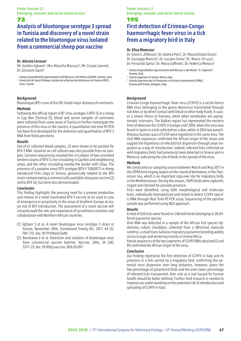# **Analysis of bluetongue serotype 3 spread in Tunisia and discovery of a novel strain related to the bluetongue virus isolated from a commercial sheep pox vaccine**

# **Dr. Alessio Lorusso**<sup>1</sup>

Mr. Soufien Sghaier<sup>2</sup>, Mrs. Maurilia Marcacci<sup>1</sup>, Mr. Cesare Cammà<sup>1</sup>, Dr. Giovanni Savini<sup>1</sup>

*<sup>1</sup> Istituto Zooprofilattico Sperimentale dell'Abruzzo e del Molise (IZSAM), Teramo, Italy 2 Univérsité de Tunis El Manar, Institut de la Recherche Vétérinaire de Tunisie (IRVT), Tunis, Tunisia*

# *Background*

Bluetongue (BT) is one of the OIE-listed major diseases of ruminants.

# *Methods*

Following the official report of BT virus serotype 3 (BTV-3) in a sheep in Cap Bon (Tunisia) [1], blood and serum samples of ruminants were collected from some areas of Tunisia to further investigate the presence of this virus in the country. A quantitative real time RT-PCR has been first developed for the detection and quantitation of BTV-3 RNA from field specimens.

# *Results*

Out of 62 collected blood samples, 23 were shown to be positive for BTV-3 RNA. Isolation on cell cultures was also possible from six samples. Genome sequencing revealed the circulation of two unrelated western strains of BTV-3, one circulating in Cap Bon and neighboring areas, and the other circulating nearby the border with Libya. The presence of a putative novel BTV serotype (BTV-Y TUN2017) in sheep introduced from Libya to Tunisia, genomically related to the BTV strain contaminating a commercially-available sheep pox vaccine [2] and to BTV-26, has been also demonstrated.

# *Conclusion*

This finding highlights the pressing need for a prompt production and release of a novel inactivated BTV-3 vaccine to be used in case of emergence or proactively in the areas of Southern Europe at major risk of BTV introduction. The assessment of a novel vaccine will certainly exalt the role and importance of surveillance activities and collaboration with Northern African countries.

- [1] Sghaier S et al. A novel bluetongue virus serotype 3 strain in Tunisia, November 2016, Transbound Emerg Dis. 2017; 64 (3): 709–715. doi: 10.1111/tbed.12640
- [2] Bumbarov V et al. Detection and isolation of bluetonque virus from commercial vaccine batches. Vaccine. 2016; 34 (28): 3317–23. doi: 10.1016/j.vaccine.2016.03.097.

# Poster Session 2.1 Emerging, zoonotic and vector-borne viruses

# 195

# **First detection of Crimean-Congo haemorrhagic fever virus in a tick from a migratory bird in Italy**

# **Dr. Elisa Mancuso**<sup>1</sup>

Dr. Silvio G. d'Alessio<sup>1</sup>, Dr. Andrea Polci<sup>1</sup>, Dr. Massimiliano Orsini<sup>1</sup> Dr. Giuseppe Mancini<sup>1</sup>, Dr. Luciano Toma<sup>2</sup>, Dr. Marco Di Luca<sup>2</sup> Dr. Fernando Spina<sup>3</sup>, Dr. Maria Goffredo<sup>1</sup>, Dr. Federica Monaco<sup>®</sup>

*1 Istituto Zooprofilattico Sperimentale dell'Abruzzo e del Molise "G. Caporale", Teramo, Italy*

*<sup>2</sup> Istituto Superiore di Sanità, Roma, Italy*

*3 Istituto Superiore per la Protezione e la Ricerca Ambientale (ISPRA), Ozzano dell'Emilia, Bologna, Italy*

# *Background*

Crimean-Congo haemorrhagic fever virus (CCHFV) is a vector-borne RNA virus belonging to the genus *Nairovirus* transmitted through tick bites or by direct contact with blood or other body fluids; it causes a severe illness to humans, while other vertebrates are asymptomatic reservoirs. The Balkan region has represented the western limit of detection for CCHFV in Europe until 2010, when the virus was found in Spain in a tick collected on a deer, while in 2016 two autochthonous human cases of CCHF were registered in the same area. The viral RNA sequences confirmed the African origin of the strain and support the hypothesis of infected tick dispersion through avian migration as a way of introduction. Indeed, infected ticks collected on wild migratory birds had previously been detected in Greece and in Morocco, indicating the role of birds in the spread of the virus.

# *Methods*

We conducted our sampling session between March and May 2017 in the ISPRA bird ringing station on the island of Ventotene, in the Thyrrenian Sea, which is an important stop-over site for migratory birds in the Mediterranean. During the season, 15095 birds were captured, ringed and checked for parasite presence.

Ticks were identified, using both morphological and molecular tools, individually homogenized and tested to detect CCHFV specific RNA through Real Time RT-PCR assay. Sequencing of the positive sample was performed using NGS approach.

# *Results*

A total of 620 ticks were found on 268 wild birds belonging to 28 different passerine species.

Viral RNA was detected in a nymph of the African tick species *Hyalomma rufipes (Ixodidae)*, collected from a Whinchat *(Saxicola rubetra)*, a small trans-Saharan migratory passerine breeding widely across Europe and wintering mainly in Central Africa.

Partial sequences of the two segments of CCHFV RNA obtained (S and M) confirmed the African origin of the virus.

# *Conclusion*

Our finding represents the first detection of CCHFV in Italy and its presence in a tick carried by a migratory bird, confirming the potential virus dispersion over long distances. However, given the low percentage of parasitized birds and the even lower percentage of infected ticks transported, their role as a real hazard for human health should be better defined. Further field research is needed to improve our understanding on the potential risk of introduction and spreading of CCHFV in Italy.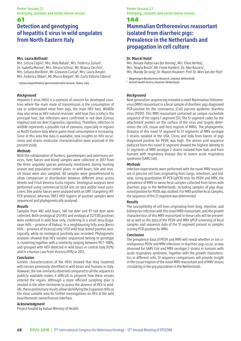# **Detection and genotyping of hepatitis E virus in wild ungulates from North-Eastern Italy**

### **Mrs. Laura Bellinati**<sup>1</sup>

Mrs. Letizia Ceglie<sup>1</sup>, Mrs. Alda Natale<sup>1</sup>, Mrs. Federica Zuliani<sup>1</sup>, Dr. Isabella Monne<sup>1</sup>, Mrs. Alessia Schivo<sup>1</sup>, Ms. Bianca Zecchin<sup>1</sup>, Mrs. Lebana Bonfanti<sup>1</sup>, Mr. Giovanni Cunial<sup>1</sup>, Mrs. Laura Amato<sup>1</sup>, Mrs. Federica Obber<sup>1</sup>, Mr. Marco Bregoli<sup>1</sup>, Mr. Carlo Vittorio Citterio<sup>1</sup>

*<sup>1</sup> Istituto Zooprofilattico Sperimentale delle Venezie, Padua, Italy*

# *Background*

Hepatitis E virus (HEV) is a zoonosis of concern for developed countries where the main route of transmission is the consumption of raw or undercooked meat from pigs, the main HEV host. Wildlife may also serve as HEV natural reservoir: wild boar (Sus scrofa) is the principal host, but infections were confirmed in red deer (Cervus elaphus) and roe deer (Capreolus capreolus). Therefore, infection in wildlife represents a possible risk of zoonosis, especially in regions as North-Eastern Italy where game meat consumption is increasing. Since in this area few data is available, new insights on HEV occurrence and strains molecular characterization were assessed in the present study.

#### *Methods*

With the collaboration of hunters, gamekeepers and veterinary services, liver, faeces and blood samples were collected in 2017 from the three ungulate species previously mentioned, during hunting season and population control plans. In wild boars, bile and muscle tissue were also sampled. All samples were georeferenced to allow comparison in distribution between different areas across Veneto and Friuli Venezia Giulia regions. Serological analyses were performed using commercial ELISA kits on sera and/or meat juice. Livers, bile and/or faeces were analysed with an ORF-3 targeting rRT-PCR protocol, whereas ORF2 HEV regions of positive samples were sequenced and phylogenetically analysed.

#### *Results*

Samples from 482 wild boars, 160 roe deer and 97 red deer were collected. Both serological (25/145) and virological (12/138) positives were evidenced in wild boar only, clustering in a small area (Euganean Hills – province of Padua). In a neighbouring hilly area (Berici Hills – province of Vicenza) only 1/131 wild boar tested positive serologically, while no virological positivity was recorded. Phylogenetic analyses showed that HEV isolates sequenced belong to genotype 3, clustering together with a similarity ranging between 99.7–100%, and grouped with HEV detected in wild boars in central Italy (92%) and in a human case from Vicenza (91%) in 2012.

#### *Conclusion*

Genetic characterization of the HEVs showed that they clustered with viruses previously identified in wild boars and humans in Italy. However, the low similarity observed compared to all the sequences publicly available makes it difficult to pinpoint how these viruses entered the region. Although a more efficient sampling plan is needed in the other territories to assess the absence of HEV in wildlife, these preliminary results allow identifying the Euganean Hills as the most suitable area for further investigations on HEV at the wild boar/domestic swine/human interface.

# *Acknowledgment*

Project funded by Italian Ministry of Health

Poster Session 2.1 Emerging, zoonotic and vector-borne viruses

# 144

# **Mammalian Orthoreovirus reassortant isolated from diarrheic pigs: Prevalence in the Netherlands and propagation in cell culture**

### **Dr. Marcel Hulst**<sup>1</sup>

Mrs. Renate Hakze-van der Honing<sup>1</sup>, Mrs. Eline Verheij<sup>1</sup>, Mrs. Twayla Bosch<sup>1</sup>, Mr. Frank Harders<sup>1</sup>, Dr. Alex Bossers<sup>1</sup>, Mrs. Mandy De Jong<sup>1</sup>, Dr. Manon Houben<sup>2</sup>, Prof. Dr. Wim Van der Poel

*<sup>1</sup> Wageningen Bioveterinary Research, Lelystad, Netherlands*

*<sup>2</sup> Animal Health Service, Deventer, Netherlands*

# *Background*

Next generation sequencing revealed a novel Mammalian Orthoreovirus (MRV) reassortant in a fecal sample of diarrheic pigs diagnosed PCR-positive for the coronavirus (CoV) porcine epidemic diarrhea virus (PEDV). This MRV reassortant contained an unique nucleotide sequence of the sigma 1 segment (S1). The S1 segment codes for the attachment protein on the surface of the virus and largely determines the cell, tissue and host tropism of MRVs. The phylogenetic distance of this novel S1 segment to S1 segments of MRV serotype 3 strains isolated in the USA, China and Italy from faeces of pigs diagnosed positive for PEDV, was high. The amino acid sequence deduced form this novel S1 segment showed the highest identity to S1 segments of MRV serotype 2 strains isolated from bats and from humans with respiratory disease due to severe acute respiratory syndrome (SARS CoV).

### *Methods*

Infection experiments were performed with the novel MRV reassortant in porcine cell lines originating from lungs, intestines, and kidneys. Using quantitative RT-PCR (qPCR) tests for PEDV and MRV, the prevalence of MRV in swine fecal samples collected from farms with diarrheic pigs in the Netherlands, including samples of pigs diagnosed positive for PEDV, was studied. For MRV positive fecal samples, the sequence of the S1 segment was determined.

#### *Results*

The susceptibility of cell lines originating from lung, intestine, and kidneys for infection with this novel MRV reassortant, and the growth characteristics of this MRV reassortant in these cells will be presented as well as the data of the PEDV and MRV qPCR screening of fecal samples and sequence data of the S1 segment present in samples scoring PCR-positive for MRV.

# *Conclusion*

The prevalence data of PEDV and MRV will reveal whether or not simultaneous PEDV and MRV infections in diarrheic pigs occur, as was observed for SARS CoV and MRV serotype 2 strains in humans with acute respiratory syndrome. Together with the growth characteristics in different cells, S1 sequence comparisons will provide insight in the tissue tropism of the novel MRV reassortant and of MRV strains circulating in the pig population in the Netherlands.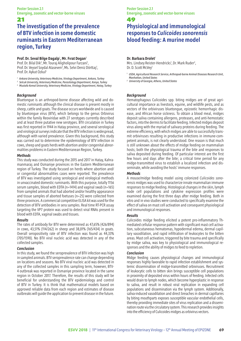# **The investigation of the prevalence of BTV infection in some domestic ruminants in Eastern Mediterranean region, Turkey**

# **Prof. Dr. Seval Bilge Dagalp**<sup>1</sup> **, Mr. Fırat Dogan**<sup>3</sup>

Prof. Dr. Bilal Dik<sup>2</sup>, Mr. Touraj Aligholipour Farzani<sup>1</sup>, Prof. Dr. Veysel Soydal Ataseven<sup>3</sup>, Ms. Selvi Deniz Dörttaş<sup>1</sup>, Prof. Dr. Avkut Ozkul<sup>1</sup>

*<sup>1</sup> Ankara University, Veterinary Medicine, Virology Department, Ankara, Turkey*

*<sup>2</sup> Selcuk University, Veterinary Medicine, Parasitology Department, Konya, Turkey <sup>3</sup> Mustafa Kemal University, Veterinary Medicine, Virology Department, Hatay, Turkey*

# *Background*

Bluetongue is an arthropod-borne disease affecting wild and domestic ruminants although the clinical disease is present mostly in sheep, cattle and goats. The disease occurs worldwide and is caused by bluetongue virus (BTV), which belongs to the genus Orbivirus within the family Reoviridae with 27 serotypes currently described and at least three putative new serotypes. BTV circulation in Turkey was first reported in 1944 in Hatay province, and several serological and virological surveys indicate that the BTV infection is widespread, although with varied prevalence. Given this background, this study was carried out to determine the epidemiology of BTV infection in cows, sheep and goats herds with abortion and/or congenital abnormalities problems in Eastern Mediterranean Region, Turkey.

### *Methods*

This study was conducted during the 2015 and 2017 in Hatay, Kahramanmaraş and Osmaniye provinces in the Eastern Mediterranean region of Turkey. The study focused on herds where abortion and/ or congenital abnormalities cases were reported. The prevalence of BTV was investigated using serological and virological methods in unvaccinated domestic ruminants. With this purpose, totally 1156 serum samples, blood with EDTA (n=1414) and vaginal swab (n=165) from sampled animals that had aborted and/or healthy appearance and tissue samples of aborted foetuses (n=25) were collected from three provinces. A commercial competitive ELISA kit was used for the detection of BTV antibodies in sera samples. Real time RT-PCR assay targeting the VP7 protein was used to detect viral RNAs present in blood with EDTA, vaginal swabs and tissues.

# *Results*

The rates of antibody for BTV were determined as 47,65% (426/894) in cows, 43,51% (114/262) in sheep and 38,01% (165/434) in goats. Overall seropositivity rate of BTV infection was found as 44,33% (705/1590). No BTV viral nucleic acid was detected in any of the collected samples.

# *Conclusion*

In this study, we found the seroprevalence of BTV infection was high in sampled animals. BTV seroprevalence rate can change depending on locations and seasons. No BTV viral nucleic acid was detected in any of the collected samples in this sampling term, however, BTV-4 outbreak was reported in Osmaniye province located in the same region in October 2017. Therefore, the results of this study will be beneficial for understanding the BTV epidemiology and control of BTV in Turkey. It is think that mathematical models based on approved reliable data from each region and estimates of disease outbreaks will guide the application to prevent disease in the future.

Poster Session 2.1 Emerging, zoonotic and vector-borne viruses

#### 49

# **Physiological and immunological responses to** *Culicoides sonorensis* **blood feeding: A murine model**

# **Dr. Barbara Drolet**<sup>1</sup>

Mrs. Lindsey Reister-Hendricks<sup>1</sup>, Dr. Mark Ruder<sup>2</sup>, Dr. D. Scott McVey1

- *1 USDA, Agricultural Research Service, Arthropod-borne Animal Diseases Research Unit, Manhattan, United States*
- *<sup>2</sup> University of Georgia, Athens, United States*

# *Background*

Hematophagous Culicoides spp. biting midges are of great agricultural importance as livestock, equine, and wildlife pests, and as vectors of the orbiviruses bluetongue, epizootic hemorrhagic disease, and African horse sickness. To obtain a blood meal, midges deposit saliva containing allergens, proteases, and anti-hemostatic factors, into the dermis to facilitate feeding. Infected midges deposit virus along with the myriad of salivary proteins during feeding. The extreme efficiency, with which midges are able to successfully transmit orbiviruses resulting in productive infections in immune-competent animals, is not clearly understood. One reason is that much is still unknown about the effects of midge feeding on mammalian hosts; both the physiological trauma of the bite and responses to saliva deposited during feeding. Of particular interest are the first few hours and days after the bite; a critical time period for any midge-transmitted virus to establish a localized infection and disseminate, while avoiding the hosts' immune responses.

# *Methods*

A mouse/midge feeding model using colonized *Culicoides sonorensis* midges was used to characterize innate mammalian immune responses to midge feeding. Histological changes in the skin, lymph node cell populations and cytokine expression profiles were examined during the first three days after midge feeding. Both in vitro and in vivo studies were conducted to specifically examine the effect of saliva on mast cell activation and consequent physiological and immunological responses.

# *Results*

Culicoides midge feeding elicited a potent pro-inflammatory Thmediated cellular response pattern with significant mast cell activation, subcutaneous hematomas, hypodermal edema, dermal capillary vasodilation, and rapid infiltration of leukocytes to the bitten areas. Mast cell activation, triggered by bite trauma and specifically by midge saliva, was key to physiological and immunological responses and the ability of midges to feed to repletion.

# *Conclusion*

Midge feeding causes physiological changes and immunological responses highly favorable to rapid infection establishment and systemic dissemination of midge-transmitted orbiviruses. Recruitment of leukocytic cells to bitten skin brings susceptible cell populations in proximity of deposited virus within hours of feeding. Infected cells would drain to lymph nodes, which become hyperplastic in response to saliva, and result in robust viral replication in expanding cell populations and dissemination via the lymph system. Additionally, saliva-induced vasodilation and direct breaches in dermal capillaries by biting mouthparts exposes susceptible vascular endothelial cells, thereby providing immediate sites of virus replication and a dissemination route via the circulatory system. This research provides insights into the efficiency of Culicoides midges as orbivirus vectors.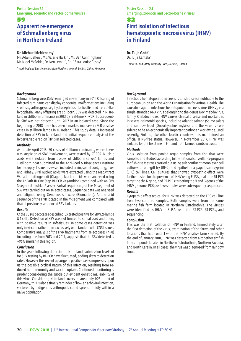Poster Session 2.1 Emerging, zoonotic and vector-borne viruses

# 59 **Apparent re-emergence of Schmallenberg virus in Northern Ireland**

### **Dr. Michael McMenamy**<sup>1</sup>

Mr. Adam Jeffers<sup>1</sup>, Ms. Valerie Harkin<sup>1</sup>, Mr. Ben Cunningham<sup>1</sup>, Mr. Nigel McBride<sup>1</sup>, Dr. Ken Lemon<sup>1</sup>, Prof. Sara Louise Cosby<sup>1</sup>

*<sup>1</sup> Agri-food and Biosciences Institute Northern Ireland, Belfast, United Kingdom*

# Poster Session 2.1 Emerging, zoonotic and vector-borne viruses 82

# **First isolation of infectious hematopoietic necrosis virus (IHNV) in Finland**

### **Dr. Tuija Gadd**<sup>1</sup> Dr. Tuija Kantala<sup>1</sup>

*<sup>1</sup> Finnish Food Safety Authority Evira, Helsinki, Finland*

### *Background*

Schmallenberg virus (SBV) emerged in Germany in 2011. Offspring of infected ruminants can display congenital malformations including scoliosis, arthrogryposis, hydrocephalus, torticollis and cerebellar hypoplasia. Many offspring are stillborn. SBV was detected in N. Ireland in stillborn ruminants in 2013 by real-time RT-PCR. Subsequently, SBV was not detected until 2017 in an isolated case. Since the beginning of 2018 there has been a marked increase in PCR positive cases in stillborn lambs in N. Ireland. This study details increased detection of SBV in N. Ireland and initial sequence analysis of the hypervariable region (HVR) in selected cases.

# *Methods*

As of late-April 2018, 70 cases of stillborn ruminants, where there was suspicion of SBV involvement, were tested by RT-PCR. Nucleic acids were isolated from tissues of stillborn calves', lambs and 1 stillborn goat submitted to the Agri-Food & Biosciences Institute for necropsy. Tissues assessed included brain, spinal cord, lung, liver and kidney. Viral nucleic acids were extracted using the MagAttract 96 cador pathogen kit (Qiagen). Nucleic acids were analysed using the AgPath-ID One Step RT-PCR kit (Ambion) combined with an SBV S-segment TaqMan® assay. Partial sequencing of the M-segment of SBV was carried out on selected cases. Sequence data was analysed and aligned using Geneious software (Biomatters). Amino acid sequence of the HVR located in the M-segment was compared with that of previously sequenced SBV isolates.

# *Results*

Of the 70 suspect cases described, 27 tested positive for SBV (26 lambs & 1 calf). Detection of SBV was not limited to spinal cord and brain, with positive results in soft-tissues. In some cases detection was only in viscera rather than exclusively or in tandem with CNS tissues. Comparative analysis of the HVR fragments from select cases (n=8) including one from 2013 and 2017, suggests that the SBV detected is ~96% similar in this region.

# *Conclusion*

In the years following detection in N. Ireland, submission levels of for SBV testing by RT-PCR have fluctuated, adding skew to detection rates. However this recent upsurge in positive cases impresses upon us the possible cyclical nature of this infection, resulting from reduced herd immunity and vaccine uptake. Continued monitoring is prudent considering the subtle but evident genetic malleability of this virus. Considering N. Ireland covers an area only 1/25th that of Germany, this is also a timely reminder of how an arboviral infection, vectored by indigenous arthropods could spread rapidly within a naïve population.

# *Background*

Infectious hematopoietic necrosis is a fish disease notifiable to the European Union and the World Organisation for Animal Health. The causative agent, infectious hematopoietic necrosis virus (IHNV), is a single-stranded RNA virus belonging to the genus Novirhabdovirus, family Rhabdoviridae. IHNV causes clinical disease and mortalities in several salmonid species, including Atlantic salmon (Salmo salar) and rainbow trout (Oncorhynchus mykiss), and the virus is considered to be an economically important pathogen worldwide. Until recently, Finland, like other Nordic countries, has maintained an official IHNV-free status. However, in November 2017, IHNV was isolated for the first time in Finland from farmed rainbow trout.

### *Methods*

Virus isolation from pooled organ samples from fish that were sampled and studied according to the national surveillance program for fish diseases was carried out using sub confluent monolayer cell cultures of bluegill fry (BF-2) and epithelioma papulosum cyprini (EPC) cell lines. Cell cultures that showed cytopathic effect were further tested for the presence of IHNV using ELISA, real time RT-PCR targeting the N gene, and RT-PCRs targeting the N and G genes of the IHNV genome. PCR positive samples were subsequently sequenced.

# *Results*

Cytopathic effect typical for IHNV was detected on the EPC cell line from two cultured samples. Both samples were from the same marine fish farm located in Northern Ostrobothnia. The viruses were identified as IHNV in ELISA, real time RT-PCR, RT-PCRs, and sequencing.

# *Conclusion*

This was the first isolation of IHNV in Finland. Immediately after the first detection of the virus, examination of fish farms and other locations that had contact with the IHNV positive farm started. By the end of January 2018, IHNV was detected from altogether six fish farms or ponds located in Northern Ostrobothnia, Northern Savonia, and North Karelia. In all cases, the virus was diagnosed from rainbow trout.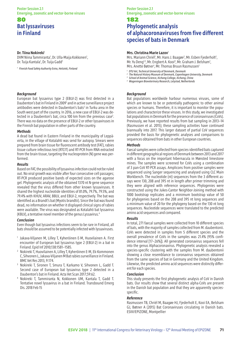### Poster Session 2.1 Emerging, zoonotic and vector-borne viruses

# 80 **Bat lyssaviruses in Finland**

### **Dr. Tiina Nokireki**<sup>1</sup>

DVM Niina Tammiranta', Dr. Ulla-Maija Kokkonen', Dr. Tuija Kantala<sup>1</sup>, Dr. Tuija Gadd<sup>1</sup>

*<sup>1</sup> Finnish Food Safety Authority Evira, Helsinki, Finland*

### *Background*

European bat lyssavirus type 2 (EBLV-2) was first detected in a Daubenton's bat in Finland in 2009<sup>1</sup> and in active surveillance project antibodies were detected in Daubenton's bats<sup>2</sup> in Turku area in the South west part of the country. In 2016, a new case of EBLV-2 was detected in a Daubenton's bat, circa 100 km from the previous case<sup>3</sup>. There was no data on the presence of EBLV-2 or other lyssaviruses in the Finnish bat population in other parts of the country.

#### *Methods*

A dead bat found in Eastern Finland in the municipality of Leppävirta, in the village of Kotalahti was send for autopsy. Smears were prepared from brain tissue for fluorescent antibody test (FAT), rabies tissue culture infectious test (RTCIT) and RT-PCR from RNA extracted from the brain tissue, targeting the nucleoprotein (N) gene was performed.

### *Results*

Based on FAT, the possibility of lyssavirus infection could not be ruled out. No viral growth was visible after four consecutive cell passages; RT-PCR produced positive bands of expected sizes on the agarose gel. Phylogenetic analysis of the obtained 1370 nt N-gene sequence revealed that the virus differed from other known lyssaviruses. It shared the highest nucleotide identities of 81.0%, 79.7%, 79.5%, and 79.4% with KHUV, ARAV, BBLV, and EBLV-2, respectively. The bat was identified as a Brandt's bat (Myotis brandtii). Since the bat was found dead, no information on whether it displayed clinical signs of rabies were available. The virus was designated as Kotalahti bat lyssavirus (KBLV), a tentative novel member of the genus Lyssavirus.4

# *Conclusion*

Even though bat lyssavirus infections seem to be rare in Finland, all bats should be assumed to be potentially infected with lyssaviruses.

- 1 Jakava-Viljanen M, Lilley T, Kyheröinen E-M, Huovilainen A. First encounter of European bat lyssavirus type 2 (EBLV-2) in a bat in Finland. Epid Inf 2010;138:1581–1585.
- 2 Nokireki T, Huovilainen A, Lilley T, Kyheröinen E-M, Ek-Kommonen C, Sihvonen L, Jakava-Viljanen M Bat rabies surveillance in Finland. BMC Vet Res 2013, 9:174.
- 3 Nokireki T, Sironen T, Smura T, Karkamo V, Sihvonen L, Gadd T. Second case of European bat lyssavirus type 2 detected in a Daubenton's bat in Finland. Acta Vet Scan 2017;59:62.
- 4 Nokireki T, Tammiranta N, Kokkonen UM, Kantala T, Gadd T. Tentative novel lyssavirus in a bat in Finland. Transbound Emerg Dis. 2018 Feb 15

# Poster Session 2.1 Emerging, zoonotic and vector-borne viruses

# 182

# **Phylogenetic analysis of alphacoronaviruses from five different species of bats in Denmark**

# **Mrs. Christina Marie Lazov**<sup>1</sup>

Mrs. Mariann Chriél<sup>1</sup>, Mr. Hans J. Baagøe<sup>2</sup>, Mr. Esben Fjederholt<sup>2</sup>, Mr. Yu Deng<sup>1,3</sup>, Mr. Engbert A. Kooi<sup>4</sup>, Mr. Graham J. Belsham<sup>1</sup>, Mrs. Anette Bøtner<sup>1</sup>, Mr. Thomas Bruun Rasmussen<sup>1</sup>

*<sup>1</sup> DTU Vet, Technical University of Denmark, Denmark*

- *<sup>2</sup> The Natural History Museum of Denmark, Copenhagen University, Denmark <sup>3</sup> School of Animal Science, Xichang College, Xichang, China*
- 
- *<sup>3</sup> Wageningen Bioveterinary Research, Lelystad, Netherlands*

# *Background*

Bat populations worldwide harbour numerous viruses, some of which are known to be or potentially pathogenic to other animal species or humans. Therefore, it is important to monitor the populations and characterize these viruses. In this study, we investigated bat populations in Denmark for the presence of coronaviruses (CoVs). Previously, we have reported results from bat sampling in 2013–14 (Rasmussen et al. 2015); these sampling activities have continued biannually into 2017. This larger dataset of partial CoV sequences provided the basis for phylogenetic analyses and comparisons to sequences obtained from bats in other European countries.

# *Methods*

Faecal samples were collected from species-identified bats captured in different geographical regions of Denmark between 2013 and 2017 with a focus on the important hibernacula in Mønsted limestone mines. The samples were screened for CoVs using a combination of 3 pan-CoV RT-PCR assays. Amplicons from positive samples were sequenced using Sanger sequencing and analysed using CLC Main Workbench. The nucleotide (nt) sequences from the 3 different assays were 130, 208 and 395 nt in length after primer trimming and they were aligned with reference sequences. Phylogenies were constructed using the Jukes-Cantor Neighbor-Joining method with 1000 bootstrap replicates and a minimum bootstrap value of 50 for phylogenies based on the 208 and 395 nt long sequences and a minimum value of 20 for the phylogeny based on the 130 nt long sequences. Nucleotide sequences were translated to the predicted amino acid sequences and compared.

# *Results*

In total, 271 faecal samples were collected from 10 different species of bats, with the majority of samples collected from M. daubentonii. CoVs were detected in samples from 5 different species and the overall prevalence of CoVs in the samples was 21.4% (95% confidence interval [17–26%]). All generated coronavirus sequences fell into the genus Alphacoronavirus. Phylogenetic analysis revealed a species-specific clustering with the samples from M. daubentonii showing a close resemblance to coronavirus sequences obtained from the same species of bat in Germany and the United Kingdom. Likewise, the predicted amino acid sequences were distinctly different for each species.

#### *Conclusion*

This study presents the first phylogenetic analysis of CoV in Danish bats. Our results show that several distinct alpha-CoVs are present in the Danish bat population and that they are apparently speciesspecific.

### *Reference*

Rasmussen TB, Chriél M, Baagøe HJ, Fjederholt E, Kooi EA, Belsham GJ, Bøtner A (2015) Bat Coronaviruses circulating in Danish bats. ESVV/EPIZONE, Montpellier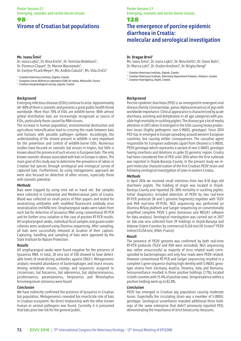# 98 **Virome of Croatian bat populations**

# **Ms. Ivana Šimić**<sup>1</sup>

Dr. Ivana Lojkić', Dr. Nina Krešić', Dr. Tomislav Bedeković', Dr. Florence Cliquet<sup>2</sup>, Dr. Marine Wasniewski<sup>2</sup>,

Dr. Evelyne Picard-Meyer<sup>2</sup>, Ms. Anđela Cukušić<sup>3</sup>, Ms. Vida Zrnčić<sup>3</sup>

*<sup>1</sup> Croatian Veterinary Institute, Zagreb, Croatia*

*<sup>2</sup> European Union Reference Laboratory EURL for rabies, Malzeville, France <sup>3</sup> Croatian biospeleological society, Zagreb, Croatia*

### *Background*

Emerging infectious diseases (EIDs) continue to arise. Approximately 60–80% of them is zoonotic and presents a great public health threat worldwide. More than 70% of EIDs are wildlife-borne. With almost global distribution bats are increasingly recognized as source of EIDs, particularly those caused by RNA viruses.

The increase in human population, environmental destruction and agriculture intensification lead to crossing the roads between bats and humans with possible pathogen spillover. Accordingly, the understanding of the virome present in wildlife is very important for the prevention and control of wildlife-borne EIDs. Numerous studies have focused on zoonotic bat viruses in tropics, but little is known about the presence of such viruses in European bats. The only known zoonotic disease associated with bats in Europe is rabies. The main goal of this study was to determine the prevalence of rabies in Croatian bat species through serological and virological survey of captured bats. Furthermore, by using metagenomic approach we were also focused on detection of other viruses, especially those with zoonotic potential.

#### *Methods*

Bats were trapped by using mist net or hand net. Bat samples were collected in Continental and Mediterranean parts of Croatia. Blood was collected on small pieces of filter papers and tested for neutralizing antibodies with modified fluorescent antibody virus neutralization (mFAVN) test. Oropharyngeal swabs were taken from each bat for detection of lyssavirus RNA using conventional RT-PCR and for further virus isolation in the case of positive RT-PCR results. All oropharyngeal swabs, individual fecal samples and guano under colonies were analyzed using Illumina sequencing. After sampling, all bats were successfully released at location of their capture. Capturing, handling and sampling of bats were approved by the State Institute for Nature Protection.

# *Results*

All oropharyngeal swabs were found negative for the presence of lyssavirus RNA. In total, 20 sera out of 350 showed to have detectable levels of neutralizing antibodies against EBLV-1. Metagenomic analysis revealed abundance of bacteriophages and insect viruses. Among vertebrate viruses, contigs and sequences assigned to circoviruses, bat bocavirus, bat adenovirus, bat alphacoronavirus, picobirnavirus, paramyxovirus, herpesvirus and Rhinolophus ferrumequinum retrovirus were found.

# *Conclusion*

We have indirectly confirmed the presence of lyssavirus in Croatian bat population. Metagenomics revealed bio insecticide role of bats in Croatian ecosystem. No direct relationship with the other known human or animal pathogens was found. Currently it is presumed that bats pose low risk for the general public.

# Poster Session 2.1 Emerging, zoonotic and vector-borne viruses

128

# **The emergence of porcine epidemic diarrhoea in Croatia: molecular and serological investigation**

# **Dr. Dragan Brnić**<sup>1</sup>

Ms. Ivana Simić<sup>1</sup>, Dr. Ivana Lojkić<sup>1</sup>, Dr. Nina Krešić<sup>1</sup>, Dr. Davor Balić<sup>2</sup>, Dr. Marica Lolić<sup>2</sup>, Dr. Dražen Knežević<sup>3</sup>, Dr. Brigita Hengl<sup>:</sup>

*<sup>1</sup> Croatian Veterinary Institute, Zagreb, Croatia*

*<sup>2</sup> Croatian Veterinary Institute, Veterinary Department Vinkovci, Vinkovci, Croatia*

*<sup>3</sup> Croatian Food Agency, Osijek, Croatia*

# *Background*

Porcine epidemic diarrhoea (PED) is an emergent/re-emergent viral disease (family Coronaviridae, genus Alphacoronavirus) of pigs with worldwide importance. Clinical appearance is characterized by acute diarrhoea, vomiting and dehydration in all age categories with possible high mortality in suckling piglets. The disease got a lot of media attention in 2013 when it emerged in the USA causing heavy production losses (highly pathogenic non-S-INDEL genotype). Since 2014 PED has re-emerged in Europe spreading around western European countries, but causing milder consequences. The causative agent responsible for European outbreaks (apart from Ukraine) is S-INDEL PEDV genotype which represents a variant of non-S-INDEL genotype having insertions and deletions in spike (S) genomic region. Croatia had been considered free of PED until 2016 when the first outbreak was reported in Osijek-Baranja County. In the present study we report molecular characterization of the first Croatian PEDV strain and following serological investigation of sows in eastern Croatia.

# *Methods*

In April 2016 we received small intestines from two 8-10 days old diarrhoeic piglets. The holding of origin was located in Osijek-Barania County and reported 20–30% mortality in suckling piglets. Initial diagnostics included detection of PEDV by two real-time RT-PCR protocols (N and S genome fragments) together with TGEV and RVA real-time RT-PCRs. NGS sequencing was performed on Illumina MiSeq platform and Sanger sequencing on conventionally amplified complete PEDV S gene (Geneious and MEGA7 software for data analysis). Serological investigation was carried out in 2017 on 266 sow sera collected from 39 holdings in Osijek-Baranja and Vukovar-Srijem Counties by commercial ELISA test (ID Screen® PEDV Indirect ELISA test; IDVet, France).

# *Result*

The presence of PEDV genome was confirmed by both real-time RT-PCR protocols (TGEV and RVA were excluded). NGS sequencing was rather unsuccessful as majority of virus related reads corresponded to bacteriophages and only four reads were PEDV related. However conventional RT-PCR and Sanger sequencing resulted in a complete S gene sequence sharing high identity with S-INDEL genotype strains from Germany, Austria, Slovenia, Italy and Romania. Serosurveillance resulted in three positive holdings (7.7%), located in both counties with 15.4% of positive sows. Seroprevalence within a positive holding went up to 82.8%.

#### *Conclusion*

PEDV has emerged in Croatian pig population causing moderate losses. Expectedly the circulating strain was a member of S-INDEL genotype. Serological surveillance revealed additional three holdings of the same enterprise that didn't previously reported PED, demonstrating the importance of strict biosecurity measures.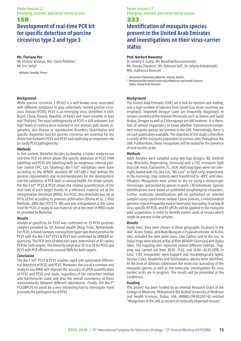# **Development of real-time PCR kit for specific detection of porcine circovirus type 2 and type 3**

### **Ms. Floriane Pez**<sup>1</sup>

Mr. Jérôme Ventosa<sup>1</sup>, Mrs. Claire Pelletier<sup>1</sup>, Mr. Eric Sellal<sup>1</sup>

*<sup>1</sup> BioSellal, Dardilly, France*

## *Background*

While porcine circovirus 2 (PCV2) is a well-known virus associated with different symptoms in pigs collectively named porcine circovirus disease (PCVD), PCV3 is an emerging virus, identified in USA, Brazil, China, Poland, Republic of Korea and more recently in Italy and Thailand. The exact pathogenicity of PCV3 is still unknown, but high levels of viremia were reported in sick animals with severe respiratory, skin disease or reproductive disorders. Quantitative and specific diagnostic tool for porcine circovirus are essential for the distinction between PCV2 and PCV3 and could play an important role to clarify PCV3 pathogenicity.

#### *Methods*

In this context, BioSellal decides to develop a triplex ready-to-use real-time PCR kit which allows the specific detection of PCV2 (FAM labelling) and PCV3 (VIC labelling) with an exogenous internal positive control (IPC, Cy5 labelling). Bio-T kit® validations were done according to the AFNOR standard NF U47-600-2 that defines the general requirements and recommendations for the development and the validation of PCR tools in animal health. For blood sample, the Bio-T kit® PCV2 & PCV3 allows the relative quantification of the viral load of each target thanks to a reference material set at the interpretation threshold (MRSI). For PCV2, this threshold was set at 10^6 GE/ml according to previous publication (Olvera et al., J Virol Methods. 2004 Apr;117(1):75–80) and was extrapolated at the same level for PCV3. A ready-to-use material set at the level of MRSI could be provided by BioSellal.

### *Results*

Analytical specificity for PCV2 was confirmed on 25 PCV2 positives samples provided by GD Animal Health (Ring Trials, Netherland). For PCV3, 6 blood samples coming from Spain was found positive for PCV3 with the Bio-T kit® PCV2 & PCV3 and confirmed by SANGER sequencing. The PCR limit of detection were determined at 10 copies/ PCR for both targets. The linearity range was 10^6 to 10 for PCV2 and PCV3 with PCR efficiencies around 100% for both targets.

### *Conclusion*

The Bio-T kit® PCV2 & PCV3 enables rapid and automated differential detection of PCV2 and PCV3. Moreover, the use of a common and ready-to-use MRSI will improve the accuracy of qPCR quantification of PCV2 and PCV3 viral loads, regardless of the extraction method and thermocycler used, and thus the overall consistency of these measurements between different laboratories. Finally, the Bio-T® PCV2&PCV3 kit could be a very interesting tool to investigate more precisely the pathogenicity of PCV3.

## Poster Session 2.1 Emerging, zoonotic and vector-borne viruses

## 233

# **Identification of mosquito species present in the United Arab Emirates and investigations on their virus-carrier status**

### **Prof. Norbert Nowotny**<sup>2</sup>

Dr. Jeremy V. Camp<sup>1</sup>, Mr. Noushad Karuvantevida<sup>2</sup>, Ms. Houda Chouhna<sup>2</sup>, Ms. Ebtesam Safi<sup>2</sup>, Dr. Jolanta Kolodziejek<sup>1</sup> MSc. Katharina Dimmel<sup>1</sup>

*<sup>1</sup> University of Veterinary Medicine, Vienna, Austria 2 Mohammed Bin Rashid University of Medicine and Health Sciences,*

*Dubai, United Arab Emirates*

### *Background*

The United Arab Emirates (UAE) are a hub for tourism and trading, and a high number of laborers from South-East Asian countries are employed. Imported Dengue cases are frequently diagnosed. In certain countries of the Arabian Peninsula, such as Yemen and Saudi Arabia, Dengue as well as Chikungunya are still endemic. It is therefore of utmost importance to know whether transmission-competent mosquito species are present in the UAE. Interestingly, there is no such publication available. The objective of this study is therefore a survey of the mosquito population at various sites throughout the UAE. Furthermore, these mosquitoes will be tested for the presence of viral nucleic acids.

#### *Methods*

Adult females were sampled using two trap designs: BG Sentinel trap (BioGents, Regensburg, Germany) and a CDC miniature light trap (J.W. Hock, Gainseville, FL, USA). Both trap types were run overnight, baited with  $CO<sub>2</sub>$  (dry ice), "BG Lure", or light-only, respectively. In the mornings, trap contents were transferred to –80°C until identification. Mosquitoes were sorted on dry ice using a stereoscopic microscope, and pooled by species in pools <30 individuals. Species identifications were based on published morphological characters. Further molecular identifications will be performed on selected samples using cytochrome oxidase 1 gene primers, a mitochondrial genomic region frequently used in taxonomic barcoding. A variety of virus-specific RT-PCRs and RT-qPCRs will be applied to the mosquito pool suspensions in order to identify nucleic acids of viruses which might be present in the samples.

### *Results*

Study Sites: Sites were chosen in three geographic locations in the UAE: Al Ain, Dubai, and Wadi Wurayah in Fujairah emirate. At Al Ain, sites included the date palm oasis, lake Zakher, and Al Ain zoo. In Dubai traps were placed at Ras al Khor Wildlife Sanctuary and Qudra lakes. The trapping sites represent several different habitats. Trapping was carried out from 30.01.–11.02. and 16.04.–02.05.2018. In total, 1,142 mosquitoes were trapped and morphologically typed. Various Culex, Anopheles and Ochlerotatus species were identified. At the time of abstract submission the molecular barcoding of the mosquito species as well as the molecular investigations for virus nucleic acids are in progress. The results will be presented at the Conference.

### *Funding*

This project has been funded by an Internal Research Grant of the College of Medicine, Mohammed Bin Rashid University of Medicine and Health Sciences, Dubai, UAE, #MBRU-CM-RG2017-02 entitled "Mosquitoes of the UAE as vectors of medically important viruses".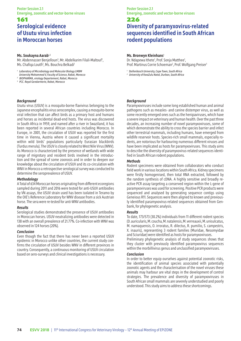## 161 **Serological evidence of Usutu virus infection in Moroccan horses**

### **Ms. Soukayna Aarab**1,2

Mr. Abdennasser Benjelloun<sup>3</sup>, Mr. Abdelkarim Filali-Maltouf<sup>1</sup>, Ms. Chafiqa Loutfi<sup>2</sup>, Ms. Bouchra Belkadi<sup>1</sup>

- *1 Laboratory of Microbiology and Molecular Biology LMBM*
- *University Mohammed V, Faculty of Science, Rabat, Morocco*
- *<sup>2</sup> BIOPHARMA, virology Departement, Rabat, Morocco*
- *<sup>3</sup> PCC. Royal Gendarmerie, Rabat, Morocco*

### *Background*

Usutu virus (USUV) is a mosquito-borne flavivirus belonging to the Japanese encephalitis virus serocomplex, causing a mosquito-borne viral infection that can affect birds as a primary host and humans and horses as incidental dead-end hosts. The virus was discovered in South Africa in 1959, and named after a river in Swaziland, it has been reported in several African countries including Morocco. In Europe, in 2001, the circulation of USUV was reported for the first time in Vienna, Austria where it caused a significant mortality within wild birds' populations particularly Eurasian blackbirds (Turdus merula). The USUV is closely related to West Nile Virus (WNV). As Morocco is characterized by the presence of wetlands with wide range of migrotary and resident birds involved in the introduction and the spread of some zoonosis and in order to deepen our knowledge about the circulation of USUV and its co-circulation with WNV in Morocco a retrospective serological survey was conducted to determine the seroprevalence of USUV.

#### *Methodology*

A Total of 634 Moroccan horses originating from different ecoregions sampled during 2011 and 2016 were tested for anti-USUV antibodies by VN assays, the USUV strain used has been isolated in Teramo by the OIE's Reference Laboratory for WNV disease from a sick Austrian horse. The sera were re-tested for anti-WNV antibodies.

#### *Results*

Serological studies demonstrated the presence of USUV antibodies in Moroccan horses. USUV-neutralizing antibodies were detected in 138 with an overall prevalence of 21.77%. Co-infection with WNV was observed in 124 horses (20%).

#### *Conclusion*

Even though the fact that there has never been a reported USUV epidemic in Morocco unlike other countries, the current study confirms the circulation of USUV besides WNV in different provinces in country. Consequently, a continuous monitoring of USUV circulation based on sero-surveys and clinical investigations is necessary.

## Poster Session 2.1 Emerging, zoonotic and vector-borne viruses

#### 226

# **Diversity of paramyxovirus-related sequences identified in South African rodent populations**

#### **Ms. Bronwyn Kleinhans**<sup>1</sup>

Dr. Ndapewa Ithete<sup>1</sup>, Prof. Sonja Matthee<sup>1</sup>, Prof. Martinus Corrie Schoeman<sup>2</sup>, Prof. Wolfgang Preiser

*<sup>1</sup> Stellenbosch University, Cape Town, South Africa*

*2 University of KwaZulu Natal, Durban, South Africa*

#### *Background*

Paramyxoviruses include some long established human and animal pathogens such as measles- and canine distemper virus, as well as some recently emerged ones such as the henipaviruses, which have a severe impact on veterinary and human health. Over the past three decades, an increasing number of novel paramyxoviruses, some of which demonstrate the ability to cross the species barrier and infect other terrestrial mammals, including humans, have emerged from wildlife reservoir hosts. Species-rich small mammals, especially rodents, are notorious for harbouring numerous different viruses and have been implicated as hosts for paramyxoviruses. This study aims to describe the diversity of paramyxovirus-related sequences identified in South African rodent populations.

#### *Methods*

Rodent specimens were obtained from collaborators who conduct field work in various locations within South Africa. Kidney specimens were firstly homogenised, then total RNA extracted, followed by the random synthesis of cDNA. A highly sensitive and broadly reactive PCR assay targeting a conserved region within the L-gene of paramyxoviruses was used for screening. Positive PCR products were sequenced and analysed by generating sequence contigs using Geneious R11. Sequences were then aligned to known and previously identified paramyxovirus-related sequences obtained from Genbank, for phylogenetic analysis.

#### *Results*

To date, 173/573 (30.2%) individuals from 11 different rodent species (D. auricularis, M. coucha, M. natalensis, M. verreauxii, M. unisulcatus, M. namaquensis, O. irroratus, R. dilectus, R. pumilio, S. campestris, X. inauris), representing 3 rodent families (Muridae, Nesomyidae and Sciuridae) were identified as hosts for paramyxoviruses.

Preliminary phylogenetic analysis of study sequences shows that they cluster with previously identified paramyxovirus sequences within the morbillivirus genus and unclassified paramyxoviruses.

#### *Conclusion*

In order to better equip ourselves against potential zoonotic risks, the identification of animal species associated with potentially zoonotic agents and the characterisation of the novel viruses these animals may harbour are vital steps in the development of control strategies. The prevalence and diversity of paramyxoviruses in South African small mammals are severely understudied and poorly understood. This study aims to address these shortcomings.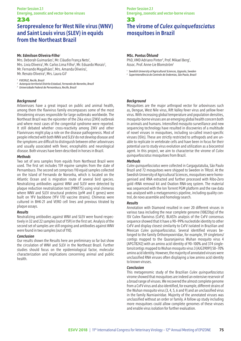# **Seroprevalence for West Nile virus (WNV) and Saint Louis virus (SLEV) in equids from the Northeast Brazil**

#### **Mr. Edmilson Oliveira-Filho**<sup>1</sup>

Mrs. Deborah Guimarães<sup>1</sup>, Mr. Cláudio França Neto<sup>1</sup>, Mrs. Livia Oliveira<sup>1</sup>, Mr. Carlos Lima Filho<sup>2</sup>, Mr. Eduardo Morais<sup>2</sup>, Mr. Fernando Magalhães<sup>2</sup>, Mrs. Amanda Oliveira<sup>1</sup>, Mr. Renato Oliveira<sup>3</sup>, Mrs. Laura Gil<sup>1</sup>

*<sup>1</sup> FIOCRUZ, Recife, Brazil*

*<sup>2</sup> Autarquia territorial Distrito Estadual, Fernando de Noronho, Brazil*

*<sup>3</sup> Universidade Federal de Pernambuco, Recife, Brazil*

#### *Background*

Arboviruses have a great impact on public and animal health, among them the flavivirus family encompasses some of the most threatening viruses responsible for large outbreaks worldwide. The Northeast Brazil was the epicenter of the Zika virus (ZIKV) outbreak and where most cases of the congenital syndrome were reported. It still debated whether cross-reactivity among ZIKV and other Flaviviruses might play a role on the disease pathogenesis. Most of people infected with both WNV and SLEV do not develop disease and the symptoms are difficult to distinguish between other arboviruses and usually associated with fever, encephalitis and neurological disease. Both viruses have been described in horses in Brazil.

#### *Methods*

Two set of sera samples from equids from Northeast Brazil were used. The first set includes 159 equine samples from the state of Pernambuco. The second set comprises 110 equid samples collected on the Island of Fernando de Noronha, which is located on the Atlantic Ocean and is migration route of several bird species. Neutralizing antibodies against WNV and SLEV were detected by plaque reduction neutralization test (PRNT75) using viral chimeras where WNV and SLEV structural proteins (prM and E genes) were built on YFV backbone (YFV 17D vaccine strains). Chimeras were cultured in BHK-21 and VERO cell lines and previous titrated by plaque assays.

#### *Results*

Neutralizing antibodies against WNV and SLEV were found respectively in 32 and 22 samples (out of 159) in the first set. Analysis of the second set of samples are still ongoing and antibodies against WNV were found in two samples (out of 110).

#### *Conclusion*

Our results shown the Results here are preliminary so far but show the circulation of WNV and SLEV in the Northeast Brazil. Further studies should focus on the epidemiological factor, molecular characterization and implications concerning animal and public health.

## Poster Session 2.1 Emerging, zoonotic and vector-borne viruses

#### 33

# **The virome of** *Culex quinquefasciatus* **mosquitoes in Brazil**

## **MSc. Pontus Öhlund**<sup>1</sup>

PhD, VMD Adriano Pinter<sup>2</sup>, Prof. Mikael Berg<sup>1</sup>, Assoc. Prof. Anne-Lie Blomström1

*<sup>1</sup> Swedish University of Agricultural Sciences, Uppsala, Sweden*

*<sup>2</sup> Superintendência de Controle de Endemias, São Paulo, Brazil*

#### *Background*

Mosquitoes are the major arthropod vector for arboviruses such as, Dengue, West Nile virus, Rift Valley fever virus and yellow fever virus. With increasing global temperature and population densities, mosquito-borne viruses are an emerging global health concern both in animals and humans. Intensified mosquito surveillance and new sequencing technology have resulted in discoveries of a multitude of novel viruses in mosquitoes, including so-called insect-specific viruses (ISVs). These are strictly restricted to arthopods and are unable to replicate in vertebrate cells and have been in focus for their potential use to study virus evolution and utilization as a biocontrol agent. In this project, we aim to characterise the virome of *Culex quinquefasciatus* mosquitoes from Brazil.

#### *Methods*

*Culex quinquefasciatus* were collected in Cargagutatuba, São Paulo Brazil and 72 mosquitoes were shipped to Sweden in TRIzol. At the Swedish University of Agricultural Sciences, mosquitoes were homogenised and RNA extracted and further processed with Ribo-Zero gold rRNA removal kit and Ovation RNA-seq system. The material was sequenced with the Ion Torrent PGM platform and the raw data was analysed with a metagenomics pipeline, including quality control, de novo assemble and homology search.

#### *Results*

Annotation with Diamond resulted in over 20 different viruses in various taxa including the near complete genome (10823bp) of the ISV Culex flavivirus (CxFV). BLASTn analysis of the CxFV consensus sequence showed that it have a 90–99% nucleotide identity to other CxFV and display closest similarity to CxFV isolated in Brazilian and Mexican *Culex quinquefasciatus*. Several identified viruses belonged to the family Orthomyxoviridae, for example, 59 singletons/ contigs mapped to the Quaranjavirus Wuhan mosquito virus 4 (APG78242) with an amino acid identity of 90–100% and 374 singletons/contigs mapped to Wuhan mosquito virus 3 (AJG39091) 50–70% amino acid identity. However, the majority of annotated viruses were unclassified RNA viruses often displaying a low amino acid identity to known viruses.

#### *Conclusion*

This metagenomic study of the Brazilian *Culex quinquefasciatus* virome showed that mosquitoes are indeed an extensive reservoir of a broad range of viruses. We recovered the almost complete genome from a CxFV virus and also identified, for example, different strains of the Wuhan mosquito virus (3, 4, 5, 6 and 9) and an unclassified virus in the family Narniaviridae. Majority of the annotated viruses was unclassified without an order or family. A follow up study including more mosquitoes could allow complete genomes of these viruses and enable virus isolation for further evaluation.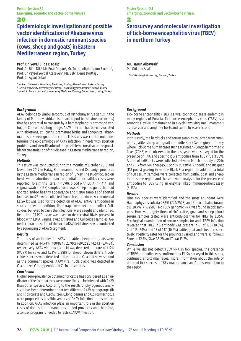## **Epidemiologic investigation and possible vector identification of Akabane virus infection in domestic ruminant species (cows, sheep and goats) in Eastern Mediterranean region, Turkey**

#### **Prof. Dr. Seval Bilge Dagalp**<sup>1</sup>

Prof. Dr. Bilal Dik<sup>2</sup>, Mr. Fırat Dogan<sup>3</sup>, Mr. Touraj Aligholipour Farzani<sup>1</sup>, Prof. Dr. Veysel Soydal Ataseven<sup>3</sup>, Ms. Selvi Deniz Dörttaş<sup>1</sup>, Prof. Dr. Aykut Ozkul<sup>1</sup>

 *Ankara University, Veterinary Medicine, Virology Department, Ankara, Turkey*

*2 Selcuk University, Veterinary Medicine, Parasitology Department, Konya, Turkey 3 Mustafa Kemal University, Veterinary Medicine, Virology Department, Hatay, Turkey*

#### *Background*

AKAV belongs to Simbu serogroup of Orthobunyavirus genus in the family of Peribunyaviridae, is an arthropod-borne virus (arbovirus) that has potential to transmit by a hematophagous arthropod vector, the Culicoides biting midge. AKAV infection has been associated with abortions, stillbirths, premature births and congenital abnormalities in sheep, goats and cattle. This study was carried out to determine the epidemiology of AKAV infection in herds with abortion problems and identification of the possible vectors that are responsible for transmission of this disease in Eastern Mediterranean region, Turkey.

#### *Methods*

This study was conducted during the months of October 2015 and November 2017 in Hatay, Kahramanmaraş and Osmaniye provinces in the Eastern Mediterranean region of Turkey. The study focused on herds where abortion and/or congenital abnormalities cases were reported. To aim this, sera (n=1590), blood with EDTA (n=1414) and vaginal swab (n=165) samples from cows, sheep and goats that had aborted and/or healthy appearance and tissue samples of aborted foetuses (n=25) were collected from three province. A commercial ELISA kit was used for the detection of AKAV anti-G1 antibodies in sera samples. In addition, light traps were set up to collect Culicoides, believed to carry the infections, were caught and identified. Real time RT-PCR assay was used to detect viral RNAs present in blood with EDTA, vaginal swabs, tissues and Culicoides samples. Genetic characterization of the local AKAV field viruses was conducted by sequencing of AKAV S segment.

#### *Results*

The rates of antibodies for AKAV in cattle, sheep and goats were determined as 44,74% (400/894), 22,90% (60/262), 14,51% (63/434), respectively. AKAV viral nucleic acid was detected at a rate of 1.12% (9/799) for cows and 1.73% (5/288) for sheep. Eleven different Culicoides species were detected in the area and C. schultzei was found as the dominant species. AKAV viral nucleic acid was detected in C.schultzei, C.longipennis and C.circumscriptus.

#### *Conclusion*

Higher sero-prevalence obtained for cattle has considered as an indicator of the fact that they were more likely to be infected with AKAV than other species. According to the results of phylogenetic analysis, it has been determined that two different AKAV genogroups (Ib and II) circulate and C.schultzei, C.longipennis and C.circumscriptus were proposed as possible vectors of AKAV infection in this region. In addition, AKAV infection plays an important role in the abortion cases of domestic ruminants in sampled provinces and therefore, a control program is needed to restrict AKAV infection.

Poster Session 2.1 Emerging, zoonotic and vector-borne viruses

#### 2

# **Serosurvey and molecular investigation of tick-borne encephalitis virus (TBEV) in northern Turkey**

## **Mr. Harun Albayrak**<sup>1</sup>

Mr. Gökhan Asal<sup>1</sup>

*<sup>1</sup> Ondokuz Mayis University, Samsun, Turkey*

#### *Background*

Tick-borne encephalitis (TBE) is a viral zoonotic disease endemic in many regions of Eurasia. Tick-borne encephalitis virus (TBEV) is a zoonotic Flavivirus maintained in a cycle involving small mammals as reservoir and amplifier hosts and ixodid ticks as vectors.

#### *Methods*

In this study, the hard ticks and serum samples collected from ruminants (cattle, sheep and goat) in middle Black Sea region of Turkey where Tick-Borne human cases such as Crimean–Congo hemorrhagic fever (CCHF) were observed in the past years were surveyed for the presence of RNA and specific IgG antibodies from TBE virus (TBEV). A total of 2508 ticks were collected between March and July of 2016 and 2017 from 509 sheep (530 pools), 93 cattle (97 pools) and 106 goat (118 pools) grazing in middle Black Sea region. In addition, a total of 460 serum samples were collected from cattle, goat and sheep in the same region and the sera were analysed for the presence of antibodies to TBEV using an enzyme-linked immunosorbent assay (ELISA).

### *Results*

Nine tick species were identified and the most abundant were Haemaphysalis sulcata 28.9% (724/2508) and Rhipicephalus turanicus 28.7% (719/2508). No TBEV genomic RNA was found in tick samples. However, eighty-three of 460 cattle, goat and sheep blood serum samples tested were antibody-positive for TBEV by ELISA. Serological examination of serum samples for anti- TBEV infection revealed that TBEV IgG antibody was present in 61 of 198 (30.8%), 7 of 115 (6.1%) and 15 of 147 (10.2%) cattle, goat and sheep, respectively. Positivity rates for the provinces varied and were as follows: Samsun 12.7%, Sivas 35.2% and Tokat 13.2%.

### *Conclusion*

While we did not detect TBEV RNA in tick species, the presence of TBEV antibodies was confirmed by ELISA surveyed in this study, continued efforts may reveal more information about the role of different tick species in TBEV maintenance and/or dissemination in the region.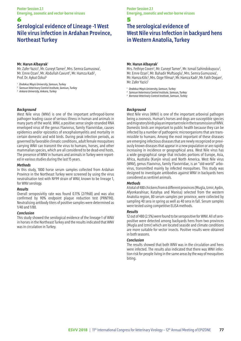# **Serological evidence of Lineage -1 West Nile virus infection in Ardahan Province, Northeast Turkey**

#### **Mr. Harun Albayrak**<sup>1</sup>

Mr. Zafer Yazici<sup>1</sup>, Mr. Cuneyt Tamer<sup>1</sup>, Mrs. Semra Gumusova<sup>1</sup>, Mr. Emre Ozan<sup>2</sup>, Mr. Abdullah Cavunt<sup>2</sup>, Mr. Hamza Kadi<sup>2</sup>, Prof. Dr. Aykut Ozkul3

*<sup>1</sup> Ondokuz Mayis University, Samsun, Turkey*

- *<sup>2</sup> Samsun Veterinary Control Institute, Samsun, Turkey*
- *<sup>3</sup> Ankara University, Ankara, Turkey*

### *Background*

West Nile virus (WNV) is one of the important arthropod-borne pathogen leading cause of serious illness in human and animals in many parts of the world. WNV, a positive sense single-stranded RNA enveloped virus of the genus Flavivirus, family Flaviviridae, causes epidemics and/or epizootics of encephalomyelitis and mortality in certain domestic and wild birds. During peak infection periods, as governed by favorable climatic conditions, adult female mosquitoes carrying WNV can transmit the virus to humans, horses, and other mammalian species, which are all considered to be dead-end hosts. The presence of WNV in humans and animals in Turkey were reported in various studies during the last 15 years.

#### *Methods*

In this study, 1800 horse serum samples collected from Ardahan Province in the Northeast Turkey were screened by using the virus neutralisation test with NY99 strain of WNV, known to be lineage 1, for WNV serology.

#### *Results*

Overall seroposivitiy rate was found 0.11% (2/1968) and was also confirmed by 90% endpoint plaque reduction test (PRNT90). Neutralising antibody titers of positive samples were determined as 1/40 and 1/80.

### *Conclusion*

This study showed the serological evidence of the lineage-1 of WNV in horses in the Northeast Turkey and the results indicated that WNV was in circulation in Turkey.

## Poster Session 2.1 Emerging, zoonotic and vector-borne viruses

## 5

# **The serological evidence of West Nile virus Infection in backyard hens in Western Anatolia, Turkey**

### **Mr. Harun Albayrak**<sup>1</sup>

Mrs. Fethiye Coven<sup>3</sup>, Mr. Cuneyt Tamer<sup>1</sup>, Mr. Ismail Sahindokuyucu<sup>3</sup> Mr. Emre Ozan<sup>2</sup>, Mr. Bahadir Muftuoglu<sup>1</sup>, Mrs. Semra Gumusova<sup>1</sup>, Mr. Hamza Kilic<sup>3</sup>, Mrs. Ozge Yilmaz<sup>3</sup>, Mr. Hamza Kadi<sup>2</sup>, Mr. Fatih Dogan<sup>2</sup>, Mr. Zafer Yazici<sup>1</sup>

*<sup>1</sup> Ondokuz Mayis University, Samsun, Turkey*

*<sup>2</sup> Samsun Veterinary Control Institute, Samsun, Turkey*

*<sup>3</sup> Bornova Veterinary Control Institute, Samsun, Turkey*

### *Background*

West Nile virus (WNV) is one of the important arboviral pathogen being a zoonosis. Human's horses and dogs are susceptible species and migratory birds play an important role in the transmission of WNV. Domestic birds are important to public health because they can be infected by a number of pathogenic microorganisms that are transmissible to humans. Among the most important of these diseases are emerging infectious diseases that are newly recognized or previously known diseases that appear in a new population or are rapidly increasing in incidence or geographical area. West Nile virus has a wide geographical range that includes portions of Europe, Asia, Africa, Australia (Kunjin virus) and North America. West Nile virus (WNV), genus Flavivirus, family Flaviviridae, is an "old-world" arbovirus, transmitted mainly by infected mosquitoes. This study was designed to investigate antibodies against WNV in backyards hens considered as sentinel animals.

## *Methods*

A total of 480 chickens from 6 different provinces (Mugla, Izmir, Aydin, Afyonkarahisar, Kutahya and Manisa) selected from the western Anatolia region, 80 serum samples per province, were collected by sampling 40 sera in spring as well as 40 sera in fall. Serum samples were tested using competitive ELISA methods.

#### *Results*

12 out of 480 (2.5%) were found to be seropositive for WNV. All of seropositive were detected among backyards hens from two provinces (Mugla and Izmir) which are located seaside and climate conditions are more suitable for vector insects. Positive results were obtained in both seasons.

## *Conclusion*

The results showed that both WNV was in the circulation and hens were infected. The results also indicated that there was WNV infection risk for people living in the same areas by the way of mosquitoes biting.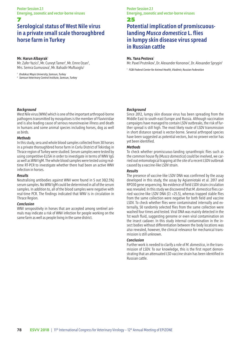# **Serological status of West Nile virus in a private small scale thoroughbred horse farm in Turkey**

#### **Mr. Harun Albayrak**<sup>1</sup>

Mr. Zafer Yazici<sup>1</sup>, Mr. Cuneyt Tamer<sup>1</sup>, Mr. Emre Ozan<sup>2</sup>, Mrs. Semra Gumusova<sup>1</sup>, Mr. Bahadir Muftuoglu<sup>1</sup>

*<sup>1</sup> Ondokuz Mayis University, Samsun, Turkey*

*<sup>2</sup> Samsun Veterinary Control Institute, Samsun, Turkey*

## Poster Session 2.1 Emerging, zoonotic and vector-borne viruses

#### 25

# **Potential implication of promiscuouslanding** *Musca domestica* **L. flies in lumpy skin disease virus spread in Russian cattle**

### **Ms. Yana Pestova**<sup>1</sup>

Mr. Pavel Prutnikov<sup>1</sup>, Dr. Alexander Kononov<sup>1</sup>, Dr. Alexander Sprygin

*1 FGBI Federal Center for Animal Health, Vladimir, Russian Federation*

#### *Background*

West Nile virus (WNV) which is one of the important arthropod-borne pathogens transmitted by mosquitoes is the member of Flaviviridae and is also leading cause of serious neuroinvasive illness and death in humans and some animal species including horses, dog as well as birds.

### *Methods*

In this study, sera and whole blood samples collected from 30 horses in a private thoroughbred horse farm in Corlu District of Tekirdag in Thrace region of Turkey were studied. Serum samples were tested by using competitive-ELISA in order to investigate in terms of WNV IgG as well as WNV IgM. The whole blood samples were tested using realtime RT-PCR to investigate whether there had been an active WNV infection in horses.

## *Results*

Neutralising antibodies against WNV were found in 5 out 30(2.5%) serum samples. No WNV IgM could be determined in all of the serum samples. In addition to, all of the blood samples were negative with real-time PCR. The findings indicated that WNV is in circulation in Thrace Region.

## *Conclusion*

WNV seropositivity in horses that are accepted among sentinel animals may indicate a risk of WNV infection for people working on the same farm as well as people living in the same district.

### *Background*

Since 2012, lumpy skin disease virus has been spreading from the Middle East to south-east Europe and Russia. Although vaccination campaigns have managed to contain LSDV outbreaks, the risk of further spread is still high. The most likely route of LSDV transmission in short distance spread is vector-borne. Several arthropod species have been suggested as potential vectors, but no proven vector has yet been identified.

### *Methods*

To check whether promiscuous-landing synanthropic flies such as the common house fly (*Musca domestica*) could be involved, we carried out entomological trapping at the site of a recent LSDV outbreak caused by a vaccine-like LSDV strain.

## *Results*

The presence of vaccine-like LSDV DNA was confirmed by the assay developed in this study, the assay by Agianniotaki et al. 2017 and RPO30 gene sequencing. No evidence of field LSDV strain circulation was revealed. In this study we discovered that *M. domestica* flies carried vaccine-like LSDV DNA (Ct >25.5), whereas trapped stable flies from the same collection were negative for both field and vaccine LSDV. To check whether flies were contaminated internally and externally, 50 randomly selected flies from the same collection were washed four times and tested. Viral DNA was mainly detected in the 1st wash fluid, suggesting genome or even viral contamination on the insect cadaver. In this study internal contamination in the insect bodies without differentiation between the body locations was also revealed, however, the clinical relevance for mechanical transmission is still unknown.

## *Conclusion*

Further work is needed to clarify a role of *M. domestica*, in the transmission of LSDV. To our knowledge, this is the first report demonstrating that an attenuated LSD vaccine strain has been identified in Russian cattle.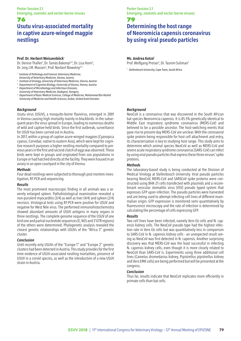## 76 **Usutu virus-associated mortality in captive azure-winged magpie nestlings**

### **Prof. Dr. Herbert Weissenböck**<sup>1</sup>

Dr. Denise Thaller<sup>1</sup>, Dr. Tamás Bakonyi<sup>2,4</sup>, Dr. Lisa Horn<sup>3</sup>, Dr. Jorg J.M. Massen<sup>3</sup>, Prof. Norbert Nowotny<sup>2,5</sup>

- *1 Institute of Pathology and Forensic Veterinary Medicine;*
- *University of Veterinary Medicine, Vienna, Austria*
- *2 Institute of Virology, University of Veterinary Medicine, Vienna, Austria*
- *3 Department of Cognitive Biology, University of Vienna, Vienna, Austria*
- *4 Department of Microbiology and Infectious Diseases, University of Veterinary Medicine, Budapest, Hungary*
- *5 Department of Basic Medical Sciences, College of Medicine, Mohammed Bin Rashid University of Medicine and Health Sciences, Dubai, United Arab Emirates*

### *Background*

Usutu virus (USUV), a mosquito-borne flavivirus, emerged in 2001 in Vienna causing high mortality mainly in blackbirds. In the subsequent years the virus spread in Europe, leading to numerous deaths of wild and captive-held birds. Since the first outbreak, surveillance for USUV has been carried out in Austria.

In 2017, within a group of captive azure-winged magpies (Cyanopica cyanus; Corvidae; native to eastern Asia), which were kept for cognitive research purposes a higher nestling mortality compared to previous years in the first and second clutch of eggs was observed. These birds were kept in groups and originated from zoo populations in Europe or had hatched directly at the facility. They were housed in an aviary in an open courtyard in the city of Vienna.

#### *Methods*

Four dead nestlings were subjected to thorough post mortem investigation, RT-PCR and sequencing.

### *Results*

The most prominent macroscopic finding in all animals was a severely enlarged spleen. Pathohistological examination revealed a non-purulent myocarditis (3/4) as well as liver (4/4) and spleen (2/4) necrosis. Virological tests using RT-PCR were positive for USUV and negative for West Nile virus. The performed immunohistochemistry showed abundant amounts of USUV antigens in many organs in three nestlings. The complete genome sequence of the USUV of one bird one and partial nucleotide sequences (E, NS5 and 3'UTR regions) of the others were determined. Phylogenetic analysis revealed the closest genetic relationships with USUVs of the "Africa 3" genetic cluster.

### *Conclusion*

Until recently only USUVs of the "Europe 1" and "Europe 2" genetic clusters had been detected in Austria. This study provides for the first time evidence of USUV-associated nestling mortalities, presence of USUV in a corvid species, as well as the introduction of a new USUV strain in Austria.

## Poster Session 2.1 Emerging, zoonotic and vector-borne viruses

## 79

# **Determining the host range of Neoromicia capensis coronavirus by using viral pseudo particles**

### **Ms. Andrea Kotzé**<sup>1</sup>

Prof. Wolfgang Preiser<sup>1</sup>, Dr. Tasnim Suliman<sup>1</sup>

*<sup>1</sup> Stellenbosch University, Cape Town, South Africa*

### *Background*

NeoCoV is a coronavirus that was discovered in the South African bat species Neoromicia capensis. It is 85.5% genetically identical to Middle East respiratory syndrome coronavirus (MERS-CoV) and believed to be a possible ancestor. The host-switching events that gave rise to present-day MERS-CoV are unclear. With the coronaviral spike protein being responsible for host cell attachment and entry, its characterisation is key to studying host range. This study aims to determine which animal species NeoCoV as well as MERS-CoV and severe acute respiratory syndrome coronavirus (SARS-CoV) can infect by using viral pseudo particles that express these three viruses' spike proteins.

### *Methods*

The laboratory-based study is being conducted at the Division of Medical Virology at Stellenbosch University. Viral pseudo particles bearing NeoCoV, MERS-CoV and SARSCoV spike proteins were constructed using BHK-21 cells transfected with plasmids and a recombinant vesicular stomatitis virus (VSV) pseudo typed system that expresses GFP upon infection. The pseudo particles were harvested and are being used to attempt infecting cell lines of different mammalian origin. GFP expression is monitored semi quantitatively by fluorescence microscopy and the rate of infection is determined by calculating the percentage of cells expressing GFP.

### *Results*

Two cell lines have been infected, namely Vero E6 cells and N. capensis kidney cells. The NeoCoV pseudo type had the highest infection rate in Vero E6 cells but was quantitatively less in comparison to SARS-CoV in N. capensis kidney cells - an unexpected result seeing as NeoCoV was first detected in N. capensis. Another surprising discovery was that MERS-CoV was the least successful in infecting N. capensis kidney cells, even though it is more closely related to NeoCoV than SARS-CoV is. Experiments using three additional cell lines (Camelus dromedarius kidney, Pipistrellus pipistrellus kidney and Vero EMK cells) are being performed but will be presented at the congress.

### *Conclusion*

Thus far, results indicate that NeoCoV replicates more efficiently in primate cells than bat cells.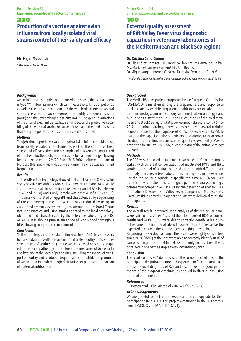## **Production of a vaccine against avian influenza from locally isolated viral strains/control of their safety and efficacy**

#### **Ms. Hajar Moudhich**<sup>1</sup>

*<sup>1</sup> Biopharma, Rabat, Morocco*

## *Background*

Avian influenza is highly contagious viral disease, the causal agent is type "A" influenza virus which can infect several kinds of pet birds as well as the birds of ornament and the wild birds. There are several strains classified in two categories: the highly pathogenic strains (IAHP) and the low pathogenic strains (IAFP). The genetic variations of the virus of avian influenza have an impact on the protective capability of the vaccinal strains because of the use in the field of strains that are quite genetically distant from circulatory ones.

### *Methods*

This job aims to produce a vaccine against Avian influenza in Morocco, from locally isolated viral strains, as well as the control of their safety and efficacy. The clinical samples of chicken are constituted of tracheal bottlebrush, Bottlebrush Cloacal and Lungs, having been collected enters 2/4/2016 and 3/15/2016 in different regions of Morocco (Meknès – Fès – Nador – Berkane). The virus was identified by qRT-PCR.

## *Results*

The results of this technology showed that on 14 samples 8 was exclusively positive H9 with Cts who varies between 12.18 and 34.12, while 3 samples were at the same time positive H9 and NDV (Cts between 12. 49 and 29. 31) and 1 only sample was positive Inf A (Ct=32. 58). This virus was isolated on egg SPF and characterized by sequencing of the complete genome. The vaccine was produced by using an automated system , by respecting requirement of the Good Manufacturing Practice and using strains adapted to the local pathology, identified and characterized by the reference laboratory of CDC ATLANTA; It is about a pure strain endowed with a good contagious title allowing so a good vaccinal formulation.

### *Conclusion*

To limit the impact of the avian Influenza virus H9N2, it is necessary to Consolidate surveillance on a national scale (poultry units, wholesale markets of poultry etc.), to use vaccines based on strains adapted to the local pathology, to reinforce the measures of biosecurity and hygiene at the level of pet poultry, including the means of transport of poultry and to adopt adequate and compatible programmes of vaccination in epidemiological situation of pet birds (proportion of maternal antibodies).

## Poster Session 2.1 Emerging, zoonotic and vector-borne viruses

#### 100

# **External quality assessment of Rift Valley Fever virus diagnostic capacities in veterinary laboratories of the Mediterranean and Black Sea regions**

## **Dr. Cristina Cano-Gómez**<sup>1</sup>

Dr. Elisa Pérez-Ramírez<sup>1</sup>, Dr. Francisco Llorente<sup>1</sup>, Ms. Amalia Villalba<sup>1</sup>, Ms. María del Carmen Barbero<sup>1</sup>, Ms. Ana Robles<sup>1</sup>, Dr. Miguel Ángel Jiménez-Clavero<sup>1</sup>, Dr. Jovita Fernández-Pinero

*<sup>1</sup> National Institute for Agriculture and Food Research and Technology, Madrid, Spain*

## *Background*

The MediLabSecure project, supported by the European Commission (DG-DEVCO), aims at enhancing the preparedness and response to viral threats by establishing a one-health network of laboratories (human virology, animal virology and medical entomology) and public health institutions in 19 non-EU countries of the Mediterranean and Black Sea regions (http://www.medilabsecure.com/). Since 2014, the animal virology network has organized several training courses focused on the diagnosis of Rift Valley Fever virus (RVFV). To evaluate the capacity of the beneficiary laboratories to incorporate the diagnostic techniques, an external quality assessment (EQA) was organized in 2017 by INIA-CISA, as coordinator of the animal virology network.

### *Methods*

The EQA was composed of: (a) a molecular panel of 10 sheep samples spiked with different concentrations of inactivated RVFV and (b) a serological panel of 10 inactivated sheep sera with different RVFV antibody titers. Seventeen laboratories participated in the exercise. For the molecular diagnosis, a specific real-time RT-PCR for RVFV detection<sup>1</sup> was applied. The serological panel was analysed using a commercial competitive ELISA kit for the detection of specific RVFV antibodies (ID Screen Rift Valley Fever Competition Multi-species, IDVet). Positive controls, reagents and kits were delivered to all the participants.

### *Results*

The overall results obtained upon analysis of the molecular panel were satisfactory: 70.6% (12/17) of the labs reported 100% of correct results and 94.1% (16/17) were able to correctly identify at least 80% of the panel. The number of labs with correct results increased as the expected Ct value of the sample decreased (higher viral load).

Regarding the serological panel, the results were highly satisfactory since 94.1% (16/17) of the labs were able to correctly identify 100% of samples using the competitive ELISA. The only incorrect result was obtained in one of the samples with low antibody titer.

### *Conclusion*

The results of this EQA demonstrated the competence of most of the participant labs (infrastructure and expertise) to face the molecular and serological diagnosis of RVF and also proved the good performance of the diagnostic techniques applied in diverse labs using different equipment.

### *References*

<sup>1</sup> Drosten et al. J Clin Microbiol 2002, 40(7):2323-2330.

### *Acknowledgements*

We are grateful to the MediLabSecure animal virology labs for their participation in this EQA. This project was funded by the EU Commission (DEVCO: Grant IFS/21010/23/194).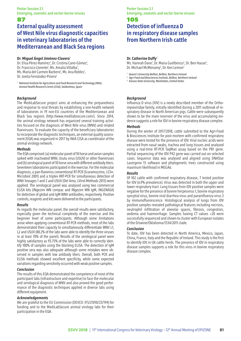# **External quality assessment of West Nile virus diagnostic capacities in veterinary laboratories of the Mediterranean and Black Sea regions**

#### **Dr. Miguel Ángel Jiménez-Clavero**<sup>1</sup>

Dr. Elisa Pérez-Ramírez<sup>1</sup>, Dr. Cristina Cano-Gómez<sup>1</sup>, Dr. Francisco Llorente<sup>1</sup>, Ms. Amalia Villalba<sup>1</sup>, Ms. María del Carmen Barbero<sup>1</sup>, Ms. Ana Robles<sup>1</sup>, Dr. Jovita Fernández-Pinero<sup>1</sup>

*1 National Institute for Agriculture and Food Research and Technology (INIA), Animal Health Research Centre (CISA), Valdeolmos, Spain*

#### *Background*

The MediLabSecure project aims at enhancing the preparedness and response to viral threats by establishing a one-health network of laboratories in 19 non-EU countries of the Mediterranean and Black Sea regions (http://www.medilabsecure.com/). Since 2014, the animal virology network has organized several training activities focused on the diagnosis of West Nile virus (WNV) and related flaviviruses. To evaluate the capacity of the beneficiary laboratories to incorporate the diagnostic techniques, an external quality assessment (EQA) was organized in 2017 by INIA-CISA as coordinator of the animal virology network.

#### *Methods*

The EQA comprised: (a) molecular panel of 10 horse and avian samples spiked with inactivated WNV, Usutu virus (USUV) or other flaviviruses and (b) serological panel of 10 horse sera with different antibody titers. Seventeen laboratories participated in the exercise. For the molecular diagnosis, a pan-flavivirus conventional RT-PCR (Scaramozzino, J.Clin. Microbiol 2001) and a triplex RRT-PCR for simultaneous detection of WNV lineages 1 and 2 and USUV (Del Amo, J.Virol.Methods 2013) were applied. The serological panel was analysed using two commercial ELISA kits (INgezim WN compac and INgezim WN IgM, INGENASA) for detection of global and IgM WNV antibodies, respectively. Positive controls, reagents and kits were delivered to the participants.

#### *Results*

As regards the molecular panel, the overall results were satisfactory, especially given the technical complexity of the exercise and the beginner level of some participants. Although some limitations arose when applying conventional RT-PCR methods, most of the labs demonstrated their capacity to simultaneously differentiate WNV L1, L2 and USUV (88.2% of the labs were able to identify the three viruses in at least 70% of the panel). Results of the serological panel were highly satisfactory as 93.75% of the labs were able to correctly identify 100% of samples using the blocking ELISA. The detection of IgM positive sera was also adequate although some mistakes were observed in samples with low antibody titers. Overall, both PCR and ELISA methods showed excellent specificity, while some expected variations regarding sensitivity occurred with weak positive samples.

### *Conclusion*

The results of this EQA demonstrated the competence of most of the participant labs (infrastructure and expertise) to face the molecular and serological diagnosis of WNV and also proved the good performance of the diagnostic techniques applied in diverse labs using different equipment.

## *Acknowledgements*

We are grateful to the EU Commission (DEVCO: IFS/21010/23/194) for funding and to the MediLabSecure animal virology labs for their participation in the EQA.

## Poster Session 2.1 Emerging, zoonotic and vector-borne viruses

## 105

# **Detection of influenza D in respiratory disease samples from Northern Irish cattle**

## **Dr. Catherine Duffy**<sup>2</sup>

Ms. Hannah Dane<sup>1</sup>, Dr. Maria Guelbenzu<sup>2</sup>, Dr. Ben Hause<sup>3</sup> Dr. Michael McMenamy<sup>2</sup>, Dr. Ken Lemon<sup>2</sup>

*<sup>1</sup> Queen's University Belfast, Belfast, Northern Ireland*

*<sup>2</sup> Agri-Food and Biosciences Institute, Belfast, Northern Ireland*

*<sup>3</sup> Kansas State University, Manhattan, United States*

### *Background*

Influenza D virus (IDV) is a newly described member of the Orthomyxoviridae family, initially identified during a 2011 outbreak of respiratory disease in North American pigs. Cattle were subsequently shown to be the main reservoir of the virus and accumulating evidence suggests a role for IDV in bovine respiratory disease complex.

### *Methods*

During the winter of 2017/2018, cattle submitted to the Agri-Food & Biosciences Institute for post-mortem with confirmed respiratory disease were tested for the presence of IDV. Viral nucleic acids were extracted from nasal swabs, trachea and lung tissues and analysed using a real-time RT-PCR TaqMan assay based on the PB1 gene. Partial sequencing of the IDV P42 gene was carried out on selected cases. Sequence data was analysed and aligned using DNAStar Lasergene 15 software and phylogenetic trees constructed using maximum likelihood in MEGA6.

### *Results*

Of 102 cattle with confirmed respiratory disease, 7 tested positive for IDV (6.9% prevalence). Virus was detected in both the upper and lower respiratory tract. Lung tissues from IDV positive samples were negative for the presence of bovine herpesvirus 1, bovine respiratory syncytial virus, bovine viral diarrhea virus and parainfluenza virus 3 by immunofluorescence. Histological analysis of lungs from IDV positive samples revealed pathological features including necrosis, neutrophil infiltration of alveolar spaces, fibrosis, congestion, oedema and haemorrhage. Samples having CT values <20 were successfully sequenced and shown to cluster with European isolates of the D/swine/Oklahoma/1334/2011 clade.

## *Conclusion*

To date, IDV has been detected in North America, Mexico, Japan, China, France, Italy and the Republic of Ireland. This study is the first to identify IDV in UK cattle herds. The presence of IDV in respiratory disease samples supports a role for this virus in bovine respiratory disease complex.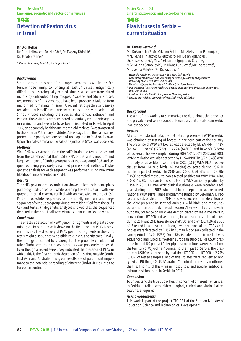#### Poster Session 2.1 Emerging, zoonotic and vector-borne viruses

## 142 **Detection of Peaton virus in Israel**

### **Dr. Adi Behar**<sup>1</sup>

Dr. Beni Leibovich<sup>1</sup>, Dr. Nir Edri<sup>1</sup>, Dr. Evgeny Khinich<sup>1</sup>, Dr. Jacob Brenner<sup>1</sup>

*<sup>1</sup> Kimron Veterinary Institute, Bet Dagan, Israel*

### *Background*

Simbu serogroup is one of the largest serogroups within the Perbunyaviridae family, comprising at least 24 viruses antigenically differing, but serologically related viruses which are transmitted mainly by Culicoides biting midges. Akabane and Shuni viruses, two members of this serogroup have been previously isolated from malformed ruminants in Israel. A recent retrospective serosurvey revealed that Israeli' ruminants were exposed to several additional Simbu viruses including the species Shamonda, Sathuperi and Peaton. These viruses are considered potentially teratogenic agents in ruminants and seem to have been circulated in Israel. In April 2017, an apparently healthy one-month-old male calf was transferred to the Kimron Veterinary Institute. A few days later, the calf was reported to be poorly responsive and not capable to feed on its own. Upon clinical examination, weak calf syndrome (WCS) was observed.

#### *Methods*

Viral RNA was extracted from the calf's brain and testis tissues and from the Cerebrospinal fluid (CSF). RNA of the small, medium and large segments of Simbu serogroup viruses was amplified and sequenced using previously described primers and methods. Phylogenetic analysis for each segment was performed using maximum likelihood, implemented in PhyML.

#### *Results*

The calf's post-mortem examination showed micro-hydranencephaly pathology. CSF oozed out while opening the calf's skull, with engrossed internal cisterns refilled with an excessive volume of CSF. Partial nucleotide sequences of the small, medium and large segments of Simbu serogroup viruses were identified from the calf's CSF and testis. Phylogenetic analyses showed that the sequences detected in the Israeli calf were virtually identical to Peaton virus.

#### *Conclusion*

The effective detection of PEAV genomic fragments is of great epidemiological importance as it shows for the first time that PEAV is present in Israel. The discovery of PEAV genomic fragments in the calf's testis might also suggest a possible role in virus persistence. Finally, the findings presented here strengthen the probable circulation of other Simbu serogroup viruses in Israel as was previously proposed. Even though a recent serosurvey indicated the presence of PEAV in Africa, this is the first genomic detection of this virus outside South-East Asia and Australia. Thus, our results are of paramount importance to the potential spreading of different Simbu viruses into the European continent.

## Poster Session 2.1 Emerging, zoonotic and vector-borne viruses

## 148 **Flaviviruses in Serbia – current situation**

#### **Dr. Tamas Petrovic**<sup>1</sup>

Mr. Dušan Petrić<sup>2</sup>, Mr. Milanko Sekler<sup>3</sup>, Mr. Aleksandar Potkonjak<sup>4</sup>, Mrs. Ivana Hrnjaković Cvjetković<sup>5,</sup>6, Mr. Dejan Vidanovic<sup>3</sup>, Dr. Gospava Lazić<sup>1</sup>, Mrs. Aleksandra Ignjatović Cupina<sup>2</sup>, MSc. Milena Samojlovic<sup>1</sup>, Dr. Diana Lupulovic<sup>1</sup>, Mrs. Sara Savić<sup>1</sup>, Mrs. Vesna Milošević<sup>5,6</sup>, Dr. Sava Lazić<sup>1</sup>

- *<sup>1</sup> Scientific Veterinary Institute Novi Sad, Novi Sad, Serbia 2 Laboratory for medical and veterinary entomology, Faculty of Agriculture, University of Novi Sad, Novi Sad, Serbia*
- 
- *<sup>3</sup> Veterinary Specialized Institute "Kraljevo", Kraljevo, Serbia 4 Department of Veterinary Medicine, Faculty of Agriculture, University of Novi Sad, Novi Sad, Serbia*
- *<sup>5</sup> Institute of Public Health of Vojvodina, Novi Sad, Serbia*
- *<sup>6</sup> Faculty of Medicine, University of Novi Sad, Novi Sad, Serbia*

#### *Background*

The aim of this work is to summarize the data about the presence and prevalence of some zoonotic flaviviruses that circulates in Serbia in a last decade.

#### *Results*

After some historical data, the first data on presence of WNV in Serbia was obtained by testing of horses in northern part of the country. The presence of WNV antibodies was detected by ELISA/PRNT in 12% (46/349), in 28.6% (72/252), in 49.2% (64/130) and in 46.9% (45/96) blood sera of horses sampled during 2009/2010, 2011, 2012 and 2013. WNV circulation was also detected by ELISA/PRNT in 5/92 (5.4%) WNV antibody positive blood sera and in 8/82 (9.8%) WNV RNA positive tissues from 134 wild birds (46 species) collected during 2012 in northern part of Serbia. In 2010 and 2013, 3/50 (6%) and 28/306 (9.15%) sampled mosquito pools tested positive for WNV RNA. Also, 5.04% (17/337) human blood sera tested WNV antibody positive by ELISA in 2010. Human WNV clinical outbreaks were recorded each year, starting from 2012, when first human epidemic was recorded. National WNV surveillance programme funded by Veterinary Directorate is established from 2014, and was successful in detection of the WNV presence in sentinel animals, wild birds and mosquitos before human outbreaks in each season. After several decades without data, presence of TBEV was demonstrated by real-time RT-PCR, conventional RT-PCR and sequencing in Ixodes ricinus ticks collected during 2014 and 2015 (prevalence 2% (1/50) and 6.6% (30/450) at 2 out of 17 tested localities). In addition, low prevalence of anti-TBEV antibodies were detected by ELISA in human blood sera collected in the same period (0.37%; 1/267). One TBEV isolate from I. ricinus tick was sequenced and typed as Western European subtype. For USUV presence, in total 109 pools of Culex pipiens mosquitoes were tested from the territory of Vojvodina Province, northern part of Serbia. The presence of USUV was detected by real-time RT-PCR and RT-PCR in 2.75% (3/109) of tested samples. Two of this isolates were sequenced and typed as EU linage 2 USUV strains. The obtained results confirmed the first findings of this virus in mosquitoes and specific antibodies in human's blood sera in Serbia in 2015.

#### *Conclusion*

To understand the true public health concern of different flaviviruses in Serbia, detailed seroepidemiological, clinical and virological research are required.

## *Acknowledgments*

This work is part of the project TR31084 of the Serbian Ministry of Education, Science and Technological Development.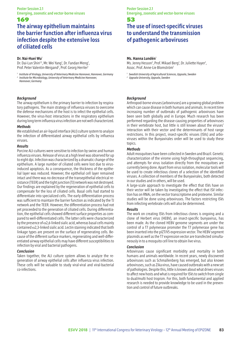## **The airway epithelium maintains the barrier function after influenza virus infection despite the extensive loss of ciliated cells**

#### **Dr. Nai-Huei Wu**<sup>1</sup>

Dr. Dai-Lun Shin<sup>1,2</sup>, Mr. Wei Yang<sup>1</sup>, Dr. Fandan Meng<sup>1</sup>, Prof. Peter Valentin-Weigand<sup>2</sup>, Prof. Georg Herrler<sup>1</sup>

*<sup>1</sup> Institute of Virology, University of Veterinary Medicine Hannover, Hannover, Germany 2 Institute for Microbiology, University of Veterinary Medicine Hannover,*

*Hannover, Germany*

## *Background*

The airway epithelium is the primary barrier to infection by respiratory pathogens. The main strategy of influenza viruses to overcome the defense mechanisms of the host is to infect the epithelial cells. However, the virus-host interactions in the respiratory epithelium during long term influenza virus infection are not well characterized.

#### *Methods*

We established an air-liquid interface (ALI) culture system to analyze the infection of differentiated airway epithelial cells by influenza viruses.

### *Results*

Porcine ALI-cultures were sensitive to infection by swine and human influenza viruses. Release of virus at a high level was observed for up to eight dpi. Infection was characterized by a dramatic change of the epithelium. A large number of ciliated cells were lost due to virusinduced apoptosis. As a consequence, the thickness of the epithelial layer was reduced. However, the epithelial cell layer remained intact and there was no decrease of the transepithelial electrical resistance (TEER) and the tight junction (TJ) network was not destroyed. Our findings are explained by the regeneration of epithelial cells to compensate for the loss of ciliated cells. Basal cells had started to differentiate into specialized cells. The early differentiation process was sufficient to maintain the barrier function as indicated by the TJ network and the TEER. However, the differentiation process had not yet proceeded to the generation of ciliated cells. During differentiation, the epithelial cells showed different surface properties as compared to well-differentiated cells. The latter cells were characterized by the presence of  $\alpha$ 2,6-linked sialic acid, whereas basal cells mainly contained α2,3-linked sialic acid. Lectin staining indicated that both linkage types are present on the surface of regenerating cells. Because of the different surface markers, regenerating and well-differentiated airway epithelial cells may have different susceptibilities to infection by viral and bacterial pathogens.

### *Conclusion*

Taken together, the ALI culture system allows to analyze the regeneration of airway epithelial cells after influenza virus infection. These cells will be valuable to study viral-viral and viral-bacterial co-infections.

## Poster Session 2.1 Emerging, zoonotic and vector-borne viruses

#### 53

# **The use of insect-specific viruses to understand the transmission of pathogenic arboviruses**

### **Ms. Hanna Lundén**<sup>1</sup>

Ms. Jenny Hesson<sup>2</sup>, Prof. Mikael Berg<sup>1</sup>, Dr. Juliette Hayer<sup>1</sup>, Assoc. Prof. Anne-Lie Blomström1

*<sup>1</sup> Swedish University of Agricultural Sciences, Uppsala, Sweden*

*<sup>2</sup> Uppsala University, Uppsala, Sweden*

### *Background*

Arthropod-borne viruses (arboviruses) are a growing global problem which can cause disease in both humans and animals. In recent time increasing number of outbreaks of pathogenic arboviruses have been seen both globally and in Europe. Much research has been performed regarding the disease-causing properties of arboviruses in their vertebrate host, but little is still known about the viruses' interaction with their vector and the determinants of host range restrictions. In this project, insect-specific viruses (ISVs) and arboviruses within the Bunyavirales order will be used to study these topics.

### *Methods*

Adult mosquitoes have been collected in Sweden and Brazil. Genetic characterization of the virome using high-throughput sequencing, and attempts for virus isolation directly from the mosquitoes are currently being done. Apart from virus isolation, molecular tools will be used to create infectious clones of a selection of the identified viruses. A collection of members of the Bunyavirales, both detected in our studies and in others, will be used.

A large-scale approach to investigate the effect that ISVs have on their vector will be taken by investigating the effect that ISV infection has on RNAi, on the vector transcriptome and proteome. Similar studies will be done using arboviruses. The factors restricting ISVs from infecting vertebrate cells will also be determined.

### *Results*

The work on creating ISVs from infectious clones is ongoing and a clone of Herbert virus (HEBV), an insect-specific bunyavirus, has been made. As the cloned HEBV genome segments are under the control of a T7 polymerase promoter the T7 polymerase gene has been inserted into the pIZT/V5 expression vector. The HEBV segment plasmids as well as the T7 expression vector are transfected simultaneously in to a mosquito cell line to obtain live virus.

### *Conclusion*

Arboviruses cause significant morbidity and mortality in both humans and animals worldwide. In recent years, newly discovered arboviruses such as Schmallenberg has emerged, but also known arboviruses, such as Zika virus, have caused outbreaks with a new set of pathologies. Despite this, little is known about what drives viruses to affect new hosts and what is required for ISVs to switch from single to dual/multi host tropism. For this, both fundamental and applied research is needed to provide knowledge to be used in the prevention and control of future outbreaks.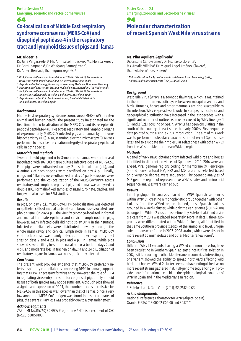## **Co-localization of Middle East respiratory syndrome coronavirus (MERS-CoV) and dipeptidyl peptidase-4 in the respiratory tract and lymphoid tissues of pigs and llamas**

#### **Mr. Nigeer Te**<sup>1</sup>

Dr. Júlia Vergara-Alert<sup>1</sup>, Ms. Annika Lehmbecker<sup>2</sup>, Ms. Mónica Pérez<sup>1</sup>, Dr. Bart Haagmans<sup>3</sup>, Dr. Wolfgang Baumgärtner<sup>2</sup>, Dr. Albert Bensaid<sup>1</sup>, Dr. Joaquim Segalés<sup>4,5</sup>

*1 IRTA, Centre de Recerca en Sanitat Animal (CReSA, IRTA-UAB), Campus de la Universitat Autònoma de Barcelona, Bellaterra, Barcelona, Spain*

- *<sup>2</sup> Department of Pathology, University of Veterinary Medicine, Hannover, Germany*
- *<sup>3</sup> Department of Viroscience, Erasmus Medical Center, Rotterdam, The Netherlands*
- *4 UAB, Centre de Recerca en Sanitat Animal (CReSA, IRTA-UAB), Campus de la Universitat Autònoma de Barcelona, Bellaterra, Barcelona, Spain*
- *5 Departament de Sanitat i Anatomia Animals, Facultat de Veterinària, UAB, Bellaterra, Barcelona, Spain*

### *Background*

Middle East respiratory syndrome coronavirus (MERS-CoV) threaten animal and human health. The present study investigated for the first time the co-localization of the MERS-CoV and its receptor dipeptidyl peptidase-4 (DPP4) across respiratory and lymphoid organs of experimentally MERS-CoV infected pigs and llamas by immunohistochemistry (IHC). Also, scanning electron microscopy (SEM) was performed to describe the ciliation integrity of respiratory epithelial cells in both species.

### *Materials and Methods*

Two-month-old pigs and 6 to 8-month-old llamas were intranasal inoculated with 107 50% tissue culture infective dose of MERS-CoV. Four pigs were euthanized on day 2 post-inoculation (p.i.), and 4 animals of each species were sacrificed on day 4 p.i. Finally, 6 pigs and 4 llamas were euthanized on day 24 p.i. Necropsies were performed and the co-localization of the MERS-CoV/DPP4 across respiratory and lymphoid organs of pigs and llamas was analyzed by double IHC. Formalin-fixed samples of nasal turbinate, trachea and lung were also used for SEM studies.

### *Results*

In pigs, on day 2 p.i., MERS-CoV/DPP4 co-localization was detected in epithelial cells of medial turbinate and bronchus-associated lymphoid tissue. On day 4 p.i., the virus/receptor co-localized in frontal and medial turbinate epithelia and cervical lymph node in pigs; however, many infected-cells did not display DPP4 in their surface. Infected-epithelial cells were distributed unevenly through the whole nasal cavity and cervical lymph node in llamas. MERS-CoV viral nucleocapsid was mainly detected in upper respiratory tract sites on days 2 and 4 p.i. in pigs and 4 p.i. in llamas. While pigs showed severe ciliary loss in the nasal mucosa both on days 2 and 4 p.i. and moderate loss in trachea on days 4 and 24 p.i., ciliation of respiratory organs in llamas was not significantly affected.

### *Conclusion*

The present work provides evidence that MERS-CoV preferably infects respiratory epithelial cells expressing DPP4 in llamas, supporting that DPP4 is necessary for virus entry. However, the role of DPP4 in regulating virus entry in respiratory organs of pigs and lymphoid tissues of both species may not be sufficient. Although pigs showed a significant expression of DPP4, the number of cells permissive for MERS-CoV in this species was lower than that of llamas. Since a very low amount of MERS-CoV antigen was found in nasal turbinates of pigs, the severe ciliary loss was probably due to a bystander effect.

### *Acknowledgments*

ZAPI (IMI No.115760) / CERCA Programme / N.Te is a recipient of CSC (No.201608150108).

#### Poster Session 2.1 Emerging, zoonotic and vector-borne viruses

## 94

# **Molecular characterization of recent Spanish West Nile virus strains**

### **Ms. Pilar Aguilera-Sepúlveda**<sup>1</sup>

Dr. Cristina Cano-Gómez<sup>1</sup>, Dr. Francisco Llorente<sup>1</sup>, Ms. Amalia Villalba<sup>1</sup>, Dr. Miguel Angel Jiménez-Clavero<sup>1</sup>, Dr. Jovita Fernández-Pinero<sup>1</sup>

*1 National Institute for Agriculture and Food Research and Technology (INIA), Animal Health Research Centre (CISA), Madrid, Spain*

## *Background*

West Nile Virus (WNV) is a zoonotic flavivirus, which is maintained in the nature in an enzootic cycle between mosquito-vectors and birds. Humans, horses and other mammals are also susceptible to the infection. WNV is spread worldwide. In Europe, its incidence and geographical distribution have increased in the last decades, with a significant number of outbreaks, mostly caused by WNV lineages 1 (L1) and 2 (L2). Focusing on Spain, WNV L1 has been circulating in the south of the country at least since the early 2000's. First sequence data pointed out to a single virus introduction<sup>1</sup>. The aim of this work was to perform a molecular characterization of recent Spanish isolates and to elucidate their molecular relatedness with other WNVs from the Western Mediterranean (WMed) region.

### *Methods*

A panel of WNV RNAs obtained from infected wild birds and horses identified in different provinces of Spain over 2010–2016 were analysed. Viral genome regions coding for membrane (M), envelope (E) and non-structural NS1, NS2 and NS3 proteins, selected based on divergence degree, were sequenced. Phylogenetic analyses of M-E genome region of representative WNV isolates and amino acid sequence analyses were carried out.

### *Results*

Initial phylogenetic analysis placed all WNV Spanish sequences within WNV L1, creating a monophyletic group together with other isolates from the WMed region. Indeed, most Spanish isolates grouped in WMed-1 cluster, while only the earlier ones (2007–2008) belonged to WMed-2 cluster (as defined by Sotelo et al.)<sup>1</sup> and a single case from 2011 was placed separately. More in detail, three subgroups were differentiated within WMed-1 cluster, all identified in the same Southern province (Cádiz). At the amino acid level, unique substitutions were found in 2007–2008 strains, which were absent in more recent Spanish isolates and other Mediterranean ones<sup>1</sup>.

### *Conclusion*

Different WNV L1 variants, having a WMed common ancestor, have been circulating in Southern Spain, at least since its first isolation in 2007, as it is occurring in other Mediterranean countries. Interestingly, one variant showed the ability to spread northward affecting wild birds and horses. WMed-2 cluster seems to have extinguished, as no more recent strains gathered in it. Full-genome sequencing will provide more information to elucidate the epidemiological dynamics of WNV in Spain and in the Mediterranean region.

### *Reference*

Sotelo et al., J. Gen. Virol. (2011), 92, 2512-2522.

### *Acknowledgements*

National Reference Laboratory for WNV (Algete, Spain). Grants: E-RTA2015-00002-C02-00 and EG17-141.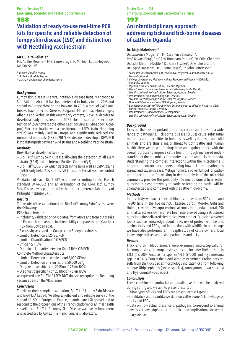## **Validation of ready-to-use real-time PCR kits for specific and reliable detection of lumpy skin disease (LSD) and distinction with Neethling vaccine strain**

### **Mrs. Claire Pelletier**<sup>1</sup>

Ms. Adélie Meunier<sup>2</sup>, Mrs. Laure Brugere<sup>3</sup>, Mr. Jean Louis Moyen<sup>3</sup>, Mr. Eric Sellal2

*<sup>1</sup> Biodev, Dardilly, France*

- *<sup>2</sup> BioSellal, Dardilly, France,*
- *<sup>3</sup> LDAR24, Coulounieix Chamiers, France*

## *Background*

Lumpy skin disease is a viral notifiable disease initially enzootic to Sub-Saharan Africa. It has been detected in Turkey in late 2013 and spread to Europe through the Balkans. In 2016, a total of 7,483 outbreaks have affected Greece, Bulgaria, Macedonia, Montenegro, Albania and Serbia. In this emergency context, BioSellal decides to develop a ready-to-use real-time PCR kit for the rapid and specific detection of LSDV towards the other Capripoxviruses (Sheeppox, Goatpox). Since vaccination with a live attenuated LSDV strain (Neethling strain) was mainly used in Europe and significantly reduced the number of outbreaks (385 in 2017), we decide to develop a DIVA PCR kit to distinguish between wild strains and Neethling vaccine strain.

### *Methods*

BioSellal has developed two kits:

- Bio-T kit® Lumpy Skin Disease allowing the detection of all LSDV strains (FAM) and an Internal Positive Control (Cy5)
- Bio-T kit® LSDV-DIVA which detects in the same well all LSDV strains (FAM), only field LSDV strains (VIC) and an Internal Positive Control (Cy5)

Validation of each Bio-T kit® was done according to the French standard U47-600-2 and an evaluation of the Bio-T kit® Lumpy Skin Disease was performed by the former reference laboratory of Pirbright Institute (UK).

### *Results*

The results of the validation of the Bio-T kit® Lumpy Skin Disease were the following:

PCR Characteristics

- Inclusivity validated on 54 isolates, from Africa and from outbreaks in Europe; improvement in detectability compared to panCapripox PCR from Bowden et al.
- Exclusivity assessed on Goatpox and Sheeppox viruses
- Limit of Detection 3.125 GE/PCR
- Limit of Quantification 10 GE/PCR
- Efficiency 113%

– Domain of Linearity between 10 to 1.10^6 GE/PCR Complete Method Characteristics

- Limit of Detection on whole blood 3,000 GE/ml
- Limit of Detection on skin lesions 50,000 GE/g
- Diagnostic sensitivity on 20 Blood,19 Skin 100%
- Diagnostic specificity on 20 Blood,19 Skin 100%
- 

As expected, the Bio-T kit® LSDV-DIVA doesn't recognize the Neethling vaccine strain on the VIC channel.

### *Conclusion*

Thanks to their complete validation, Bio-T kit® Lumpy Skin Disease and Bio-T kit® LSDV-DIVA allow an efficient and reliable survey of the spread of LSD in Europe. In France, to anticipate LSD spread and to respond to the propositions of the French platform for animal health surveillance, Bio-T kit® Lumpy Skin Disease was easily implement and accredited by Cofrac in a French analysis laboratory.

## Poster Session 2.1 Emerging, zoonotic and vector-borne viruses

197

# **An interdisciplinary approach addressing ticks and tick-borne diseases of cattle in Uganda**

## **Dr. Maja Malmberg**4,5

Dr. Lawrence Mugisha<sup>1,2</sup>, Mr. Stephen Balinandi<sup>2,3</sup>,

Prof. Mikael Berg<sup>4</sup>, Prof. Erik Bongcam-Rudloff<sup>5</sup>, Dr. Erika Chenais<sup>6</sup>, Dr. Lidia Chitimia-Dobler<sup>7</sup>, Dr. Klara Fischer<sup>8</sup>, Dr. Giulio Grandi<sup>4</sup> Dr. Ingrid Hansson<sup>4</sup>, Dr. Juliette Hayer<sup>5</sup>, Dr. John Pettersson<sup>6</sup>

- <sup>1</sup> Ecohealth Research Group, Conservation & Ecosystem Health Alliance (CEHA), *Kampala, Uganda*
- *College of Veterinary Medicine, Animal Resources & Biosecurity (COVAB), Kampala, Uganda*
- *<sup>3</sup> Uganda Virus Research Institute, Entebbe, Uganda*
- *4 Department of Biomedical Sciences and Veterinary Public Health, Swedish University of Agricultural Sciences, Uppsala, Sweden*
- *5 Department of Animal Breeding and Genetics,*
- *Swedish University of Agricultural Sciences, Uppsala, Sweden <sup>6</sup> National Veterinary Institute, SVA, Uppsala, Sweden*
- *7 Bundeswehr Institute of Microbiology, German Center of Infection Research (DZIF) Partner Munich, Munich, Germany*
- *8 Department of Urban and Rural Development,*
- *Swedish University of Agricultural Sciences, Uppsala, Sweden*

#### *Background*

Ticks are the most important arthropod vectors and transmit a wide range of pathogens. Tick-borne diseases (TBDs) cause substantial morbidity and mortalities in humans as well as domestic and wild animals and are thus a major threat to both cattle and human health. Here we present findings from an ongoing project with the overall purpose to improve cattle health through increased understanding of the microbial community in cattle and ticks in Uganda. Understanding the complex interactions within the microbiome is of great importance for understanding how tick-borne pathogens spread and cause disease. Metagenomics, a powerful tool for pathogen detection and for making in-depth analysis of the microbial community provides this possibility. The microbiome of ticks, either questing in close proximity to cattle or feeding on cattle, will be characterized and compared with the cattle microbiome.

#### *Methods*

In this study, we have collected blood samples from 500 cattle and >7500 ticks in the five districts: Kasese, Soroti, Moroto, Gulu and Hoima, covering five agro-ecological zones in Uganda. In total, 250 animal caretakers/owners have been interviewed using a structured questionnaire delivered electronically on a tablet. Questions covered topics such as knowledge about TBDs, use of protective measures against ticks and TBDs, and interactions with wildlife. In one village we have also performed an in-depth study of cattle owner's local knowledge of disease causing pathogens and ticks.

### *Results*

Thick and thin blood smears were examined microscopically for haemoparasites. Haemoparasites detected include: Theleria spp. in 9.8% (49/500), Anaplasma spp. in 1.4% (9/500) and Trypanosoma spp. in 0.8% (4/500) of the blood samples examined. Preliminary results from the tick species morphology indicate ticks from following genera: Rhipicephalus (seven species), Amblyomma (two species) and Hyalomma (two species).

#### *Conclusion*

These combined quantitative and qualitative data will be analyzed during spring and we aim to present results on:

- What types of ticks and TBDs are present across Uganda
- Qualitative and quantitative data on cattle owner's knowledge of ticks and TBDs
- Data on how actual presence of pathogens correspond to animal owners' knowledge about the topic, and implications for veterinary advice.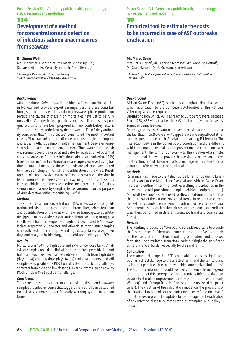## 114

# **Development of a method for concentration and detection of infectious salmon anaemia virus from seawater**

#### **Dr. Simon Weli**<sup>1</sup>

Ms. Lisa-Victoria Bernhardt<sup>1</sup>, Ms. Marit Leinaas Kjellin<sup>1</sup>, Dr. Lars Qviller<sup>1</sup>, Dr. Mette Myrmel<sup>2</sup>, Dr. Atle Lillehaug<sup>1</sup>

*<sup>1</sup> Norwegian Veterinary Institute, Oslo, Norway*

*<sup>2</sup> Norwegian University of Life Sciences, Oslo, Norway*

### *Background*

Atlantic salmon (*Salmo salar*) is the biggest farmed marine species in Norway and provides export earnings. Despite these contributions, significant losses of fish during seawater phase production persist. The causes of these high mortalities have yet to be fully unravelled. Changes in farm practices, increased fish densities, poor quality of smolts have been proposed as major contributory factors. Yet, a recent study carried out by the Norwegian Food Safety Authority concluded that "fish diseases" constituted the most important causes. Virus transmission and disease control strategies are important issues in Atlantic salmon health management. Seawater represent Atlantic salmon natural environment. Thus, water from the fish environment could be used as indicator for evaluation of potential virus transmission. Currently, infectious salmon anaemia virus (ISAV) transmission in Atlantic salmon farms are largely surveyed using traditional manual methods. These methods are selective, are limited to *in vivo* sampling of live fish for identification of the virus. Development of a non-invasive test to confirm the presence of the virus in fish environment will serve as an early warning. The aim of this study is to establish a non-invasive method for detection of infectious salmon anaemia virus by sampling fish environment for the purpose of virus detection without sacrificing live fish.

### *Method*

The study is based on concentration of ISAV in seawater through filtration and adsorption to charged membrane filter, before detection and quantification of the virus with reverse transcriptase quantitative (qPCR). In this study, sixty Atlantic salmon (weighing 100 g) post smolts were bath challenged with high and low dose of ISA-Glesvær isolate respectively. Seawater and Atlantic salmon tissue samples were collected from control, low and high dosage tanks for eighteen days and analysed by histology, immunohistochemistry and PCR.

#### *Results*

Mortality was 100% for high dose and 97% for low dose tanks. Analysis of samples revealed clinical features-ascites, petechiation and haemorrhagic liver necrosis was observed in fish from high dose (days 9–24) and low dose (days 16–32) tanks. Mid kidney and gill samples was positive by PCR from day 8–32 post bath challenge. Seawater from high and low dosage ISAV tanks were also positive by PCR from days 8–32 post bath challenge.

### *Conclusion*

The correlations of results from clinical signs, tissue and seawater samples provided evidence that suggest the method can be applied for risk assessments and/or for early warning system in salmon farms.

Poster Session 3.1 – Veterinary public health, epidemiology, risk assessment and modelling

## 10

# **Empirical tool to estimate the costs to be incurred in case of ASF outbreaks eradication**

### **Mr. Marco Sensi**<sup>1</sup>

Mrs. Ilaria Pierini<sup>1</sup>, Mrs. Carmen Maresca<sup>1</sup>, Mrs. Annalisa Dettori<sup>1</sup> Mr. Gian Mario De Mia<sup>1</sup>, Mr. Francesco Feliziani

*1 Istituto Zooprofilattico Sperimentale dell'Umbria e delle Marche "Togo Rosati", Perugia, Italy*

### *Background*

African Swine Fever (ASF) is a highly contagious viral disease, for which notification to the Competent Authorities of the National Veterinary Service is required.

Originating from Africa, ASF has reached Europe for several decades. Since 1978, ASF virus reached Italy (Sardinia), too, where it has assumed endemic features.

Recently, the disease has attracted ever increasing attention because the fact that since 2007, year of its appearance in Georgia (Poti), it has rapidly spread to the north (Russia) until reaching EU Territory. The interaction between the domestic pig population and the different wild boar populations makes hard prevention and control measure management. The aim of our work was the creation of a simple, empirical tool that would provide the possibility to have an approximate estimation of the direct costs of management / eradication of a potential African Swine Fever outbreak.

#### *Methods*

Reference was made to the Italian Guide Lines for Epidemic Emergencies and to the Manual for Classical and African Swine Fever, in order to outline in terms of cost, everything provided for, in the above mentioned procedures (people, vehicles, equipment, etc.). Microsoft Excel models were used to allow a real-time calculation of the unit cost of the various envisaged items, in relation to current market prices and/or employment contracts or services (National Agreements). A research of the unit cost of each item of expenditure was, then, performed in different scenarios (rural and commercial farms).

### *Results*

The resulting product is a "compound spreadsheet" able to provide the "estimate cost" of the management/eradication of ASF outbreak, on the basis of information about pig population and involved farm size. The simulated scenarios clearly highlight the significant unitary financial burden especially for the rural farms.

#### *Conclusion*

The economic damage that ASF can be able to cause is significant, both as a direct damage to the affected farms and the territory and as indirect penalties due to unavoidable commercial "limitations". The economic information could positively influence the managerial optimization of this emergency. The potentially inferable data can be able to stimulate improvements in the optimization of the "Early Warning" and "Prompt Reaction" phases (to be reviewed in "peace time"). The creation of the calculation model on the provisions of the "National Handbook for Epidemic Emergencies" and the "excel" format make our product adaptable to the management/eradication of any infective disease outbreak where "stamping out" policy is foreseen.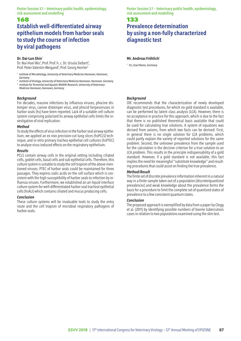## 168

## **Establish well-differentiated airway epithelium models from harbor seals to study the course of infection by viral pathogens**

#### **Dr. Dai-Lun Shin**<sup>1</sup>

Dr. Nai-Huei Wu<sup>2</sup>, Prof. Prof. h. c. Dr. Ursula Siebert<sup>3</sup>, Prof. Peter Valentin-Weigand<sup>1</sup>, Prof. Georg Herrler<sup>2</sup>

- <sup>1</sup> Institute of Microbiology, University of Veterinary Medicine Hannover, Hannover, *Germany*
- *<sup>2</sup> Institute of Virology, University of Veterinary Medicine Hannover, Hannover, Germany* <sup>3</sup> Institute for Terrestrial and Aquatic Wildlife Research, University of Veterinary
- *Medicine Hannover, Hannover, Germany*

### *Background*

For decades, massive infections by influenza viruses, phocine distemper virus, canine distemper virus, and phocid herpesviruses in harbor seals (hs) have been reported. Lack of a suitable cell culture system comprising polarized hs airway epithelial cells limits the investigation of viral replication.

#### *Method*

To study the effects of virus infection in the harbor seal airway epithelium, we applied an ex vivo precision-cut lung slices (hsPCLS) technique, and in vitro primary trachea epithelial cell cultures (hsPTEC) to analyze virus-induced effects on the respiratory epithelium.

#### *Results*

PCLS contain airway cells in the original setting including ciliated cells, goblet cells, basal cells and sub epithelial cells. Therefore, this culture system is suitable to study the cell tropism of the above-mentioned viruses. PTEC of harbor seals could be maintained for three passages. They express sialic acids on the cell surface which is consistent with the high susceptibility of harbor seals to infection by influenza viruses. Furthermore, we established an air-liquid interface culture system for well-differentiated harbor seal tracheal epithelial cells (hsALI) which contains ciliated and mucus producing cells.

#### *Conclusion*

These culture systems will be invaluable tools to study the entry route and the cell tropism of microbial respiratory pathogens of harbor seals.

Poster Session 3.1 – Veterinary public health, epidemiology, risk assessment and modelling

## 133

# **Prevalence determination by using a non-fully characterized diagnostic test**

## **Mr. Andreas Fröhlich**<sup>1</sup>

*<sup>1</sup> FLI, Insel Riems, Germany*

### *Background*

OIE recommends that the characterization of newly developed diagnostic test procedures, for which no gold standard is available, can be performed by latent class analysis (LCA). However, there is no acceptance in practice for this approach, which is due to the fact that there is no published theoretical basis available that could be used for calculating true solutions. A system of equations was derived from axioms, from which two facts can be derived: First, in general there is no single solution for LCA problems, which could partly explain the variety of reported solutions for the same problem. Second, the unknown prevalence from the sample used for the calculation is the decisive criterion for a true solution to an LCA problem. This results in the principle indispensability of a gold standard. However, if a gold standard is not available, this fact implies the need for meaningful "substitute knowledge" and resulting procedures that could assist on finding the true prevalence.

## *Method/Result*

The finite set of discrete prevalence information inherent in a natural way in a finite sample taken out of a population (discrete/quantized prevalences) and weak knowledge about the prevalence forms the basis for a procedure to limit the complete set of quantized states of prevalence to a few consistent quantum states.

### *Conclusion*

The proposed approach is exemplified by data from a paper by Clegg et al. (2011) by identifying possible numbers of bovine tuberculosis cases in relation to two populations examined using the skin test.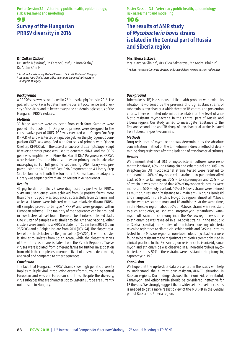## 95 **Survey of the Hungarian PRRSV diversity in 2016**

### **Dr. Zoltán Zádori**<sup>1</sup>

Dr. István Mészáros<sup>1</sup>, Dr. Ferenc Olasz<sup>1</sup>, Dr. Dóra Szalay<sup>2</sup>, Dr. Ádám Bálint2

*<sup>1</sup> Institute for Veterinary Medical Research CAR HAS, Budapest, Hungary 2 National Food Chain Safety Office Veterinary Diagnostic Directorate,*

*Budapest, Hungary*

## *Background*

A PRRSV survey was conducted in 72 industrial pig farms in 2016. The goal of this work was to determine the current occurrence and diversity of the virus, and to better assess the epidemiologic status of the Hungarian PRRSV isolates.

#### *Methods*

30 blood samples were collected from each farm. Samples were pooled into pools of 5. Diagnostic primers were designed to the conservative part of ORF7. PCR was executed with Qiagen OneStep RT-PCR kit and was tested on agarose gel. For the phylogenetic comparison ORF5 was amplified with four sets of primers with Qiagen OneStep RT-PCR kit. In the case of unsuccessful attempts SuperScript IV reverse transcriptase was used to generate cDNA, and the ORF5 gene was amplified with Phire Hot Start II DNA Polymerase. PRRSVs were isolated from the blood samples on primary porcine alveolar macrophages. For full genome sequencing DNA library was prepared using the NEBNext® Fast DNA Fragmentation & Library Prep Set for Ion Torrent with the Ion Torrent Xpress barcode adapters. Library was sequenced with an Ion Torrent PGM sequencer.

### *Results*

46 pig herds from the 72 were diagnosed as positive for PRRSV. Sixty ORF5 sequences were achieved from 38 positive farms. More than one virus pool was sequenced successfully from 22 farms and at least 11 farms were infected with two relatively distant PRRSV. All samples proved to be type 1 PRRSV and were grouped within European subtype 1. The majority of the sequences can be grouped in five clusters: at least four of them can be fit into established clads. One cluster of samples was similar to the Amervac vaccine, other clusters were similar to a PRRSV isolate from Spain from 2003 (Spain 28/2003) and a Belgian isolate from 2010 (08V194). The closest relative of the third cluster is a Belgian isolate (08V204). The forth cluster is similar to isolates from South Korea, while the closest relatives of the fifth cluster are isolates from the Czech Republic. Twelve viruses were isolated from different farms for further investigation from which the complete sequence of five isolates were determined, analyzed and compared to other sequences.

### *Conclusion*

The fact, that Hungarian PRRSV strains show high genetic diversity implies multiple viral introduction events from surrounding central European and western European countries. Despite the diversity, virus subtypes that are characteristic to Eastern Europe are currently not present in Hungary.

Poster Session 3.1 – Veterinary public health, epidemiology, risk assessment and modelling

## 106

# **The results of AMR study of** *Mycobacteria bovis* **strains isolated in the Central part of Russia and Siberia region**

## **Mrs. Elena Liskova**<sup>1</sup>

Mrs. Klavdiya Slinina<sup>1</sup>, Mrs. Olga Zakharova<sup>1</sup>, Mr. Andrei Blokhin<sup>'</sup>

*<sup>1</sup> Federal Research Center for Virology and Microbiology, Pokrov, Russian Federation*

## *Background*

Tuberculosis (TB) is a serious public health problem worldwide. Its situation is worsened by the presence of drug-resistant strains of tuberculous mycobacteria which threaten TB-control and prevention efforts. There is limited information available on the level of antibiotic resistant mycobacteria in the Central part of Russia and Siberia region. Our study aimed to investigate resistance to the first and second-line anti-TB drugs of mycobacterial strains isolated from tuberculin-positive animals.

### *Methods*

Drug-resistance of mycobacteria was determined by the absolute concentration method on the LJ-medium (indirect method of determining drug-resistance after the isolation of mycobacterial culture).

## *Results*

We demonstrated that 60% of mycobacterial cultures were resistant to isoniazid, 40% – to rifampicin and ethambutol and 30% – to streptomycin. All mycobacterial strains tested were resistant to ethionamide, 40% of mycobacterial strains – to paraaminosalicyl acid, 60% – to kanamycin, 30% – to capreomycin and 20% – to ofloxacin. It was established that 40% of mycobacterial strains were mono- and 50% – polyresistant. 40% of M.bovis strains were defined as multidrug resistant (resistance to 2 main anti-TB drugs isoniasid and rifampicin). In the Nizhny Novgorod region, almost all M.bovis strains were resistant to most anti-TB-antibiotics. At the same time, in the Moscow region, about 50% of M.bovis strains were resistant to such antibiotics, as isoniazid, streptomycin, ethambutol, kanamycin, oflaxacin and capreomycin. In the Moscow region resistance to ethionamide was revealed in all M.bovis strains. In the Republic of Sakha (Yakutia) the studies of non-tuberculous mycobacteria revealed resistance to rifampicin, ethionamide and PAS in all strains tested. In the Moscow region all non-tuberculous mycobacteria were found to be resistant to the majority of antibiotics commonly used in clinical practice. In the Ryazan region resistance to isoniazid, kanamycin and ethionamide was observed in all non-tuberculous mycobacterial strains, 50% of these strains were resistant to streptomycin, capreomycin, PAS.

### *Conclusion*

We hope that the up-to-date data presented in this study will help to understand the current drug-resistant/MDR-TB situation in Russian regions. Our findings showed that isoniazid, ethambutol, kanamycin, and ethionamide should be considered ineffective for TB therapy. We strongly suggest that a wider set of surveillance sites is needed to get a more realistic view of the MDR-TB in the Central part of Russia and Siberia region.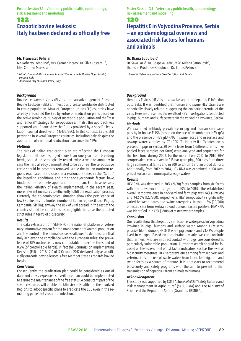### 122

# **Enzootic bovine leukosis: Italy has been declared as officially free**

### **Mr. Francesco Feliziani**<sup>1</sup>

Mr. Roberto Lomolino<sup>2</sup>, Mrs. Carmen Iscaro<sup>1</sup>, Dr. Silva Costarelli<sup>1</sup>, Mrs. Carmen Maresca1

*1 Istituto Zooprofilattico Sperimentale dell'Umbria e delle Marche "Togo Rosati", Perugia, Italy*

*2 Italian Ministry of Health, Rome, Italy*

### *Background*

Bovine Leukaemia Virus (BLV) is the causative agent of Enzootic Bovine Leukosis (EBL) an infectious disease worldwide distributed in cattle population. Most of European Union (EU) countries have already eradicated the EBL by virtue of eradication plans based on the active serological survey of susceptible population and the "test and removal" strategy (for seropositive animals); this approach was supported and financed by the EU as provided by a specific legislation (council directive of 64/432/EEC). In this contest, EBL is still persisting in several European countries, including Italy, despite the application of a national eradication plan since the 1996.

#### *Methods*

The rules of Italian eradication plan are reflecting the European legislation: all bovines, aged more than one year from breeding herds, should be serologically tested twice a year or annually in case the herd already demonstrated to be EBL free; the seropositive cattle should be promptly removed. While the Italian northern regions eradicated the disease in a reasonable time, in the "South" the breeding conditions and other social/economic factors have hindered the complete application of the plan. For these reasons the Italian Ministry of Health implemented, in the recent past, more relevant measures to efficiently fulfill the eradication process. Currently the epidemiological situation shows the persistence of few EBL clusters in a limited number of Italian regions (Lazio, Puglia, Campania, Sicilia); anyway the risk of viral spread in the rest of the country should be considered as negligible because the adopted strict rules in terms of biosecurity.

#### *Results*

The data extracted from VET-INFO (the national platform of veterinary informative system for the management of animal population and the control of the animal diseases) allowed to demonstrate that Italy achieved the compliance with the European rules: the prevalence of BLV outbreaks is now computable under the threshold of 0,2% (of controllable herds). In fact the Commission Implementing Decision (EU) n. 2017/1910 of 17 October 2017 declared Italy as an officially enzootic-bovine-leucosis-free Member State as regards bovine herds.

## *Conclusion*

Consequently, the eradication plan could be considered as out of date and a less expensive surveillance plan could be implemented to assure the maintenance of the free status. A consistent part of the saved resources will enable the Ministry of Health and the involved Regions to adopt specific plans to eradicate the EBL even in the remaining persistent clusters of infection.

Poster Session 3.1 – Veterinary public health, epidemiology, risk assessment and modelling

## 120

## **Hepatitis E in Vojvodina Province, Serbia – an epidemiological overview and associated risk factors for humans and animals**

#### **Dr. Diana Lupulovic**<sup>1</sup>

Dr. Sava Lazić<sup>1</sup>, Dr. Gospava Lazić<sup>1</sup>, MSc. Milena Samojlovic<sup>1</sup> Dr. Jasna Prodanov-Radulovic<sup>1</sup>, Dr. Tamas Petrovic<sup>7</sup>

*<sup>1</sup> Scientific Veterinary Institute "Novi Sad", Novi Sad, Serbia*

#### *Background*

Hepatitis E virus (HEV) is a causative agent of hepatitis E infection outbreaks. It was identified that human and swine HEV strains are genetically closely related, suggesting the enzootic potential of the virus. Here are presented the results of HEV investigations conducted in pigs, humans and surface water in the Vojvodina Province, Serbia.

#### *Methods*

We examined antibody prevalence in pig and human sera samples by in house ELISA (based on the use of recombinant HEV gt3) and the presence of HEV gt3 RNA in swine feces and in surface and sewage water samples by RT-qPCR. To identify if HEV infection is present in pigs in Serbia, 30 swine feces from 6 different farms (five pooled feces samples per farm) were analyzed and sequenced for the first time during 2009. Furthermore, from 2010 to 2013, HEV seroprevalence was tested in 315 backyard pigs, 300 pigs from three large commercial farms and in 200 sera from Serbian blood donors. Additionally, from 2012 to 2014, HEV RNA was examined in 108 samples of surface and municipal sewage waters.

#### *Results*

HEV RNA was detected in 70% (21/30) feces samples from six farms with the prevalence in range from 20% to 100%. The established overall seroprevalence in backyard and farm pigs was 34% (109/315) and 44.66% (122/300), respectively. HEV seropositivity significantly varied between herds and swine categories. In total, 15% (30/200) of tested sera from Serbian blood donors reacted positive. HEV RNA was identified in 2.77% (3/108) of tested water samples.

#### *Conclusion*

Our results show that hepatitis E infection is widespread in Vojvodina Province in pigs, humans and surface water. Among HEV seropositive blood donors, 43.33% were pig owners and 93.33% people lived in villages. Based on the obtained results we can conclude that farmers, who are in direct contact with pigs, are considered as particularly vulnerable population. Further research should be focused on the assessment of risk factor indicators, such as the level of biosecurity measures, HEV seroprevalence among farm workers and veterinarians, the use of waste waters from farms for irrigation and swine feces as a source of manure. It is necessary to recommend biosecurity and safety programs with the aim to prevent further transmission of hepatitis E from animals to humans.

#### *Acknowledgment*

This study was supported by COST Action CA16123 "Safety Culture and Risk Management in Agriculture" (SACURIMA) and The Ministry of Science of the Republic of Serbia (Grant no. TR31084).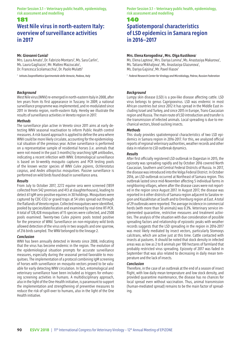### 181

# **West Nile virus in north-eastern Italy: overview of surveillance activities in 2017**

#### **Mr. Giovanni Cunial<sup>1</sup>**

Mrs. Laura Amato<sup>1</sup>, Dr. Fabrizio Montarsi<sup>1</sup>, Ms. Sara Carlin<sup>1</sup>, Ms. Laura Gagliazzo<sup>1</sup>, Mr. Matteo Mazzucato<sup>1</sup>, Dr. Francesca Scolamacchia<sup>1</sup>, Dr. Paolo Mulatti<sup>1</sup>

*<sup>1</sup> Istituto Zooprofilattico Sperimentale delle Venezie, Padova, Italy*

#### *Background*

West Nile virus (WNV) re-emerged in north-eastern Italy in 2008, after ten years from its first appearance in Tuscany. In 2009, a national surveillance programme was implemented, and re-modulated since 2011 in Veneto region, north-eastern Italy. Hereby we illustrate the results of surveillance activities in Veneto region in 2017.

#### *Methods*

The surveillance plan active in Veneto since 2011 aims at early detecting WNV seasonal reactivation to inform Public Health control measures. A risk-based approach is applied to define the area where WNV could be more likely circulate, accounting for the epidemiological situation of the previous year. Active surveillance is performed on a representative sample of residential horses (i.e. animals that were not moved in the past 3 months) by searching IgM antibodies, indicating a recent infection with WNV. Entomological surveillance is based on bi-weekly mosquito captures and PCR testing pools of the known vector species of WNV *Culex pipiens*, *Ochlerotatus caspius*, and *Aedes albopictus mosquitoes*. Passive surveillance is performed on wild birds found dead in surveillance area.

#### *Results*

From July to October 2017, 2272 equine sera were screened (1859 collected from 542 premises and 413 at slaughterhouses), leading to detect 61 IgM sero-positive equines in 30 holdings. Mosquitoes were captured by CDC-CO2 or gravid traps at 54 sites spread out through the flatlands of Veneto region. Collected mosquitoes were identified, pooled by species/date/location and examined by real-time RT-PCR. A total of 128,428 mosquitoes of 15 species were collected, and 2508 pools examined. Twenty-two *Culex pipiens* pools tested positive for the presence of WNV. Surveillance on non-migratory wild birds allowed detection of the virus only in two seagulls and one sparrow, of 216 birds sampled. The WNV belonged to the lineage 2.

#### *Conclusion*

WNV has been annually detected in Veneto since 2008, indicating that the virus has become endemic in the region. The evolution of the epidemiological situation prompts for accurate surveillance measures, especially during the seasonal period favorable to mosquitoes. The implementation of a protocol combining IgM screening of horses with surveillance on mosquito vectors proved to be valuable for early detecting WNV circulation. In fact, entomological and veterinary surveillance have been included as triggers for enhancing screening activities in humans. A multidisciplinary approach, also in the light of the One-Health initiative, is paramount to support the implementation and strengthening of preventive measures to reduce the risk of spill-over to humans, also in the light of the One Health initiative.

Poster Session 3.1 – Veterinary public health, epidemiology, risk assessment and modelling

## 140

# **Spatiotemporal characteristics of LSD epidemics in Samara region in 2016–2017**

#### **Mrs. Elena Korogodina**<sup>1</sup> **, Mrs. Olga Kustikova**<sup>1</sup>

Ms. Elena Lapteva<sup>1</sup>, Mrs. Dariya Lunina<sup>1</sup>, Ms. Anastasiya Makarova<sup>1</sup> Ms. Tatiana Mikhaljova<sup>1</sup>, Ms. Anastasiya Glazunova<sup>1</sup>, Ms. Dariya Gajsina<sup>1</sup>, Mr. Pavel Iliasov<sup>1</sup>

*<sup>1</sup> Federal Research Center for Virology and Microbiology, Pokrov, Russian Federation*

#### *Background*

Lumpy skin disease (LSD) is a pox-like disease affecting cattle. LSD virus belongs to genus Capripoxvirus. LSD was endemic in most African countries but since 2012 it has spread in the Middle East including Israel and Turkey, and since 2015 in Europe, Trans-Caucasian region and Russia. The main route of LSD introduction and transfer is the transmission of infected animals. Local spreading is due to mechanical vectors, blood-sucking insects.

#### *Methods*

This study provides spatiotemporal characteristics of two LSD epidemics in Samara region in 2016-2017. For this, we analyzed official reports of regional veterinary authorities, weather records and other data in relation to LSD outbreak dynamics.

### *Results*

After first officially registered LSD outbreak in Dagestan in 2015, the epizooty was spreading rapidly and by October 2016 covered North Caucasian, Southern and Central Federal Districts of Russia. In 2017, the disease was introduced into the Volga Federal District. In October 2016, an LSD outbreak occurred at Northeast of Samara region. This outbreak lasted since mid-November affecting 5 individual farms in neighboring villages, where after the disease cases were not reported in the region since August 2017. In August 2017, the disease was reported in 6 other districts of Samara region adjacent to Saratov region and Kazakhstan at South and to Orenburg region at East. A total of 29 outbreaks were reported. The average incidence in commercial herds (with more than 50 animals) was 0.3%. Veterinary service implemented quarantine, restrictive measures and treatment activities. The analysis of the situation with due consideration of possible spreading factors and relationship of epizootic peaks with weather records suggests that the LSD spreading in the region in 2016-2017 was most likely mediated by insect vectors, particularly Stomoxys calcitrans, which are active just at this time. Cattle contacted with insects at pastures. It should be noted that stock density in infected areas was as low as 2 to 8 animals per 100 hectares of farmland that probably restricted virus spreading. Epizooty of 2017 was faded in September that was also related to decreasing in daily mean temperature and the lack of insects.

#### *Conclusion*

Therefore, in the case of an outbreak at the end of a season of insect flight, with low daily mean temperature and low stock density, and provided quarantine maintenance, the disease has no chances for local spread even without vaccination. Thus, animal transmission (human-mediated spread) remains to be the main factor of spreading.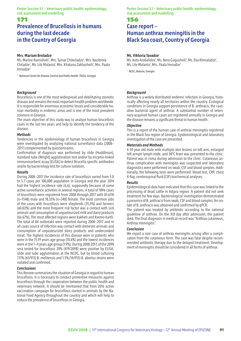## 171

## **Prevalence of Brucellosis in humans during the last decade in the Country of Georgia**

### **Mrs. Mariam Broladze**<sup>1</sup>

Ms. Marine Ramishvili<sup>1</sup>, Mrs. Tamar Chikviladze<sup>1</sup>, Mrs. Nazibrola Chitadze<sup>1</sup>, Ms. Lile Malania<sup>1</sup>, Mrs. Khatuna Zakhashvili<sup>1</sup>, Mrs. Paata Imnadze1

*<sup>1</sup> National Center for Disease Control and Public Health, Tbilisi, Georgia*

### *Background*

Brucellosis is one of the most widespread and debilitating zoonotic disease and remains the most important health problem worldwide. It is responsible for enormous economic losses and considerable human morbidity in endemic areas and is one of the most prevalent zoonosis in Georgia.

The main objective of this study was to analyze human brucellosis cases in the last ten years and help to identify the tendency of the disease.

#### *Methods*

Tendencies in the epidemiology of human brucellosis in Georgia were investigated by analyzing national surveillance data (2008– 2017) complemented by questionnaires.

Confirmation of diagnosis was performed by slide (Huddleson), standard tube (Wright) agglutination test and/or by enzyme-linked immunosorbent assay (ELISA) to detect Brucella-specific antibodies and/or by bacteriology test for culture isolation.

#### *Results*

During 2008–2017 the incidence rate of brucellosis varied from 3.8 to 5.7 cases per 100,000 population in Georgia and the year 2014 had the highest incidence rate (6.6), supposedly because of some active surveillance activities in several regions. A total of 1896 cases of brucellosis were registered from 2008 through 2017 with 81.65% (n=1548) male and 18.35% (n=348) female. The most common jobs of the cases with brucellosis were shepherds (35.3%) and farmers (60.02%) and the most frequent risk factor was a contact with sick animals and consumption of unpasteurized milk and dairy products (66.67%). The most affected regions were Kakheti and Kvemo Kartli. The total of 84 outbreaks were reported during 2008–2017 and in all cases source of infection was contact with domestic animals and consumption of unpasteurized dairy products and undercooked meat. The highest incidences of this disease were in patients who were in the 15-19 years age group (10.6%) and the lowest incidences were in the 1–4 years age group (1.9%). During 2008-2017, of the 2098 sera tested for brucellosis 20% (419/2098) were positive by ELISA, slide and tube agglutination at the NCDC, but by blood culturing 7.11% (65/913) B. melitensis and 1.5% (14/913) B. abortus strains were isolated and confirmed.

## *Conclusions*

This Review summarizes the situation of Georgia in regard to human brucellosis. It is necessary to conduct preventive measures against brucellosis through the cooperation between the public health and veterinary network. It should be mentioned that from 2016 active vaccination campaign for brucellosis started in animals by the National Food Agency throughout the country and which will help to reduce the prevalence of brucellosis in Georgia.

Poster Session 3.1 – Veterinary public health, epidemiology, risk assessment and modelling

## 156

## **Case report – Human anthrax meningitis in the Black Sea coast, Country of Georgia**

## **Ms. Viktoria Tavadze**<sup>1</sup>

Ms. Keto Arobelidze<sup>1</sup>, Ms. Nino Gugushvili<sup>1</sup>, Ms. Eka Khmaladze<sup>1</sup>, Ms. Lile Malania<sup>1</sup>, Mrs. Paata Imnadze<sup>1</sup>

*1 NCDC, Batumi, Georgia*

### *Background*

Anthrax is a widely distributed endemic infection in Georgia, historically affecting nearly all territories within the country. Ecological conditions in Georgia support persistence of B. anthracis, the causative bacterial agent of anthrax. A substantial number of veterinary-acquired human cases are registered annually in Georgia and the disease remains a significant threat to human health.

### *Objective*

This is a report of the human case of anthrax meningitis registered in the Black Sea region of Georgia. Epidemiological and laboratory investigation of the case are presented.

#### *Materials and Methods*

A 59 year old male with multiple skin lesions on left arm, enlarged left armpit lymph-node, and 38°C fever was presented to the clinic. Patient was in coma during admission to the clinic. Cutaneous anthrax complication with meningitis was suspected and laboratory diagnostics were performed on swab, CSF and blood samples. Additionally, the following tests were performed: blood test, CRP, chest X-Ray, cerebrospinal fluid (CSF) biochemical analyses.

#### *Results*

Epidemiological data have indicated that this case was linked to the processing of dead cattle in Adjara region. A patient did not seek treatment for few days. Bacteriological investigation demonstrated a presence of B. anthracis from swab, CSF and blood samples. An isolate of B. anthracis was obtained and confirmed by qPCR.

The patient was treated by antibiotic according to the national guideline of anthrax. On the 3rd day after admission, the patient died. The final diagnosis in medical record was "Anthrax cutaneous, Anthrax meningitis".

### *Conclusion*

We report a rare case of anthrax meningitis arising after a complication from the cutaneous form. The case was fatal despite recommended antibiotic therapy due to the delayed treatment. Development of meningitis should be considered in all forms of anthrax.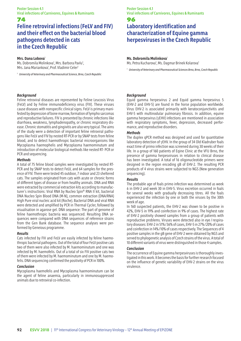# **Feline retroviral infections (FeLV and FIV) and their effect on the bacterial blood pathogens detected in cats in the Czech Republic**

#### **Mrs. Dana Lobova**<sup>1</sup>

Ms. Dobromila Molinkova<sup>1</sup>, Mrs. Barbora Pavlu<sup>1</sup>, Mrs. Jana Mariankova<sup>1</sup>, Prof. Vladimir Celer<sup>1</sup>

*<sup>1</sup> University of Veterinary and Pharmaceutical Science, Brno, Czech Republic*

## *Background*

Feline retroviral diseases are represented by Feline Leucosis Virus (FeLV) and by Feline immunodeficiency virus (FIV). These viruses cause diseases with nonspecific clinical signs. FeLV is primary manifested by depression of bone marrow, formation of lympho sarcomas and reproductive failures. FIV is presented by chronic infections like diarrhoea, weakness, lymphadenopathy, or chronic respiratory disease. Chronic stomatitis and gingivitis are also very typical. The aims of the study were a detection of important feline retroviral pathogens like FeLV and FIV by nested RT-PCR or by SNAP tests from feline blood, and to detect haemothropic bacterial microorganisms like Mycoplasma haemophelis and Mycoplasma haemominutum and introduction of molecular biological methods like nested RT- PCR or PCR and sequencing.

#### *Methods*

A total of 75 feline blood samples were investigated by nested RT-PCR and by SNAP tests to detect FeLV, and 64 samples for the presence of FIV. There were tested 45 outdoor, 7 indoor and 23 sheltered cats. The samples originated from cats with acute or chronic forms of different types of disease or from healthy animals. DNA and RNA were extracted by commercial extraction kits according to manufacturer´s instructions: Viral RNA by Nucleo Spin® RNA II kit, bacterial DNA Nucleo Spin Blood DNA (M-N), common extraction (DNA/RNA) High Pure viral nucleic acid kit (Roche). Bacterial DNA and viral RNA were detected and amplified by PCR in Thermal Cycler, followed by visualisation in agarose gel. DNA sequence: The part of genome of feline haemothropic bacteria was sequenced. Resulting DNA sequences were compared with DNA sequences of reference strains from the Gen Bank database. The sequence analyses were performed by Geneious programme.

### *Results*

Cats infected by FIV and FeLV are easily infected by feline haemothropic bacterial pathogens. Out of the total of four FeLV positive cats two of them were also infected by M. haemominutum and one was infected by M. haemofelis. Out of a total of six FIV positive cats two of them were infected by M. haemominutum and one by M. haemofelis. DNA sequencing confirmed the positivity of PCR in 100%.

### *Conclusion*

Mycoplasma haemofelis and Mycoplasma haemominutum can be the agent of feline anaemia, particularly in immunosuppressed animals due to retroviral co-infection.

## Poster Session 4.1 Viral infections of Carnivores, Equines & Ruminants

## 96

# **Laboratory identification and characterization of Equine gamma herpesviruses in the Czech Republic**

#### **Ms. Dobromila Molinkova**<sup>1</sup>

Ms. Petra Kucharova<sup>1</sup>, Ms. Dagmar Brinek Kolarova<sup>1</sup>

*<sup>1</sup> University of Veterinary and Pharmaceutical Sciences Brno, Brno, Czech Republic*

#### *Background*

Equid gamma herpesvirus 2 and Equid gamma herpesvirus 5 (EHV-2 and EHV-5) are found in the horse population worldwide. Virus EHV-2 is associated primarily with keratoconjunctivitis and EHV-5 with multinodular pulmonary fibrosis. In addition, equine gamma herpesvirus (γEHV) infections are mentioned in association with respiratory symptoms, fever, depression, decreased performance, and reproductive disorders.

#### *Methods*

The duplex qPCR method was designed and used for quantitative laboratory detection of γEHV. In the group of 34 Old Kladruber foals exact time of primo infection was screened during 30 weeks of their life. In a group of 160 patients of Eqine Clinic at the VFU Brno, the presence of gamma herpesviruses in relation to clinical disease has been investigated. A total of 16 oligonucleotide primers were designed in the region encoding gB of EHV-2. The resulting PCR products of 4 virus strains were subjected to NGS (New generation sequencing).

#### *Results*

The probable age of foals primo infection was determined as week 6 in EHV-2 and week 30 in EHV-5. Virus excretion occurred in foals for several weeks with gradually decreasing titres. All the foals experienced the infection by one or both the viruses by the 30th week of age.

In 160 suspected patients, the EHV-2 was shown to be positive in 42%, EHV-5 in 19% and coinfection in 9% of cases. The highest rate of EHV-2 positivity showed samples from a group of patients with reproductive problems. Viruses were detected also in eye / respiratory diseases: EHV-2 in 51% / 36% of cases, EHV-5 in 27% / 20% of cases and coinfection in 14% / 10% of cases respectively. The Sequences of 4 positive samples in the gB gene of EHV-2 were obtained by NGS and served to phylogenetic analysis of Czech strains of the virus. A total of 10 different variants of virus were distinguished in those 4 samples.

### *Conclusion*

The occurrence of Equine gamma herpesviruses is thoroughly investigated in this work. It becomes the basis for further research focused on the influence of genetic variability of EHV-2 strains on the virus virulence.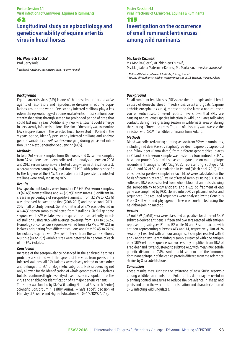# **Longitudinal study on epizootiology and genetic variability of equine arteritis virus in hucul horses**

## **Mr. Wojciech Socha**<sup>1</sup>

Prof. Jerzy Rola<sup>1</sup>

*<sup>1</sup> National Veterinary Research Institute, Pulawy, Poland*

## *Background*

Equine arteritis virus (EAV) is one of the most important causative agents of respiratory and reproductive diseases in equine populations around the world. Persistently infected stallions play a key role in the epizootiology of equine viral arteritis. Those stallions constantly shed virus through semen for prolonged period of time that could last many years. Additionally, new viral strains could emerge in persistently infected stallions. The aim of the study was to monitor EAV seroprevalance in the selected hucul horse stud in Poland in the 9 years period, identify persistently infected stallions and analyse genetic variability of EAV isolates emerging during persistent infection using Next Generation Sequencing (NGS).

#### *Methods*

In total 261 serum samples from 107 horses and 87 semen samples from 37 stallions have been collected and analysed between 2008 and 2017. Serum samples were tested using virus neutralization test, whereas semen samples by real time RT-PCR with primers specific to the N gene of the EAV. Six isolates from 3 persistently infected stallions were analysed using NGS.

### *Results*

EAV specific antibodies were found in 117 (44.8%) serum samples: 71 (69.6%) from stallions and 46 (28.9%) from mares. Significant increase in percentage of seropositive animals (from 32.2% to 72.8%) was observed between the first (2008-2012) and the second (2013– 2017) half of study period. Genetic material of EAV was detected in 40 (46%) semen samples collected from 7 stallions. Six full genome sequences of EAV isolates were acquired from persistently infected stallions using NGS with average coverage from 11.4x to 536.6x. Homology of consensus sequences varied from 94.97% to 99.62% in isolates originating from different stallions and from 99.4% to 99.6% for isolates acquired with 2–3 year interval from the same stallions. Multiple (84 to 237) variable sites were detected in genome of each of the EAV isolates.

### *Conclusion*

Increase of the seroprevalance observed in the analysed herd was probably associated with the spread of the virus from persistently infected stallions. All EAV isolates were closely related to each other and belonged to EU1 phylogenetic subgroup. NGS sequencing not only allowed for the identification of whole genomes of EAV isolates but also confirmed high diversity of pseudospecies population of the virus and enabled for identification of its major genetic variants. The study was funded by KNOW (Leading National Research Centre) Scientific Consortium "Healthy Animal – Safe Food", decision of Ministry of Science and Higher Education No. 05-1/KNOW2/2015).

## Poster Session 4.1 Viral infections of Carnivores, Equines & Ruminants

### 115

# **Investigation on the occurrence of small ruminant lentiviruses among wild ruminants**

### **Mr. Jacek Kuzmak**<sup>1</sup>

Ms. Monika Olech<sup>1</sup>, Mr. Zbigniew Osinski<sup>1</sup>, Ms. Magdalena Materniak-Kornas<sup>1</sup>, Mr. Marta Parzniewska-Jaworska<sup>2</sup>

*<sup>1</sup> National Veterinary Research Institute, Pulawy, Poland*

*<sup>2</sup> Faculty of Veterinary Medicine, Warsaw University of Life Sciences, Warsaw, Poland*

### *Background*

Small ruminant lentiviruses (SRLVs) are the prototypic animal lentiviruses of domestic sheep (maedi visna virus) and goats (caprine arthritis encephalitis virus), representing the largest natural reservoir of lentiviruses. Different reports have shown that SRLV are causing natural cross species infection in wild ungulates following contacts during free grassing season in wilderness area or during the sharing of breeding areas. The aim of this study was to assess the infection with SRLV in wildlife ruminants from Poland.

### *Methods*

Blood was collected during hunting season from 559 wild ruminants, including red deer (Cervus elaphus), roe deer (Capreolus capreolus) and fallow deer (Dama dama) from different geographical places in Poland. Each serum sample was tested by four indirect ELISAs, based on protein G-peroxidase, as conjugate and on multi-epitope recombinant antigens (SU1/Gag/SU5), representing subtypes A1, A13, B1 and B2 of SRLV, circulating in Poland (Olech et al. 2018). Cutoff values for positive samples in each ELISA were calculated on the basis of scatter plots of S/P value of tested samples, using STATISTICA software. DNA was extracted from whole blood of animals showing the seropositivity to SRLV antigens and a 625 bp fragment of gag gene was amplified by PCR, cloned into pDRIVE plasmid vector and sequenced. The resulted sequences were analysed by the Geneious Pro 5.3 software and phylogenetic tree was constructed using the neighbor-joining method.

### *Results*

26 out 559 (4,65%) sera were classified as positive for different SRLV subtype-derived antigens. Fifteen and two sera reacted with antigen representing subtypes B1 and B2 while 10 and 8 sera reacted with antigen representing subtypes A13 and A1, respectively. Out of 26 sera only 1 reacted with all four antigens; 2 samples reacted with 3 and 2 antigens while remaining 21 samples reacted with one antigen only. SRLV-related sequence was successfully amplified from DNA of 1 red deer and it was clustered to subtype A12, with mean nucleotide genetic distance of 7,8%. Amino acid sequence of the immunodominant epitope 2 of the capsid protein differed from the reference strains by 8 aa substitutions.

### *Conclusion*

These results may suggest the existence of new SRLVs reservoir among wildlife ruminants from Poland. This data may be useful in planning control measures to reduce the prevalence in sheep and goats and open the way for further isolation and characterization of SRLV infecting wild ungulates.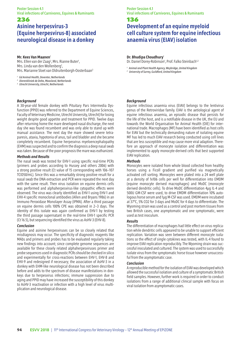# **Asinine herpesvirus-3 (Equine herpesvirus-8) associated neurological disease in a donkey**

## **Mr. Kees Van Maanen**<sup>1</sup>

Mrs. Ellen van der Zaag<sup>2</sup>, Mrs. Rianne Buter<sup>1</sup>, Mrs. Linda van den Wollenberg<sup>1</sup>, Mrs. Marianne Sloet van Oldruitenborgh-Oosterbaan3

*<sup>1</sup> Gd Animal Health, Deventer, Netherlands*

*<sup>2</sup> Dierenkliniek de Delta, Maasland, Netherlands <sup>3</sup> Utrecht University, Utrecht, Netherlands*

### *Background*

A 30-year-old female donkey with Pituitary Pars Intermedia Dysfunction (PPID) was referred to the Department of Equine Sciences, Faculty of Veterinary Medicine, Utrecht University, Utrecht) for losing weight despite good appetite and treatment for PPID. Twelve days after returning home the mare developed nasal discharge, the next day she was found recumbent and was only able to stand up with manual assistance. The next day the mare showed severe tetraparesis, ataxia, hypotonia of anus, tail and bladder and she became completely recumbent. Equine herpesvirus myeloencephalopathy (EHM) was suspected and to confirm the diagnosis a deep nasal swab was taken. Because of the poor prognosis the mare was euthanized.

#### *Methods and Results*

The nasal swab was tested for EHV-1 using specific real-time PCRs (primers and probes according to Hussey and others 2006) with a strong positive result (Ct value of 15 corresponding with 106–107 TCID50/mL). Since this was a remarkably strong positive result for a nasal swab the DNA extraction and PCR were repeated the next day with the same result. Then virus isolation on equine dermis cells was performed and alphaherpesvirus-like cytopathic effects were observed. The virus was clearly identified as EHV-1 using EHV-1 and EHV-4 specific monoclonal antibodies (Allen and Bryans 1986) in an Immuno Peroxidase Monolayer Assay (IPMA). After a third passage on equine dermis cells 100% CPE was obtained in 2–3 days. The identity of this isolate was again confirmed as EHV-1 by testing the third passage supernatant in the real-time EHV-1 specific PCR (Ct 16.5), but sequencing identified the virus as AsHV-3 (EHV-8).

### *Conclusion*

Equine and asinine herpesviruses can be so closely related that misdiagnosis may occur. The specificity of diagnostic reagents like MAbs and primers and probes has to be evaluated regularly taking new findings into account; since complete genome sequences are available for these closely related alphaherpesviruses primer and probe sequences used in diagnostic PCRs should be checked in silico and experimentally for cross-reactions between EHV-1, EHV-8 and EHV-9 and redesigned if necessary; the association of AsHV-3 in a donkey with EHM-like neurological disease has not been described before and adds to the spectrum of disease manifestations in donkeys due to herpesvirus infections; immune suppression due to aging and PPID may have increased the susceptibility of this donkey to AsHV-3 reactivation or infection with a high level of virus multiplication and neurological disease.

## Poster Session 4.1 Viral infections of Carnivores, Equines & Ruminants

## 136

# **Development of an equine myeloid cell culture system for equine infectious anaemia virus (EIAV) isolation**

## **Dr. Bhudipa Choudhury**<sup>1</sup>

Dr. Daniel Dorey-Robinson<sup>1</sup>, Prof. Falko Steinbach<sup>1,2</sup>

*<sup>1</sup> Animal and Plant Health Agency, Weybridge, United Kingdom <sup>2</sup> University of Surrey, Guildford, United Kingdom*

## *Background*

Equine infectious anaemia virus (EIAV) belongs to the lentivirus genus of the Retroviridae family. EIAV is the aetiological agent of equine infectious anaemia, an episodic disease that persists for the life of the host, and is a notifiable disease in the UK, the EU and towards the World Organisation for Animal Health (OIE) for international trade. Macrophages (MF) have been identified as host cells for EIAV but the technically demanding nature of isolating equine MF has led to much EIAV research being conducted using cell lines that are less susceptible and may cause more viral adaption. Therefore an approach of monocyte isolation and differentiation was implemented to apply monocyte-derived cells that best supported EIAV replication.

### *Methods*

Monocytes were isolated from whole blood collected from healthy horses using a Ficoll gradient and purified via magnetically activated cell sorting. Monocytes were plated into a 24 well plate at a density of 1x106 cells per well for differentiation into EMDM (equine monocyte derived macrophages) and MoDC (monocyte derived dendritic cells). To drive MoDC differentiation 4μg IL-4 and 500U GM-CSF were used, to drive EMDM differentiation 10% autologous horse serum and 1μg M-CSF was used. EMDM were incubated at 37°C, 5% CO2 for 3 days and MoDC for 4 days to differentiate. The Wyoming strain was used as a control and post mortem tissues from two British cases, one asymptomatic and one symptomatic, were used as test inoculum.

## *Results*

The differentiation of macrophages had little effect on virus replication while dendritic cells appeared to be unable to support efficient replication. Variation was seen between different monocyte isolations so the effect of single cytokines was tested, with IL-4 found to improve EIAV replication reproducibly. The Wyoming strain was successful inoculated and cultured. The system was used to successfully isolate virus from the symptomatic horse tissue however unsuccessful from the asymptomatic case.

### *Conclusion*

A reproducible method for the isolation of EIAV was developed which allowed the successful isolation and culture of a symptomatic British field samples. However, further work is required in order to conduct isolations from a range of additional clinical sample with focus on viral isolation from asymptomatic cases.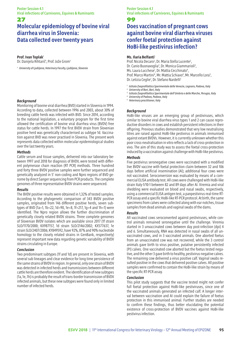# **Molecular epidemiology of bovine viral diarrhea virus in Slovenia: Data collected over twenty years**

### Prof. Ivan Toplak<sup>1</sup>

Dr. Danijela Rihtarič<sup>1</sup>, Prof. Jože Grom<sup>1</sup>

*<sup>1</sup> University of Ljubljana, Veterinary Faculty, Ljubljana, Slovenia*

### *Background*

Monitoring of bovine viral diarrhea (BVD) started in Slovenia in 1994. According to data, collected between 1996 and 2003, about 30% of breeding cattle herds was infected with BVD. Since 2014, according to the national legislation, a voluntary program for the first time allowed the certification of bovine viral diarrhea virus (BVDV) free status for cattle herds. In 1997 the first BVDV strain from Slovenian positive herd was genetically characterised as subtype 1d. Vaccination against BVD was never practised in Slovenia. The present work represents data collected within molecular epidemiological studies over the last twenty years.

#### *Methods*

Cattle serum and tissue samples, delivered into our laboratory between 1997 and 2018 for diagnosis of BVDV, were tested with different polymerase chain reaction (RT PCR) methods. Three hundred and forty three BVDV positive samples were further sequenced and genetically analyzed in 5' non-coding and Npro regions of BVD genome by direct Sanger sequencing from PCR products. The complete genomes of three representative BVDV strains were sequenced.

### *Results*

The BVDV positive results were obtained in 1,32% of tested samples. According to the phylogenetic comparison of 343 BVDV positive samples, originated from 146 different positive herds, seven subtypes of BVD (1a=1, 1b=22, 1d=90, 1e=8, 1f=217, 1g=4 and 1h=1) were identified. The Npro region allows the further discrimination of genetically closely related BVDV strains. Three complete genomes of Slovenian BVDV isolates which are available since 2017 (1f strain SLO/1170/2000; KX987157, 1d strain SLO/2146/2002; KX577637, 1e strain SLO/2407/2006; KY849592, have 92%, 87% and 90% nucleotide homology to the closely related strains in GenBank, respectively) represent important new data regarding genetic variability of BVDV strains circulating in Europe.

### *Conclusion*

Two predominant subtypes (1f and 1d) are present in Slovenia, with several sub lineages and clear evidence for long time persistence of the same strains of BVDV in region. In general, only one strain of BVDV was detected in infected herds and transmissions between different cattle herds are therefore evident. The identification of new subtypes (1a, 1e, 1h) is probably the result of trans-border transmission of BVDV infected animals, but these new subtypes were found only in limited number of infected herds.

Poster Session 4.1 Viral infections of Carnivores, Equines & Ruminants

## 99

## **Does vaccination of pregnant cows against bovine viral diarrhea viruses confer foetal protection against HoBi-like pestivirus infection?**

### **Ms. Ilaria Belfanti**<sup>1</sup>

Prof. Nicola Decaro<sup>2</sup>, Dr. Maria Stella Lucente<sup>2</sup>, Dr. Canio Buonavoglia<sup>2</sup>, Dr. Monica Giammarioli<sup>3</sup> Ms. Laura Lucchese<sup>1</sup>, Dr. Mattia Cecchinato<sup>4</sup>, Prof. Marco Martini<sup>4</sup>, Mr. Mattia Schiavo<sup>4</sup>, Mr. Marcello Lora<sup>5</sup>, Dr. Letizia Ceglie<sup>1</sup>, Dr. Stefano Nardelli<sup>1</sup>

*<sup>1</sup> Istituto Zooprofilattico Sperimentale delle Venezie, Legnaro, Padova, Italy*

*<sup>2</sup> University of Bari, Bari, Italy*

*<sup>3</sup> Istituto Zooprofilattico Sperimentale dell'Umbria e delle Marche, Perugia, Italy*

*<sup>4</sup> University of Padova, Padova, Italy <sup>5</sup> Veterinary practitioner, Italy*

## *Background*

HoBi-like viruses are an emerging group of pestiviruses, which similar to bovine viral diarrhea virus types 1 and 2 can cause reproductive disorders in cows and establish persistent infections in their offspring. Previous studies demonstrated that very low neutralising titres are raised against HoBi-like pestivirus in animals immunised against extant BVDVs. However, it is currently unknown whether this poor cross-neutralisation in vitro reflects a lack of cross-protection in vivo. The aim of this study was to assess the foetal cross-protection induced by a vaccination against challenge with HoBi-like pestivirus.

### *Methods*

Five pestivirus seronegative cows were vaccinated with a modified live BVDV vaccine with foetal protection claim between 32 and 106 days before artificial insemination (AI); additional four cows were not vaccinated. Seroconversion was evaluated by means of a commercial ELISA antibody test. All cows were challenged with HoBi-like strain Italy-1/10-1 between 82 and 89 days after AI. Viremia and viral shedding were evaluated on blood and nasal swabs, respectively, using a commercial ELISA antigen test, a panpestivirus real-time RT-PCR assay and a specific HoBi-like RT-PCR protocol. At birth, the same specimens from calves were collected along with ear notches, tissue samples from dead animals and vaginal swabs of the dams.

#### *Results*

All vaccinated cows seroconverted against pestiviruses, while control animals remained seronegative until the challenge. Viremia started in 3 unvaccinated cows between day post-infection (dpi) 4 and 6. Simultaneously, RNA was detected in nasal swabs of all unvaccinated cows, and in 3 vaccinated animals. One aborted foetus from an unvaccinated cow was not recovered, while the 3 control animals gave birth to virus positive, putative persistently infected (PI) calves. One vaccinated cow aborted but the foetus tested negative, and the other 3 gave birth to healthy, pestivirus-negative calves. The remaining cow delivered a virus positive calf. Vaginal swabs resulted positive in the cows that delivered positive calves. All positive samples were confirmed to contain the HoBi-like strain by means of the specific RT-PCR assay.

## *Conclusion*

This pilot study suggests that the vaccine tested might not confer full foetal protection against HoBi-like pestiviruses, since one of the vaccinated animals generated an infected calf. A longer interval between vaccination and AI could explain the failure of foetus protection in this immunised animal. Further studies are needed to confirm these findings, thus better elucidating the potential existence of cross-protection of BVDV vaccines against HoBi-like pestivirus infection.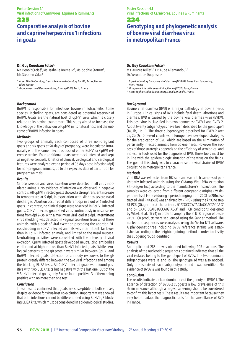# **Comparative analysis of bovine and caprine herpesvirus 1 infections in goats**

## **Dr. Guy Kouokam Fotso**1,2

Mr. Benoît Croisé<sup>1</sup>, Ms. Isabelle Bremaud<sup>1</sup>, Ms. Sophie Stourm<sup>1</sup>, Mr. Stephen Valas<sup>1</sup>

*1 Anses Niort Laboratory, French Reference Laboratory for IBR, Anses, France, Niort, France*

*2 Groupement de défense sanitaire, France (GDSF), Paris, France*

## *Background*

BoHV1 is responsible for infectious bovine rhinotracheitis. Some species, including goats, are considered as potential reservoir of BoHV1. Goats are the natural host of CpHV1 virus which is closely related to its bovine counterpart. This study aimed to increase the knowledge of the behaviour of CpHV1 in its natural host and the outcome of BoHV1 infection in goats.

#### *Methods*

Two groups of animals, each composed of three non-pregnant goats and six goats at 90-days of pregnancy, were inoculated intranasally with the same infectious dose of either BoHV1 or CpHV1 reference strains. Four additional goats were mock infected and kept as negative controls. Kinetics of clinical, virological and serological features were analyzed over a period of 36 days post-infection (dpi) for non-pregnant animals, up to the expected date of parturition for pregnant animals.

#### *Results*

Seroconversion and virus excretion were detected in all virus inoculated animals. No evidence of infection was observed in negative controls. All CpHV1 infected goats showed a strong transient increase in temperature at 5 dpi, in association with slight to severe nasal discharges. Abortion occurred at different dpi in 5 out of 6 infected goats. In contrast, no clinical signs were observed in BoHV1 infected goats. CpHV1 infected goats shed virus continuously in nasal secretions from dpi 2–36, with a maximum viral load at 6 dpi. Intermittent virus shedding was detected in vaginal secretions from all of these animals, with a peak of viral excretion preceding the abortion. Virus shedding in BoHV1 infected animals was intermittent, far lower than in CpHV1 infected animals, and limited to the nasal mucosa. Neutralizing activities were correlated with the intensity of viral excretion, CpHV1 infected goats developed neutralizing antibodies earlier and at higher titres than BoHV1 infected goats. While serological patterns to the gB protein were similar between CpHV1 and BoHV1 infected goats, detection of antibody responses to the gE protein greatly differed between the two viral infections and among the blocking ELISA tests. All CpHV1 infected goats were found positive with two ELISA tests but negative with the last one. Out of the 9 BoHV1 infected goats, only 5 were found positive, 3 of them being positive with no more than one test.

### *Conclusion*

These results confirmed that goats are susceptible to both viruses, despite evidence for virus-host co-evolution. Importantly, we showed that both infections cannot be differentiated using BoHV1-gE blocking ELISA kits, which must be considered in epidemiological studies.

## Poster Session 4.1 Viral infections of Carnivores, Equines & Ruminants

### 224

# **Genotyping and phylogenetic analysis of bovine viral diarrhea virus in metropolitan France**

## **Dr. Guy Kouokam Fotso**1,2

Ms. Aurore Teillet<sup>1,2</sup>, Dr. Aude Allemandou<sup>1,2</sup>, Dr. Véronique Duquesne<sup>3</sup>

- *1 Expert laboratory for bovine viral diarrhea (LE-BVD), Anses Niort Laboratory, Niort, France*
- *2 Groupement de défense sanitaire, France (GDSF), Paris, France 3 Anses Sophia Antipolis laboratory, Sophia Antipolis, France*

## *Background*

Bovine viral diarrhea (BVD) is a major pathology in bovine herds in Europe. Clinical signs of BVD include fetal death, abortions and diarrhea. BVD is caused by the bovine viral diarrhea virus (BVDV). This pestivirus is classified into two genotypes: BVDV-1 and BVDV-2. About twenty subgenotypes have been described for the genotype 1 (1a, 1b, 1c…). The three subgenotypes described for BVDV-2 are: 2a, 2b, 2c. Different countries in Europe have developed strategies for the eradication of BVD which are based on the elimination of persistently infected animals from bovine herds. However the success of those strategies depends on the efficiency of serological and molecular tools used for the diagnosis of BVD. Those tools must be in line with the epidemiologic situation of the virus on the fields. The goal of this study was to characterise the viral strains of BVDV circulating in metropolitan France.

### *Methods*

Viral RNA was extracted from 102 sera and ear notch samples of persistently infected animals using the QIAamp Viral RNA extraction kit (Qiagen Inc.) according to the manufacturer's instructions. The samples were collected from different geographic origins (29 departments of France) during a period ranging from 2008 to 2016. Extracted viral RNA (5 µl) was analysed by RT-PCR using the kit One step RT-PCR (Qiagen Inc.), the primers 5'-ATGCCCWTAGTAGGACTAGCA-3' and 5'-TCAACTCCATGTGCCATGTAC-3' and PCR conditions designed by Vilcek et al. (1994) in order to amplify the 5' UTR region of pestivirus. PCR products were sequenced using the Sanger method. The nucleotidic sequences were analysed using the Vector NTI software. A phylogenetic tree including BVDV reference strains was established according to the neighbor joining method in order to classify the subgenogroups identified.

### *Results*

An amplicon of 288 bp was obtained following PCR reactions. The analysis of the nucleotidic sequences obtained indicates that all the viral isolates belong to the genotype 1 of BVDV. The two dominant subgenotypes were 1e and 1b. The genotype 1d was also noticed. Only one isolate of each subgenotype k and l was identified. No evidence of BVDV-2 was found in this study.

#### *Conclusion*

The results indicate a clear dominance of the genotype BVDV-1. The absence of detection of BVDV-2 suggests a low prevalence of this strain in France although a largest screening should be considered to confirm this hypothesis. These results are important because they may help to adapt the diagnostic tools for the surveillance of BVD in France.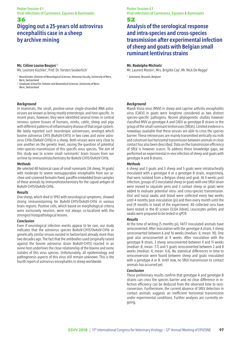# **Digging out a 25-years old astrovirus encephalitis case in a sheep by archive mining**

#### **Ms. Céline Louise Boujon**<sup>1,2</sup>

Ms. Leonore Küchler<sup>1</sup>, Prof. Dr. Torsten Seuberlich<sup>1</sup>

- *1 NeuroCenter, Division of Neurological Sciences, Vetsuisse Faculty, University of Bern, Bern, Switzerland*
- *2 Graduate School for Cellular and Biomedical Sciences, University of Bern, Bern, Switzerland*

### *Background*

In mammals, the small, positive-sense single-stranded RNA astroviruses are known as being mostly enterotropic and host-specific. In recent years, however, they were identified several times in central nervous system tissues of humans, minks, cattle, sheep and pigs with different patterns of inflammatory disease of that organ system. We lately reported such neurotropic astroviruses, amongst which bovine astrovirus CH15 (BoAstV-CH15) in two cows and ovine astrovirus CH16 (OvAstV-CH16) in a sheep. Both viruses were very close to one another on the genetic level, raising the question of potential inter-species transmission of this specific virus species. The aim of this study was to screen small ruminants' brain tissues from our archive by immunohistochemistry for BoAstV-CH15/OvAstV-CH16.

#### *Methods*

We selected 48 historical cases of small ruminants (34 sheep, 14 goats) with moderate to severe nonsuppurative encephalitis from our archive and screened formalin-fixed, paraffin-embedded brain samples of these animals by immunohistochemistry for the capsid antigen of BoAstV-CH15/OvAstV-CH16.

#### *Results*

One sheep, which died in 1992 with neurological symptoms, showed strong immunostaining for BoAstV-CH15/OvAstV-CH16 in various brain regions. Positive cells, which based on morphological criteria were exclusively neurons, were not always co-localized with the strongest histopathological lesions.

### *Conclusion*

Even if neurological infection events appear to be rare, our study indicates that the astrovirus species BoAstV-CH15/OvAstV-CH16 or genetically similar viruses existed in Switzerland already more than two decades ago. The fact that the antibodies used (originally raised against the bovine astrovirus strain BoAstV-CH15) reacted in an ovine host underlines the close relationship of the bovine and ovine isolates of this virus species. Unfortunately, all epidemiology and pathogenesis aspects of this virus still remain unknown. This is the fourth report of astrovirus-encephalitis in sheep worldwide.

## Poster Session 4.1 Viral infections of Carnivores, Equines & Ruminants 52

# **Analysis of the serological response and intra-species and cross-species transmission after experimental infection of sheep and goats with Belgian small ruminant lentivirus strains**

### **Mr. Rodolphe Michiels**<sup>1</sup>

Mr. Laurent Mostin<sup>1</sup>, Mrs. Brigitte Cay<sup>1</sup>, Mr. Nick De Regge<sup>1</sup>

*<sup>1</sup> Sciensano, Brussels, Belgium*

#### *Background*

Maedi Visna virus (MVV) in sheep and caprine arthritis encephalitis virus (CAEV) in goats were longtime considered as two distinct species-specific pathogens. Recent phylogenetic studies however classified MVV as genotype A and CAEV as genotype B strains in the group of the small ruminant lentiviruses (SRLVs). Limited evidence is nowadays available that these viruses are able to cross the species barrier. These retroviruses are mainly transmitted vertically via milk and colostrum but horizontal transmission between animals in close contact has also been described. Data on the transmission efficiency of SRLV is however scarce. To address these knowledge gaps, we performed an experimental in vivo infection of sheep and goats with genotype A and B strains.

#### *Methods*

6 sheep and 3 goats and 3 sheep and 5 goats were intratracheally inoculated with a genotype A or a genotype B strain, respectively, that were isolated from a Belgian sheep and goat. At 4 weeks post infection, groups of 3 inoculated sheep or goats with one SRLV strain were moved to separate pens and 3 contact sheep or goats were added to evaluate potential intra- and cross-species transmission. Oral and nasal swabs and blood were collected every two weeks until 4 months post-inoculation (pi) and then every month until the end (9 months in total) of the experiment. All collected sera have been tested in the ID screen ELISA (Idvet). Leucocytes pellets and swabs were prepared to be tested in qPCR.

### *Results*

At the time of writing (5 months pi), 14/17 inoculated animals have seroconverted. After inoculation with the genotype A strain, 5 sheep seroconverted between 6 and 16 weeks (median: 6; mean: 10). One goat also seroconverted at 9 weeks. After inoculation with the genotype B strain, 3 sheep seroconverted between 4 and 11 weeks (median: 8; mean: 7.7) and 5 goats seroconverted between 2 and 8 weeks (median: 4; mean: 4.6). No statistical differences in time to seroconversion were found between sheep and goats inoculated with a genotype A or B. Until now, no SRLV transmission to contact animals has occurred yet.

### *Conclusion*

These preliminary results confirm that genotype A and genotype B strains can cross the species barrier and no clear difference in infection efficiency can be deduced from the observed time to seroconversion. Furthermore, the current absence of SRLV detection in contact animals suggests an inefficient horizontal transmission under experimental conditions. Further analyses are currently ongoing.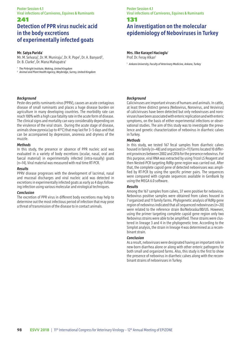# **Detection of PPR virus nucleic acid in the body excretions of experimentally infected goats**

### **Mr. Satya Parida**<sup>1</sup>

Mr. M. Selvaraj', Dr. M. Muniraju', Dr. R. Pope', Dr. A. Banyard<sup>2</sup>, Dr. B. Clarke<sup>1</sup>, Dr. Mana Mahapatra<sup>1</sup>

*<sup>1</sup> The Pirbright Institute, Woking, United Kingdom*

*<sup>2</sup> Animal and Plant Health Agency, Weybridge, Surrey, United Kingdom*

### *Background*

Peste-des-petits ruminants virus (PPRV), causes an acute contagious disease of small ruminants and places a huge disease burden on agriculture in many developing countries. The morbidity rate can reach 100% with a high case fatality rate in the acute form of disease. The clinical signs and mortality can vary considerably depending on the virulence of the viral strain. During the acute stage of disease, animals show pyrexia (up to 41°C) that may last for 3–5 days and that can be accompanied by depression, anorexia and dryness of the muzzle.

#### *Methods*

In this study, the presence or absence of PPR nucleic acid was evaluated in a variety of body excretions (ocular, nasal, oral and faecal material) in experimentally infected (intra-nasally) goats (n=14). Viral material was measured with real time RT-PCR.

### *Results*

PPRV disease progresses with the development of lacrimal, nasal and mucosal discharges and viral nucleic acid was detected in excretions in experimentally infected goats as early as 4 days following infection using various molecular and virological techniques.

#### *Conclusion*

The excretion of PPR virus in different body excretions may help to determine out the most infectious period of infection that may pose a threat of transmission of the disease to in contact animals.

## Poster Session 4.1 Viral infections of Carnivores, Equines & Ruminants

**epidemiology of Neboviruses in Turkey**

## 131 **An investigation on the molecular**

## **Mrs. Ilke Karayel Hacioglu**<sup>1</sup>

Prof. Dr. Feray Alkan<sup>1</sup>

*<sup>1</sup> Ankara University, Faculty of Veterinary Medicine, Ankara, Turkey*

## *Background*

Caliciviruses are important viruses of humans and animals. In cattle, at least three distinct genera (Nebovirus, Norovirus, and Vesivirus) of caliciviruses have been detected but only neboviruses and noroviruses have been associated with enteric replication and with enteric symptoms, on the basis of either experimental infections or observational studies. The aim of this study was to investigate the prevalence and genetic characterization of nebovirus in diarrheic calves in Turkey.

### *Methods*

In this study, we tested 167 fecal samples from diarrheic calves housed in family (n=48) and organized (n=11) farms located 10 different provinces between 2002 and 2016 for the presence nebovirus. For this purpose, viral RNA was extracted by using Trizol LS Reagent and then Nested-PCR targeting RdRp gene region was carried out. After that, the complete capsid gene of detected neboviruses was amplified by RT-PCR by using the specific primer pairs. The sequences were compared with cognate sequences available in GenBank by using the MEGA 6.0 software.

#### *Results*

Among the 167 samples from calves, 37 were positive for nebovirus. Nebovirus positive samples were obtained from calves housed in 7 organized and 11 family farms. Phylogenetic analysis of RdRp gene region of nebovirus indicated that all sequenced neboviruses (n=20) were related to the reference strain Bo/Nebraska/80/US. However, using the primer targeting complete capsid gene region only two Nebovirus strains were able to be amplified. These strains were clustered in lineage 3 and 4 in the phylogenetic tree. According to the Simplot analysis, the strain in lineage 4 was determined as a recombinant strain.

### *Conclusion*

As a result, neboviruses were designated having an important role in new-born diarrhea alone or along with other enteric pathogens for both small and organized farms. Also, this study is the first to show the presence of nebovirus in diarrheic calves along with the recombinant strains of neboviruses in Turkey.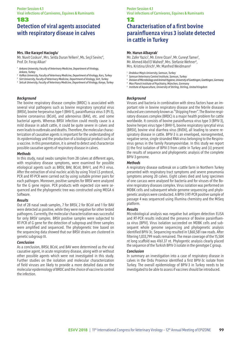# **Detection of viral agents associated with respiratory disease in calves**

### **Mrs. Ilke Karayel Hacioglu**<sup>1</sup>

Mr. Nuvit Coskun<sup>2</sup>, Mrs. Selda Duran Yelken<sup>3</sup>, Ms. Seçil Sevinc<sup>4</sup>, Prof. Dr. Feray Alkan<sup>1</sup>

- *1 Ankara University, Faculty of Veterinary Medicine, Department of Virology, Ankara, Turkey*
- *<sup>2</sup> Kafkas University, Faculty of Veterinary Medicine, Department of Virology, Kars, Turkey*
- *<sup>3</sup> Siirt University, Faculty of Veterinary Medicine, Department of Virology, Siirt, Turkey*
- *<sup>4</sup> Selcuk University, Faculty of Veterinary Medicine, Department of Virology, Konya, Turkey*

#### *Background*

The bovine respiratory disease complex (BRDC) is associated with several viral pathogens such as bovine respiratory syncytial virus (BRSV), bovine herpesvirus type-1 (BHV-1), parainfluenza virus-3 (PI-3), bovine coronavirus (BCoV), and adenovirus (BAV), etc. and some bacterial agents. Whereas BRSV infection could mostly cause is a mild disease in adult cattle, it could be quite severe in calves and even leads to outbreaks and deaths. Therefore, the molecular characterization of causative agents is important for the understanding of its epidemiology and the production of a biological product such as a vaccine. In this presentation, it is aimed to detect and characterize possible causative agents of respiratory disease in calves.

#### *Methods*

In this study, nasal swabs samples from 28 calves at different ages, with respiratory disease symptoms, were examined for possible etiological agents such as BRSV, BAV, BCoV, BHV-1, and PI-3 virus. After the extraction of viral nucleic acids by using Trizol LS protocol, PCR and RT-PCR were carried out by using suitable primer pairs for each pathogen. Moreover, positive samples for BRSV were analyzed for the G gene region. PCR products with expected size were sequenced and the phylogenetic tree was constructed using MEGA 6 Software.

#### *Results*

Out of 28 nasal swab samples, 7 for BRSV, 2 for BCoV and 1 for BAV were detected as positive, while they were negative for other tested pathogens. Currently, the molecular characterization was successful for only BRSV samples. BRSV positive samples were subjected to RT-PCR of G gene for the detection of subgroup and three samples were amplified and sequenced. The phylogenetic tree based on the sequencing data showed that our BRSV strains are clustered in genetic subgroup III.

#### *Conclusion*

As a conclusion, BRSV, BCoV, and BAV were determined as the viral causative agent, in acute respiratory disease, along with or without other possible agents which were not investigated in this study. Further studies on the isolation and molecular characterization of field viruses are likely to provide a more detailed data on the molecular epidemiology of BRDC and the choice of vaccine to control the infection.

## Poster Session 4.1 Viral infections of Carnivores, Equines & Ruminants

### 12

# **Characterisation of a first bovine parainfluenza virus 3 isolate detected in cattle in Turkey**

### **Mr. Harun Albayrak**<sup>1</sup>

Mr. Zafer Yazici<sup>1</sup>, Mr. Emre Ozan<sup>2</sup>, Mr. Cuneyt Tamer<sup>1</sup>, Mr. Ahmed Abd El Wahed<sup>3</sup>, Mrs. Stefanie Wehner<sup>4</sup>, Mrs. Kristina Ulrich<sup>5</sup>, Mr. Manfred Weidmann<sup>5</sup>

*<sup>1</sup> Ondokuz Mayis University, Samsun, Turkey*

- *<sup>2</sup> Samsun Veterinary Control Institute, Samsun, Turkey*
- *<sup>3</sup> Division of Microbiology and Animal Hygiene, University of Goettingen, Goettingen, Germany <sup>4</sup> Max Planck Institute of Psychiatry, München, Germany*
- 
- *<sup>5</sup> Institute of Aquaculture, University of Stirling, Stirling, United Kingdom*

#### *Background*

Viruses and bacteria in combination with stress factors have an important role in bovine respiratory disease and the febrile diseases induced are commonly known as "Shipping Fever". The Bovine respiratory diseases complex (BRDC) is a major health problem for cattle worldwide. It consists of bovine parainfluenza virus type 3 (BPIV-3), bovine herpes virus type-1 (BHV-1), bovine respiratory syncytial virus (BRSV), bovine viral diarrhea virus (BVDV), all leading to severe respiratory disease in cattle. BPIV-3 is an enveloped, nonsegmented, negative sense, single stranded RNA virus belonging to the Respirovirus genus in the family Paramyxoviridae. In this study we report (i) the first isolation of BPIV-3 from cattle in Turkey and (ii) present the results of sequence and phylogenetic analysis of the complete BPIV-3 genome.

#### *Methods*

A respiratory disease outbreak on a cattle farm in Northern Turkey presented with respiratory tract symptoms and severe pneumonia symptoms among 20 calves. Eight calves died and lung specimen of one carcass were analysed for bacteria and for viruses of the Bovine respiratory diseases complex. Virus isolation was performed on MDBK cells and subsequent whole genome sequencing and phylogenetic analysis were conducted. A BPIV-3 RT-PCR positive sample of passage 4 was sequenced using Illumina chemistry and the MiSeq platform.

### *Results*

Microbiological analysis was negative but antigen detection ELISA and RT-PCR results indicated the presence of Bovine parainfluenza virus (BPIV). Virus isolation succeeded on MDBK cells and subsequent whole genome sequencing and phylogenetic analysis identified BPIV-3c. Sequencing resulted in 1,860,581 raw reads. After filtering 1,033,799 reads remained. The mean coverage of the 15,504 nt long scaffold was 4161.37 nt. Phylogentic analysis clearly placed the sequence of the Turkish BPIV-3 isolate in the genotype C group.

### *Conclusion*

In summary an investigation into a case of respiratory disease in calves in the Ordu Province identified a first BPIV-3c isolate from Turkey. The overall epidemiology of BPIV-3 in Turkey needs to be investigated to be able to assess if vaccines should be introduced.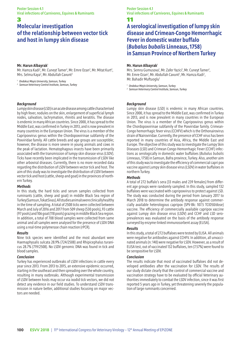## 3 **Molecular investigation of the relationship between vector tick and host in lumpy skin disease**

#### **Mr. Harun Albayrak**<sup>1</sup>

Mr. Hamza Kadi<sup>2</sup>, Mr. Cuneyt Tamer<sup>1</sup>, Mr. Emre Ozan<sup>2</sup>, Mr. Mitat Kurt<sup>2</sup>, Mrs. Selma Kaya<sup>2</sup>, Mr. Abdullah Cavunt<sup>2</sup>

*<sup>1</sup> Ondokuz Mayis University, Samsun, Turkey*

*<sup>2</sup> Samsun Veterinary Control Institute, Samsun, Turkey*

#### *Background*

Lumpy skin disease (LSD) is an acute disease among cattle characterised by high fever, nodules on the skin, enlargement of superficial lymph nodes, salivation, lachrymation, rhinitis and keratitis. The disease is endemic in many African countries. Since 2000, it has spread to the Middle East, was confirmed in Turkey in 2013, and is now prevalent in many countries in the European Union. The virus is a member of the Capripoxvirus genus within the Chordopoxvirinae subfamily of the Poxviridae family. All cattle breeds and age groups are susceptible; however, the disease is more severe in young animals and cows in the peak of lactation. Hematophagous insects have been primarily associated with the transmission of lumpy skin disease virus (LSDV). Ticks have recently been implicated in the transmission of LSDV like other arboviral diseases. Currently, there is no more recorded data regarding the distribution of LSDV between vector tick and host. The aim of this study was to investigate the distribution of LSDV between vector tick and host (cattle, sheep and goat) in the provinces of northern Turkey.

### *Methods*

In this study, the hard ticks and serum samples collected from ruminants (cattle, sheep and goat) in middle Black Sea region of Turkey (Samsun, Tokat Sivas). All studies animals were clinically healthy in the time of sampling. A total of 2508 ticks were collected between March and July of 2016 and 2017 from 509 sheep (530 pools), 93 cattle (97 pools) and 106 goat (118 pools) grazing in middle Black Sea region. In addition, a total of 708 blood samples were collected from same animal and all samples were analysed for the presence of LSDV DNA using a real-time polymerase chain reaction (rPCR).

#### *Results*

Nine tick species were identified and the most abundant were Haemaphysalis sulcata 28.9% (724/2508) and Rhipicephalus turanicus 28.7% (719/2508). No LSDV genomic DNA was found in tick and blood samples.

### *Conclusion*

Turkey has experienced outbreaks of LSDV infections in cattle every year since 2013. From 2013 to 2015, an extensive epidemic occurred, starting in the southeast and then spreading over the whole country, resulting in many outbreaks. Although experimental transmission of LSDV between hosts may occur via ixodid tick vectors, we did not detect any evidence in our field studies. To understand LSDV transmission in nature better, additional studies focusing on major vectors are needed.

Poster Session 4.1 Viral infections of Carnivores, Equines & Ruminants

11

# **A serological investigation of lumpy skin disease and Crimean-Congo Hemorrhagic Fever in domestic water buffalo (***Bubalus bubalis* **Linneaus, 1758) in Samsun Province of Northern Turkey**

#### **Mr. Harun Albayrak**<sup>1</sup>

Mrs. Semra Gumusova<sup>1</sup>, Mr. Zafer Yazici<sup>1</sup>, Mr. Cuneyt Tamer<sup>1</sup> Mr. Emre Ozan<sup>2</sup>, Mr. Abdullah Cavunt<sup>2</sup>, Mr. Hamza Kadi<sup>2</sup>, Mr. Bahadir Muftuoglu<sup>1</sup>

*<sup>1</sup> Ondokuz Mayis University, Samsun, Turkey*

*<sup>2</sup> Samsun Veterinary Control Institute, Samsun, Turkey*

#### *Background*

Lumpy skin disease (LSD) is endemic in many African countries. Since 2000, it has spread to the Middle East, was confirmed in Turkey in 2013, and is now prevalent in many countries in the European Union. The virus is a member of the Capripoxvirus genus within the Chordopoxvirinae subfamily of the Poxviridae family. Crimean-Congo hemorrhagic fever virus (CCHFV) which is the Orthonairovirus strain of Nairoviridae. Currently, the presence of CCHF virus has been reported in many countries of Asia, Africa, the Middle East and Europe. The objective of this study was to investigate the Lumpy Skin Diseases (LSD) and Crimean Congo Hemorrhagic Fever (CCHF) infections as serologically in domestic water buffaloes (*Bubalus bubalis*  Linneaus, 1758) in Samsun, Bafra province, Turkey. Also, another aim of this study was to investigate the efficiency of commercial capri pox vaccine against Lumpy skin disease virus (LSDV) in water buffaloes in northern Turkey.

#### *Methods*

A total of 272 buffalo's sera (33 males and 239 females) from different age groups were randomly sampled. In this study, sampled 132 buffaloes were vaccinated with capripoxvirus to protect against LSD. The study was conducted during the period from January 2017 to March 2018 to determine the antibody response against commercially available heterologous capripox (SPV-Bk: 107.5 TCID50/dose) vaccine. The efficiency of commercially available capripox vaccine against Lumpy skin disease virus (LSDV) and CCHF and LSD seroprevalences was evaluated on the basis of the antibody response surveyed by enzyme-linked immunosorbent assay (ELISA).

#### *Results*

In this study, a total of 272 buffaloes were tested by ELISA. All animals were negative for antibodies against CCHFV. In addition, all unvaccinated animals (n: 140) were negative for LSDV. However, as a result of ELISA test, out of vaccinated 132 buffaloes, ten (7.57%) were found to be seropositive for LSDV.

#### *Conclusion*

The results indicate that most of vaccinated buffaloes did not developed antibodies after the vaccination for LSDV. The results of our study dictate clearly that the control of commercial vaccine and vaccination strategy have to be evaluated by official Veterinary authorities immediately to combat the LSDV infection, since it was first reported 5 years ago in Turkey, yet threatening severely the population of large ruminants concerned.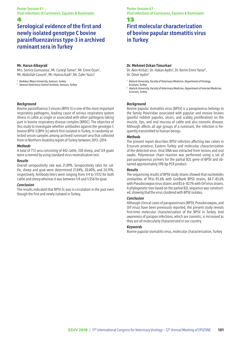# **Serological evidence of the first and newly isolated genotype C bovine parainfluenzavirus type-3 in archived ruminant sera in Turkey**

#### **Mr. Harun Albayrak**<sup>1</sup>

Mrs. Semra Gumusova<sup>1</sup>, Mr. Cuneyt Tamer<sup>1</sup>, Mr. Emre Ozan<sup>2</sup>, Mr. Abdullah Cavunt<sup>2</sup>, Mr. Hamza Kadi<sup>2</sup>, Mr. Zafer Yazici<sup>1</sup>

*<sup>1</sup> Ondokuz Mayis University, Samsun, Turkey*

*<sup>2</sup> Samsun Veterinary Control Institute, Samsun, Turkey*

### *Background*

Bovine parainfluenza 3 viruses (BPIV-3) is one of the most important respiratory pathogens, leading cause of serious respiratory system illness in cattle as single or associated with other pathogens taking part in bovine respiratory disease complex (BRDC). The objective of this study to investigate whether antibodies against the genotype C bovine BPIV-3 (BPV-3c) which first isolated in Turkey, in randomly selected serum samples among archived ruminant sera that collected from in Northern Anatolia region of Turkey between 2013–2014.

#### *Methods*

A total of 772 sera consisting of 442 cattle, 330 sheep, and 124 goats were screened by using standard virus neutralization test.

#### *Results*

Overall seropositivity rate was 21.09%. Seropositivity rates for cattle, sheep and goat were determined 21.04%, 20.00%, and 24.19%, respectively. Antibody titers were ranging from 1/4 to 1/512 for both cattle and sheep whereas it was between 1/4 and 1/256 for goat.

#### *Conclusion*

The results indicated that BPIV-3c was in circulation in the past even though the first and newly isolated in Turkey.

## Poster Session 4.1 Viral infections of Carnivores, Equines & Ruminants

13

# **First molecular characterization of bovine papular stomatitis virus in Turkey**

### **Dr. Mehmet Ozkan Timurkan**<sup>1</sup>

Dr. Akin Kirbas<sup>2</sup>, Dr. Hakan Aydin<sup>1</sup>, Dr. Kerim Emre Yanar<sup>2</sup>, Dr. Omer Aydin<sup>2</sup>

- *1 Ataturk University, Faculty of Veterinary Medicine, Department of Virology, Erzurum, Turkey*
- *2 Ataturk University, Faculty of Veterinary Medicine, Department of Internal Medicine, Erzurum, Turkey*

### *Background*

Bovine papular stomatitis virus (BPSV) is a parapoxvirus belongs to the family Poxviridae associated with papular and erosive lesions (painful reddish papules, ulcers, and scabby proliferative) on the muzzle, lips, and oral mucosa of cattle and also zoonotic disease. Although affects all age groups of a ruminant, the infection is frequently transmitted to human beings.

#### *Methods*

The present report describes BPSV infection affecting two calves in Erzurum province, Eastern Turkey and molecular characterization of the detected virus. Viral DNA was extracted from lesions and oral swabs. Polymerase chain reaction was performed using a set of pan-parapoxvirus primers for the partial B2L gene of BPSV and obtained approximately 590-bp PCR product.

## *Results*

The sequencing results of BPSV study strains showed that nucleotides similarities of 99.6–95.6% with GenBank BPSV strains, 84.7–83.6% with Pseudocowpox virus strains and 83.6–82.1% with Orf virus strains. A phylogenetic tree based on the partial B2L sequence was constructed, showing that the virus clustered with BPSV isolates.

### *Conclusion*

Although clinical cases of parapoxviruses (BPSV, Pseudocowpox, and Orf virus) have been previously reported, the present study reveals first-time molecular characterization of the BPSV in Turkey. And awareness of parapox infections, which are zoonotic, is increased as they are all molecularly characterized in our country.

### *Keywords*

Bovine papular stomatitis virus, molecular characterization, Turkey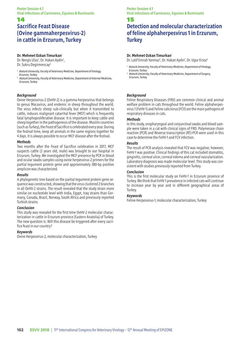## 14 **Sacrifice Feast Disease (Ovine gammaherpesvirus-2) in cattle in Erzurum, Turkey**

#### **Dr. Mehmet Ozkan Timurkan**<sup>1</sup>

Dr. Nergis Ulas<sup>2</sup>, Dr. Hakan Aydin<sup>1</sup>, Dr. Sukru Degirmencay2

- *1 Ataturk University, Faculty of Veterinary Medicine, Department of Virology, Erzurum, Turkey*
- *2 Ataturk University, Faculty of Veterinary Medicine, Department of Internal Medicine, Erzurum, Turkey*

## *Background*

Ovine Herpesvirus-2 (OvHV-2) is a gamma-herpesvirus that belongs to genus Macavirus, and endemic in sheep throughout the world. The virus infects sheep sub-clinically but when it transmitted to cattle, induces malignant catarrhal fever (MCF) which is frequently fatal lymphoproliferative disease. It is important to keep cattle and sheep together in the pathogenesis of the disease. Muslim countries (such as Turkey), the Feast of Sacrifice is celebrated every year. During the festival time, keep all animals in the same regions together for 4 days. It is always possible to occur MCF disease after the festival.

#### *Methods*

Two months after the Feast of Sacrifice celebration in 2017, MCF suspects cattle (2 years old, male) was brought to our hospital in Erzurum, Turkey. We investigated the MCF presence by PCR in blood and ocular swabs samples using ovine herpesvirus-2 primers for the partial tegument protein gene and approximately 380-bp positive amplicon was characterized.

### *Results*

A phylogenetic tree based on the partial tegument protein gene sequence was constructed, showing that the virus clustered 2 branches in all OvHV-2 strains. The result revealed that the study strain more similar on nucleotide level with India, Egypt, Iraq strains than Germany, Canada, Brazil, Norway, South Africa and previously reported Turkish strains.

#### *Conclusion*

This study was revealed for the first time OvHV-2 molecular characterization in cattle in Erzurum province (Eastern Anatolia) of Turkey. The new question is: Will this disease be triggered after every sacrifice feast in our country?

## *Keywords*

Ovine Herpesvirus-2, molecular characterization, Turkey

## Poster Session 4.1 Viral infections of Carnivores, Equines & Ruminants

## 15

# **Detection and molecular characterization of feline alphaherpesvirus 1 in Erzurum, Turkey**

## **Dr. Mehmet Ozkan Timurkan**<sup>1</sup>

Dr. Latif Emrah Yanmaz<sup>2</sup>, Dr. Hakan Aydin<sup>1</sup>, Dr. Ugur Ersoz<sup>2</sup>

- *1 Ataturk University, Faculty of Veterinary Medicine, Department of Virology, Erzurum, Turkey*
- *2 Ataturk University, Faculty of Veterinary Medicine, Department of Surgery, Erzurum, Turkey*

## *Background*

Feline Respiratory Diseases (FRD) are common clinical and animal welfare problem in cats throughout the world. Feline alphaherpesvirus 1 (FeHV-1) and Feline calicivirus (FCV) are the main pathogens of respiratory diseases in cats.

### *Methods*

In this study, oropharyngeal and conjunctival swabs and blood sample were taken in a cat with clinical signs of FRD. Polymerase chain reaction (PCR) and Reverse transcription (RT)-PCR were used in this case to determine the FeHV-1 and FCV infection.

## *Results*

The result of PCR analysis revealed that FCV was negative; however, FeHV-1 was positive. Clinical findings of this cat included stomatitis, gingivitis, corneal ulcer, corneal edema and corneal vascularization. Laboratory diagnosis was made molecular level. This study was consistent with studies previously reported from Turkey.

### *Conclusion*

This is the first molecular study on FeHV-1 in Erzurum province of Turkey. We think that FeHV-1 prevalence in infected cats will continue to increase year by year and in different geographical areas of Turkey.

### *Keywords*

Feline Herpesvirus-1, molecular characterization, Turkey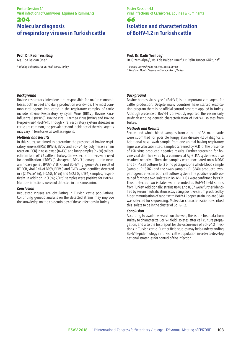#### Poster Session 4.1 Viral infections of Carnivores, Equines & Ruminants

## 204 **Molecular diagnosis of respiratory viruses in Turkish cattle**

## **Prof. Dr. Kadir Yesilbag**<sup>1</sup>

Ms. Eda Baldan Oner<sup>1</sup>

*<sup>1</sup> Uludag University Fac Vet Med, Bursa, Turkey*

### Poster Session 4.1 Viral infections of Carnivores, Equines & Ruminants

# 66 **Isolation and characterization**

# **of BoHV-1.2 in Turkish cattle**

## **Prof. Dr. Kadir Yesilbag**<sup>1</sup>

Dr. Gizem Alpay<sup>1</sup>, Ms. Eda Baldan Oner<sup>1</sup>, Dr. Pelin Tuncer Göktuna<sup>1,2</sup>

*<sup>1</sup> Uludag University Fac Vet Med, Bursa, Turkey*

*<sup>2</sup> Food and Mouth Disease Institute, Ankara, Turkey*

## *Background*

Bovine respiratory infections are responsible for major economic losses both in beef and dairy production worldwide. The most common viral agents implicated in the respiratory complex of cattle include Bovine Respiratory Syncytial Virus (BRSV), Bovine Parainfluenza-3 (BPIV-3), Bovine Viral Diarrhea Virus (BVDV) and Bovine Herpesvirus-1 (BoHV-1). Though viral respiratory system diseases in cattle are common, the prevalence and incidence of the viral agents may vary in territories as well as regions.

## *Methods and Results*

In this study, we aimed to determine the presence of bovine respiratory viruses (BRSV, BPIV-3, BVDV and BoHV-1) by polymerase chain reaction (PCR) in nasal swab (n=133) and lung samples (n=60) collected from total of 196 cattle in Turkey. Gene-specific primers were used for identification of BRSV (fusion gene), BPIV-3 (hemagglutinin-neuraminidase gene), BVDV (5' UTR) and BoHV-1 (gI gene). As a result of RT-PCR, viral RNA of BRSV, BPIV-3 and BVDV were identified detected in 5 (2.6%; 5/196), 1 (0.5%; 1/196) and 5 (2.6%; 5/196) samples, respectively. In addition, 2 (1.0%; 2/196) samples were positive for BoHV-1. Multiple infections were not detected in the same animal.

### *Conclusion*

Requested viruses are circulating in Turkish cattle populations. Continuing genetic analysis on the detected strains may improve the knowledge on the epidemiology of these infections in Turkey.

## *Background*

Bovine herpes virus type 1 (BoHV-1) is an important viral agent for cattle production. Despite many countries have started eradication program there is no official control program applied in Turkey. Although presence of BoVH-1 is previously reported, there is no early study describing genetic characterization of BoHV-1 isolates from Turkey.

## *Methods and Results*

Serum and whole blood samples from a total of 36 male cattle were submitted for possible lumpy skin disease (LSD) diagnosis. Additional nasal swab sample from one animal having respiratory signs was also submitted. Samples screened by PCR for the presence of LSD virus produced negative results. Further screening for bovine viral diarrhea virus by a commercial Ag-ELISA system was also resulted negative. Then the samples were inoculated onto MDBK and SFT-A cell cultures for 3 blind passages. One whole blood sample (sample ID: 8587) and the swab sample (ID: 8640) produced cytopathogenic effect in both cell culture system. The positive results obtained for these two isolates in BoHV-1 ELISA were confirmed by PCR. Thus, detected two isolates were recorded as BoHV-1 field strains from Turkey. Additionally, strains 8640 and 8587 were further identified by serum neutralization assay using positive serum produced by hiperimmunisation of rabbit with BoHV-1 Cooper strain. Isolate 8640 was selected for sequencing. Molecular characterization described this isolate to be in the cluster of BoHV-1.2.

### *Conclusion*

According to available search on the web, this is the first data from Turkey to characterize BoHV-1 field isolates after cell culture propagation, and also the first report for the occurrence of BoHV-1.2 infections in Turkish cattle. Further field studies may help understanding BoHV-1 epidemiology in Turkish cattle population in order to develop national strategies for control of the infection.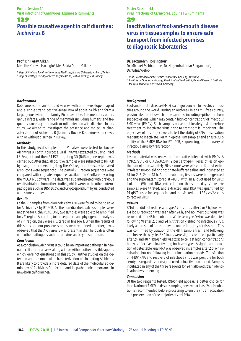## 129 **Possible causative agent in calf diarrhea: Aichivirus B**

#### **Prof. Dr. Feray Alkan**<sup>1</sup>

Mrs. Ilke Karayel Hacioglu<sup>1</sup>, Mrs. Selda Duran Yelken<sup>2</sup>

*<sup>1</sup> Dep. of Virology, Faculty of Veterinary Medicine, Ankara University, Ankara, Turkey <sup>2</sup> Dep. of Virology, Faculty of Veterinary Medicine, Siirt University, Siirt, Turkey*

#### *Background*

Kobuviruses are small round viruses with a non-enveloped capsid and a single strand positive-sense RNA of about 7.4 kb and form a large genus within the family Picornaviridae. The members of this genus infect a wide range of mammals including humans and frequently cause asymptomatic or mild infection with diarrhea. In this study, we aimed to investigate the presence and molecular characterization of Aichivirus B (formerly Bovine Kobuviruses) in calves with or without diarrhea in Turkey.

#### *Methods*

In this study, fecal samples from 71 calves were tested for bovine Aichivirus B. For this purpose, viral RNA was extracted by using Trizol LS Reagent and then RT-PCR targeting 3D (RdRp) gene region was carried out. After that, all positive samples were subjected to RT-PCR by using the primers targeting the VP1 region. The expected sized amplicons were sequenced. The partial VP1 region sequences were compared with cognate sequences available in GenBank by using the MEGA 6.0 software. The data was also interpreted with previous results obtained from other studies, which were on the other enteropathogens such as BRV, BCoV, and Cryptosporidium by us, conducted with same samples.

### *Results*

Of the 51 samples from diarrheic calves 30 were found to be positive for Aichivirus B by RT-PCR. All the non-diarrheic calves samples were negative for Aichivirus B. Only two samples were able to be amplified for VP1 region. According to the sequence and phylogenetic analyzes of VP1 region, they were clustered in lineage 1. When the results of this study and our previous studies were examined together, it was observed that the Aichivirus B was present in diarrheic calves often with other pathogens such as rotavirus and cryptosporidium.

### *Conclusion*

As a conclusion, Aichivirus B could be an important pathogen in neonatal calf diarrhea cases along with or without other possible agents which were not questioned in this study. Further studies on the detection and the molecular characterization of circulating Aichivirus B are likely to provide a more detailed data of the molecular epidemiology of Aichivirus B infection and its pathogenic importance in new-born calf diarrhea.

Poster Session 4.1 Viral infections of Carnivores, Equines & Ruminants

29

# **Inactivation of foot-and-mouth disease virus in tissue samples to ensure safe transport from infected premises to diagnostic laboratories**

### **Dr. Jacquelyn Horsington**<sup>1</sup>

Dr. Michael Eschbaumer<sup>2</sup>, Dr. Nagendrakumar Singanallur<sup>1</sup>, Dr. Wilna Vosloo<sup>1</sup>

- *<sup>1</sup> CSIRO-Australian Animal Health Laboratory, Geelong, Australia*
- *2 Institute of Diagnostic Virology, Friedrich-Loeffler-Institut, Federal Research Institute for Animal Health, Greifswald, Germany*

## *Background*

Foot-and-mouth disease (FMD) is a major concern to livestock industries around the world. During an outbreak in an FMD-free country, provincial/state labs will handle samples, including epithelium from suspect lesions, which may contain high concentrations of infectious FMD virus (FMDV). Such samples present a biosafety risk, therefore treatment to inactivate virus prior to transport is important. The objectives of this project were to test the ability of RNA preservation reagents to inactivate FMDV in epithelium samples and ensure suitability of the FMDV RNA for RT-qPCR, sequencing, and recovery of infectious virus by transfection.

#### *Methods*

Lesion material was recovered from cattle infected with FMDV A IRN/22/2015 or O ALG/3/2014 (2 per serotype). Pieces of lesion epithelium of approximately 20-25 mm<sup>2</sup> were placed in 3 ml of either RNAlater, RNAShield or phosphate-buffered saline and incubated at RT for 2, 6, 24 or 48 h. After incubation, tissues were homogenised and the supernatant stored at –80˚C, with an aliquot used for virus isolation (VI) and RNA extraction on the same day. VI-positive samples were titrated, and extracted viral RNA was quantified by RT-qPCR, used for sequencing and transfected into LFBK-αVβ6 cells to recover virus.

### *Results*

RNAlater did not reduce serotype A virus titres after 2 or 6 h, however a 4 log10 reduction was seen after 24 h, and no infectious virus was recovered after 48 h incubation. While serotype O virus was detected following VI after 2, 6 and 24 h, titration yielded no infectious virus, likely as a result of freeze-thawing on the integrity of this strain. This was confirmed by titration of the 48 h sample fresh and following one freeze-thaw cycle. RNA loads were slightly reduced, particularly after 24 and 48 h. RNAshield was toxic to cells at high concentrations but was effective at inactivating both serotypes. A significant reduction of detectable viral RNA was observed in samples after 2 or 6 h incubation, but not following longer incubation periods. Transfection of FMDV RNA and recovery of infectious virus was possible for both serotypes regardless of reagent used or inactivation period. Samples incubated in any of the three reagents for 24 h allowed strain identification by sequencing.

### *Conclusion*

Of the two reagents tested, RNAShield appears a better choice for inactivation of FMDV in tissue samples, however at least 24 h incubation is recommended before processing to ensure virus inactivation and preservation of the majority of viral RNA.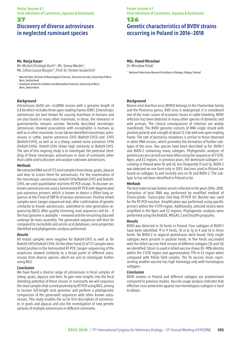Poster Session 4.1 Viral infections of Carnivores, Equines & Ruminants

## 37 **Discovery of diverse astroviruses in neglected ruminant species**

## **Ms. Ronja Kauer**<sup>1</sup>

Mr. Michel Christoph Koch<sup>1,2</sup>, Ms. Simea Werder<sup>1</sup>, Ms. Céline Louise Boujon<sup>1,2</sup>, Prof. Dr. Torsten Seuberlich<sup>1</sup>

- <sup>1</sup> NeuroCenter, Division of Neurological Sciences, Vetsuisse Faculty, University of Bern, *Bern, Switzerland*
- *2 Graduate School for Cellular and Biomedical Sciences, University of Bern, Bern, Switzerland*

### *Background*

Astroviruses (AstV) are +(ss)RNA viruses with a genome length of 6.8 kb which includes three open reading frames (ORF). Enterotropic astroviruses are best known for causing diarrhoea in humans and are also found in many other mammals; in those, the relevance in gastroenteritis remains unclear. Recently described neurotropic astroviruses showed associations with encephalitis in humans as well as in other mammals. In our lab we identified neurotropic astroviruses in cattle, bovine astrovirus CH13 (BoAstV-CH13) and -CH15 (BoAstV-CH15), as well as in a sheep, named ovine astrovirus CH16 (OvAstV-CH16). OvAstV-CH16 shows high similarity to BoAstV-CH15. The aim of this ongoing study is to investigate the potential shedding of these neurotropic astroviruses in stool of ruminants other than cattle and to discover and analyze unknown astroviruses.

#### *Methods*

We extracted RNA out of 172 stool samples from sheep, goats, alpacas and deer to screen them for astroviruses. For the examination of the neurotropic astroviruses OvAstV-CH16/BoAstV-CH15 and BoAstV-CH13, we used quantitative real-time RT-PCR assays. To discover unknown astroviruses we used a heminested RT-PCR with degenerated pan-astrovirus primers, which is known to detect a 450nt long sequence at the 3'end of ORF1b of various astroviruses. Positive tested samples were Sanger-sequenced and, after confirmation of genetic similarity to known astroviruses, submitted to next generation sequencing (NGS). After quality trimming, host sequences will be – if the host genome is available – removed and the remaining data will undergo de novo assembly. The generated sequences will then be compared to nucleotide and amino acid databases, virus properties identified and phylogenetic analyses performed.

#### *Results*

All tested samples were negative for BoAstV-CH13 as well as for BoAstV-CH15/OvAstV-CH16. On the other hand 22 of 172 samples were tested positive in the heminested RT-PCR. Sanger-sequencing of the amplicons showed similarity to a broad panel of different astroviruses from diverse species, which we aim to investigate further using NGS.

#### *Conclusion*

We have found a diverse range of astroviruses in fecal samples of sheep, goats, alpacas and deer. To gain new insights into the fecal sheeding potential of these viruses in ruminants we will sequence the stool samples that scored positively by RT-PCR using NGS, aiming to recover full-length viral genomes and perform a phylogenetic comparison of the generated sequences with other known astroviruses. This study enables the so far first description of astroviruses in goats and alpacas and also the investigation of new genetic variants of multiple astroviruses in different ruminants.

### Poster Session 4.1 Viral infections of Carnivores, Equines & Ruminants

## 126

# **Genetic characteristics of BVDV strains occurring in Poland in 2016–2018**

## **MSc. Paweł Mirosław**<sup>1</sup>

Dr. Mirosław Polak1

*<sup>1</sup> National Veterinary Research Institute in Puławy, Puławy, Poland*

#### *Background*

Bovine viral diarrhea virus (BVDV) belongs to the Flaviviridae family and the Pestivirus genus. BVD virus is widespread; it is considered one of the main causes of economic losses in cattle breeding. BVDV infection has been detected in many other species of domestic and wild animals. The clinical consequences of infection are widely manifested. The BVDV genome consists of RNA single strand with positive polarity and a length of about 12.3 kb with one open reading frame. The rate of pestivirus mutations is similar to those observed in other RNA viruses, which promotes the formation of further subtypes of the virus. Two species have been described so far: BVDV-1 and BVDV-2 containing many subtypes. Phylogenetic analyzes of pestiviruses are carried out most often using the sequences of 5'UTR, Npro, and E2 regions. In previous years, the dominant subtypes circulating in Poland were 1b and 1d, less frequently 1f and 1g. BVDV-2 was detected on one farm only in 2013. Vaccines used in Poland are based on subtypes 1a and recently also on 1b and BVDV-2. The subtype 1a has not been identified in Poland so far.

#### *Methods*

The test material was bovine serum collected in the years 2016–2018. Extraction of total RNA was performed by modified method of Chomczyński. Transcriptor One-Step RT-PCR Kit (Roche) was used for the RT-PCR reaction. Amplification was performed using specific primers within the 5'UTR region. Additionally, selected strains were amplified in the Npro and E2 regions. Phylogenetic analyzes were performed using the BioEdit, MEGA5.2 and DnaSP6 programs.

#### *Results*

BVDV was detected in 24 herds in Poland. Four subtypes of BVDV-1 have been identified: 1f in 9 herds, 1b in 8, 1g in 4 and 1d in three herds. No BVDV-2 or atypical pestiviruses were found. Only single subtypes were present in positive herds. In five herds vaccinated with the killed vaccine field viruses of different subtypes (1b and 1d) we identified. Strain 1a used in killed vaccine shows 83–90% identity within the 5'UTR region and approximately 71% in E2 region when compared with Polish field isolates. The 1b vaccine strain representing another vaccine has high homology only with homologous subtypes.

#### *Conclusion*

BVDV evolves in Poland and different subtypes are predominant compared to previous studies. Vaccine usage analysis indicates that effective cross-protection against non-homologous subtypes is hard to obtain.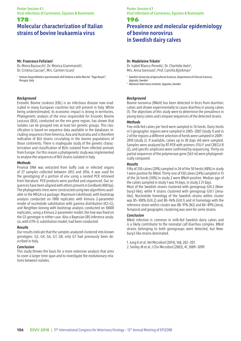## 178 **Molecular characterization of Italian strains of bovine leukaemia virus**

## **Mr. Francesco Feliziani**<sup>1</sup>

Dr. Moira Bazzucchi<sup>1</sup>, Dr. Monica Giammarioli<sup>1</sup>, Dr. Cristina Casciari<sup>1</sup>, Mrs. Carmen Iscaro<sup>1</sup>

*1 Istituto Zooprofilattico Sperimentale dell'Umbria e delle Marche "Togo Rosati", Perugia, Italy*

### *Background*

Enzootic Bovine Leukosis (EBL) is an infectious disease now eradicated in many European countries but still present in Italy. While being underestimated, its economic impact is strong in territories. Phylogenetic analysis of the virus responsible for Enzootic Bovine Leucosis (BLV), conducted on the env gene region, has shown that isolates can be grouped into at least ten genetic groups. This classification is based on sequence data available in the databases including sequences from America, Asia and Australia and is therefore indicative of BLV strains circulating in the bovine populations of those continents. There is inadequate study of the genetic characterization and classification of BLVs isolated from infected animals from Europe. For this reason a phylogenetic study was implemented to analyse the sequences of BLV strains isolated in Italy.

### *Methods*

Proviral DNA was extracted from buffy coat or infected organs of 27 samples collected between 2012 and 2016; it was used for the genotyping of a portion of env using a nested PCR retrieved from literature. PCR products were purified and sequenced. Our sequences have been aligned with others present in GenBank (400 bp). The phylogenetic trees were constructed using two algorithms available in the MEGA v.6 package: Maximum-Likelihood, with bootstrap analysis conducted on 1000 replicates with Kimura 2-parameter model of nucleotide substitution with gamma distribution (K2+G), and Neighbor-Joining with bootstrap analysis conducted on 10000 replicates, using a Kimura 2-parameter model; the tree was fixed on the G5 genotype in either case. Also a Bayesian (BI) inference analysis, with GTR+G substitution model, had been conducted.

### *Results*

Our results indicate that the samples analyzed clustered into known genotypes: G2, G4, G6, G7, G8; only G7 had previously been described in Italy.

### *Conclusion*

This study throws the basis for a more extensive analysis that aims to cover a larger time span and to investigate the evolutionary relations between isolates.

### Poster Session 4.1 Viral infections of Carnivores, Equines & Ruminants

## 196

# **Prevalence and molecular epidemiology of bovine norovirus in Swedish dairy calves**

### **Dr. Madeleine Tråvén**<sup>1</sup>

Dr. Isabel Blanco-Penedo<sup>1</sup>, Dr. Charlotte Axén<sup>2</sup>, Mrs. Anna Svensson<sup>1</sup>, Prof. Camilla Björkman<sup>1</sup>

- *1 Swedish University of Agricultural Sciences, Department of Clinical Sciences, Uppsala, Sweden*
- *<sup>2</sup> National Veterinary Institute, Uppsala, Sweden*

### *Background*

Bovine norovirus (BNoV) has been detected in feces from diarrheic calves and shown experimentally to cause diarrhea in young calves (1). The objectives of this study were to determine the prevalence in young dairy calves and compare sequences of the detected strains.

#### *Methods*

Five milk-fed calves per herd were sampled in 76 herds. Dairy herds in 5 geographic regions were sampled in 2005–2007 (study 1) and in 2 of the regions a different selection of herds were sampled in 2009– 2010 (study 2). If available, calves up to 30 days old were sampled. Samples were analyzed by RT-PCR with primers J11U-F and CBECU-R (2), and specific amplicons were confirmed by sequencing. Thirty-six partial sequences of the polymerase gene (563 nt) were phylogenetically compared.

### *Results*

Fifty of 250 calves (20%) sampled in 24 of the 50 herds (48%) in study 1 were positive for BNoV. Thirty-one of 130 calves (24%) sampled in 13 of the 26 herds (50%) in study 2 were BNoV-positive. Median age of the calves sampled in study 1 was 14 days, in study 2 21 days.

Most of the Swedish strains clustered with genogroup GIII.2 (Newbury2-like), while 9 strains clustered with genogroup GIII.1 (Jenalike). Nucleotide homology of the Swedish strains within cluster was 85–100% (GIII.2) and 80–96% (GIII.1) and nt homology with the reference strain within cluster was 88–91% (N2) and 84–89% (Jena). Temporal and geographic clustering was seen for some strains.

#### *Conclusion*

BNoV infection is common in milk-fed Swedish dairy calves and is a likely contributor to the neonatal calf diarrhea complex. BNoV strains belonging to both genogroups were detected, but Newbury2-like strains dominated.

1. Jung K et al. Vet Microbiol (2014), 168, 202–207. 2. Smiley JR et al. J Clin Microbiol (2003), 41, 3089–3099.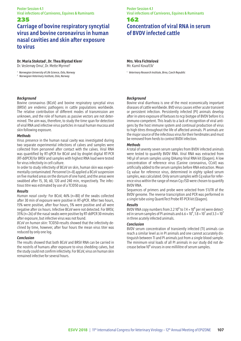## **Carriage of bovine respiratory syncytial virus and bovine coronavirus in human nasal cavities and skin after exposure to virus**

**Dr. Maria Stokstad**<sup>1</sup> **, Dr. Thea Blystad Klem**<sup>2</sup>

Dr. Veslemøy Oma<sup>1</sup>, Dr. Mette Myrmel<sup>1</sup>

*<sup>1</sup> Norwegian University of Life Science, Oslo, Norway*

*<sup>2</sup> Norwegian Veterinary Institute, Oslo, Norway*

## *Background*

Bovine coronavirus (BCoV) and bovine respiratory syncytial virus (BRSV) are endemic pathogens in cattle populations worldwide. The relative contribution of different modes of transmission are unknown, and the role of humans as passive vectors are not determined. The aim was, therefore, to study the time span for detection of viral RNA and infective virus particles in nasal human mucosa and skin following exposure.

#### *Methods*

Virus presence in the human nasal cavity was investigated during two separate experimental infections of calves and samples were collected from personnel after contact with the calves. Viral RNA was quantified by RT-qPCR for BCoV and by droplet digital RT-PCR (RT-ddPCR) for BRSV and samples with highest RNA load were tested for virus infectivity in cell culture.

In order to study infectivity of BCoV on skin, human skin was experimentally contaminated. Personnel (n=8) applied a BCoV suspension on five marked areas on the dorsum of one hand, and the areas were swabbed after 15, 30, 60, 120 and 240 min, respectively. The infectious titre was estimated by use of a TCID50 assay.

### *Results*

*Human nasal cavity:* For BCoV, 46% (n=80) of the swabs collected after 30 min of exposure were positive in RT-qPCR. After two hours, 15% were positive, after four hours, 5% were positive and all were negative after six hours. Infective BCoV were not detected. For BRSV, 35% (n=26) of the nasal swabs were positive by RT-ddPCR 30 minutes after exposure, but infective virus was not found.

*BCoV on human skin:* TCID50-results showed that the infectivity declined by time, however, after four hours the mean virus titer was reduced by only one log.

## *Conclusion*

The results showed that both BCoV and BRSV RNA can be carried in the nostrils of humans after exposure to virus shedding calves, but the study could not confirm infectivity. For BCoV, virus on human skin remained infective for several hours.

## Poster Session 4.1 Viral infections of Carnivores, Equines & Ruminants

## 162

# **Concentration of viral RNA in serum of BVDV infected cattle**

**Mrs. Věra Fichtelová**<sup>1</sup> Mr. Kamil Kovařčík<sup>1</sup>

*<sup>1</sup> Veterinary Research Institute, Brno, Czech Republic*

#### *Background*

Bovine viral diarrhoea is one of the most economically important diseases of cattle worldwide. BVD virus causes either acute transient or persistent infection. Persistently infected (PI) animals develop after in utero exposure of foetuses to ncp biotype of BVDV before it is immuno-competent. This leads to a lack of recognition of viral antigens by the host immune system and continual production of virus to high titres throughout the life of affected animals. PI animals are the major source of the infectious virus for their herdmates and must be removed from herds to control BVDV infection.

#### *Methods*

A total of seventy seven serum samples from BVDV infected animals were tested to quantify BVDV RNA. Viral RNA was extracted from 140 µl of serum samples using QIAamp Viral RNA kit (Qiagen). A low concentration of reference virus (Canine coronavirus, CCoV) was artificially added to the serum samples before RNA extraction. Mean Cq value for reference virus, determined in eighty spiked serum samples, was calculated. Only serum samples with Cq value for reference virus within the range of mean Cq±1SD were chosen to quantify BVDV RNA.

Sequences of primers and probe were selected from 5'UTR of the BVDV genome. The reverse transcription and PCR was performed in a single tube using QuantiTect Probe RT-PCR kit (Qiagen).

#### *Results*

BVDV RNA copy numbers from 2.2 10 $^6$  to 7.4  $\times$  10 $^8$  per ml were detected in serum samples of PI animals and 6.6  $\times$  10<sup>4</sup>, 1.8  $\times$  10<sup>7</sup> and 3.3  $\times$  10<sup>7</sup> in three acutely infected animals.

#### *Conclusion*

BVDV serum concentration of transiently infected (TI) animals can reach a similar level as in PI animals and one cannot accurately distinguish between TI and PI animals just from a single blood sample. The minimum viral loads of all PI animals in our study did not decrease below 10<sup>6</sup> viruses in one millilitre of serum samples.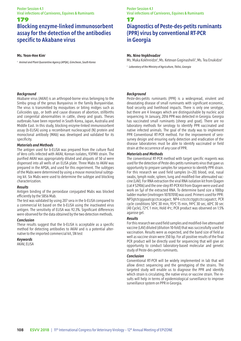## **Blocking enzyme-linked immunosorbent assay for the detection of the antibodies specific to Akabane virus**

### **Ms. Yeon-Hee Kim**<sup>1</sup>

*<sup>1</sup> Animal and Plant Quarantine Agency (APQA), Gimcheon, South Korea*

## Poster Session 4.1 Viral infections of Carnivores, Equines & Ruminants

#### 17

# **Diagnostics of Peste-des-petits ruminants (PPR) virus by conventional RT-PCR in Georgia**

## **Ms. Nino Vepkhvadze**<sup>1</sup>

Ms. Maka Kokhreidze<sup>1</sup>, Ms. Ketevan Goginashvili<sup>1</sup>, Ms. Tea Enukidze<sup>1</sup>

*1 Laboratory of the Ministry of Agriculture, Tbilisi, Georgia*

## *Background*

Akabane virus (AKAV) is an arthropod-borne virus belonging to the Simbu group of the genus Bunyavirus in the family Bunyaviridae. The virus is transmitted by mosquitoes or biting midges such as Culicoides spp., or both and cause diseases of abortion, stillbirths and congenital abnormalities in cattle, sheep and goats. Theses outbreaks have been reported in South Korea, Japan, Australia and Middle East. In this study, blocking enzyme-linked immunosorbent assay (b-ELISA) using a recombinant nucleocapsid (N) protein and monoclonal antibody (MAb) was developed and validated for its specificity.

### *Materials and Methods*

The antigen used for b-ELISA was prepared from the culture fluid of Vero cells infected with AKAV, Korean isolates, 93FMX strain. The purified AKAV was appropriately diluted and aliquots of 50 ul were dispensed into all wells of an ELISA plate. Three Mabs to AKAV was prepared in the APQA, and used for this experiment. The subtypes of the Mabs were determined by using a mouse monoclonal subtyping kit. Six Mabs were used to determine the subtype and blocking characterization.

#### *Results*

Antigen binding of the peroxidase conjugated Mabs was blocked efficiently by the 5B56 Mab.

The test was validated by using 207 sera in the b-ELISA compared to a commercial kit based on the b-ELISA using the inactivated virus antigen. The sensitivity of ELISA was 92.3%. Significant differences were observed for the data obtained by the two detection methods.

#### *Conclusion*

These results suggest that the b-ELISA is acceptable as a specific method for detecting antibodies to AKAV and is a potential alternative to the imported commercial kit, SN test

*Keywords* AKAV, ELISA

### *Background*

Peste-des-petits ruminants (PPR) is a widespread, virulent and devastating disease of small ruminants with significant economic, food security and livelihood impacts. There is only one serotype, but there are 4 lineages which are distinguishable by nucleic acid sequencing. In January, 2016 PPR was detected in Georgia. Georgia has vaccinated small ruminants (sheep and goat). There are no laboratory methods for serology to identify PPR vaccinated and native infected animals. The goal of the study was to implement PPR Conventional RT-PCR method. For the improvement of serosurvey design and ensuring early detection and eradication of the disease laboratories must be able to identify vaccinated or field strain at the occurrence of any case of PPR.

### *Materials and Methods*

The conventional RT-PCR method with target specific reagents was used for the detection of Peste-des-petits ruminants virus that gave us opportunity to prepare samples for sequence to identify PPR strain. For this research we used field samples (n=20) blood, oral, nasal swabs, lymph node, spleen, lung and modified-live attenuated vaccine (LAV). For RNA extraction the viral RNA isolation kit from Qiagen (cat # 52906) and the one-step RT-PCR Kit from Qiagen were used and work on 5µl of the extracted RNA. To determine band size a 100bp ladder marker (invitrogen 10787018) was used. Primers used for PPR: NP3gtctcggaaatcgcctcacagact; NP4-cctcctcctggtcctccagaatct; PCR cycle conditions 50ºC 30 min, 95ºC 15 min, 94ºC 30 sec, 60ºC 30 sec (40 Cycle), 72ºC 1 min; Hold 4ºc; PCR product was observed on 1.5% agarose gel.

### *Results*

For this research we used field samples and modified-live attenuated vaccine (LAV) diluted (dilution 10-fold) that was successfully used for vaccination. Results were as expected, and the band size of field as well as vaccine strain were 350 bp. For all positive results of the final PCR product will be directly used for sequencing that will give an opportunity to conduct laboratory-based molecular and genetic study of Peste-des-petits ruminants.

### *Conclusion*

Conventional RT-PCR will be widely implemented in lab that will allow direct sequencing and the genotyping of the strains. The targeted study will enable us to diagnose the PPR and identify which strain is circulating, the native virus or vaccine strain. The results will help in terms of epidemiological surveillance to improve surveillance system on PPR in Georgia.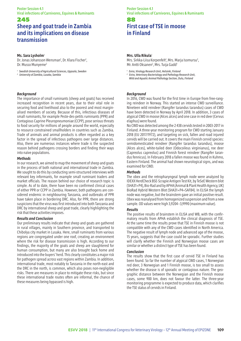## 245 **Sheep and goat trade in Zambia and its implications on disease transmission**

#### **Ms. Sara Lysholm**<sup>1</sup>

Dr. Jonas Johansson Wensman<sup>1</sup>, Dr. Klara Fischer<sup>1</sup>, Dr. Musso Munyeme<sup>2</sup>

*<sup>1</sup> Swedish University of Agricultural Sciences, Uppsala, Sweden <sup>2</sup> University of Zambia, Lusaka, Sambia*

#### *Background*

The importance of small ruminants (sheep and goats) has received increased recognition in recent years, due to their vital role in securing food and livelihood also to the poorest and most marginalised members of society. Because of this, infectious diseases of small ruminants, for example Peste-des-petits ruminants (PPR) and Contagious Caprine Pleuropneumoniae (CCPP), pose serious threats to food security for millions of people around the world, especially to resource constrained smallholders in countries such as Zambia. Trade of animals and animal products is often regarded as a key factor in the spread of infectious pathogens over large distances. Also, there are numerous instances where trade is the suspected reason behind pathogens crossing borders and finding their ways into naïve populations.

#### *Methods*

In our research, we aimed to map the movement of sheep and goats in the process of both national and international trade in Zambia. We sought to do this by conducting semi-structured interviews with relevant key informants, for example small ruminant traders and market officials. The reason behind our choice of research topic is simple. As of to date, there have been no confirmed clinical cases of either PPR or CCPP in Zambia. However, both pathogens are considered endemic in neighbouring Tanzania, and outbreaks of PPR have taken place in bordering DRC. Also, for PPR, there are strong suspicions that the virus was first introduced into both Tanzania and DRC by international sheep and goat trade, clearly highlighting the risk that these activities imposes.

#### *Results and Conclusion*

Our preliminary results indicate that sheep and goats are gathered in rural villages, mainly in Southern province, and transported to Chibolya city market in Lusaka. Here, small ruminants from various regions are congregated under one roof, creating an environment where the risk for disease transmission is high. According to our findings, the majority of the goats and sheep are slaughtered for human consumption, but many are also brought back home and introduced into the buyers' herd. This clearly constitutes a major risk for pathogen spread across vast regions within Zambia. In addition, international trade, most notably to Tanzania in the north-east and the DRC in the north, is common, which also poses non-negligible risks. There are measures in place to mitigate these risks, but since these international trade routes often are informal, the chance of these measures being bypassed is high.

#### Poster Session 4.1 Viral infections of Carnivores, Equines & Ruminants

## 88 **First case of TSE in moose in Finland**

#### **Mrs. Ulla Rikula**<sup>1</sup>

Mrs. Sirkka-Liisa Korpenfelt<sup>1</sup>, Mrs. Marja Isomursu<sup>2</sup>, Mr. Antti Oksanen<sup>2</sup>, Mrs. Tuija Gadd<sup>1</sup>

*<sup>1</sup> Evira, Virology Research Unit, Helsinki, Finland*

*2 Evira, Veterinary Bacteriology and Pathology Research Unit, Wild and Aquatic Animal Pathology Section, Oulu, Finland*

#### *Background*

In 2016, CWD was found for the first time in Europe from free-ranging reindeer in Norway. This started an intense CWD surveillance. Nineteen wild reindeer (Rangifer tarandus tarandus) cases of CWD have been detected in Norway by April 2018. In addition, 3 cases of atypical CWD in moose (Alces alces) and one case in red deer (Cervus elaphus) were found.

No CWD was detected among the 2 438 cervids tested in 2003-2017 in Finland. A three-year monitoring program for CWD starting January 2018 (EU 2017/1972), and targeting on sick, fallen and road injured cervids will be carried out. It covers the main Finnish cervid species: semidomesticated reindeer (Rangifer tarandus tarandus), moose (Alces alces), white-tailed deer (Odocoileus virginianus), roe deer (Capreolus capreolus) and Finnish forest reindeer (Rangifer tarandus fennicus). In February 2018 a fallen moose was found in Kuhmo, Eastern Finland. The animal had shown neurological signs, and was examined for CWD.

#### *Methods*

The obex and the retropharyngeal lymph node were analyzed by IDEXX HerdCheck BSE-Scrapie Antigen Test Kit, by TeSeE Western blot (SHA31+P4), Bio-Rad and by APHA (Animal & Plant Health Agency, UK) BioRad Hybrid Western Blot (SHA31+P4+SAF84). In ELISA the lymph node was negative, but the brainstem gave an initial positive result. Obex was reanalysed from homogenized suspension and from a new sample. OD values were high 3,9204–3,9990 (maximum value).

#### *Results*

The positive results of brainstem in ELISA and WB, with the confirmatory results from APHA establish the clinical diagnosis of TSE. At the same time the results prove that TSE in Finnish moose is not compatible with any of the CWD cases identified in North America. The negative result of lymph node and advanced age of the moose, 15 years, suggests that the case could be sporadic. Further studies will clarify whether the Finnish and Norwegian moose cases are similar or whether a distinct type of TSE has been found.

#### *Conclusion*

The results show that the first case of cervid TSE in Finland has been found. So far the number of atypical CWD cases, 1 Norwegian red deer, 3 Norwegian and 1 Finnish moose, is too small to assess whether the disease is of sporadic or contagious nature. The geographic distance between the Norwegian and the Finnish moose cases, some 900 km, does not favour the latter. The three-year monitoring programme is expected to produce data, which clarifies the TSE status of cervids in Finland.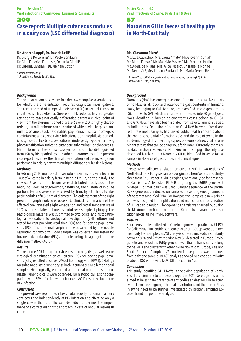#### 200

## **Case report: Multiple cutaneous nodules in a dairy cow (LSD differential diagnosis)**

#### **Dr. Andrea Luppi**<sup>1</sup> **, Dr. Davide Lelli**<sup>1</sup>

Dr. Giorgia De Lorenzi<sup>1</sup>, Dr. Paolo Bonilauri<sup>1</sup>, Dr. Gian Federico Fantuzzi<sup>2</sup>, Dr. Lucia Gibelli<sup>1</sup>, Dr. Sabrina Canziani<sup>1</sup>, Dr. Michele Dottori<sup>1</sup>

*<sup>1</sup> Izsler, Brescia, Italy*

*<sup>2</sup> Practitioner, Reggio Emilia, Italy*

### *Background*

The nodular cutaneous lesions in dairy cow recognize several causes for which, the differentiation, requires diagnostic investigations. The recent spread of Lumpy skin disease (LSD) in several European countries, such as Albania, Greece and Macedonia, has led greater attention to cases not easily differentiable from a clinical point of view from the aforementioned disease. Severe LSD is highly characteristic, but milder forms can be confused with: bovine herpes mammillitis, bovine papular stomatitis, papillomavirus, pseudocowpox, vaccinia virus and cowpox virus infections, dermatophilosis, demodicosis, insect or tick bites, besnoitiosis, rinderpest, hypoderma bovis, photosensitisation, urticaria, cutaneous tuberculosis, onchocercosis. Milder forms of these diseases/syndromes can be distinguished from LSD by histopathology and other laboratory tests. The present case report describes the clinical presentation and the investigation performed in a dairy cow with multiple diffuse nodular skin lesions.

#### *Methods*

In February 2018, multiple diffuse nodular skin lesions were found in 1 out of 60 cattle in a dairy farm in Reggio Emilia, northern Italy. The cow was 5-year-old. The lesions were distributed mostly around the neck, shoulders, back, forelimbs, hindlimbs, and bilateral of midline portion. Lesions were characterized by firm, hypotrichous to alopecic nodules of 0.5-3 cm of diameter. The enlargement of the right precrural lymph node was observed. Clinical examination of the affected cow revealed slight emaciation and rectal temperature of 39°C. A representative cutaneous nodule was sampled by biopsy. The pathological material was submitted to cytological and histopathological evaluation, to virological investigation (cell culture) and tested for capripox virus (real time PCR) and for bovine papillomavirus (PCR). The precrural lymph node was sampled by fine needle aspiration for cytology. Blood sample was collected and tested for bovine leukaemia virus (BLV) antibodies using the agar gel immune diffusion method (AGID).

#### *Results*

The real time PCR for capripox virus resulted negative, as well as the virological examination on cell culture. PCR for bovine papillomavirus (BPV) resulted positive (99% of homology with BPV-1). Cytology revealed neoplastic lymphocytes both in cutaneous and lymph nodal samples. Histologically, epidermal and dermal infiltrations of neoplastic lymphoid cells were observed. No histological lesions compatible with BPV infection were observed. AGID result excluded the BLV infection.

#### *Conclusion*

The present case report describes a cutaneous lymphoma in a dairy cow, occurring independently of BLV infection and affecting only a single cow in the herd. The case described underlines the importance of a correct diagnostic approach in case of nodular lesions in cattle.

#### Poster Session 4.2 Viral infections of Swine, Birds, Fish & Bees

## 57 **Norovirus GII in faeces of healthy pigs in North-East Italy**

### **Ms. Giovanna Rizzo**<sup>1</sup>

Ms. Lara Cavicchio<sup>1</sup>, Mrs. Laura Amato<sup>1</sup>, Mr. Giovanni Cunial<sup>1</sup>, Mr. Mario Forzan<sup>2</sup>, Mr. Maurizio Mazzei<sup>2</sup>, Ms. Martina Ustulin<sup>1</sup>, Ms. Adelaide Milani<sup>1</sup>, Mrs. Alice Fusaro<sup>1</sup>, Dr. Isabella Monne<sup>1</sup>, Mr. Denis Vio<sup>1</sup>, Mrs. Lebana Bonfanti<sup>1</sup>, Ms. Maria Serena Beato<sup>1</sup>

*<sup>1</sup> Istituto Zooprofilattico Sperimentale delle Venezie, Legnaro (PD), Italy*

*<sup>2</sup> Università di Pisa, Pisa, Italy*

### *Background*

Norovirus (NoV) has emerged as one of the major causative agents of non-bacterial, food- and water-borne gastroenteritis in humans. NoVs, belonging to Caliciviridae, are classified into 6 genogroups (G), from GI to GVI, which are further subdivided into 30 genotypes. NoVs identified in human gastroenteritis cases belong to GI, GII and GIV. NoVs have also been isolated from several animal species, including pigs. Detection of human GII.4 NoV in swine faecal and retail raw meat samples has raised public health concerns about the zoonotic potential of porcine NoVs and the role of swine in the epidemiology of this infection, as possible source of new viral recombinant strains that can be dangerous for human. Currently, there are no data on the prevalence of Norovirus in Italy in pigs: the only case described is related to a Norovirus GII.11, identified in swine faecal sample in absence of gastrointestinal clinical signs.

#### *Methods*

Faeces were collected at slaughterhouse in 2017 in two regions of North-East Italy. Forty-six samples originated from Veneto and thirtythree from Friuli Venezia Giulia regions, were analysed for presence of Calicivirus. A two-step RT-PCR targeting the RdRP gene with p290-p110 primer pairs was used. Sanger sequence of the partial RdRP gene was conducted on samples presenting enough amount of the target amplified DNA. For NoV positive samples, a new primer pair was designed for amplification and molecular characterization of VP1 capsidic region. Phylogenetic analysis was carried out using the Maximum Likelihood method and Kimura two-parameter substitution model using PhyML software.

#### *Results*

Fourteen samples collected in Veneto region were positive by RT-PCR for Calicivirus. Nucleotide sequences of about 300bp were obtained from only two samples. BLAST analysis showed nucleotide similarity between 89% and 92% with swine NoV GII detected in Europe. Phylogenetic analysis of the RdRp gene showed that Italian strains belong to the GII.11 and cluster with other swine NoVs from Europe, Asia and South America. Complete VP1 nucleotide sequence was obtained from only one sample: BLAST analysis showed nucleotide similarity of about 88% with swine NoVs GII detected in Asia.

#### *Conclusion*

This study identified GII.11 NoVs in the swine population of North-East Italy, similarly to a previous report in 2011. Serological studies aimed at investigate presence of antibodies against GII.4 in selected swine farms are ongoing. The real distribution and the role of NoVs in swine need to be further investigated by proper sampling approach and full genome analysis.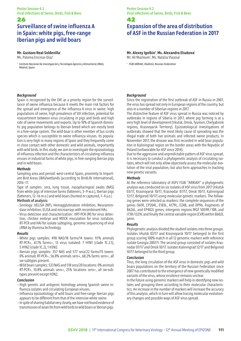## **Surveillance of swine influenza A in Spain: white pigs, free-range Iberian pigs and wild boars**

#### **Mr. Gustavo Real-Soldevilla**<sup>1</sup>

Ms. Paloma Encinas-Díaz1

*1 Instituto Nacional de Investigación y Tecnología Agraria y Alimentaria (INIA), Madrid, Spain*

#### *Background*

26

Spain is recognized by the OIE as a priority region for the surveillance of swine influenza because it meets the main risk factors for the spread and emergence of the influenza A virus in swine: high populations of swine, high prevalence of SIV infection, potential for reassortment between virus circulating in pigs and birds and high rate of swine movements and exports. Up to 10% of Spanish domestic pig population belongs to Iberian breed which are mostly bred in a free-range system. The wild-boar is other member of Sus scrofa species which is susceptible to swine influenza viruses. Its population is very high in many regions of Spain and they frequently come in close contact with other domestic and wild animals, importantly with wild birds. In this study, we aim to investigate the epizootiology of influenza infection and the characteristics of circulating influenza viruses in industrial farms of white pigs, in free-ranging Iberian pigs and in wild boars.

#### *Methods*

Sampling area and period: west-central Spain, proximity to Important Bird Areas (IBA)/wetlands (according to BirdLife International), 2016–17.

Type of samples: sera, lung tissue, nasopharingeal swabs (NAS) from white pigs of intensive farms (fatteners, 3–9 w.o.), Iberian pigs (fatteners, 12–16 m.o.) and wild boars (hunted or captured, 1–4 y.o.)

#### Methods of analysis:

- Serology: bELISA (NP), Hemagglutination inhibition, Neuraminidase inhibition, ELISA and microarrays with recombinant HAs.
- Virus detection and characterization: rtRT-PCR (M) for virus detection, chicken embryo and MDCK inoculation for virus isolation, RT-PCR and HAI for isolate subtyping, genomic sequencing of viral cRNA by Illumina technology.

#### *Results*

- White pigs samples: 498 NAS/18 farms/14 towns: 9.1% animals RT-PCR+, 61.1% farms+, 13 virus isolated: 7 H1N1 (clade 1C.2.1), 5 H1N2 (clade 1C.2), 1 H3N2.
- Iberian pigs samples: 357 NAS and 577 sera/22 farms/15 towns: 0% animals RT-PCR+, 56.8% animals sero+, 68.2% farms sero+, all sw-subtypes present.
- Wild boars samples: 533 NAS and 518 sera/20 locations: 0% animals RT-PCR+, 10.8% animals sero+, 25% locations sero+, all sw-subtypes present except H3N2.

#### *Conclusion*

- High genetic and antigenic homology among Spanish swine influenza isolates and circulating European viruses.
- Influenza epizootiology of wild boars and free-range Iberian pigs appears to be different from that of the intensive white swine.
- In spite of sharing habitat very closely, we have not found evidence of transmission of avian IVs from wild birds to wild boars or Iberian pigs.

#### Poster Session 4.2 Viral infections of Swine, Birds, Fish & Bees

#### 42

## **Expansion of the area of distribution of ASF in the Russian Federation in 2017**

#### **Mr. Alexey Igolkin1** , **Ms. Alexandra Elsukova**<sup>1</sup> Mr. Ali Mazloum<sup>1</sup>, Ms. Natalia Vlasova<sup>1</sup>

*<sup>1</sup> FGBI ARRIAH, Vladimir, Russian Federation*

#### *Background*

Since the registration of the first outbreak of ASF in Russia in 2007, the virus has spread not only in European regions of the country, but also in a number of Siberian regions in 2017.

The distinctive feature of ASF virus spread in Russia was noticed by outbreaks in regions of Siberia in 2017, where pig farming is at a very high level of development (Irkutsk, Omsk, Tyumen, Chelyabinsk regions, Krasnoyarsk Territory). Epizootological investigations of outbreaks showed that the most likely cause of spreading was the illegal trade of both live animals and infected swine products. In November 2017, the disease was first recorded in wild boar population in Kaliningrad region on the border areas with the Republic of Poland (unfavorable for ASF since 2014).

Due to the aggressive and unpredictable pattern of ASF virus spread, it is necessary to conduct a phylogenetic analysis of circulating isolates, which will not only allow objectively assess the molecular evolution of the viral population, but also form approaches in tracking new genetic variants.

#### *Methods*

At the reference laboratory of ASFV FGBI "ARRIAH" a phylogenetic analysis was conducted on six isolates of ASF virus from 2017 (Irkutsk 03/17, Krasnoyarsk 10/17, Krasnodar 07/17, Omsk 10/17, Kaliningrad 12/17, Belgorod 10/17) using molecular-genetic markers. The following genes were selected as markers: the complete sequences of the genes O61R, CP204L, E183L, A179L, E248, and DP96, fragments of B626L, and EP402L genes, intergenic regions MGF 5059R / 10R, and I73R / I329L and finally the central variable region (CVR) within B602L gene.

#### *Results*

Phylogenetic analysis divided the studied isolates into three groups. Isolates Irkutsk 03/17 and Krasnoyarsk 10/17 belonged to the first group scoring 100% match in all 12 genomic markers with reference isolate Georgia 2007/1. The second group consisted of isolates Krasnodar 07/17 and Omsk 10/17. Isolates Kaliningrad 12/17 and Belgorod 10/17 belonged to the third group.

#### *Conclusion*

Thus, the long circulation of the ASF virus in domestic pigs and wild boars populations on the territory of the Russian Federation since 2007 has contributed to the emergence of new genetically modified variants of the virus, whose virulence remains unclear.

In the future using genomic markers will help in identifying new isolates and grouping them according to their molecular characteristics. An increase in the number of markers will increase the accuracy of this analysis, which in turn will allow tracing molecular evolutionary changes and possible ways of ASF virus spread.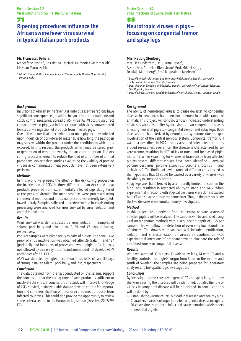## 71 **Ripening procedures influence the African swine fever virus survival in typical Italian pork products**

#### **Mr. Francesco Feliziani**<sup>1</sup>

Mr. Stefano Petrini<sup>1</sup>, Dr. Cristina Casciari<sup>1</sup>, Dr. Monica Giammarioli<sup>1</sup>, Mr. Gian Mario De Mia1

*1 Istituto Zooprofilattico Sperimentale dell'Umbria e delle Marche "Togo Rosati", Perugia, Italy*

#### *Background*

Incursions of African swine fever (ASF) into disease-free regions have significant consequences, resulting in ban of international trade and costly control measures. Spread of ASF virus (ASFV) occurs via direct contact between pigs, via indirect contact with virus-contaminated fomites or via ingestion of products from infected pigs.

One of the factors that affect whether or not a pig becomes infected upon ingestion of pork-derived material, is how long the pathogen may survive within the product under the condition to which it is exposed. In this respect, the products which may be cured prior to generation of waste are worthy of particular attention. The dry curing process is known to reduce the load of a number of animal pathogens, nevertheless studies evaluating the viability of porcine viruses in contaminated meat products have not been extensively performed.

#### *Methods*

In this work, we present the effect of the dry curing process on the inactivation of ASFV in three different Italian dry-cured meat products prepared from experimentally infected pigs slaughtered at the peak of viremia. The meat products were processed using commercial methods and industrial procedures currently being followed in Italy. Samples collected at predetermined intervals during processing were analyzed for virus survival by virus isolation and animal inoculation.

#### *Results*

Virus survival was demonstrated by virus isolation in samples of salami, pork belly and loin up to 18, 39 and 47 days of curing, respectively.

Pools of samples were given orally to pairs of piglets. The conclusive proof of virus inactivation was obtained after 26 (salami) and 137 (pork belly and loin) days of processing, when piglet infection was not followed by disease symptoms and animals did not develop ASFV antibodies after 21 DPI.

ASFV was detected by piglet inoculation for up to 18, 60, and 83 days of curing in Italian salami, pork belly, and loin, respectively.

#### *Conclusion*

The data obtained from the test conducted on the salami, support the conclusion that the curing time of such product is sufficient to inactivate the virus. In conclusion, this study will improve knowledge of ASFV survival, giving valuable data to develop criteria for importation and commercialization of these dry-cured meat products from infected countries. This could also provide the opportunity to review some criteria set out in the European legislation (Directive 2002/99/ EC).

Poster Session 4.2 Viral infections of Swine, Birds, Fish & Bees

#### 85

## **Neurotropic viruses in pigs – focusing on congenital tremor and splay legs**

#### **Mrs. Hedvig Stenberg**<sup>1</sup>

Mrs. Lisa Lindström<sup>1</sup>, Dr. Juliette Hayer<sup>2</sup>, Assoc. Prof. Anne-Lie Blomström<sup>1</sup>, Prof. Mikael Berg<sup>1</sup>, Dr. Maja Malmberg<sup>1,2</sup>, Prof. Magdalena Jacobson<sup>3</sup>

- *1 Dep. of Biomedical Sciences and Veterinary Public Health, Swedish University of Agricultural Sciences, Uppsala, Sweden*
- *2 Dep. of Animal Breeding and Genetics, Swedish University of Agricultural Sciences, SLU, Uppsala, Sweden*
- *3 Dep. of Clinical Sciences, Swedish University of Agricultural Sciences, Uppsala, Sweden*

#### *Background*

The ability of neurotropic viruses to cause devastating congenital disease in new-borns has been documented in a wide range of animals. This project will contribute to an increased understanding of viruses with this ability by focusing on two congenital diseases affecting neonatal piglets – congenital tremor and splay legs. Both diseases are characterized by neurological symptoms due to hypomyelination of the central nervous system. Congenital tremor (CT) was first described in 1922 and its assumed infectious origin has eluded researchers ever since. The disease is characterized by severe tremor, resulting in difficulties to nurse and increased piglet mortality. When searching for viruses in brain-tissue from affected piglets several different viruses have been identified – atypical porcine pestivirus, porcine astrovirus, porcine cirocvirus -II and aichivirus-C. The finding of a wide range of different virus has led to the hypothesis that CT could be caused by a variety of viruses with the ability to cross the placenta.

Splay legs are characterized by a temporally limited function in the hind legs, resulting in restricted ability to stand and walk. When experimental infections with atypical pestivirus were done it caused both CT and splayed legs in the same litter. Thus, in the present study the two diseases were simultaneously investigated.

#### *Method*

In this project tissue deriving from the central nervous system of infected piglets will be analyzed. The samples will be analyzed using viral metagenomic methods with a sequencing depth of 1 Gb per sample. This will allow the detection of even very low abundance of viruses. The downstream analyze will include identification, isolation and characterization of viruses in combination with experimental infections of pregnant sows to elucidate the role of identified viruses in congenital disease.

#### *Results*

We have sampled 33 piglets, 13 with splay legs, 14 with CT and 6 healthy controls. The piglets' origin from farms in the middle and south of Sweden. The samples are being prepared for laboratory analyzes and histopathologic investigation.

#### *Conclusion*

By investigating the causative agent of CT and splay legs, not only the virus causing the diseases will be identified, but also the role of viruses in congenital disease will be elucidated. In conclusion this will be done by:

- Establish the virome of CNS, & blood in diseased and healthy pigs.
- Characterize viruses of importance for congenital disease in piglets.
- Discover viruses' ability to infect and cause neurological disorders in neonatal piglets.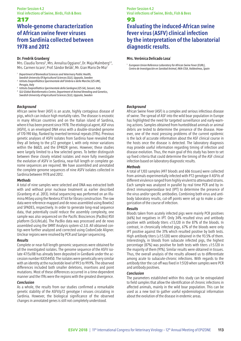## 217 **Whole-genome characterization of African swine fever viruses from Sardinia collected between 1978 and 2012**

#### **Dr. Fredrik Granberg**<sup>1</sup>

Mrs. Claudia Torresi<sup>2</sup>, Mrs. Annalisa Oggiano<sup>3</sup>, Dr. Maja Malmberg<sup>1,4</sup>, Mrs. Carmen Iscaro<sup>2</sup>, Prof. Sándor Belák<sup>1</sup>, Mr. Gian Mario De Mia<sup>2</sup>

*1 Department of Biomedical Sciences and Veterinary Public Health,*

- *Swedish University Of Agricultural Sciences (SLU), Uppsala, Sweden 2 Istituto Zooprofilattico Sperimentale dell'Umbria e delle Marche (IZS-UM), Perugia, Italy*
- *<sup>3</sup> Istituto Zooprofilattico Sperimentale della Sardegna (IZS-SA), Sassari, Italy 4 SLU Global Bioinformatics Centre, Department of Animal Breeding and Genetics, Swedish University of Agricultural Sciences (SLU), Uppsala, Sweden*

#### *Background*

African swine fever (ASF) is an acute, highly contagious disease of pigs, which can induce high mortality rates. The disease is enzootic in many African countries and on the Italian island of Sardinia, where it has been present since 1978. The etiological agent, ASF virus (ASFV), is an enveloped DNA virus with a double-stranded genome of 170-190 kbp, flanked by inverted terminal repeats (ITRs). Previous genetic analyses of ASFV isolates from Sardinia have revealed that they all belong to the p72 genotype I, with only minor variations within the B602L and the EP402R genes. However, these studies were largely limited to a few selected genes. To better distinguish between these closely related isolates and more fully investigate the evolution of ASFV in Sardinia, near-full length or complete genome sequences are required. We have assembled and annotated the complete genome sequences of nine ASFV isolates collected in Sardinia between 1978 and 2012.

#### *Methods*

A total of nine samples were selected and DNA was extracted both with and without prior nuclease treatment as earlier described (Granberg et al. 2013). Initial sequencing was performed on an Illumina MiSeq using the Nextera XT kit for library construction. The raw data were reference-mapped and de novo assembled using Bowtie2 and SPADES, respectively. In order to generate long-read sequence data, that potentially could reduce the assembly complexity, one sample was also sequenced on the Pacific Biosciences (PacBio) RSII platform (SciLifeLab). The PacBio data was processed and de novo assembled using the SMRT Analysis system v2.3.0. All obtained contigs were further analyzed and corrected using CodonCode Aligner. Unclear regions were resolved by PCR and Sanger sequencing.

#### *Results*

Complete or near-full length genomic sequences were obtained for all the investigated isolates. The genome sequence of the ASFV isolate 47/Ss/08 has already been deposited in GenBank under the accession number KX354450. The isolates were genetically very similar with an identity at the nucleotide level of 99.5 to 99.9%. The observed differences included both smaller deletions, insertions and point mutations. Most of these differences occurred in a time-dependent manner and the ITRs were the regions with the greatest divergence.

#### *Conclusion*

As a whole, the results from our studies confirmed a remarkable genetic stability of the ASFV/p72 genotype I viruses circulating in Sardinia. However, the biological significance of the observed changes in annotated genes is still not completely understood.

Poster Session 4.2 Viral infections of Swine, Birds, Fish & Bees

93

## **Evaluating the induced-African swine fever virus (ASFV) clinical infection by the interpretation of the laboratorial diagnostic results.**

#### **Mrs. Verónica Delicado Losa**<sup>1</sup>

*1 European Union Reference Laboratory for African Swine Fever (EURL), Centro de Investigación en Sanidad Animal, INIA-CISA, Valdeolmos, Spain*

#### *Background*

African Swine Fever (ASF) is a complex and serious infectious disease of swine. The spread of ASF into the wild boar population in Europe has highlighted the need for targeted surveillance and early-warning actions. Samples obtained from hunted/dead animals or animal debris are tested to determine the presence of the disease. However, one of the most pressing problems of the current epidemic is the lack of accurate information about the ASF clinical course in the hosts once the disease is detected. The laboratory diagnosis may provide useful information regarding timing of infection and disease evolution. Thus, the main goal of this study has been to set up fixed criteria that could determine the timing of the ASF clinical infection based on laboratory diagnostic results.

#### *Methods*

A total of 1,103 samples (497 bloods and 606 tissues) were collected from animals experimentally infected with P72 genotype II ASFVs of different virulence ranged from highly virulent to attenuated strains. Each sample was analyzed in parallel by real time PCR and by indirect immunoperoxidase test (IPT) to determine the presence of the virus and/or specific antibodies. Combining both virus and antibody laboratory results, cut-off points were set up to make a categorization of the course of infection.

#### *Results*

Bloods taken from acutely infected pigs were mainly PCR positives (66%) but negatives in IPT. Only 34% resulted virus and antibody positive with antibody titers ≤1:5,120 in the 87% of the bloods. In contrast, in chronically infected pigs, 67% of the bloods were only IPT positive against the 31% which resulted positive by both tests. High antibody titers (≥1:5.120) were obtained in the 93.5% of them. Interestingly, in bloods from subacute infected pigs, the highest percentage (87%) was positive for both tests with titers ≥1:5.120 in the majority of them (91%). Similar results were obtained in tissues. Thus, the overall analysis of the results allowed us to differentiate among acute to subacute-chronic infections. With regards to the antibody titer the cut-off was fixed in 1:5120 when samples were PCR and antibody positives.

#### *Conclusion*

The parameters established within this study can be extrapolated to field samples that allow the identification of chronic infections in affected animals, mainly in the wild boar population. This can be used as a new tool to gather useful epidemiological information about the evolution of the disease in endemic areas.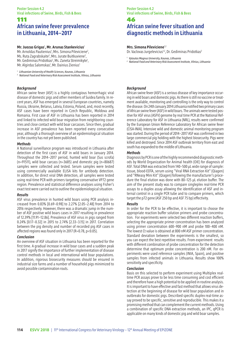## 111 **African swine fever prevalence in Lithuania, 2014–2017**

#### **Mr. Juozas Grigas**<sup>1</sup> **, Mr. Arunas Stankevicius**<sup>1</sup>

Mr. Arnoldas Pautienius<sup>1</sup>, Mrs. Simona Pileviciene<sup>2</sup>, Ms. Ruta Zagrabskaite<sup>2</sup>, Mrs. Jurate Buitkuviene<sup>2</sup>, Mr. Gediminas Pridotkas<sup>2</sup>, Ms. Zaneta Streimikyte<sup>1</sup>, Mr. Algirdas Salomskas', Mr. Dainius Zienius'

*<sup>1</sup> Lithuanian University of Health Sciences, Kaunas, Lithuania*

*<sup>2</sup> National Food and Veterinary Risk Assessment Institute, Vilnius, Lithuania*

#### *Background*

African swine fever (ASF) is a highly contagious hemorrhagic viral disease of domestic pigs and other members of Suidea family. In recent years, ASF has emerged in several European countries, namely Russia, Ukraine, Belarus, Latvia, Estonia, Poland, and, most recently, ASF cases have been reported in Czech Republic, Moldova and Romania. First case of ASF in Lithuania has been reported in 2014 and linked to infected wild boar migration from neighboring countries and close contact with wild boar carcasses. Since then, gradual increase in ASF prevalence has been reported every consecutive year, although a thorough overview of an epidemiological situation in the country has not yet been published.

#### *Methods*

A National surveillance program was introduced in Lithuania after detection of the first cases of ASF in wild boars in January 2014. Throughout the 2014–2017 period, hunted wild boar (Sus scrofa) ( $n=91511$ ), wild boar carcass ( $n=3685$ ) and domestic pig ( $n=80687$ ) samples were collected and tested. Serum samples were tested using commercially available ELISA kits for antibody detection. In addition, for direct viral DNA detection, all samples were tested using real-time PCR with primers targeting conservative VP72 gene region. Prevalence and statistical difference analyses using Fisher's exact test were carried out to outline the epidemiological situation.

#### *Results*

ASF virus prevalence in hunted wild boars using PCR analysis increased from 0.83% [0.69–0.98] to 2.27% [2.05–2.48] from 2014 to 2016 respectively. However, there was a dramatic jump in the number of ASF positive wild boars cases in 2017 resulting in prevalence of 12.39% [11.91–12.86]. Prevalence of ASF virus in pigs ranged from 0.24% [0.17–0.32] in 2015 to 2.74% [2.33–3.15] in 2017. Correlation between the pig density and number of recorded pig ASF cases in affected regions was found only in 2017 (R=0.78, p<0.05).

#### *Conclusion*

An overview of ASF situation in Lithuania has been reported for the first time. A gradual increase in wild boar cases and a sudden peak in 2017 signify the importance of further implementation of disease control methods in local and international wild boar populations. In addition, rigorous biosecurity measures should be ensured in industrial size farms and a number of household pigs minimized to avoid possible contamination routs.

#### Poster Session 4.2 Viral infections of Swine, Birds, Fish & Bees

## 46

## **African swine fever situation and diagnostic methods in Lithuania**

#### **Mrs. Simona Pileviciene**1,2

Dr. Vaclovas Jurgelevicius<sup>1,2</sup>, Dr. Gediminas Pridotkas<sup>2</sup>

*<sup>1</sup> Vytautas Magnus University, Kaunas, Lithuania*

*<sup>2</sup> National Food and Veterinary Risk Assessment Institute, Vilnius, Lithuania*

#### *Background*

African swine fever (ASF) is a serious disease of key importance occuring in wild boars and domestic pigs. As there is still no vaccine or treatment available, monitoring and controlling is the only way to control the disease. On 24th January 2014 Lithuania notified two primary cases of African swine fever (ASF) in wild boars. The animals were tested positive for ASF virus (ASFV) genome by real time PCR at the National Reference Laboratory for ASF in Lithuania (NRL), results were confirmed by the European Union Reference Laboratory for African swine fever (CISA-INIA). Intensive wild and domestic animal monitoring program was started. During the period of 2014–2017 ASF was confirmed in two large commercial pig holding with the highest biosecurity. Pigs were killed and destroyed. Since 2014 ASF outbreak territory from east and south has expanded to the middle of Lithuania.

#### *Methods*

Diagnosis by PCR is one of the highly recommended diagnostic methods by World Organization for Animal health (OIE) for diagnosis of ASF. Total DNA was extracted from 140–500 µL wide range of sample: tissue, blood-EDTA, serum using "Viral RNA Extraction Kit" (Qiagen) and "RNeasy Mini Kit" (Qiagen) following the manufacturer's procedure the final elution was done with 80–125 µL elution buffer. The aim of the present study was to compare singleplex real-time PCR assays to a duplex assay allowing the identification of ASF and internal control in a single PCR tube and to compare primers, which target the p72 gene (ASF 250 bp and ASF 75 bp) effectivity.

#### *Results*

In order for the PCR to be effective, it is important to choose the appropriate reaction buffer solution primers and probe concentration. For experiments were selected two different reaction buffers, selecting the appropriate primer concentration has been analyzed using primer concentration 600–900 nM and probe 100–400 nM. The lowest Ct value is obtained at 800 nM ASF primer concentration. Standard deviation between the experiments is the smallest, so you can expect the best repetitive results. From experiment results with different combination of probe concentration for the detection determine that optimum probe concentration is 200 nM. For experiments were used reference samples (INIA, Spain), and positive samples from infected animals in Lithuania. Results show 100% sensitivity and specificity.

#### *Conclusion*

Basis on this selected to perform experiment using Multiplex realtime PCR assays prove to be less time consuming and cost efficient and therefore have a high potential to be applied in routine analysis. It is important to have effective and fast method that allows virus detection at the beginning of disease for wild boar population and in outbreaks for domestic pigs. Described specific duplex real-time assay proved to be specific, sensitive and reproducible. This makes it a promising method that can complement the current methods. Using a combination of specific DNA extraction methods, an IPC, qPCR is applicable on many kinds of domestic pig and wild boar samples.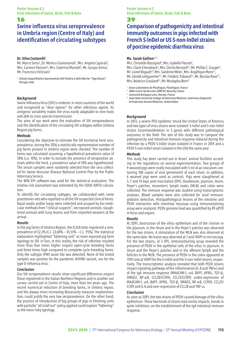#### 16

## **Swine influenza virus seroprevalence in Umbria region (Centre of Italy) and identification of circulating substypes**

#### **Dr. Silva Costarelli**<sup>1</sup>

Mr. Marco Sensi<sup>1</sup>, Dr. Monica Giammarioli<sup>1</sup>, Mrs. Angela Caporali<sup>1</sup>, Mrs. Carmen Panzieri<sup>1</sup>, Mrs. Caterina Mariotti<sup>1</sup>, Mr. Jacopo Zema<sup>1</sup>, Mr. Francesco Feliziani1

*1 Istituto Zooprofilattico Sperimentale dell'Umbria e delle Marche "Togo Rosati", Perugia, Italy*

#### *Background*

Swine Influenza Virus (SIV) is endemic in most countries of the world and recognized as "door opener" for other infectious agents. Its antigenic variability makes the virus easily adaptable to new hosts and able to cross-species transmission.

The aims of our work were the evaluation of SIV seroprevalence and the identification of the circulating SIV subtypes within Umbria Region pig farms.

#### *Methods*

Considering the objective to estimate the SIV territorial herd seroprevalence, during the 2016 a statistically representative number of pig farms present in Umbria region were checked. The number of farms was calculated assuming a hypothetical prevalence value of 50% (s.e. 10%). In order to exclude the presence of seropositive animals within the herd, a prevalence value of 10% was hypothesized. The serum samples were randomly selected from the sera collected for Swine Vesicular Disease National Control Plan by the Public Veterinary Service.

The WIN EPI software was used for the statistical evaluation. The relative risk assessment was estimated by the ODDS RATIO calculation.

To identify the circulating subtypes, we collaborated with some practitioner vets who reported us all the SIV suspected clinical forms. Nasal swabs and/or lungs were collected and assayed by bio-molecular methods from "clinical suspects", necropsied animals, slaughtered animals with lung lesions and from imported weaners at the arrival.

#### *Results*

In the pig farms of Umbria Region, the ELISA tests registered a seroprevalence of 32.2% (C.I. 22,84% – 41,53% – C.L. 95%). The statistical elaboration highlighted "fattening unit" as more exposed pig farm typology to SIV. In fact, in this reality, the risk of infection resulted more than four times higher respect open-cycle breeding farms and three times high compared to complete-cycle breeding farms. Only the subtype H1N1 avian like was detected. None of the tested samples was positive for the pandemic A/H1N1 variant, nor for the type D influenza virus.

#### *Conclusion*

Our SIV seroprevalence results show significant differences respect those registered in the Italian Northern Regions and in another our survey carried out in Centre of Italy, more than ten years ago. The recent numerical reduction of breeding farms, in Umbria region, and the always more increasing Biosecurity measure implementation, could justify the very low seroprevalence. On the other hand, the practice of introduction of big groups of pigs in finishing units with partially "all in/all out" policy applied could explain "fattening" as the more risky typology.

Poster Session 4.2 Viral infections of Swine, Birds, Fish & Bees

#### 39

## **Comparison of pathogenicity and intestinal immunity outcomes in pigs infected with French S-InDel or US S-non-InDel strains of porcine epidemic diarrhea virus**

#### **Ms. Sarah Gallien**1,2,3

Mrs. Christelle Rossignol<sup>2</sup>, Mrs. Isabelle Fleurot<sup>2</sup>,

Mrs. Claire Chevaleyre<sup>2</sup>, Mrs. Cécilia Bernard<sup>1,3</sup>, Mr. Phillip C. Gauger<sup>4</sup>, Mr. Lionel Bigault<sup>1,3</sup>, Mrs. Sandrine Melo<sup>2</sup>, Mrs. Angélique Moro<sup>1,3</sup>, Mr. Gérald Lediquerher<sup>1,3</sup>, Mr. Frédéric Paboeuf<sup>1,3</sup>, Mr. Nicolas Rose<sup>1,3</sup>, Mrs. Béatrice Grasland<sup>1,3</sup>, Mr. Mustapha Berri<sup>2</sup>

- *<sup>1</sup> Anses-Laboratoire de Ploufragan, Ploufragan, France*
- *<sup>2</sup> INRA-Centre Val de Loire-UMR ISP, Nouzilly, France*
- *<sup>3</sup> Université Bretagne Loire, Rennes, France*
- *4 Iowa State University College of Veterinary Medicine, Veterinary Diagnostic & Production Animal Medicine, United States*

#### *Background*

In 2013, a severe PED epidemic struck the United States of America and two types of virus strains were isolated: S-InDel and S-non-InDel strains (insertion/deletion in S gene) with different pathological outcomes in the field. The aim of this study was to compare the pathogenicity and intestinal immune response induced during the infection by a PEDV S-InDel strain isolated in France in 2014 and a PEDV S-non-InDel strain isolated in the USA the same year.

#### *Methods*

This study has been carried out in Anses' animal facilities according to the regulations on animal experimentation. Two groups of 9 weaned pigs were orally inoculated with 5 ml of an inoculum containing 108 copies of viral genome/ml of each strain. In addition, 6 weaned pigs were used as controls. Pigs were slaughtered at 3, 7 and 14 days post-inoculation (DPI). Duodenum, jejunum, ileum, Peyer's patches, mesenteric lymph nodes (MLN) and colon were collected. The immune response was studied using transcriptomic analyses. Blood samples were also collected for seral immunoglobulin detection. Histopathological lesions of the intestine and PEDV interaction with intestinal mucosae using immunostaining assay were analyzed. PEDV genome load was quantified by RT-qPCR in feces and organs.

#### *Results*

At 3DPI, destruction of the villus epithelium and of the chorion in the jejunum, in the ileum and in the Peyer's patches was observed for the two strains. A stimulation of the MLN was also observed at the same date. No lesion was observed at 7 and 14DPI in microscopy. For the two strains, at 3 DPI, immunostaining assay revealed the presence of PEDV in the epithelial cells of the villus in jejunum, in ileum and the Peyer's patches and in the afferent lymph and the follicles in the MLN. The presence of PEDV in the colon appeared at 7DPI and at 14DPI for the S-InDel and the S-non-InDel strains, respectively. The transcriptomic analysis revealed that both PEDV strains impact signaling pathways of the inflammation (IL-8 and TNF $\alpha$ ) and of the IgA immune response (MAdCAM-1, α4, BAFF, APRIL, TGF-β, SMAD2, NF-κB, CCL28/CCR10, CCL25/CCR9): under-expression of MAdCAM-1, α4, BAFF, APRIL, TGF-β, SMAD2, NF-κB, CCR10, CCL25/ CCR9 and IL-8 and over-expression of CCL28 and TNF-α.

#### *Conclusion*

As soon as 3DPI, the two strains of PEDV caused damage of the villus epithelium. These two kinds of strains had similar impacts, trends in quite inhibition, on the establishment of the IgA intestinal immune response.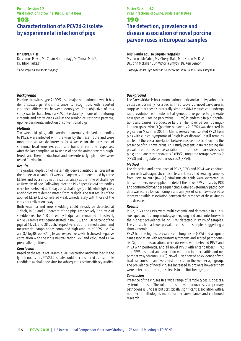## 103 **Characterization of a PCV2d-2 isolate by experimental infection of pigs**

#### **Dr. Istvan Kiss**<sup>1</sup>

Dr. Vilmos Palya<sup>1</sup>, Mr. Zalán Homonnay<sup>1</sup>, Dr. Tamás Mató<sup>1</sup>, Dr. Tibor Farkas<sup>1</sup>

*<sup>1</sup> Ceva-Phylaxia, Budapest, Hungary*

#### *Background*

Porcine circovirus type 2 (PCV2) is a major pig pathogen which has demonstrated genetic shifts since its recognition, with reported virulence differences between genotypes. The objective of this study was to characterize a PCV2d-2 isolate by means of monitoring viraemia and excretion as well as the serological response patterns, upon experimental infection of conventional pigs.

#### *Methods*

Ten week-old pigs, still carrying maternally derived antibodies to PCV2, were infected with the virus by the nasal route and were monitored at weekly intervals for 4 weeks for the presence of viraemia, fecal virus excretion and humoral immune responses. After the last sampling, at 14 weeks of age the animals were slaughtered, and their mediastinal and mesenteric lymph nodes were tested for viral load.

#### *Results*

The gradual depletion of maternally derived antibodies, present in the piglets at weaning (3 weeks of age) was demonstrated by three ELISAs and by a virus neutralization assay at the time of challenge at 10 weeks of age. Following infection PCV2 specific IgM antibodies were first detected at 14 days post challenge (dpch), while IgG class antibodies were demonstrated from 21 dpch. The test results of the applied ELISA kits correlated weakly/moderately with those of the virus neutralization assay.

Both viraemia and virus shedding could already be detected at 7 dpch, in 36 and 50 percent of the pigs, respectively. The ratio of shedders reached 100 percent by 14 dpch and remained at this level, while viraemia was demonstrated in 86, 100, and 100 percent of the pigs at 14, 21, and 28 dpch, respectively. Both the mediastinal and mesenterial lymph nodes contained high amount of PCV2, i.e. 7,6 and 8,5 log10 copies/mg tissue, respectively, which showed negative correlation with the virus neutralization (VN) and calculated ELISA pre-challenge titres.

#### *Conclusion*

Based on the results of viraemia, virus excretion and virus load in the lymph nodes this PCV2d-2 isolate could be considered as a suitable candidate as challenge virus for subsequent vaccine efficacy studies.

#### Poster Session 4.2 Viral infections of Swine, Birds, Fish & Bees

#### 190

## **The detection, prevalence and disease association of novel porcine parvoviruses in European samples**

#### **Mrs. Paula Louise Lagan-Tregaskis**<sup>1</sup>

Ms. Lorna McCabe<sup>1</sup>, Ms. Cheryl Ball<sup>1</sup>, Mrs. Karen McKay<sup>1</sup>, Dr. John McKillen<sup>1</sup>, Dr. Victoria Smyth<sup>1</sup>, Dr. Ken Lemon<sup>1</sup>

*<sup>1</sup> Virology Branch, Agri-Food and Biosciences Institute, Belfast, United Kingdom*

#### *Background*

The Parvoviridae is host to non pathogenetic and acutely pathogenic viruses across many host species. The discovery of novel parvoviruses suggests that these structurally simple ssDNA viruses can undergo rapid evolution with substantial genetic divergence to generate new species. Porcine parvovirus 1 (PPV1) is endemic in pig populations and causes reproductive failure. The novel parvovirus ungulate tetraparvovirus 3 (porcine parvovirus 2, PPV2) was detected in pig sera in Myanmar 2001. In China, researchers isolated PPV2 from pigs with clinical symptoms of "high fever disease". It still remains unclear if there is a correlation between disease association and the presence of this novel virus. This study presents data regarding the prevalence and disease association of three novel parvoviruses in pigs; ungulate tetraparvovirus 3 (PPV2), ungulate tetraparvovirus 2 (PPV3) and ungulate copiparvovirus 2 (PPV4).

#### *Method*

The detection and prevalence of PPV2, PPV3 and PPV4 was conducted on archival diagnostic clinical tissue, faeces and sera pig samples from 1996 to 2012 (n=700). Viral nucleic acids were extracted. In house primers were applied to detect the novel PPV viruses by PCR and confirmed by Sanger sequencing. Detailed veterinary pathology data was scored for each sample and analysis of variance was used to identify possible association between the presence of these viruses and disease.

#### *Results*

PPV2, PPV3 and PPV4 were multi-systemic and detectable in all tissue types such as lymph nodes, spleen, lung and small intestine with the highest prevalence being PPV2 detected in 19.3% of samples. The viruses had a lower prevalence in serum samples suggesting a short viraemia.

PPV2 had the highest prevalence in lung tissue (33%) and a significant association with respiratory symptoms and scored pathogenesis. Significant associations were observed with detected PPV2 and PPV3 with peritonitis, and all novel PPV's with enteric ulcers. PPV2 and PPV3 also had an association with porcine dermatitis and nephropathy syndrome (PDNS). Novel PPVs showed no evidence of vertical transmission and were first detected in the weaner age group. The prevalence of novel viruses increased in growers however they were detected at the highest levels in the finisher age group.

#### *Conclusion*

Presence of the viruses in a wide range of sample types suggests a systemic tropism. The role of these novel parvoviruses as primary pathogens is unclear but statistically significant association with a number of pathologies merits further surveillance and continued research.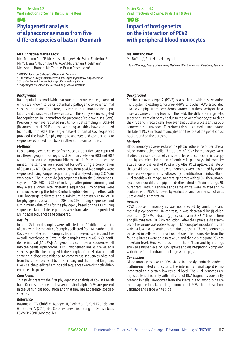## 54 **Phylogenetic analysis of alphacoronaviruses from five different species of bats in Denmark**

#### **Mrs. Christina Marie Lazov**<sup>1</sup>

Mrs. Mariann Chriél', Mr. Hans J. Baagøe<sup>2</sup>, Mr. Esben Fjederholt<sup>2</sup>, Mr. Yu Deng<sup>1,3</sup>, Mr. Engbert A. Kooi<sup>4</sup>, Mr. Graham J. Belsham<sup>1</sup>, Mrs. Anette Bøtner<sup>1</sup>, Mr. Thomas Bruun Rasmussen<sup>1</sup>

*<sup>1</sup> DTU Vet, Technical University of Denmark, Denmark*

- *<sup>2</sup> The Natural History Museum of Denmark, Copenhagen University, Denmark*
- *<sup>3</sup> School of Animal Science, Xichang College, Xichang, China*
- *<sup>4</sup> Wageningen Bioveterinary Research, Lelystad, Netherlands*

#### *Background*

Bat populations worldwide harbour numerous viruses, some of which are known to be or potentially pathogenic to other animal species or humans. Therefore, it is important to monitor the populations and characterize these viruses. In this study, we investigated bat populations in Denmark for the presence of coronaviruses (CoVs). Previously, we have reported results from bat sampling in 2013–14 (Rasmussen et al. 2015); these sampling activities have continued biannually into 2017. This larger dataset of partial CoV sequences provided the basis for phylogenetic analyses and comparisons to sequences obtained from bats in other European countries.

#### *Methods*

Faecal samples were collected from species-identified bats captured in different geographical regions of Denmark between 2013 and 2017 with a focus on the important hibernacula in Mønsted limestone mines. The samples were screened for CoVs using a combination of 3 pan-CoV RT-PCR assays. Amplicons from positive samples were sequenced using Sanger sequencing and analysed using CLC Main Workbench. The nucleotide (nt) sequences from the 3 different assays were 130, 208 and 395 nt in length after primer trimming and they were aligned with reference sequences. Phylogenies were constructed using the Jukes-Cantor Neighbor-Joining method with 1000 bootstrap replicates and a minimum bootstrap value of 50 for phylogenies based on the 208 and 395 nt long sequences and a minimum value of 20 for the phylogeny based on the 130 nt long sequences. Nucleotide sequences were translated to the predicted amino acid sequences and compared.

#### *Results*

In total, 271 faecal samples were collected from 10 different species of bats, with the majority of samples collected from M. daubentonii. CoVs were detected in samples from 5 different species and the overall prevalence of CoVs in the samples was 21.4% (95% confidence interval [17–26%]). All generated coronavirus sequences fell into the genus Alphacoronavirus. Phylogenetic analysis revealed a species-specific clustering with the samples from M. daubentonii showing a close resemblance to coronavirus sequences obtained from the same species of bat in Germany and the United Kingdom. Likewise, the predicted amino acid sequences were distinctly different for each species.

#### *Conclusion*

This study presents the first phylogenetic analysis of CoV in Danish bats. Our results show that several distinct alpha-CoVs are present in the Danish bat population and that they are apparently speciesspecific.

#### *Reference*

Rasmussen TB, Chriél M, Baagøe HJ, Fjederholt E, Kooi EA, Belsham GJ, Bøtner A (2015) Bat Coronaviruses circulating in Danish bats. ESVV/EPIZONE, Montpellier

#### Poster Session 4.2 Viral infections of Swine, Birds, Fish & Bees

## 108

## **Impact of host genetics on the interaction of PCV2 with peripheral blood monocytes**

#### **Ms. Ruifang Wei**<sup>1</sup>

Mr. Bo Yang<sup>1</sup>, Prof. Hans Nauwynck

*<sup>1</sup> Lab of Virology, Faculty of Veterinary Medicine, Ghent University, Merelbeke, Belgium*

#### *Background*

Porcine circovirus type 2 (PCV2) is associated with post weaning multisystemic wasting syndrome (PMWS) and other PCV2-associated diseases in pigs. It has been demonstrated that the severity of these diseases varies among breeds in the field. This difference in genetic susceptibility might partly be due to the power of monocytes to clear the virus and infected cells. However, this uptake process and its outcome were still unknown. Therefore, this study aimed to understand the fate of PCV2 in blood monocytes and the role of the genetic host background on the outcome.

#### *Methods*

Blood monocytes were isolated by plastic adherence of peripheral blood mononuclear cells. The uptake of PCV2 by monocytes were studied by visualization of virus particles with confocal microscopy and by chemical inhibition of endocytic pathways, followed by evaluation of the level of PCV2 entry. After PCV2 uptake, the fate of the capsid protein and the viral genomes were examined by doing time-course experiments, followed by quantification of intracellular viral capsids with image J and viral genomes with qPCR. Then, monocytes from four different pig breeds (the hybrid Piétrain × Topigs 20; purebreds Piétrain, Landrace and Large White) were isolated and inoculated with PCV2, followed by evaluation and comparison of virus uptake and disintegration.

#### *Results*

PCV2 uptake in monocytes was not affected by amiloride and methyl-β-cyclodextrin. In contrast, it was decreased by (i) chlorpromazine (84±7% reduction), (ii) cytochalasin D (82±11% reduction) and (iii) dynasore (50±24% reduction). After the uptake, a disassembly of the virions was observed up till 12 hours post inoculation, after which a low level of antigens remained present. The viral genomes persisted in cells with minor fluctuations. The monocytes from the four pig breeds were able to take up and then disintegrate PCV2 to a certain level. However, those from the Piétrain and hybrid pigs showed a higher level of PCV2 uptake and disintegration, compared with those from Landrace and Large White pigs.

#### *Conclusion*

Blood monocytes take up PCV2 via actin- and dynamin-dependent, clathrin-mediated endocytosis. The internalized viral capsid is disintegrated to a certain low residual level. The viral genomes are digested less efficiently with still a lot of DNA fragments constantly present in cells. Monocytes from the Piétrain and hybrid pigs are more capable to take up large amounts of PCV2 than those from Landrace and Large White pigs.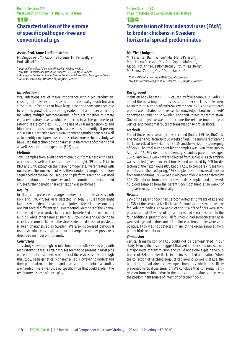## 110 **Characterisation of the virome of specific pathogen-free and conventional pigs**

#### **Assoc. Prof. Anne-Lie Blomström**<sup>1</sup>

Mr. Xingyu Ye<sup>1,2</sup>, Ms. Caroline Fossum<sup>1</sup>, Mr. Per Wallgren<sup>3</sup>, Prof. Mikael Berg<sup>1</sup>

*1 Dep. of Biomedical Sciences and Veterinary Public Health,*

- *Swedish University of Agricultural Sciences (SLU), Uppsala, Sweden*
- *<sup>2</sup> Guangyuan Center for Animal Disease Control and Prevention, Guangyuan, China*
- *<sup>3</sup> National Veterinary Institute (SVA), Uppsala, Sweden*

#### *Introduction*

Viral infections are of major importance within pig production, causing not only severe diseases and occasionally death but also subclinical infections can have large economic consequences due to retarded growth. It is becoming evident that a number of factors, including multiple microorganisms, often act together to create e.g. a respiratory disease which is referred to as the porcine respiratory disease complex (PRDC). The use of viral metagenomics and high-throughput sequencing has allowed us to identify all present viruses in a particular sample/environment simultaneously as well as to identify novel/previously undescribed viruses. In this study, we have used this technology to characterise the virome of conventional as well as specific pathogen-free (SPF) pigs.

#### *Methods*

Tonsil samples from eight conventional pigs from a herd with PRDC were used as well as tonsil samples from eight SPF pigs. Prior to RNA and DNA extraction the tissue homogenates were treated with nucleases. The nucleic acid was then randomly amplified before sequenced on the Ion 5SXL sequencing platform. Diamond was used for annotation of the sequences and for a number of the identified viruses further genetic characterisation was performed.

#### *Results*

In all pigs the presence of a large number of vertebrate viruses, both DNA and RNA viruses were detected. In total, viruses from eight families were identified and in a majority of these families not only one but several different genus were found. Members of the Adenoviridae and Picornaviridae family could be detected in all or in nearly all pigs, while other families such as Circoviridae and Caliciviridae were less common. Many of the viruses identified have not previously been characterised in Sweden. We also discovered parvoviral reads showing very high sequence divergence to any previously described member of this family.

#### *Conclusion*

This study showed a high co-infection rate in both SPF and pigs with respiratory diseases. Certain viruses seem to be present in most pigs while others in just a few. A number of these viruses have, through this study, been genetically characterised. However, to understand their potential role in health and disease further biological studies are needed. There was thus no specific virus that could explain the respiratory disease of these pigs.

#### Poster Session 4.2 Viral infections of Swine, Birds, Fish & Bees

#### 124

## **Transmission of fowl adenoviruses (FAdV) to broiler chickens in Sweden: horizontal spread predominates**

#### **Ms. Ylva Lindgren**<sup>1</sup>

Mr. Fereshteh Banihashem<sup>1</sup>, Mrs. Maria Persson<sup>1</sup>, Mrs. Helena Eriksson<sup>1</sup>, Mrs. Ann-Sophie Olofsson<sup>1</sup> Assoc. Prof. Anne-Lie Blomström<sup>2</sup>, Prof. Mikael Berg<sup>2</sup>, Mr. Siamak Zohari<sup>1</sup>, Mrs. Désirée Jansson<sup>1</sup>

*<sup>1</sup> National Veterinary Institute (SVA), Uppsala, Sweden*

*2 Swedish University of Agricultural Sciences (SLU), Uppsala, Sweden*

#### *Background*

Inclusion body hepatitis (IBH), caused by fowl adenovirus (FAdV), is one of the most important diseases in broiler chickens in Sweden. An increasing number of outbreaks were seen in 2014 and a research project was initiated to increase the knowledge about major FAdV genotypes circulating in Sweden and their routes of transmission. One major objective was to determine the relative importance of vertical and horizontal routes of transmission to broiler flocks.

#### *Methods*

Parent flocks were serologically screened (Indirect-ELISA, BioChek, The Netherlands) from 16 to 36 weeks of age. The numbers of parent flocks were 87 at 16 weeks and 52 at 24 and 36 weeks, due to merging of flocks. The total number of blood samples was 1900 (May 2015 to August 2016). 949 dead-in-shell embryos, laid by parent hens aged 26–27 and 36–37 weeks, were collected from 35 flocks. Each embryo was sampled (liver, ileocaecal tonsils) and analyzed by PCR for detection of the hexon gene (890 bp) of FAdV. To compare viruses from parents and their offspring, 124 samples (liver, ileocaecal tonsils) from four additional 24–26 weeks old parent flocks were analyzed by PCR. 20 embryos from each flock were also sampled and analyzed. 40 blood samples from the parent flocks, obtained at 16 weeks of age, were analyzed serologically.

#### *Results*

92% of the parent flocks had seroconverted at 16 weeks of age and in 43% of the seropositive flocks all 10 blood samples were positive for FAdV-antibodies. At 24 weeks of age 96% of the flocks were seropositive and at 36 weeks of age all flocks had seroconverted. In the four additional parent flocks, all four flocks had seroconverted at 16 weeks of age and in three out of four flocks all ten samples were seropositive. FAdV was not detected in any of the organ samples from parent birds or embryos.

#### *Conclusion*

Vertical transmission of FAdV could not be demonstrated in our study. Hence, the results suggest that vertical transmission was not a major route of transmission and could not alone explain the outbreaks of IBH in broiler flocks in the investigated population. When the collection of hatching eggs started around 25 weeks of age, the parent birds had already developed immunity which most likely prevented vertical transmission. We conclude that horizontal transmission from residual virus in the barns or other virus sources was the predominant source of infection of broiler flocks.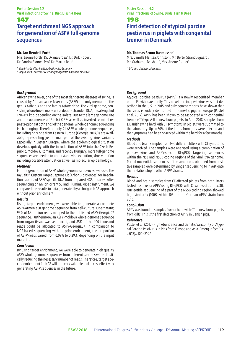## 147 **Target enrichment NGS approach for generation of ASFV full-genome sequences**

#### **Mr. Jan Hendrik Forth**<sup>1</sup>

Mrs. Leonie Forth<sup>1</sup>, Dr. Oxana Groza<sup>2</sup>, Dr. Dirk Höper<sup>1</sup>, Dr. Sandra Blome<sup>1</sup>, Prof. Dr. Martin Beer<sup>1</sup>

*<sup>1</sup> Friedrich-Loeffler-Institut, Greifswald, Germany*

*<sup>2</sup> Republican Center for Veterinary Diagnostic, Chişinău, Moldova*

#### *Background*

African swine fever, one of the most dangerous diseases of swine, is caused by African swine fever virus (ASFV), the only member of the genus Asfivirus and the family Asfarviridae. The viral genome, consisting of one linear molecule of double stranded DNA, has a length of 170–194 kbp, depending on the isolate. Due to the large genome size and the occurrence of 151–167 ORFs as well as inverted terminal repeat regions at both ends of the genome, whole-genome sequencing is challenging. Therefore, only 21 ASFV whole-genome sequences, including only one from Eastern Europe (Georgia 2007/1) are available, representing just a small part of the existing virus variants. Especially in Eastern Europe, where the epidemiological situation develops quickly with the introduction of ASFV into the Czech Republic, Moldova, Romania and recently Hungary, more full-genome sequences are needed to understand viral evolution, virus variation including possible attenuation as well as molecular epidemiology.

#### *Methods*

For the generation of ASFV whole-genome sequences, we used the myBaits® Custom Target Capture Kit (Arbor Biosciences) for in-solution capture of ASFV specific DNA from prepared NGS-libraries. After sequencing on an IonTorrent S5 and Illumina MiSeq instrument, we compared the results to data generated by a shotgun NGS-approach without prior enrichment.

#### *Results*

Using target enrichment, we were able to generate a complete ASFV-Armenia08 genome sequence from cell-culture supernatant; 95% of 1.3 million reads mapped to the published ASFV-Georgia07 sequence. Furthermore, an ASFV-Moldova whole-genome sequence from organ tissue was sequenced, and 85% of the 400 thousand reads could be allocated to ASFV-Georgia07. In comparison to NGS-based sequencing without prior enrichment, the proportion of ASFV-reads varied from 0.09% to 0.29%, depending on the input material.

#### *Conclusion*

By using target enrichment, we were able to generate high quality ASFV whole-genome sequences from different samples while drastically reducing the necessary number of reads. Therefore, target specific enrichment for NGS will be a very valuable tool in cost effectively generating ASFV sequences in the future.

#### Poster Session 4.2 Viral infections of Swine, Birds, Fish & Bees

## 198

## **First detection of atypical porcine pestivirus in piglets with congenital tremor in Denmark**

#### **Mr. Thomas Bruun Rasmussen**<sup>1</sup>

Mrs. Camille Melissa Johnston<sup>1</sup>, Mr. Bertel Strandbygaard<sup>1</sup>, Mr. Graham J. Belsham<sup>1</sup>, Mrs. Anette Bøtner

*<sup>1</sup> DTU Vet, Lindholm, Denmark*

#### *Background*

Atypical porcine pestivirus (APPV) is a newly recognized member of the Flaviviridae family. This novel porcine pestivirus was first described in the U.S. in 2015 and subsequent reports have shown that the virus is widely distributed in domestic pigs in Europe (Postel et al. 2017). APPV has been shown to be associated with congenital tremor (CT) type A-II in new-born piglets. In April 2018, samples from a Danish swine herd with CT symptoms in piglets were submitted to the laboratory. Up to 50% of the litters from gilts were affected and the symptoms had been observed within the herd for a few months.

#### *Methods*

Blood and brain samples from two different litters with CT symptoms were received. The samples were analysed using a combination of pan-pestivirus and APPV-specific RT-qPCRs targeting sequences within the NS3 and NS5B coding regions of the viral RNA genome. Partial nucleotide sequences of the amplicons obtained from positive samples were determined by Sanger sequencing to investigate their relationship to other APPV strains.

#### *Results*

Blood and brain samples from CT-affected piglets from both litters tested positive for APPV using RT-qPCRs with Ct values of approx. 30. Nucleotide sequencing of a part of the NS5B coding region showed high similarity (100% within 106 nt) to a German APPV strain from 2016.

#### *Conclusion*

APPV was found in samples from a herd with CT in new-born piglets from gilts. This is the first detection of APPV in Danish pigs.

#### *Reference*

Postel et al. (2017) High Abundance and Genetic Variability of Atypical Porcine Pestivirus in Pigs from Europe and Asia. Emerg Infect Dis. 23(12):2104–2107.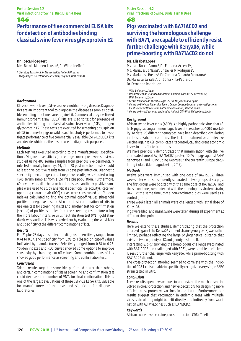### 146

## **Performance of five commercial ELISA kits for detection of antibodies binding classical swine fever virus glycoprotein E2**

#### **Dr. Tosca Ploegaert**<sup>1</sup>

Mrs. Bernie Moonen-Leusen<sup>1</sup>, Dr. Willie Loeffen<sup>1</sup>

*1 Statutory Tasks Unit for Transmissible Animal Diseases, Wageningen Bioveterinary Research, Lelystad, Netherlands*

#### *Background*

Classical swine fever (CSF) is a severe notifiable pig disease. Diagnostics are an important tool to diagnose the disease as soon as possible, enabling quick measures against it. Commercial enzyme-linked immunosorbent assay (ELISA) kits are used to test for presence of antibodies binding the classical swine fever-virus (CSFV) antigen glycoprotein E2. These tests are executed for screening or suspicion of CSF in domestic pigs or wild boar. This study is performed to investigate performance of five commercially available CSFV-E2 ELISA kits and decide which are the best to use for diagnostic purposes.

#### *Methods*

Each test was executed according to the manufacturers' specifications. Diagnostic sensitivity (percentage correct positive results) was studied using 400 serum samples from previously experimentally infected animals, from days 14, 21 or 28 post infection. Tests should at least give positive results from 21 days post infection. Diagnostic specificity (percentage correct negative results) was studied using 1545 serum samples from a CSF-free pig population. Furthermore, 60 bovine virus diarrhoea or border disease antibody positive samples were used to study analytical specificity (selectivity). Receiver operating characteristic (ROC) curves were constructed and Youden indexes calculated to find the optimal cut-off values (threshold positive – negative result). Also the best combination of kits to use one test for screening (first) and another test for confirmation (second) of positive samples from the screening test, before using the more labour intensive virus neutralisation test (VNT; gold standard), was studied. This was carried out by evaluating the sensitivity and specificity of the different combinations of kits.

#### *Results*

For 21 plus 28 days post infection diagnostic sensitivity ranged from 0.74 to 0.87, and specificity from 0.98 to 1 (based on cut-off values indicated by manufacturers). Selectivity ranged from 0.78 to 0.95. Youden indexes and ROC curves showed some options to improve sensitivity by changing cut-off values. Some combinations of kits showed good performance as screening and confirmation test.

#### *Conclusion*

Taking results together some kits performed better than others, and certain combinations of kits as screening and confirmation test could decrease the number of VNTs for final confirmation. This is one of the largest evaluations of these CSFV-E2 ELISA kits, valuable for manufacturers of the tests and significant for diagnostic laboratories.

Poster Session 4.2 Viral infections of Swine, Birds, Fish & Bees

#### 68

## **Pigs vaccinated with BA71ΔCD2 and surviving the homologous challenge with BA71, are capable to efficiently resist further challenge with Kenya06, while prime-boosting with BA71ΔCD2 do not**

#### **Ms. Elisabet López**<sup>1</sup>

Ms. Laia Bosch-Camós<sup>1</sup>, Dr. Francesc Accensi<sup>1,2</sup>, Ms. Maria Jesus Navas<sup>1</sup>, Dr. Javier M Rodriguez<sup>3</sup> Ms. Maria Jose Bustos<sup>4</sup>, Dr. Carmina Gallardo Frontaura<sup>5</sup>, Dr. Maria Luisa Salas<sup>4</sup>, Dr. Sonia Pina-Pedrero<sup>1</sup>, Dr. Fernando Rodriguez<sup>1</sup>

*1 IRTA, Bellaterra, Spain*

- *2 Departament de Sanitat i d'Anatomia Animals, Facultat de Veterinària, UAB, Bellaterra, Spain*
- *<sup>3</sup> Centro Nacional de Microbiología (ISCIII), Majadahonda, Spain*
- *4 Centro de Biología Molecular Severo Ochoa, Consejo Superior de Investigaciones*
- *Científicas and Universidad Autónoma de Madrid, Madrid, Spain <sup>5</sup> Centro de Investigaciones en Sanidad Animal CISA-INIA, Valdeolmos, Spain*

#### *Background*

African swine fever virus (ASFV) is a highly pathogenic virus that affects pigs, causing a hemorrhagic fever that reaches up 100% mortality. To date, 23 different genotypes have been described circulating in the sub-Saharan countries. The lack of treatment or an effective vaccine against ASF complicates its control, causing great economic losses in the affected countries.

We have previously demonstrated that immunisation with the live attenuated virus (LAV) BA71ΔCD2, protect 100% of pigs against ASFV genotypes I and II, including Georgia07, the currently Europe circulating isolate (Monteagudo et al, 2017).

#### *Methods*

Twelve pigs were immunised with one dose of BA71∆CD2. Three weeks later were subsequently separated in two groups of six pigs. The first group were boosted with the same dose of BA71∆CD2, and the second one, were infected with the homologous virulent strain, BA71. At the same time, three non-vaccinated pigs were used as a control group.

Three weeks later, all animals were challenged with lethal dose of Kenya06.

Pigs were bled, and nasal swabs were taken during all experiment at different time points.

#### *Results*

Here we extend these studies, demonstrating that the protection afforded against the Kenya06 virulent strain (genotype IX) was rather limited, perhaps reflecting the large phylogenetical distance that exists between genotype IX and genotypes I and II.

Interestingly, pigs surviving the homologous challenge (vaccinated with BA71ΔCD2 and challenged with BA71), were capable to efficiently resist further challenge with Kenya06, while prime-boosting with BA71ΔCD2 did not.

The cross-protection afforded seemed to correlate with the induction of CD8 T-cells capable to specifically recognize every single ASFV strain tested in vitro.

#### *Conclusion*

These results open new avenues to understand the mechanisms involved in cross-protection and new expectations for designing more efficient cross-protective vaccines in the future. Furthermore, our results suggest that vaccination in endemic areas with multiple viruses circulating might benefit directly and indirectly from vaccination with ASFV vaccines such as BA71ΔCD2.

#### *Keywords*

African swine fever, vaccine, cross-protection, CD8+ T-cells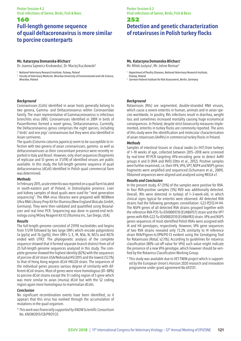## 160 **Full-length genome sequence of quail deltacoronavirus is more similar to porcine counterparts**

#### **Ms. Katarzyna Domanska-Blicharz**<sup>1</sup>

Dr. Joanna Sajewicz-Krukowska<sup>1</sup>, Dr. Maciej Kuczkowski<sup>2</sup>

*<sup>1</sup> National Veterinary Research Institute, Pulawy, Poland*

*2 Faculty of Veterinary Medicine, Wrocław University of Environmental and Life Science, Wrocław, Poland* 

#### *Background*

Coronaviruses (CoVs) identified in avian hosts generally belong to two genera, Gamma- and Deltacoronavirus within Coronaviridae family. The main representative of Gammacoronavirus is infectious bronchitis virus (IBV). Coronaviruses identified in 2009 in birds of Passeriformes formed a novel genus, Deltacoronavirus. Currently, the Deltacoronavirus genus comprises the eight species, including 7 birds' and one pigs' coronaviruses but they were also identified in Asian carnivores.

The quails (Coturnix coturnix japonica) seem to be susceptible to infection with two genera of avian coronaviruses, gamma- as well as deltacoronaviruses as their concomitant presence were recently reported in Italy and Brasil. However, only short sequences (fragments of replicase and S1 genes or 3'UTR) of identified viruses are public available. In this study, the full-length genome sequence of quail deltacoronavirus (dCoV) identified in Polish quail commercial farm was determined.

#### *Methods*

In February 2015, acute enteritis was reported on a quail farm located in south-eastern part of Poland, in Dolnośląskie province. Liver and kidney samples of dead quails were used for "next generation sequencing". The RNA virus libraries were prepared with NEBNext Ultra RNA Library Prep Kit for Illumina (New England BioLabs GmbH, Germany). They were then validated and quantified using Bioanalyser and real time PCR. Sequencing was done in paired-end technology using MiSeq Reagent Kit V2 (Illumina Inc, San Diego, USA).

#### *Results*

The full-length genome consisted of 25918 nucleotides and begins from 5'UTR followed by two large ORFs which encode polyproteins 1a (pp1a) and 1b (pp1b), then ORFs S, E, M, NS6, N, NS7a and NS7b ended with UTR3'. The phylogenetic analysis of the complete sequence showed that it formed separate branch distinct from all of 25 full-length genome sequences analyzed in this study. The complete genome showed the highest identity (82%) with the sequences of porcine dCoV strain USA/Nebraska145/2015 and the lowest (52.1%) to that of Hong Kong wigeon dCoV HKU20 strain. The sequences of the individual genes possess various degree of similarity with different dCoV strains. Most of genes were more homologous (81–88%) to porcine dCoV strains except the S1 coding region of S gene which was more similar to avian (munia) dCoV but with the S2 coding region again more homologous to mammalian dCoVs.

#### *Conclusion*

No significant recombination events have been identified, so it appears that this virus has evolved through the accumulation of mutations in the quail organism.

\* *This work was financially supported by KNOW Scientific Consortium No. KNOW2015/CB/PRO1/33.* 

#### Poster Session 4.2 Viral infections of Swine, Birds, Fish & Bees

#### 252

## **Detection and genetic characterization of rotaviruses in Polish turkey flocks**

#### **Ms. Katarzyna Domanska-Blicharz**<sup>1</sup>

Mr. Milek Justyna<sup>1</sup>, Mr. Johne Reimar<sup>2</sup>

- *1 Department of Poultry Diseases, National Veterinary Research Institute, Pulawy, Poland*
- *2 German Federal Institute for Risk Assessment, Berlin, Germany*

#### *Background*

Rotaviruses (RVs) are segmented, double-stranded RNA viruses, which cause a severe enteritis in human, animals and in avian species worldwide. In poultry, RVs infections result in diarrhea, weight loss and sometimes increased mortality causing huge economical consequences. In Poland, despite strict biosecurity measures implemented, enteritis in turkey flocks are commonly reported. The aims of this study were the identification and molecular characterization of avian rotaviruses (AvRVs) in commercial turkey flocks in Poland.

#### *Methods*

Samples of intestinal tissues or cloacal swabs (n=147) from turkeys of 1–10 weeks of age, collected between 2015–2018 were screened by real-time RT-PCR targeting VP6-encoding gene to detect AvRV groups A and D (RVA and RVD) (Otto et al., 2012). Positive samples were further examined, i.e. their VP4, VP6, VP7, NSP4 and NSP5 genes fragments were amplified and sequenced (Schumann et al., 2009). Obtained sequences were aligned and analyzed using MEGA v7.

#### *Results and Conclusion*

In the present study, 47 (31%) of the samples were positive for RVA. In four RVA-positive samples (5%) RVD was additionally detected. Overall, RVs were detected in turkeys of 1–3-week-old, in which clinical signs typical for enteritis were observed. All detected RVA strains had the following genotypes constellation: G22-P[35]-I4-H4. The NSP4 genes of all detected RVA strains grouped together with the reference RVA-P35-Tu-03V0001E10 (EU486957) strain and the VP7 genes with RVA-G22-Tu-03V0002E10 (EU486983) strain. VP6 and NSP5 genes sequences of most identified Polish RVAs were assigned with I4 and H4 genotypes, respectively. However, VP6 gene sequences of two RVA strains revealed only 73.2% similarity to I4 reference strain RVA/Pigeon-tc/JPN/PO-13 evident using the Genotyping Tool for Rotaviruses (RotaC v2.11b). According to guidelines for rotavirus classification (80% cut-off value for VP6) such value might indicate the presence of a new VP6 genotype, which however should be verified by the Rotavirus Classification Working Group.

\* This study was available due to VET-TWIN project which is supported by the European Union's Horizon 2020 research and innovation programme under grant agreement No 692131 .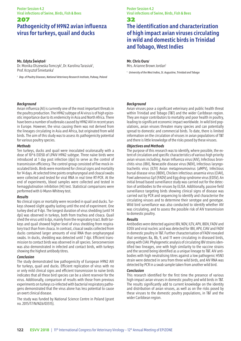Poster Session 4.2 Viral infections of Swine, Birds, Fish & Bees

## 207 **Pathogenicity of H9N2 avian influenza virus for turkeys, quail and ducks**

#### **Ms. Edyta Świętoń**<sup>1</sup>

Dr. Monika Olszewska-Tomczyk<sup>1</sup>, Dr. Karolina Tarasiuk<sup>1</sup>, Prof. Krzysztof Śmietanka1

*<sup>1</sup> Dep. of Poultry Diseases, National Veterinary Research Institute, Puławy, Poland*

Poster Session 4.2 Viral infections of Swine, Birds, Fish & Bees

#### 32

## **The identification and characterization of high impact avian viruses circulating in wild and domestic birds in Trinidad and Tobago, West Indies**

#### **Mr. Chris Oura**<sup>1</sup>

Mrs. Arianne Brown Jordan<sup>1</sup>

*<sup>1</sup> University of the West Indies, St. Augustine, Trinidad and Tobago*

#### *Background*

Avian influenza (AI) is currently one of the most important threats in the poultry production. The H9N2 subtype of AI virus is of high epizootic importance due to its endemicity in Asia and North Africa. There have been a number of outbreaks caused by H9N2 AIV in recent years in Europe. However, the virus causing them was not derived from the lineages circulating in Asia and Africa, but originated from wild birds. The aim of this study was to assess its pathogenicity potential for various poultry species.

#### *Methods*

Ten turkeys, ducks and quail were inoculated oculonasally with a dose of 10^6 EID50 of LPAIV H9N2 subtype. Three naïve birds were introduced at 1 day post infection (dpi) to serve as the control of transmission efficiency. The control group consisted of five mock-inoculated birds. Birds were monitored for clinical signs and mortality for 14 days. At selected time points oropharyngeal and cloacal swabs were collected and tested for viral RNA in real time RT-PCR. At the end of experiments, blood samples were collected and tested in hemagglutination inhibition (HI) test. Statistical comparisons were performed with U-Mann-Whitney test.

#### *Results*

No clinical signs or mortality were recorded in quail and ducks. Turkeys showed slight apathy lasting until the end of experiment. One turkey died at 9 dpi. The longest duration of virus shedding (until 14 dpi) was observed in turkeys, both from trachea and cloaca. Quail shed the virus until 6 dpi, mainly from the respiratory tract. Both turkeys and quail showed higher level of virus shedding from respiratory tract than from cloaca. In contrast, cloacal swabs collected from ducks contained larger amounts of viral RNA than oropharyngeal swabs. In ducks, shedding was detected until 7 dpi. Efficient transmission to contact birds was observed in all species. Seroconversion was also demonstrated in infected and contact birds, with turkeys showing the highest antibody titres.

#### *Conclusion*

The study demonstrated low pathogenicity of European H9N2 AIV for turkeys, quail and ducks. Efficient replication of virus with no or only mild clinical signs and efficient transmission to naïve birds indicates that all these bird species can be a silent reservoir for the virus. Additionally, comparison of results with those from previous experiments on turkeys co-infected with bacterial respiratory pathogens demonstrated that the virus alone has less potential to cause an overt clinical disease.

The study was funded by National Science Centre in Poland (grant no. 2015/17/N/NZ6/03515).

#### *Background*

Avian viruses pose a significant veterinary and public health threat within Trinidad and Tobago (T&T) and the wider Caribbean region. They are major contributors to mortality and poor health in poultry, leading to significant economic impact worldwide. In wild bird populations, avian viruses threaten many species and can potentially spread to domestic and commercial birds. To date, there is limited information on the circulation of viruses in avian populations of T&T and there is little knowledge of the risks posed by these viruses.

#### *Objectives and Methods*

The purpose of this research was to identify, where possible, the extent of circulation and specific characteristics of various high priority avian viruses including; Avian Influenza virus (AIV), Infectious bronchitis virus (IBV), Newcastle disease virus (NDV), Infectious laryngotracheitis virus (ILTV) Avian metapneumovirus (aMPV), Infectious bursal disease virus (IBDV), Chicken infectious anaemia virus (CIAV), Fowl adenovirus Gp1 (FADV) and Egg drop syndrome virus (EDSV). An initial broad based surveillance study was carried out for the detection of antibodies to the viruses by ELISA. Additionally, passive field surveillance targeting birds showing clinical signs of disease was carried out by PCR and sequencing to identify and characterise the circulating viruses and to determine their serotype and genotype. Wild bird surveillance was also conducted to identify whether AIV was circulating, and to assess the possible risk of AIV transmission to domestic poultry.

#### *Results*

Antibodies were detected against IBV, NDV, ILTV, APV, IBDV, FADV and EDSV and viral nucleic acid was detected for IBV, APV, CIAV and FADV in domestic poultry in T&T. Further characterisation of FADV revealed that serotypes 8a, 8b, 9, and 11 were circulating in diseased birds, along with CIAV. Phylogenetic analysis of circulating IBV strains identified two lineages, one with high similarity to the vaccine strains and the second being identified as a unique lineage to T&T. AIV antibodies with high neutralising titres against a low pathogenic H5N3 strain were detected in sera from three wild birds, and AIV RNA was detected by PCR in a swab sample taken from another wild bird.

#### *Conclusion*

This research identified for the first time the presence of various high-impact avian viruses in domestic poultry and wild birds in T&T. The results significantly add to current knowledge on the identity and distribution of avian viruses, as well as on the risks posed by these viruses to the domestic poultry populations, in T&T and the wider Caribbean region.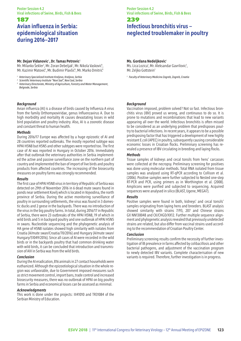## 187 **Avian influenza in Serbia: epidemiological situation during 2016–2017**

#### **Mr. Dejan Vidanovic**<sup>1</sup> **, Dr. Tamas Petrovic**<sup>2</sup>

Mr. Milanko Šekler<sup>1</sup>, Mr. Zoran Debeljak<sup>1</sup>, Mr. Nikola Vasković<sup>1</sup>, Mr. Kazimir Matović<sup>1</sup>, Mr. Budimir Plavšić<sup>3</sup>, Mr. Marko Dmitrić<sup>1</sup>

*<sup>1</sup> Veterinary Specialized Institute Kraljevo, Kraljevo, Serbia*

- *<sup>2</sup> Scientific Veterinary Institute "Novi Sad", Novi Sad, Serbia*
- *3 Veterinary Directorate, Ministry of Agriculture, Forestry and Water Management, Belgrade, Serbia*

#### *Background*

Avian influenza (AI) is a disease of birds caused by Influenza A virus from the family Orthomyxoviridae, genus Influenzavirus A. Due to high morbidity and mortality AI causes devastating losses in wild bird population and poultry industry. Also, AI is a zoonotic disease and constant threat to human health.

#### *Methods*

During 2016/17 Europe was affected by a huge epizootic of AI and 28 countries reported outbreaks. The mostly reported subtype was HPAI H5N8 but H5N5 and other subtypes were reported too. The first case of AI was reported in Hungary in October 2016. Immediately after that outbreak the veterinary authorities in Serbia implemented the active and passive surveillance zone on the northern part of country and implemented the ban of import of live birds and poultry products from affected countries. The increasing of the biosecurity measures on poultry farms was strongly recommended.

#### *Results*

The first case of HPAI H5N8 virus in territory of Republic of Serbia was detected on 29th of November 2016 in 6 dead mute swans found in ponds near settlement Kovilj which is located in Vojvodina, the north province of Serbia. During the active monitoring surveillance of poultry in surrounding settlements, the virus was found in 3 domestic ducks and 2 geese in the backyards. There was no introduction of the virus in the big poultry farms. In total, during 2016/17 in Republic of Serbia, there were 23 outbreaks of the HPAI H5N8, 19 of which in wild birds and 5 in backyard poultry and one outbreak of HPAI H5N5 in swans. Nucleotide sequencing and the phylogenetic analysis of HA gene of H5N8 isolates showed high similarity with isolates from Croatia (A/mute swan/Croatia/70/2016) and Hungary (A/mute swan/ Hungary/51049/2016). Since all cases of AI were recorded in the wild birds or in the backyards poultry that had common drinking water with wild birds, it can be concluded that introduction and transmission of AIV in Serbia was from the wild birds.

#### *Conclusion*

During the AI eradication, 816 animals in 27 contact households were euthanized. Although the epizootiological situation in the whole region was unfavorable, due to Government imposed measures such as strict movement control, import bans, trade control and increased biosecurity measures, there was no outbreak of HPAI on big poultry farms in Serbia and economical losses can be assessed as minimal.

#### *Acknowledgments*

This work is done under the projects: III41010 and TR31084 of the Serbian Ministry of Education.

#### Poster Session 4.2 Viral infections of Swine, Birds, Fish & Bees

## 239 **Infectious bronchitis virus – neglected troublemaker in poultry**

#### **Ms. Gordana Nedeljkovic**<sup>1</sup>

Ms. Lica Lozica<sup>1</sup>, Mr. Aleksandar Gavrilovic<sup>1</sup>, Mr. Zeljko Gottstein<sup>1</sup>

*<sup>1</sup> Faculty of Veterinary Medicine Zagreb, Zagreb, Croatia*

#### *Background*

Vaccination imposed, problem solved? Not so fast. Infectious bronchitis virus (IBV) proved us wrong, and continuous to do so. It is prone to mutations and recombinations that lead to new variants appearing all over the world. Infectious bronchitis is often missed to be considered as an underlying problem that predisposes poultry to bacterial infections. In recent years, it appears to be a possible predisposing factor that has triggered a development of new highly resistant E.coli (APEC) in poultry, subsequently causing considerable economic losses in Croatian flocks. Preliminary screening has revealed a presence of IBV circulating in breeding and laying flocks.

#### *Methods*

Tissue samples of kidneys and cecal tonsils from hens' carcasses were collected at the necropsy. Preliminary screening for positives was done using molecular methods. Total RNA isolated from tissue samples was analysed using RT-qPCR according to Collison et al. (2006). Positive samples were further subjected to Nested one-step RT-PCR and PCR, using primers as in Worthington et al. (2008). Amplicons were purified and subjected to sequencing. Acquired sequences were analysed in silico (BLAST, Ugene, MEGA7).

#### *Results*

Positive samples were found in both, kidneys' and cecal tonsils' samples originating from laying hens and breeders. BLAST analysis showed similarity with strains 7/93, 207 and Chinese strains GX NN130048 and CK/CHGD/XX12. Further multiple sequence alignment and phylogenetic analysis revealed that previously undetected strains are related, but also differ from vaccinal strains used according to the recommendation of Croatian Poultry Center.

#### *Conclusion*

Preliminary screening results confirm the necessity of further investigation of IB prevalence in farms affected by colibacillosis and other bacterial pathogens, and adjustment of the vaccination program to newly detected IBV variants. Complete characterisation of new variants is required. Therefore, further investigation is in progress.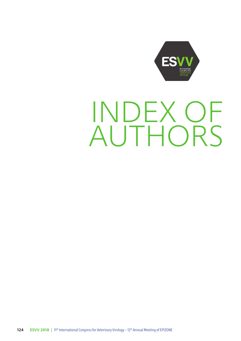

# INDEX OF AUTHORS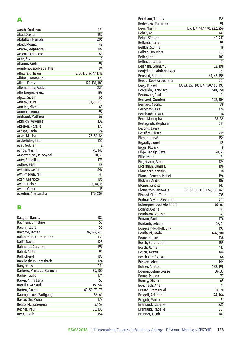## A

| Aarab, Soukayna           | 161                      |
|---------------------------|--------------------------|
| Abad, Xavier              | 159                      |
| Abdullah, Haniah          | 206                      |
| Abed, Mouna               | 48                       |
| Aberle, Stephan W.        | 199                      |
| Accensi, Francesc         | 68                       |
| Acke, Els                 | 9                        |
| Affanni, Paola            | 97                       |
| Aguilera-Sepúlveda, Pilar | 94                       |
| Albayrak, Harun           | 2, 3, 4, 5, 6, 7, 11, 12 |
| Albina, Emmanuel          | 173                      |
| Alkan, Feray              | 129, 131, 183            |
| Allemandou, Aude          | 224                      |
| Allerberger, Franz        | 199                      |
| Alpay, Gizem              | 66                       |
| Amato, Laura              | 57, 61, 181              |
| Amelot, Michel            | 48                       |
| Amorico, Anna             | 97                       |
| Andraud, Mathieu          | 69                       |
| Apprich, Veronika         | 132                      |
| Aprelon, Rosalie          | 173                      |
| Ardigò, Paolo             | 24                       |
| Arias, Marisa             | 75, 84, 86               |
| Arobelidze, Keto          | 156                      |
| Asal, Gökhan              | $\overline{2}$           |
| Ashby, Martin             | 78, 145                  |
| Ataseven, Veysel Soydal   | 20, 21                   |
| Auer, Angelika            | 175                      |
| Authié, Edith             | 38                       |
| Avaliani, Lasha           | 247                      |
| Avni-Magen, Nili          | 41                       |
| Axén, Charlotte           | 196                      |
| Aydin, Hakan              | 13, 14, 15               |
| Aydin, Omer               | 13                       |
| Azzolini, Alessandra      | 176, 208                 |
|                           |                          |

## B

| Baagøe, Hans J.           | 182            |
|---------------------------|----------------|
| Bächlein, Christine       | 55             |
| Baioni, Laura             | 56             |
| Bakonyi, Tamás            | 76, 199, 201   |
| Balaraman, Velmurugan     | 139            |
| Balić, Davor              | 128            |
| Balinandi, Stephen        | 197            |
| Bálint, Ádám              | 95             |
| <b>Ball, Cheryl</b>       | 190            |
| Banihashem, Fereshteh     | 124            |
| Banyard, A.               | 241            |
| Barbero, María del Carmen | 87, 100        |
| Barbic, Ljubo             | 174            |
| Baron, Anna Lena          | 55             |
| Bataille, Arnaud          | 19, 247        |
| Batten, Carrie            | 43, 50, 73, 78 |
| Baumgärtner, Wolfgang     | 55,64          |
| Bazzucchi, Moira          | 178            |
| Beato, Maria Serena       | 57,58          |
| Becher, Paul              | 55, 130        |
| Beck, Cécile              | 154            |
|                           |                |

| Beckham, Tammy            | 139                                 |
|---------------------------|-------------------------------------|
| Bedeković, Tomislav       | 98                                  |
| Beer, Martin              | 127, 134, 147, 170, 222, 256        |
| Behar, Adi                | 142                                 |
| Belák, Sándor             | 40, 217                             |
| Belfanti, Ilaria          | 99                                  |
| Belfkhi, Salima           | 19                                  |
| Belkadi, Bouchra          | 161                                 |
| Beller, Leen              | 102                                 |
|                           |                                     |
| Bellinati, Laura          | 61                                  |
| Belsham, Graham J.        | 182, 198                            |
| Benjelloun, Abdennasser   | 161                                 |
| Bensaid, Albert           | 64, 65, 159                         |
| Bercic, Rebeka Lucijana   | 201                                 |
| Berg, Mikael              | 33, 53, 85, 110, 124, 150, 163, 197 |
| Berguido, Francisco       | 248, 250                            |
| Berkowitz, Asaf           | 41                                  |
| Bernaert, Quinten         | 102, 104                            |
| Bernard, Cécilia          | 39                                  |
| Berndtson, Eva            | 124                                 |
| Bernhardt, Lisa-A         | 114                                 |
| Berri, Mustapha           |                                     |
|                           | 38,39                               |
| Bertagnoli, Stéphane      | 221                                 |
| Besong, Laura             | 1                                   |
| Bessière, Pierre          | 219                                 |
| Bichet, Hervé             | 154                                 |
| Bigault, Lionel           | 39                                  |
| Biggs, Patrick            | 9                                   |
| Bilge Dagalp, Seval       | 20, 21                              |
| Bilic, Ivana              | 151                                 |
| Birgersson, Anna          | 124                                 |
| Björkman, Camilla         | 196                                 |
| Blanchard, Yannick        | 18                                  |
|                           |                                     |
| Blanco-Penedo, Isabel     | 196                                 |
| Blokhin, Andrei           | 106                                 |
| <b>Blome, Sandra</b>      | 147                                 |
| Blomström, Anne-Lie       | 33, 53, 85, 110, 124, 150, 163      |
| Blystad Klem, Thea        | 235                                 |
| Bodnár, Vivien Alexandra  | 201                                 |
| Bohorquez, Jose Alejandro | 60, 67                              |
| Boland, Cécile            | 141                                 |
| Bombarov, Velizar         | 41                                  |
| Bonato, Paola             | 176                                 |
| Bonfanti, Lebana          | 57, 61                              |
| Bongcam-Rudloff, Erik     | 197                                 |
|                           |                                     |
| Bonilauri, Paolo          | 164, 200                            |
| Boonstra, Jan             | 138                                 |
| Bosch, Berend-Jan         | 159                                 |
| Bosch, Jaime              | 117                                 |
| Bosch, Twayla             | 144                                 |
| Bosch-Camós, Laia         | 68                                  |
| Bossers, Alex             | 144                                 |
| Bøtner, Anette            | 182, 198                            |
| Boujon, Céline Louise     | 36, 37                              |
| Bourg, Manon              | 77                                  |
| Bourry, Olivier           | 69                                  |
|                           |                                     |
| Bouznach, Arieli          | 41                                  |
| Bréard, Emmanuel          | 18,78                               |
| Bregoli, Arianna          | 24, 164                             |
| Bregoli, Marco            | 61                                  |
| Bremaud, Isabelle         | 225                                 |
| Brémaud, Isabelle         | 251                                 |
| <b>Brenner</b> , Jacob    | 142                                 |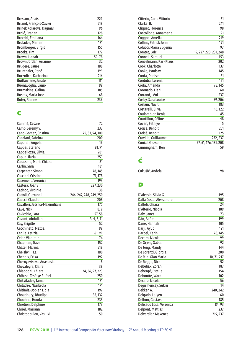| Bresson, Anaïs            | 229   |
|---------------------------|-------|
| Briand, Francois-Xavier   | 218   |
| Brinek Kolarova, Dagmar   | 96    |
| Brnić, Dragan             | 128   |
| Brocchi, Emiliana         | 164   |
| Broladze, Mariam          | 171   |
| Bromberger, Birgit        | 155   |
| Brooks, Tim               | 177   |
| Brown, Hanah              | 50,78 |
| Brown Jordan, Arianne     | 32    |
| Brugere, Laure            | 188   |
| Brunthaler, René          | 199   |
| Buczolich, Katharina      | 216   |
| Buitkuviene, Jurate       | 111   |
| Buonavoglia, Canio        | 99    |
| Burmakina, Galina         | 185   |
| <b>Bustos, Maria Jose</b> | 68    |
| Buter, Rianne             | 236   |

## C

| Cammà, Cesare                  | 72                      |
|--------------------------------|-------------------------|
| Camp, Jeremy V.                | 233                     |
| Cano-Gómez, Cristina           | 75, 87, 94, 100         |
| Canziani, Sabrina              | 200                     |
| Caporali, Angela               | 16                      |
| Cappai, Stefano                | 81,91                   |
| Cappellozza, Silvia            | 201                     |
| Capua, Ilaria                  | 253                     |
| Carassino, Maria Chiara        | 81                      |
| Carlin, Sara                   | 181                     |
| Carpenter, Simon               | 78, 145                 |
| Casciari, Cristina             | 71, 178                 |
| Casement, Veronica             | 193                     |
| Castera, Joany                 | 227, 230                |
| Catinot, Virginie              | 38                      |
| Cattoli, Giovanni              | 246, 247, 248, 249, 250 |
| Caucci, Claudia                | 208                     |
| Cavalleri, Jessika-Maximiliane | 175                     |
| Cave, Nick                     | 8,9                     |
| Cavicchio, Lara                | 57,58                   |
| Cavunt, Abdullah               | 3, 4, 6, 11             |
| Cay, Brigitte                  | 52                      |
| Cecchinato, Mattia             | 99                      |
| Ceglie, Letizia                | 61, 99                  |
| Celer, Vladimir                | 74                      |
| Chapman, Dave                  | 152                     |
| Châtel, Marina                 | 218                     |
| Cheishvili, Lali               | 180                     |
| Chenais, Erika                 | 197                     |
| Chernyavtseva, Anastasia       | 8                       |
| Chevaleyre, Claire             | 39                      |
| Chiapponi, Chiara              | 24, 56, 97, 223         |
| Chibssa, Tesfaye Rufael        | 250                     |
| Chikviladze, Tamar             | 171                     |
| Chitadze, Nazibrola            | 171                     |
| Chitimia-Dobler, Lidia         | 197                     |
| Choudhury, Bhudipa             | 136, 137                |
| Chouhna, Houda                 | 233                     |
| Chrétien, Delphine             | 173                     |
| Chriél, Mariann                | 182                     |
| Christodoulou, Vasiliki        | 50                      |

| Citterio, Carlo Vittorio | 61                     |
|--------------------------|------------------------|
| Clarke, B.               | 241                    |
| Cliquet, Florence        | 98                     |
| Coccollone, Annamaria    | 91                     |
| Coggon, Amelia           | 219                    |
| Collins, Patrick John    | 191                    |
| Colucci, Maria Eugenia   | 97                     |
| Comtet, Loic             | 19, 227, 228, 231, 248 |
| Connell, Samuel          | 153                    |
| Conzelmann, Karl-Klaus   | 202                    |
| Cook, Charlotte          | 137                    |
| Cooke, Lyndsay           | 145                    |
| Corda, Denise            | 81                     |
| Córdoba, Lorena          | 121                    |
| Corla, Amanda            | 78,145                 |
| Coronado, Liani          | 60                     |
| Corrand, Léni            | 237                    |
| Cosby, Sara Louise       | 59,206                 |
| Coskun, Nuvit            | 183                    |
| Costarelli, Silva        | 16, 122                |
| Coulombier, Denis        | 45                     |
| Courtillon, Céline       | 48                     |
| Coven, Fethiye           | 5                      |
| Croisé, Benoit           | 251                    |
| Croisé, Benoît           | 225                    |
| Croville, Guillaume      | 232, 237               |
| Cunial, Giovanni         | 57, 61, 176, 181, 208  |
| Cunningham, Ben          | 59                     |

## Ć

Ćukušić, Anđela 98

## D

| D'Alessio, Silvio G.    | 195         |
|-------------------------|-------------|
| Dalla Costa, Alessandro | 208         |
| Dalloli, Chiara         | 24          |
| D'Alterio, Nicola       | 189         |
| Daly, Janet             | 73          |
| Dán, Ádám               | 199         |
| Dane, Hannah            | 105         |
| Darji, Ayub             | 121         |
| Darpel, Karin           | 78,145      |
| Decaro, Nicola          | 99          |
| De Gryse, Gaëtan        | 92          |
| De Jong, Mandy          | 144         |
| De Lorenzi, Giorgia     | 200         |
| De Mia, Gian Mario      | 10, 71, 217 |
| De Regge, Nick          | 52          |
| Debeljak, Zoran         | 187         |
| Debergé, Estelle        | 154         |
| Deboutte, Ward          | 102         |
| Decaro, Nicola          | 56          |
| Degirmencay, Sukru      | 14          |
| Dekker, A.              | 240, 242    |
| Delgado, Laiyen         | 60          |
| Delhon, Gustavo         | 185         |
| Delicado Losa, Verónica | 84, 93      |
| Delpont, Mattias        | 237         |
| Delverdier, Maxence     | 219, 237    |
|                         |             |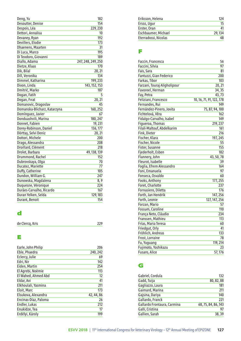| Deng, Yu                     | 182                |
|------------------------------|--------------------|
| Desoutter, Denise            | 154                |
| Despois, Léa                 | 229, 230           |
| Dettori, Annalisa            | 10                 |
| Devaney, Ryan                | 192                |
| Devillers, Elodie            | 173                |
| Dhaenens, Maarten            | 31                 |
| Di Luca, Marco               | 195                |
| Di Teodoro, Giovanni         | 189                |
| Diallo, Adama                | 247, 248, 249, 250 |
| Dietze, Klaas                | 170                |
| Dik, Bilal                   | 20, 21             |
| Dill, Veronika               | 134                |
| Dimmel, Katharina            | 199, 233           |
| Dixon, Linda                 | 143, 152, 153      |
| Dmitrić, Marko               | 187                |
| Dogan, Fatih                 | 5                  |
| Dogan, Firat                 | 20, 21             |
| Domanovic, Dragoslav         | 45                 |
| Domanska-Blicharz, Katarzyna | 160, 252           |
| Domínguez, Javier            | 67                 |
| Donduashvili, Marina         | 180, 247           |
| Donnet, Fabien               | 19, 231            |
| Dorey-Robinson, Daniel       | 136, 177           |
| Dörttaş, Selvi Deniz         | 20, 21             |
| Dottori, Michele             | 200                |
| Drago, Alessandra            | 208                |
| Droillard, Clément           | 218                |
| Drolet, Barbara              | 49, 138, 139       |
| Drummond, Rachel             | 152                |
| Dubrovskaya, Olga            | 70                 |
| Ducatez, Mariette            | 77                 |
| Duffy, Catherine             | 105                |
| Dundon, William G.           | 247                |
| Dunowska, Magdalena          | 8,9                |
| Duquesne, Véronique          | 224                |
| Durães-Carvalho, Ricardo     | 167                |
| Duran Yelken, Selda          | 129, 183           |
| Durant, Benoit               | 154                |

## d

| de Clercq, Kris | 229 |
|-----------------|-----|
|                 |     |

## E

| Earle, John Philip   | 206        |
|----------------------|------------|
| Eble, Phaedra        | 240, 242   |
| Eclercy, Julie       | 69         |
| Edri, Nir            | 142        |
| Eiden, Martin        | 254        |
| El Agrebi, Noëmie    | 113        |
| El Wahed, Ahmed Abd  | 12         |
| Eldar, Avi           | 41         |
| Elkhoulali, Yasmina  | 211        |
| Eloit, Marc          | 173        |
| Elsukova, Alexandra  | 42, 44, 86 |
| Encinas-Díaz, Paloma | 26         |
| Endler, Lukas        | 212        |
| Enukidze, Tea        | 17         |
| Erdélyi, Károly      | 199        |
|                      |            |

| Eriksson, Helena     | 124    |
|----------------------|--------|
| Ersoz, Ugur          | 15     |
| Erster, Oran         | 41     |
| Eschbaumer, Michael  | 29.134 |
| Eterradossi, Nicolas | 48     |

## F

| Faccin, Francesca            | 56                       |
|------------------------------|--------------------------|
| Faccini, Silvia              | 97                       |
| Fais, Sara                   | 81                       |
| Fantuzzi, Gian Federico      | 200                      |
| Farkas, Tibor                | 103                      |
| Farzani, Touraj Aligholipour | 20, 21                   |
| Favoreel, Herman             | 34, 35                   |
| Fay, Petra                   | 43,73                    |
| Feliziani, Francesco         | 10, 16, 71, 91, 122, 178 |
| Fernandes, Rui               | 149                      |
| Fernández-Pinero, Jovita     | 75, 87, 94, 100          |
| Fichtelová, Věra             | 162                      |
| Fidalgo-Carvalho, Isabel     | 149                      |
| Figueroa, Thomas             | 219, 237                 |
| Filali-Maltouf, Abdelkarim   | 161                      |
| Fink, Dieter                 | 216                      |
| Fischer, Klara               | 197, 245                 |
| Fischer, Nicole              | 55                       |
| Fister, Susanne              | 155                      |
| Fjederholt, Esben            | 182                      |
| Flannery, John               | 43, 50, 78               |
| Fleurot, Isabelle            | 39                       |
| Foglia, Efrem Alessandro     | 164                      |
| Foni, Emanuela               | 97                       |
| Fonseca, Osvaldo             | 60                       |
| Fooks, Anthony               | 177, 255                 |
| Foret, Charlotte             | 237                      |
| Fornasiero, Diletta          | 176                      |
| Forth, Jan Hendrik           | 147, 256                 |
| Forth, Leonie                | 127, 147, 256            |
| Forzan, Mario                | 57                       |
| Fossum, Caroline             | 110                      |
| França Neto, Cláudio         | 234                      |
| Franssen, Mathieu            | 113                      |
| Frías, Maria Teresa          | 60                       |
| Friedgut, Orly               | 41                       |
| Fröhlich, Andreas            | 133                      |
| Frost, Lorraine              | 78                       |
| Fu, Yuguang                  | 119, 214                 |
| Fujimoto, Yoshikazu          | 23                       |
| <b>Fusaro, Alice</b>         | 57, 176                  |

## G

| Gabriel, Cordula            | 132                 |
|-----------------------------|---------------------|
| Gadd, Tuija                 | 80, 82, 88          |
| Gagliazzo, Laura            | 181                 |
| Gaimard, Marina             | 211                 |
| Gajsina, Dariya             | 140                 |
| Gallardo, Franck            | 221                 |
| Gallardo Frontaura, Carmina | 68, 75, 84, 86, 143 |
| Galli, Cristina             | 97                  |
| Gallien, Sarah              | 38,39               |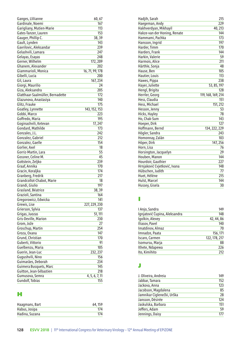| Ganges, Llilianne                | 60, 67          |
|----------------------------------|-----------------|
| Gardinale, Noemi                 | 167             |
| Garigliany, Mutien-Marie         | 113             |
| Gates-Tanzer, Lauren             | 153             |
| Gauger, Phillip C.               | 38, 39          |
| Gault, Lynden                    | 143             |
| Gavrilovic, Aleksandar           | 239             |
| Gelashvili, Lamara               | 247             |
| Gelayas, Esayas                  | 248             |
| Gerner, Wilhelm                  | 172, 209        |
| Ghanem, Alexander                | 202             |
| Giammarioli, Monica              | 16, 71, 99, 178 |
| Gibelli, Lucia                   | 200             |
| Gil, Laura                       | 167, 234        |
| Giorgi, Maurilio                 | 24              |
| Giza, Aleksandra                 | 205             |
| Glatthaar-Saalmüller, Bernadette | 172             |
| Glazunova, Anastasiya            | 140             |
| Glitz, Frauke                    | 175             |
| Goatley, Lynnette                | 143, 152, 153   |
| Gobbi, Marco                     | 223             |
| Goffredo, Maria                  | 195             |
| Goginashvili, Ketevan            | 17,247          |
| Gondard, Mathilde                | 173             |
| Gonzales, J.L.                   | 242             |
| Gonzalez, Gabriel                | 212             |
| Gonzalez, Gaelle                 | 154             |
| Gorlier, Axel                    | 18              |
| Gorriz-Martin, Lara              | 55              |
| Gossner, Celine M.               | 45              |
| Gottstein, Zeljko                | 239             |
| Graaf, Annika                    | 170             |
| Gracin, Koraljka                 | 174             |
| Granberg, Fredrik                | 217             |
| Grandcollot-Chabot, Marie        | 18              |
| Grandi, Giulio                   | 197             |
| Grasland, Béatrice               | 38,39           |
| Grazioli, Santina                | 164             |
| Gregorowicz, Edwicka             | 141             |
| Grewis, Lise                     | 227, 229, 230   |
| Grierson, Sylvia                 | 137             |
| Grigas, Juozas                   | 51, 111         |
| Gris-Deville, Marion             | 230             |
| Grom, Jože                       | 27              |
|                                  | 254             |
| Groschup, Martin                 |                 |
| Groza, Oxana<br>Grund, Christian | 147<br>170      |
| Guberti, Vittorio                | 91              |
|                                  | 105             |
| Guelbenzu, Maria                 |                 |
| Guerin, Jean-Luc                 | 232, 237<br>156 |
| Gugushvili, Nino                 |                 |
| Guimarães, Deborah               | 234             |
| Guimera Busquets, Marc           | 145             |
| Guitton, Jean-Sébastien          | 218             |
| Gumusova, Semra                  | 4, 5, 6, 7, 11  |
| <b>Gundolf, Tobias</b>           | 155             |

## H

| Haagmans, Bart | 64, 159 |
|----------------|---------|
| Habus, Josipa  | 174     |
| Hadina, Suzana | 174     |

| Hadjih, Sarah                | 215                |
|------------------------------|--------------------|
| Haegeman, Andy               | 229                |
| Hakhverdyan, Mikhayil        | 40, 213            |
| Hakze-van der Honing, Renate | 144                |
| Hammami, Pachka              | 173                |
| Hansson, Ingrid              | 197                |
| Harder, Timm                 | 170                |
| Harders, Frank               | 144                |
| Harkin, Valerie              | 59                 |
| Harmois, Alice               | 211                |
| Härthle, Sonja               | 48                 |
| Hause, Ben                   | 105                |
| Hautier, Louis               | 113                |
| Hawes, Pippa                 | 238                |
| Hayer, Juliette              | 53, 85, 197        |
| Hengl, Brigita               | 128                |
| Herrler, Georg               | 119, 168, 169, 214 |
| Hess, Claudia                | 151                |
| Hess, Michael                | 151, 212           |
| Hesson, Jenny                | 53                 |
| Hicks, Hayley                | 78                 |
| Ho, Chak-Sum                 | 143                |
| Hoeper, Dirk                 | 127                |
| Hoffmann, Bernd              | 134, 222, 229      |
| Högler, Sandra               | 243                |
| Homonnay, Zalán              | 103                |
| Höper, Dirk                  | 147, 256           |
| Horn, Lisa                   | 76                 |
| Horsington, Jacquelyn        | 29                 |
| Houben, Manon                | 144                |
| Hourdoir, Gauthier           | 227                |
| Hrnjaković Cvjetković, Ivana | 148                |
| Hübschen, Judith             | 77                 |
| Huet. Hélène                 | 215                |
| Hulst, Marcel                | 144                |
| Hussey, Gisela               | 30                 |

## I

| I Anjo, Sandra                | 149           |
|-------------------------------|---------------|
| Ignjatović Ćupina, Aleksandra | 148           |
| Igolkin, Alexey               | 42, 44, 86    |
| Iliasov, Pavel                | 140           |
| Imatdinov, Almaz              | 70            |
| Imnadze, Paata                | 156, 171      |
| Iscaro, Carmen                | 122, 178, 217 |
| Isomursu, Marja               | 88            |
| Ithete, Ndapewa               | 226           |
| Ito, Kimihito                 | 212           |

## J

| J. Oliveira, Andreia       | 149 |
|----------------------------|-----|
| Jabbar, Tamara             | 152 |
| Jackova, Anna              | 123 |
| Jacobson, Magdalena        | 85  |
| Jamnikar Ciglenečki, Urška | 28  |
| Jansson, Désirée           | 124 |
| Jaskulska, Barbara         | 151 |
| Jeffers, Adam              | 59  |
| Jennings, Daisy            | 177 |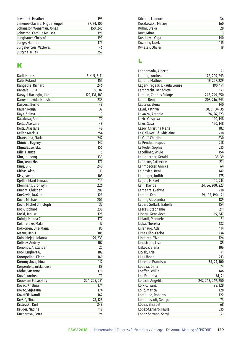| Jewhurst, Heather             | 193         |
|-------------------------------|-------------|
| Jiménez-Clavero, Miguel Ángel | 87, 94, 100 |
| Johansson Wensman, Jonas      | 150, 245    |
| Johnston, Camille Melissa     | 198         |
| Jungbauer, Christof           | 199         |
| Junge, Hannah                 | 175         |
| Jurgelevicius, Vaclovas       | 46          |
| Justyna, Milek                | 252         |

## K

| Kadi, Hamza                        | 3, 4, 5, 6, 11 |
|------------------------------------|----------------|
| Kalb, Roland                       | 155            |
| Kangethe, Richard                  | 246            |
| Kantala, Tuija                     | 80,82          |
| Karayel Hacioglu, Ilke             | 129, 131, 183  |
| Karuvantevida, Noushad             | 233            |
| Kaspers, Bernd                     | 48             |
| Kauer, Ronja                       | 37             |
| Kaya, Selma                        | 3              |
| Kazakova, Anna                     | 70             |
| Keita, Alassane                    | 48             |
| Keita, Alassane                    | 48             |
| Keller, Markus                     | 254            |
| Khartskhia, Natia                  | 247            |
| Khinich, Evgeny                    | 142            |
| Khmaladze, Eka                     | 156            |
| Kilic, Hamza                       | 5              |
| Kim, In Joong                      | 139            |
| Kim, Yeon-Hee                      | 179            |
| King, D.P.                         | 240            |
| Kirbas, Akin                       | 13             |
| Kiss, Istvan                       | 103            |
| Kjellin, Marit Leinaas             | 114            |
| Kleinhans, Bronwyn                 | 226            |
| Knecht, Christian                  | 209            |
| Knežević, Dražen                   | 128            |
| Koch, Michaela                     | 209            |
| Koch, Michel Christoph             | 37             |
| Kock, Richard                      | 238            |
| Kocki, Janusz                      | 125            |
| Koinig, Hanna C.                   | 172            |
| Kokhreidze, Maka                   | 17             |
| Kokkonen, Ulla-Maija               | 80             |
| Mazur, Denis                       | 185            |
| Kolodziejek, Jolanta               | 199, 233       |
| Koltsov, Andrey                    | 107            |
| Kononov, Alexander                 | 25             |
| Kooi, Engbert A.                   | 182            |
| Korogodina, Elena                  | 140            |
| Koromyslova, Irina                 | 112            |
| Korpenfelt, Sirkka-Liisa           | 88             |
| Köthe, Susanne                     | 170            |
| Kotzé, Andrea                      | 79             |
| Kouokam Fotso, Guy                 |                |
|                                    | 224, 225, 251  |
| Kovac, Kristina<br>Kovac, Snjezana | 174<br>174     |
|                                    | 162            |
| Kovařčík, Kamil                    |                |
| Krešić, Nina                       | 98,128         |
| Krstevski, Kiril                   | 248            |
| Krüger, Nadine                     | 119            |
| Kucharova, Petra                   | 96             |

| Küchler, Leonore   | 36  |
|--------------------|-----|
| Kuczkowski, Maciej | 160 |
| Kuhar, Urška       | 28  |
| Kurt, Mitat        | २   |
| Kustikova, Olga    | 140 |
| Kuzmak, Jacek      | 115 |
| Kwiatek, Olivier   | 19  |

## L

| Laddomada, Alberto            | 91                 |
|-------------------------------|--------------------|
| Ladinig, Andrea               | 172, 209, 243      |
| Laffont, Mathieu              | 19, 227, 229       |
| Lagan-Tregaskis, Paula Louise | 190, 191           |
| Lambrecht, Bénédicte          | 141                |
| Lamien, Charles Euloge        | 248, 249, 250      |
| Lamp, Benjamin                | 203, 216, 243      |
| Lapteva, Elena                | 140                |
| Laval, Kathlyn                | 30, 31, 34, 35     |
| Lavazza, Antonio              | 24, 56, 223        |
| Lazić, Gospava                | 120, 148           |
| Lazić, Sava                   | 120, 148           |
| Lazov, Christina Marie        | 182                |
| Le Gall-Reculé, Ghislaine     | 218                |
| Le Goff, Charline             | 230                |
| Le Pendu, Jacques             | 218                |
| Le Poder, Sophie              | 215                |
| Lecollinet, Sylvie            | 154                |
| Lediquerher, Gérald           | 38,39              |
| Lefebvre, Catherine           | 211                |
| Lehmbecker, Annika            | 64                 |
| Leibovich, Beni               | 142                |
| Leidinger, Judith             | 175                |
| Leijon, Mikael                | 40, 213            |
| Lelli, Davide                 | 24, 56, 200, 223   |
| Lemaitre, Evelyne             | 218                |
| Lemon, Ken                    | 59, 105, 190, 191  |
| Leone, Alessandra             | 189                |
| Leparc Goffart, Isabelle      | 154                |
| Lesceu, Stéphanie             | 211                |
| Libeau, Geneviève             | 19, 247            |
| Liciardi, Manuele             | 81                 |
| Licka, Theresia               | $\overline{132}$   |
| Lillehaug, Atle               | 114                |
| Lima Filho, Carlos            | 234                |
| Lindgren, Ylva                | 124                |
| Lindström, Lisa               | 85                 |
| Liskova, Elena                | 106                |
| Litvak, Arie                  | 41                 |
| Liu, Lihong                   | 213                |
| Llorente, Francisco           | 87, 94, 100        |
| Lobova, Dana                  | 74                 |
| Loeffen, Willie               | 146                |
| Loi, Federica                 | 81, 91             |
| Loitsch, Angelika             | 247, 248, 249, 250 |
| Lojkić, Ivana                 | 98,128             |
| Lolić, Marica                 | 128                |
| Lomolino, Roberto             | 122                |
| Lomonossoff, George           | 73                 |
| López, Elisabet               | 68                 |
| Lopez-Carnero, Paula          | 215                |
| López-Serrano, Sergi          | 121                |
|                               |                    |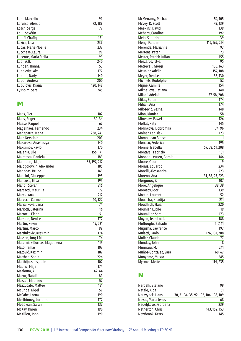| Lora, Marcello        | 99       |
|-----------------------|----------|
| Lorusso, Alessio      | 72,189   |
| Losch, Serge          | 77       |
| Loul, Sévérin         |          |
| Loutfi, Chafiga       | 161      |
| Lozica, Lica          | 239      |
| Lucas, Marie-Noëlle   | 237      |
| Lucchese, Laura       | 99       |
| Lucente, Maria Stella | 99       |
| Ludi, A.B.            | 240      |
| Lundén, Hanna         | 53       |
| Lundkvist, Åke        | 177      |
| Lunina, Dariya        | 140      |
| Luppi, Andrea         | 200      |
| Lupulovic, Diana      | 120, 148 |
| Lysholm, Sara         | 245      |

## **M**

| Maes, Piet                  | 102          |
|-----------------------------|--------------|
| Maes, Roger                 | 30, 34       |
| Maeso, Raquel               | 67           |
| Magalhães, Fernando         | 234          |
| Mahapatra, Mana             | 238, 241     |
| Mair, Kerstin H.            | 209          |
| Makarova, Anastasiya        | 140          |
| Maksimov, Pavlo             | 170          |
| Malania, Lile               | 156, 171     |
| Malatesta, Daniela          | 189          |
| Malmberg, Maja              | 85, 197, 217 |
| Malogolovkin, Alexander     | 185          |
| Manadas, Bruno              | 149          |
| Mancini, Giuseppe           | 195          |
| Mancuso, Elisa              | 195          |
| Mandl, Stefan               | 216          |
| Marcacci, Maurilia          | 72           |
| Marek, Ana                  | 212          |
| Maresca, Carmen             | 10, 122      |
| Mariankova, Jana            | 74           |
| Mariotti, Caterina          | 16           |
| Marrocu, Elena              | 91           |
| Marston, Denise             | 177          |
| Martin, Kevin               | 19, 231      |
| Martini, Marco              | 99           |
| Martinkovic, Kresimir       | 174          |
| Massen, Jorg J.M.           | 76           |
| Materniak-Kornas, Magdalena | 115          |
| Mató, Tamás                 | 103          |
| Matović, Kazimir            | 187          |
| Matthee, Sonja              | 226          |
| Matthijnssens, Jelle        | 102          |
| Mauric, Maja                | 174          |
| Mazloum, Ali                | 42, 44       |
| Mazur, Natalia              | 89           |
| Mazzei, Maurizio            | 57           |
| Mazzucato, Matteo           | 181          |
| McBride, Nigel              | 59           |
| McCabe, Lorna               | 190          |
| Mcelhinney, Lorraine        | 177          |
| McGowan, Sarah              | 137          |
| McKay, Karen                | 190          |
| McKillen, John              | 190          |

| McMenamy, Michael      | 59, 105         |
|------------------------|-----------------|
| McVey, D. Scott        | 49, 139         |
| Meekins, David         | 139             |
| Meharg, Caroline       | 192             |
| Melo, Sandrine         | 39              |
| Meng, Fandan           | 119, 169, 214   |
| Merenda, Marianna      | 97              |
| Mertens, Peter         | 73              |
| Mester, Patrick-Julian | 155             |
| Mészáros, István       | 95              |
| Metreveli, Giorgi      | 150, 163        |
| Meunier, Adélie        | 157, 188        |
| Meyer, Denise          | 55, 130         |
| Michiels, Rodolphe     | 52              |
| Migné, Camille         | 154             |
| Mikhaljova, Tatiana    | 140             |
| Milani, Adelaide       | 57, 58, 208     |
| Milas, Zoran           | 174             |
| Miljan, Ana            | 174             |
| Milošević, Vesna       | 148             |
| Mion, Monica           | 58              |
| Mirosław, Paweł        | 126             |
| Moffat, Katy           | 145             |
| Molinkova, Dobromila   | 74,96           |
| Molnar, Ladislav       | 123             |
| Momo, Jean Blaise      | 1               |
| Monaco, Federica       | 195             |
| Monne, Isabella        | 57, 58, 61, 208 |
| Montarsi, Fabrizio     | 181             |
| Moonen-Leusen, Bernie  | 146             |
| Moore, Gauri           | 9               |
| Morais, Eduardo        | 234             |
| Morelli, Alessandra    | 223             |
| Moreno, Ana            | 24, 56, 97, 223 |
| Morgunov, Y.           | 107             |
| Moro, Angélique        | 38, 39          |
| Morozov, Igor          | 139             |
| Mostin, Laurent        | 52              |
| Mouacha, Khadija       | 211             |
| Moudhich, Hajar        | 220             |
| Mounier, Lucile        | 19              |
| Moutailler, Sara       | 173             |
| Moyen, Jean Louis      | 188             |
| Muftuoglu, Bahadir     | 5, 7, 11        |
| Mugisha, Lawrence      | 197             |
| Mulatti, Paolo         | 176, 181, 208   |
| Muller, Claude         | 77              |
| Munday, John           | 8               |
| Muniraju, M.           | 241             |
| Muñoz-González, Sara   | 60, 67          |
| Munyeme, Musso         | 245             |
| Myrmel, Mette          | 114, 235        |
|                        |                 |

## N

| Nardelli, Stefano    | 99                                     |
|----------------------|----------------------------------------|
| Natale, Alda         | 61                                     |
| Nauwynck, Hans       | 30, 31, 34, 35, 92, 102, 104, 108, 109 |
| Navas, Maria Jesus   | 68                                     |
| Nedeljkovic, Gordana | 239                                    |
| Netherton, Chris     | 143, 152, 153                          |
| Newbrook, Kerry      | 145                                    |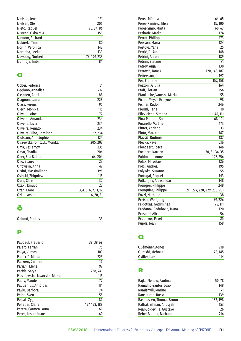| Nielsen, Jens     | 121          |
|-------------------|--------------|
| Nielsen, Ole      | 206          |
| Nieto, Raquel     | 75, 84, 86   |
| Nisreen, Okba M.A | 159          |
| Njouom, Richard   |              |
| Nokireki, Tiina   | 80           |
| Norlin, Veronica  | 143          |
| Noronha, Leela    | 139          |
| Nowotny, Norbert  | 76, 199, 233 |
| Nurmoja, Imbi     | 84           |

## O

| Obber, Federica           | 61                    |
|---------------------------|-----------------------|
| Oggiano, Annalisa         | 217                   |
| Oksanen, Antti            | 88                    |
| Olagnon, Laura            | 228                   |
| Olasz, Ferenc             | 95                    |
| Olech, Monika             | 115                   |
| Oliva, Justine            | 77                    |
| Oliveira, Amanda          | 234                   |
| Oliveira, Livia           | 234                   |
| Oliveira, Renato          | 234                   |
| Oliveira-Filho, Edmilson  | 167, 234              |
| Olofsson, Ann-Sophie      | 124                   |
| Olszewska-Tomczyk, Monika | 205, 207              |
| Oma, Veslemøy             | 235                   |
| Omar, Shadia              | 206                   |
| Oner, Eda Baldan          | 66,204                |
| Ono, Etsuro               | 23                    |
| Orłowska, Anna            | 47                    |
| Orsini, Massimiliano      | 195                   |
| Osinski, Zbigniew         | 115                   |
| Oura, Chris               | 32                    |
| Ozaki, Kinuyo             | 23                    |
| Ozan, Emre                | 3, 4, 5, 6, 7, 11, 12 |
| Ozkul, Aykut              | 6, 20, 21             |

## Ö

| Öhlund, Pontus |  |
|----------------|--|
|                |  |

## P

| Paboeuf, Frédéric           | 38, 39, 69    |
|-----------------------------|---------------|
| Palero, Ferrán              | 75            |
| Palya, Vilmos               | 103           |
| Paniccià, Marta             | 223           |
| Panzieri, Carmen            | 16            |
| Pariani, Elena              | 97            |
| Parida, Satya               | 238, 241      |
| Parzniewska-Jaworska. Marta | 115           |
| Pauly, Maude                | 77            |
| Pautienius, Arnoldas        | 111           |
| Pavlu, Barbora              | 74            |
| Peine, Sven                 | 55            |
| Pejsak, Zygmunt             | 89            |
| Pelletier, Claire           | 157, 158, 188 |
| Perera, Carmen Laura        | 60            |
| Pérez. Lester Josue         | 60            |
|                             |               |

| Pérez, Mónica             | 64,65                        |
|---------------------------|------------------------------|
| Pérez-Ramírez, Elisa      | 87,100                       |
| Perez-Simó, Marta         | 60,67                        |
| Perharic, Matko           | 174                          |
| Perrot, Philippe          | 173                          |
| Persson, Maria            | 124                          |
| Pestova, Yana             | 25                           |
| Petrić, Dušan             | 148                          |
| Petrini, Antonio          | 189                          |
| Petrini, Stefano          | 71                           |
| Petrov, Anja              | 130                          |
| Petrovic, Tamas           | 120, 148, 187                |
| Pettersson, John          | 197                          |
| Pez, Floriane             | 157, 158                     |
| Pezzoni, Giulia           | 164                          |
| Pfaff, Florian            | 256                          |
| Pfankuche, Vanessa Maria  | 55                           |
| Picard-Meyer, Evelyne     | 98                           |
| Pichler, Rudolf           | 246                          |
| Pierini, Ilaria           | 10                           |
| Pileviciene, Simona       | 46, 111                      |
| Pina-Pedrero, Sonia       | 68, 121                      |
| Pinarello, Valérie        | 173                          |
| Pinter, Adriano           | 33                           |
| Pinto, Marcelo            | 167                          |
| Plavšić, Budimir          | 187                          |
| Plevka, Pavel             | 216                          |
| Ploegaert, Tosca          | 146                          |
| Poelaert, Katrien         | 30, 31, 34, 35               |
| Pohlmann, Anne            | 127, 256                     |
| Polak, Mirosław           | 126                          |
| Polci, Andrea             | 195                          |
| Polywka, Susanne          | 55                           |
| Portugal, Raquel          | 143                          |
| Potkonjak, Aleksandar     | 148                          |
| Pourqier, Philippe        | 248                          |
| Pourquier, Philippe       | 211, 227, 228, 229, 230, 231 |
| Pozzi, Nathalie           | 38                           |
| Preiser, Wolfgang         | 79,226                       |
| Pridotkas, Gediminas      | 75, 111                      |
| Prodanov-Radulovic, Jasna | 120                          |
| Prosperi, Alice           | 56                           |
| Prutnikov, Pavel          | $\overline{25}$              |
| Pujols, Joan              | 159                          |
|                           |                              |

## Q

| Quéméner, Agnès | 218    |
|-----------------|--------|
| Qureshi, Mehnaz | 78.145 |
| Qviller, Lars   | 114    |

## R

| Rajko-Nenow, Paulina     | 50,78    |
|--------------------------|----------|
| Ramalho-Santos, Joao     | 149      |
| Ramishvili, Marine       | 171      |
| Ransburgh, Russel        | 139      |
| Rasmussen, Thomas Bruun  | 182, 198 |
| Rathakrishnan, Anusyah   | 153      |
| Real-Soldevilla, Gustavo | 26       |
| Rebel-Bauder, Barbara    | 216      |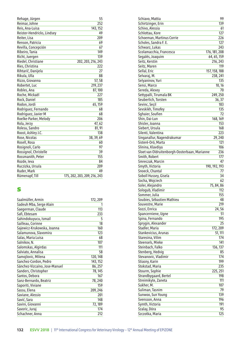| Rehage, Jürgen             | 55                           |
|----------------------------|------------------------------|
| Reimar, Johne              | 252                          |
| Reis, Ana-Luisa            | 143, 152                     |
| Reister-Hendricks, Lindsey | 49                           |
| Reiter, Lisa               | 209                          |
| Renson, Patricia           | 69                           |
| Revilla, Concepción        | 67                           |
| Ribeiro, Tania             | 149                          |
| Richt, Juergen             | 139                          |
| Riedel, Christiane         | 202, 203, 216, 243           |
| Ries, Christina            | 222                          |
| Rihtarič, Danijela         | 27                           |
| Rikula, Ulla               | 88                           |
| Rizzo, Giovanna            | 57,58                        |
| Robertet, Luc              | 219, 237                     |
| Robles, Ana                | 87,100                       |
| Roche, Mickaël             | 227                          |
| Rock, Daniel               | 185                          |
| Rodon, Jordi               | 65, 159                      |
| Rodriguez, Fernando        | 68                           |
| Rodriguez, Javier M        | 68                           |
| Roelke-Parker, Melody      | 206                          |
| Rola, Jerzy                | 47,62                        |
| Rolesu, Sandro             | 81, 91                       |
| Roost, Ashley J.C.         | 138                          |
| Rose, Nicolas              | 38, 39, 69                   |
| Rosell, Rosa               | 60                           |
| Rosignoli, Carlo           | 97                           |
| Rossignol, Christelle      | 39                           |
| Rossmanith, Peter          | 155                          |
| Rozde, leva                | 84                           |
| Ruczizka, Ursula           | 209                          |
| Ruder, Mark                | 49                           |
| Rümenapf, Till             | 175, 202, 203, 209, 216, 243 |

## S

| Saalmüller, Armin             | 172, 209 |
|-------------------------------|----------|
| Sadeuh Mba, Serge Alain       |          |
| Saegerman, Claude             | 113      |
| Safi, Ebtesam                 | 233      |
| Sahindokuyucu, Ismail         | 5        |
| Sailleau, Corinne             | 18       |
| Sajewicz-Krukowska, Joanna    | 160      |
| Salamunova, Slavomira         | 123      |
| Salas, Maria Luisa            | 68       |
| Salnikov, N.                  | 107      |
| Salomskas, Algirdas           | 111      |
| Salviato, Annalisa            | 58       |
| Samojlovic, Milena            | 120, 148 |
| Sanchez-Cordon, Pedro         | 143, 152 |
| Sánchez-Vizcaíno, Jose-Manuel | 86, 257  |
| Sanders, Christopher          | 78, 145  |
| Santos, Debora                | 167      |
| Sanz-Bernardo, Beatriz        | 78,240   |
| Saporiti, Viviane             | 159      |
| Sassu, Elena                  | 209, 246 |
| Saviane, Alessio              | 201      |
| Savić, Sara                   | 148      |
| Savini, Giovanni              | 72, 189  |
| Savoric, Juraj                | 174      |
| Schachner, Anna               | 212      |
|                               |          |

| Schiavo, Mattia                               | 99            |
|-----------------------------------------------|---------------|
| Schirtzinger, Erin                            | 139           |
| Schivo, Alessia                               | 61            |
| Schlottau, Kore                               | 127           |
| Schoeman, Martinus Corrie                     | 226           |
| Scholes, Sandra F. E.                         | 127           |
| Schwarz, Lukas                                | 243           |
| Scolamacchia, Francesca                       | 176, 181, 208 |
| Segalés, Joaquim                              | 64, 65, 159   |
| Seitz, Kerstin                                | 216, 243      |
| Seitz, Maren                                  | 119           |
| Sellal, Eric                                  | 157, 158, 188 |
| Selvaraj, M.                                  | 238, 241      |
| Selyaninov, Yuri                              | 135           |
| Sensi, Marco                                  | 10, 16        |
| Sereda, Alexey                                | 70            |
| Settypalli, Tirumala BK                       | 249, 250      |
| Seuberlich, Torsten                           | 36,37         |
| Sevinc, Seçil                                 | 183           |
| Sevskikh, Timofey                             | 135           |
| Sghaier, Soufien                              | 72            |
| Shin, Dai-Lun                                 | 168, 169      |
| Shisler, Joanna                               | 153           |
| Siebert, Ursula                               | 168           |
| Silenti, Valentina                            | 223           |
| Singanallur, Nagendrakumar                    | 29, 240       |
| Sisteré-Oró, Marta                            | 121           |
| Slinina, Klavdiya                             | 106           |
| Sloet van Oldruitenborgh-Oosterbaan, Marianne | 236           |
| Smith, Robert                                 | 177           |
| Smreczak, Marcin                              | 47            |
| Smyth, Victoria                               | 190, 192, 193 |
| Snoeck, Chantal                               | 77            |
| Soboll Hussey, Gisela                         | 34            |
| Socha, Wojciech                               | 62            |
| Soler, Alejandro                              | 75, 84, 86    |
| Sologub, Vladimir                             | 112           |
| Sommer, Julia                                 | 155           |
| Soubies, Sébastien Mathieu                    | 48            |
| Souvestre, Marie                              | 219           |
| Sozzi, Enrica                                 | 24,56         |
| Spancerniene, Ugne                            | 51            |
| Spina, Fernando                               | 195           |
| Sprygin, Alexander                            | 25            |
| Stadler, Maria                                | 172, 209      |
| Stankevicius, Arunas                          | 51, 111       |
| Staresina, Vilim                              | 174           |
| Steensels, Mieke                              | 141           |
| Steinbach, Falko                              | 136, 137      |
| Stenberg, Hedvig                              | 85            |
| Stevanovic, Vladimir                          | 174           |
| Stiasny, Karin                                | 199           |
| Stokstad, Maria                               | 235           |
| Stourm, Sophie                                | 225, 251      |
| Strandbygaard, Bertel                         |               |
| Streimikyte, Zaneta                           | 198<br>111    |
|                                               |               |
| Sukher, M.                                    | 107           |
| Suliman, Tasnim                               | 79            |
| Sunwoo, Sun Young                             | 139           |
| Svensson, Anna                                | 196           |
| Symth, Victoria                               | 191           |
| Szalay, Dóra                                  | 95            |
| Szczotka, Maria                               | 125           |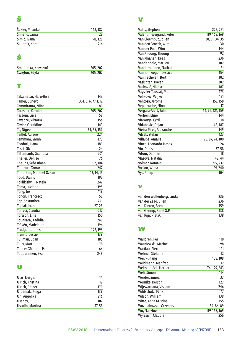| 148, 187 |
|----------|
| 28       |
| 98, 128  |
| 216      |
|          |

## Ś

| Śmietanka, Krzysztof | 205, 207 |
|----------------------|----------|
| Świętoń, Edyta       | 205, 207 |

## T

| Takamatsu, Haru-Hisa   | 143                   |
|------------------------|-----------------------|
| <b>Tamer, Cuneyt</b>   | 3, 4, 5, 6, 7, 11, 12 |
| Tammiranta, Niina      | 80                    |
| Tarasiuk, Karolina     | 205, 207              |
| Tassoni, Luca          | 58                    |
| Tavadze, Viktoria      | 156                   |
| Taylor, Geraldine      | 143                   |
| Te, Nigeer             | 64, 65, 159           |
| Teillet, Aurore        | 224                   |
| Temmam, Sarah          | 173                   |
| Teodori, Liana         | 189                   |
| Testi, Silvia          | 24                    |
| Tettamanti, Gianluca   | 201                   |
| Thaller, Denise        | 76                    |
| Theuns, Sebastiaan     | 102, 104              |
| Tigilauri, Tamar       | 247                   |
| Timurkan, Mehmet Ozkan | 13, 14, 15            |
| Todd, Danny            | 193                   |
| Toklikishvili, Natela  | 247                   |
| Toma, Luciano          | 195                   |
| Tong, Jie              | 119                   |
| Tonon, Francesco       | 58                    |
| Top, Sokunthea         | 221                   |
| Toplak, Ivan           | 27, 28                |
| Torresi, Claudia       | 217                   |
| Torsson, Emeli         | 150                   |
| Tounkara, Kadidia      | 249                   |
| Tråvén, Madeleine      | 196                   |
| Trudgett, James        | 192, 193              |
| Trujillo, Jessie       | 139                   |
| Tullman, Edan          | 185                   |
| <b>Tully, Matt</b>     | 78                    |
| Tuncer Göktuna, Pelin  | 66                    |
| Tuppurainen, Eva       | 248                   |

## U

| Ulas, Nergis     | 14    |
|------------------|-------|
| Ulrich, Kristina | 12    |
| Ulrich, Reiner   | 170   |
| Urbaniak, Kinga  | 139   |
| Url, Angelika    | 216   |
| Usadov. T.       | 107   |
| Ustulin, Martina | 57.58 |

| Valas, Stephen                    | 225, 251                                                                                                                                                                                                                                                                                                                                                                                                                                                                                                                                                                                                                                                                                                                                                                                                                                                                                                                                          |
|-----------------------------------|---------------------------------------------------------------------------------------------------------------------------------------------------------------------------------------------------------------------------------------------------------------------------------------------------------------------------------------------------------------------------------------------------------------------------------------------------------------------------------------------------------------------------------------------------------------------------------------------------------------------------------------------------------------------------------------------------------------------------------------------------------------------------------------------------------------------------------------------------------------------------------------------------------------------------------------------------|
| Valentin-Weigand, Peter           | 119, 168, 169                                                                                                                                                                                                                                                                                                                                                                                                                                                                                                                                                                                                                                                                                                                                                                                                                                                                                                                                     |
| Van Cleemput, Jolien              | 30, 31, 34, 35                                                                                                                                                                                                                                                                                                                                                                                                                                                                                                                                                                                                                                                                                                                                                                                                                                                                                                                                    |
| Van den Broeck, Wim               | 30                                                                                                                                                                                                                                                                                                                                                                                                                                                                                                                                                                                                                                                                                                                                                                                                                                                                                                                                                |
| Van der Poel, Wim                 | 144                                                                                                                                                                                                                                                                                                                                                                                                                                                                                                                                                                                                                                                                                                                                                                                                                                                                                                                                               |
|                                   | 92                                                                                                                                                                                                                                                                                                                                                                                                                                                                                                                                                                                                                                                                                                                                                                                                                                                                                                                                                |
|                                   | 236                                                                                                                                                                                                                                                                                                                                                                                                                                                                                                                                                                                                                                                                                                                                                                                                                                                                                                                                               |
|                                   | 102                                                                                                                                                                                                                                                                                                                                                                                                                                                                                                                                                                                                                                                                                                                                                                                                                                                                                                                                               |
|                                   | 31                                                                                                                                                                                                                                                                                                                                                                                                                                                                                                                                                                                                                                                                                                                                                                                                                                                                                                                                                |
|                                   | 154                                                                                                                                                                                                                                                                                                                                                                                                                                                                                                                                                                                                                                                                                                                                                                                                                                                                                                                                               |
|                                   | 102                                                                                                                                                                                                                                                                                                                                                                                                                                                                                                                                                                                                                                                                                                                                                                                                                                                                                                                                               |
|                                   | 202                                                                                                                                                                                                                                                                                                                                                                                                                                                                                                                                                                                                                                                                                                                                                                                                                                                                                                                                               |
|                                   | 187                                                                                                                                                                                                                                                                                                                                                                                                                                                                                                                                                                                                                                                                                                                                                                                                                                                                                                                                               |
|                                   | 173                                                                                                                                                                                                                                                                                                                                                                                                                                                                                                                                                                                                                                                                                                                                                                                                                                                                                                                                               |
|                                   | 121                                                                                                                                                                                                                                                                                                                                                                                                                                                                                                                                                                                                                                                                                                                                                                                                                                                                                                                                               |
|                                   | 157, 158                                                                                                                                                                                                                                                                                                                                                                                                                                                                                                                                                                                                                                                                                                                                                                                                                                                                                                                                          |
|                                   | 17                                                                                                                                                                                                                                                                                                                                                                                                                                                                                                                                                                                                                                                                                                                                                                                                                                                                                                                                                |
|                                   | 64, 65, 121, 159                                                                                                                                                                                                                                                                                                                                                                                                                                                                                                                                                                                                                                                                                                                                                                                                                                                                                                                                  |
|                                   | 144                                                                                                                                                                                                                                                                                                                                                                                                                                                                                                                                                                                                                                                                                                                                                                                                                                                                                                                                               |
|                                   | 18                                                                                                                                                                                                                                                                                                                                                                                                                                                                                                                                                                                                                                                                                                                                                                                                                                                                                                                                                |
|                                   | 148, 187                                                                                                                                                                                                                                                                                                                                                                                                                                                                                                                                                                                                                                                                                                                                                                                                                                                                                                                                          |
|                                   | 149                                                                                                                                                                                                                                                                                                                                                                                                                                                                                                                                                                                                                                                                                                                                                                                                                                                                                                                                               |
|                                   | 123                                                                                                                                                                                                                                                                                                                                                                                                                                                                                                                                                                                                                                                                                                                                                                                                                                                                                                                                               |
|                                   | 75, 87, 94, 100                                                                                                                                                                                                                                                                                                                                                                                                                                                                                                                                                                                                                                                                                                                                                                                                                                                                                                                                   |
|                                   | 24                                                                                                                                                                                                                                                                                                                                                                                                                                                                                                                                                                                                                                                                                                                                                                                                                                                                                                                                                |
|                                   | 57,58                                                                                                                                                                                                                                                                                                                                                                                                                                                                                                                                                                                                                                                                                                                                                                                                                                                                                                                                             |
|                                   | 18                                                                                                                                                                                                                                                                                                                                                                                                                                                                                                                                                                                                                                                                                                                                                                                                                                                                                                                                                |
|                                   | 42, 44                                                                                                                                                                                                                                                                                                                                                                                                                                                                                                                                                                                                                                                                                                                                                                                                                                                                                                                                            |
|                                   | 219, 237                                                                                                                                                                                                                                                                                                                                                                                                                                                                                                                                                                                                                                                                                                                                                                                                                                                                                                                                          |
|                                   | 29, 240                                                                                                                                                                                                                                                                                                                                                                                                                                                                                                                                                                                                                                                                                                                                                                                                                                                                                                                                           |
|                                   | 104                                                                                                                                                                                                                                                                                                                                                                                                                                                                                                                                                                                                                                                                                                                                                                                                                                                                                                                                               |
|                                   |                                                                                                                                                                                                                                                                                                                                                                                                                                                                                                                                                                                                                                                                                                                                                                                                                                                                                                                                                   |
|                                   |                                                                                                                                                                                                                                                                                                                                                                                                                                                                                                                                                                                                                                                                                                                                                                                                                                                                                                                                                   |
|                                   |                                                                                                                                                                                                                                                                                                                                                                                                                                                                                                                                                                                                                                                                                                                                                                                                                                                                                                                                                   |
|                                   |                                                                                                                                                                                                                                                                                                                                                                                                                                                                                                                                                                                                                                                                                                                                                                                                                                                                                                                                                   |
|                                   | 236                                                                                                                                                                                                                                                                                                                                                                                                                                                                                                                                                                                                                                                                                                                                                                                                                                                                                                                                               |
|                                   | 236                                                                                                                                                                                                                                                                                                                                                                                                                                                                                                                                                                                                                                                                                                                                                                                                                                                                                                                                               |
|                                   | 159                                                                                                                                                                                                                                                                                                                                                                                                                                                                                                                                                                                                                                                                                                                                                                                                                                                                                                                                               |
|                                   | 138                                                                                                                                                                                                                                                                                                                                                                                                                                                                                                                                                                                                                                                                                                                                                                                                                                                                                                                                               |
|                                   | 138                                                                                                                                                                                                                                                                                                                                                                                                                                                                                                                                                                                                                                                                                                                                                                                                                                                                                                                                               |
|                                   |                                                                                                                                                                                                                                                                                                                                                                                                                                                                                                                                                                                                                                                                                                                                                                                                                                                                                                                                                   |
|                                   |                                                                                                                                                                                                                                                                                                                                                                                                                                                                                                                                                                                                                                                                                                                                                                                                                                                                                                                                                   |
|                                   |                                                                                                                                                                                                                                                                                                                                                                                                                                                                                                                                                                                                                                                                                                                                                                                                                                                                                                                                                   |
|                                   |                                                                                                                                                                                                                                                                                                                                                                                                                                                                                                                                                                                                                                                                                                                                                                                                                                                                                                                                                   |
|                                   | 110                                                                                                                                                                                                                                                                                                                                                                                                                                                                                                                                                                                                                                                                                                                                                                                                                                                                                                                                               |
|                                   | 98                                                                                                                                                                                                                                                                                                                                                                                                                                                                                                                                                                                                                                                                                                                                                                                                                                                                                                                                                |
|                                   | 141                                                                                                                                                                                                                                                                                                                                                                                                                                                                                                                                                                                                                                                                                                                                                                                                                                                                                                                                               |
|                                   | 12                                                                                                                                                                                                                                                                                                                                                                                                                                                                                                                                                                                                                                                                                                                                                                                                                                                                                                                                                |
|                                   | 108,109                                                                                                                                                                                                                                                                                                                                                                                                                                                                                                                                                                                                                                                                                                                                                                                                                                                                                                                                           |
|                                   | 12                                                                                                                                                                                                                                                                                                                                                                                                                                                                                                                                                                                                                                                                                                                                                                                                                                                                                                                                                |
|                                   | 76, 199, 243                                                                                                                                                                                                                                                                                                                                                                                                                                                                                                                                                                                                                                                                                                                                                                                                                                                                                                                                      |
|                                   | 114                                                                                                                                                                                                                                                                                                                                                                                                                                                                                                                                                                                                                                                                                                                                                                                                                                                                                                                                               |
|                                   | 37                                                                                                                                                                                                                                                                                                                                                                                                                                                                                                                                                                                                                                                                                                                                                                                                                                                                                                                                                |
|                                   | 127                                                                                                                                                                                                                                                                                                                                                                                                                                                                                                                                                                                                                                                                                                                                                                                                                                                                                                                                               |
|                                   | 246                                                                                                                                                                                                                                                                                                                                                                                                                                                                                                                                                                                                                                                                                                                                                                                                                                                                                                                                               |
|                                   | 77                                                                                                                                                                                                                                                                                                                                                                                                                                                                                                                                                                                                                                                                                                                                                                                                                                                                                                                                                |
|                                   | 139                                                                                                                                                                                                                                                                                                                                                                                                                                                                                                                                                                                                                                                                                                                                                                                                                                                                                                                                               |
| Witte, Anna Kristina              | 155                                                                                                                                                                                                                                                                                                                                                                                                                                                                                                                                                                                                                                                                                                                                                                                                                                                                                                                                               |
| Woźniakowski, Grzegorz            | 84, 86, 89                                                                                                                                                                                                                                                                                                                                                                                                                                                                                                                                                                                                                                                                                                                                                                                                                                                                                                                                        |
|                                   |                                                                                                                                                                                                                                                                                                                                                                                                                                                                                                                                                                                                                                                                                                                                                                                                                                                                                                                                                   |
| Wu, Nai-Huei<br>Wylezich, Claudia | 119, 168, 169<br>256                                                                                                                                                                                                                                                                                                                                                                                                                                                                                                                                                                                                                                                                                                                                                                                                                                                                                                                              |
|                                   | Van Khuong, Thuong<br>Van Maanen, Kees<br>Vandenhole, Marilou<br>Vanderheijden, Nathalie<br>Vanhomwegen, Jessica<br>Vanmechelen, Bert<br>Vasishtan, Daven<br>Vasković, Nikola<br>Vayssier-Taussat, Muriel<br>Veljkovic, Veljko<br>Ventosa, Jérôme<br>Vepkhvadze, Nino<br>Vergara-Alert, Júlia<br>Verheij, Eline<br>Viarouge, Cyril<br>Vidanovic, Dejan<br>Vieira-Pires, Alexandre<br>Vilcek, Stefan<br>Villalba, Amalia<br>Vinco, Leonardo James<br>Vio, Denis<br>Vitour, Damien<br>Vlasova, Natalia<br>Volmer, Romain<br>Vosloo, Wilna<br>Vyt, Philip<br>van den Wollenberg, Linda<br>van der Zaag, Ellen<br>van Dieren, Brenda<br>van Gennip, René G.P.<br>van Rijn, Piet A.<br>w<br>Wallgren, Per<br>Wasniewski, Marine<br>Wattiau, Pierre<br>Wehner, Stefanie<br>Wei, Ruifang<br>Weidmann, Manfred<br>Weissenböck, Herbert<br>Weli, Simon<br>Werder, Simea<br>Wernike, Kerstin<br>Wijewardana, Viskam<br>Wildschutz, Félix<br>Wilson, William |

## v

| van den Wollenberg, Linda | 236 |
|---------------------------|-----|
| van der Zaag, Ellen       | 236 |
| van Dieren, Brenda        | 159 |
| van Gennip, René G.P.     | 138 |
| van Rijn, Piet A.         | 138 |

## W

| Wallgren, Per          | 110           |
|------------------------|---------------|
| Wasniewski, Marine     | 98            |
| Wattiau. Pierre        | 141           |
| Wehner, Stefanie       | 12            |
| Wei, Ruifang           | 108,109       |
| Weidmann, Manfred      | 12            |
| Weissenböck, Herbert   | 76, 199, 243  |
| Weli, Simon            | 114           |
| Werder, Simea          | 37            |
| Wernike, Kerstin       | 127           |
| Wijewardana, Viskam    | 246           |
| Wildschutz, Félix      | 77            |
| Wilson, William        | 139           |
| Witte, Anna Kristina   | 155           |
| Woźniakowski, Grzegorz | 84, 86, 89    |
| Wu. Nai-Huei           | 119, 168, 169 |
| Wylezich, Claudia      | 256           |